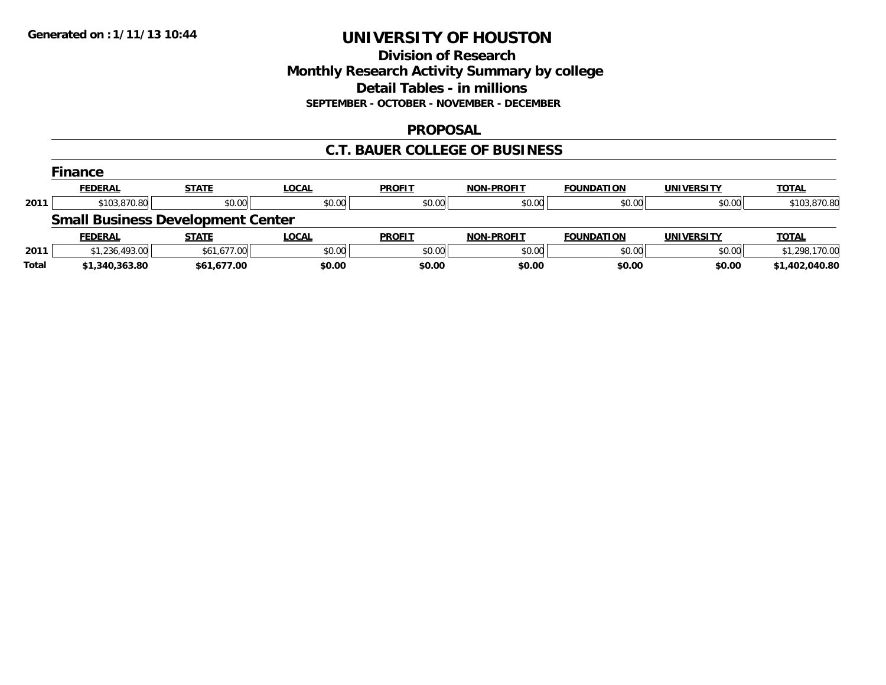## **Division of Research Monthly Research Activity Summary by college Detail Tables - in millions SEPTEMBER - OCTOBER - NOVEMBER - DECEMBER**

### **PROPOSAL**

### **C.T. BAUER COLLEGE OF BUSINESS**

|       | <b>Finance</b> |                                          |              |               |                   |                   |                   |                |
|-------|----------------|------------------------------------------|--------------|---------------|-------------------|-------------------|-------------------|----------------|
|       | <b>FEDERAL</b> | <b>STATE</b>                             | LOCAL        | <b>PROFIT</b> | <b>NON-PROFIT</b> | <b>FOUNDATION</b> | <b>UNIVERSITY</b> | <b>TOTAL</b>   |
| 2011  | \$103,870.80   | \$0.00                                   | \$0.00       | \$0.00        | \$0.00            | \$0.00            | \$0.00            | \$103,870.80   |
|       |                | <b>Small Business Development Center</b> |              |               |                   |                   |                   |                |
|       | <b>FEDERAL</b> | <b>STATE</b>                             | <b>LOCAL</b> | <b>PROFIT</b> | <b>NON-PROFIT</b> | <b>FOUNDATION</b> | <b>UNIVERSITY</b> | <b>TOTAL</b>   |
| 2011  | \$1,236,493.00 | \$61,677.00                              | \$0.00       | \$0.00        | \$0.00            | \$0.00            | \$0.00            | \$1,298,170.00 |
| Total | \$1,340,363.80 | \$61,677.00                              | \$0.00       | \$0.00        | \$0.00            | \$0.00            | \$0.00            | \$1,402,040.80 |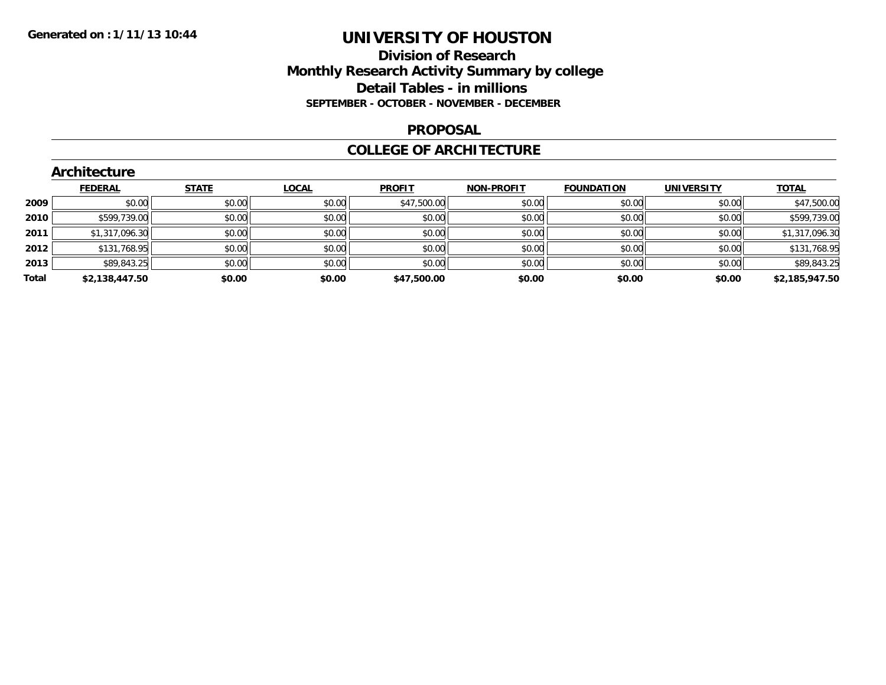## **Division of Research Monthly Research Activity Summary by college Detail Tables - in millions SEPTEMBER - OCTOBER - NOVEMBER - DECEMBER**

#### **PROPOSAL**

### **COLLEGE OF ARCHITECTURE**

|       | Architecture   |              |              |               |                   |                   |                   |                |  |  |  |  |
|-------|----------------|--------------|--------------|---------------|-------------------|-------------------|-------------------|----------------|--|--|--|--|
|       | <b>FEDERAL</b> | <b>STATE</b> | <b>LOCAL</b> | <b>PROFIT</b> | <b>NON-PROFIT</b> | <b>FOUNDATION</b> | <b>UNIVERSITY</b> | <b>TOTAL</b>   |  |  |  |  |
| 2009  | \$0.00         | \$0.00       | \$0.00       | \$47,500.00   | \$0.00            | \$0.00            | \$0.00            | \$47,500.00    |  |  |  |  |
| 2010  | \$599,739.00   | \$0.00       | \$0.00       | \$0.00        | \$0.00            | \$0.00            | \$0.00            | \$599,739.00   |  |  |  |  |
| 2011  | \$1,317,096.30 | \$0.00       | \$0.00       | \$0.00        | \$0.00            | \$0.00            | \$0.00            | \$1,317,096.30 |  |  |  |  |
| 2012  | \$131,768.95   | \$0.00       | \$0.00       | \$0.00        | \$0.00            | \$0.00            | \$0.00            | \$131,768.95   |  |  |  |  |
| 2013  | \$89,843.25    | \$0.00       | \$0.00       | \$0.00        | \$0.00            | \$0.00            | \$0.00            | \$89,843.25    |  |  |  |  |
| Total | \$2,138,447.50 | \$0.00       | \$0.00       | \$47,500.00   | \$0.00            | \$0.00            | \$0.00            | \$2,185,947.50 |  |  |  |  |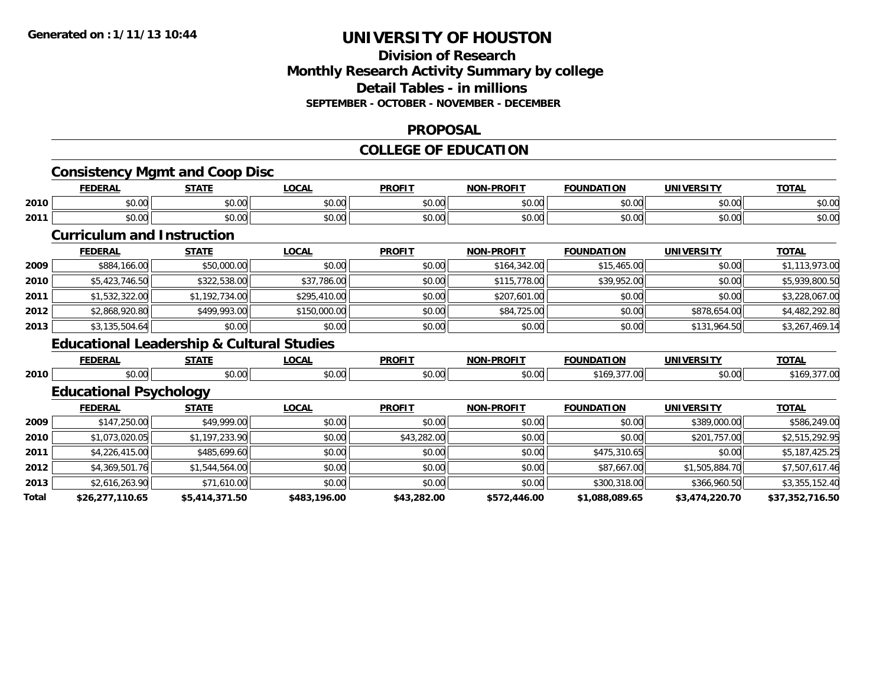### **Division of Research Monthly Research Activity Summary by college Detail Tables - in millions SEPTEMBER - OCTOBER - NOVEMBER - DECEMBER**

### **PROPOSAL**

### **COLLEGE OF EDUCATION**

|      | <b>Consistency Mgmt and Coop Disc</b><br><b>FEDERAL</b> | <b>STATE</b>                                         | <b>LOCAL</b> | <b>PROFIT</b> | <b>NON-PROFIT</b> | <b>FOUNDATION</b> | <b>UNIVERSITY</b> | <b>TOTAL</b>                                                                                         |
|------|---------------------------------------------------------|------------------------------------------------------|--------------|---------------|-------------------|-------------------|-------------------|------------------------------------------------------------------------------------------------------|
| 2010 | \$0.00                                                  | \$0.00                                               | \$0.00       | \$0.00        | \$0.00            | \$0.00            | \$0.00            | \$0.00                                                                                               |
|      |                                                         |                                                      |              |               |                   |                   |                   |                                                                                                      |
| 2011 | \$0.00                                                  | \$0.00                                               | \$0.00       | \$0.00        | \$0.00            | \$0.00            | \$0.00            | \$0.00                                                                                               |
|      | <b>Curriculum and Instruction</b>                       |                                                      |              |               |                   |                   |                   |                                                                                                      |
|      | <b>FEDERAL</b>                                          | <b>STATE</b>                                         | <b>LOCAL</b> | <b>PROFIT</b> | <b>NON-PROFIT</b> | <b>FOUNDATION</b> | <b>UNIVERSITY</b> | <b>TOTAL</b>                                                                                         |
| 2009 | \$884,166.00                                            | \$50,000.00                                          | \$0.00       | \$0.00        | \$164,342.00      | \$15,465.00       | \$0.00            | \$1,113,973.00                                                                                       |
| 2010 | \$5,423,746.50                                          | \$322,538.00                                         | \$37,786.00  | \$0.00        | \$115,778.00      | \$39,952.00       | \$0.00            | \$5,939,800.50                                                                                       |
| 2011 | \$1,532,322.00                                          | \$1,192,734.00                                       | \$295,410.00 | \$0.00        | \$207,601.00      | \$0.00            | \$0.00            | \$3,228,067.00                                                                                       |
| 2012 | \$2,868,920.80                                          | \$499,993.00                                         | \$150,000.00 | \$0.00        | \$84,725.00       | \$0.00            | \$878,654.00      | \$4,482,292.80                                                                                       |
| 2013 | \$3,135,504.64                                          | \$0.00                                               | \$0.00       | \$0.00        | \$0.00            | \$0.00            | \$131,964.50      | \$3,267,469.14                                                                                       |
|      |                                                         |                                                      |              |               |                   |                   |                   |                                                                                                      |
|      |                                                         | <b>Educational Leadership &amp; Cultural Studies</b> |              |               |                   |                   |                   |                                                                                                      |
|      | <b>FEDERAL</b>                                          | <b>STATE</b>                                         | <b>LOCAL</b> | <b>PROFIT</b> | <b>NON-PROFIT</b> | <b>FOUNDATION</b> | <b>UNIVERSITY</b> | <b>TOTAL</b>                                                                                         |
|      | \$0.00                                                  | \$0.00                                               | \$0.00       | \$0.00        | \$0.00            | \$169,377.00      | \$0.00            |                                                                                                      |
| 2010 | <b>Educational Psychology</b>                           |                                                      |              |               |                   |                   |                   |                                                                                                      |
|      | <b>FEDERAL</b>                                          | <b>STATE</b>                                         | <b>LOCAL</b> | <b>PROFIT</b> | <b>NON-PROFIT</b> | <b>FOUNDATION</b> | <b>UNIVERSITY</b> | <b>TOTAL</b>                                                                                         |
| 2009 | \$147,250.00                                            | \$49,999.00                                          | \$0.00       | \$0.00        | \$0.00            | \$0.00            | \$389,000.00      |                                                                                                      |
| 2010 | \$1,073,020.05                                          | \$1,197,233.90                                       | \$0.00       | \$43,282.00   | \$0.00            | \$0.00            | \$201,757.00      |                                                                                                      |
| 2011 | \$4,226,415.00                                          | \$485,699.60                                         | \$0.00       | \$0.00        | \$0.00            | \$475,310.65      | \$0.00            |                                                                                                      |
| 2012 | \$4,369,501.76                                          | \$1,544,564.00                                       | \$0.00       | \$0.00        | \$0.00            | \$87,667.00       | \$1,505,884.70    |                                                                                                      |
| 2013 | \$2,616,263.90                                          | \$71,610.00                                          | \$0.00       | \$0.00        | \$0.00            | \$300,318.00      | \$366,960.50      | \$169,377.00<br>\$586,249.00<br>\$2,515,292.95<br>\$5,187,425.25<br>\$7,507,617.46<br>\$3,355,152.40 |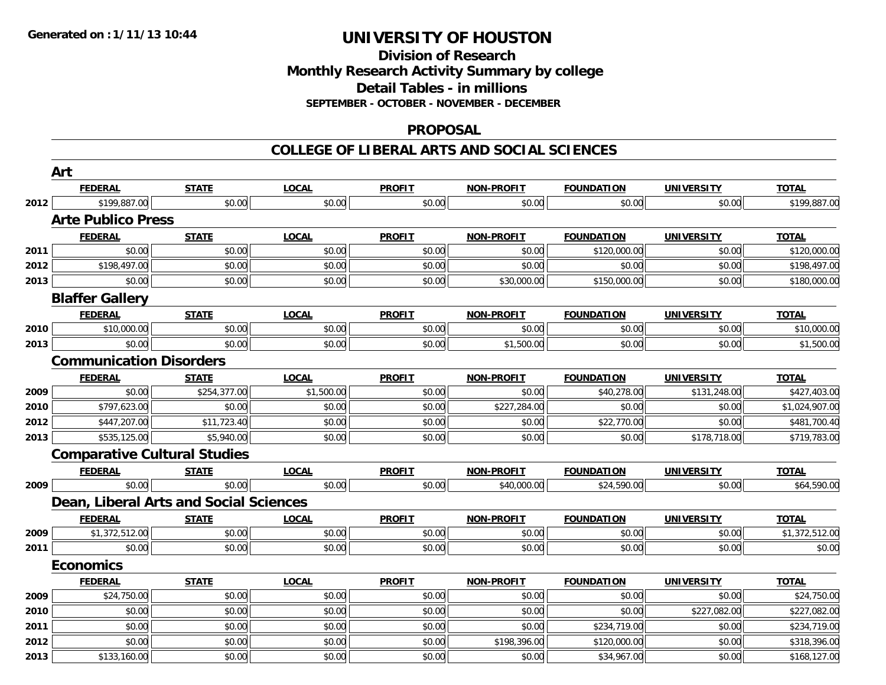## **Division of ResearchMonthly Research Activity Summary by college Detail Tables - in millions SEPTEMBER - OCTOBER - NOVEMBER - DECEMBER**

#### **PROPOSAL**

|      | Art                                    |              |              |               |                   |                   |                   |                |
|------|----------------------------------------|--------------|--------------|---------------|-------------------|-------------------|-------------------|----------------|
|      | <b>FEDERAL</b>                         | <b>STATE</b> | <b>LOCAL</b> | <b>PROFIT</b> | <b>NON-PROFIT</b> | <b>FOUNDATION</b> | <b>UNIVERSITY</b> | <b>TOTAL</b>   |
| 2012 | \$199,887.00                           | \$0.00       | \$0.00       | \$0.00        | \$0.00            | \$0.00            | \$0.00            | \$199,887.00   |
|      | <b>Arte Publico Press</b>              |              |              |               |                   |                   |                   |                |
|      | <b>FEDERAL</b>                         | <b>STATE</b> | <b>LOCAL</b> | <b>PROFIT</b> | <b>NON-PROFIT</b> | <b>FOUNDATION</b> | <b>UNIVERSITY</b> | <b>TOTAL</b>   |
| 2011 | \$0.00                                 | \$0.00       | \$0.00       | \$0.00        | \$0.00            | \$120,000.00      | \$0.00            | \$120,000.00   |
| 2012 | \$198,497.00                           | \$0.00       | \$0.00       | \$0.00        | \$0.00            | \$0.00            | \$0.00            | \$198,497.00   |
| 2013 | \$0.00                                 | \$0.00       | \$0.00       | \$0.00        | \$30,000.00       | \$150,000.00      | \$0.00            | \$180,000.00   |
|      | <b>Blaffer Gallery</b>                 |              |              |               |                   |                   |                   |                |
|      | <b>FEDERAL</b>                         | <b>STATE</b> | <b>LOCAL</b> | <b>PROFIT</b> | NON-PROFIT        | <b>FOUNDATION</b> | <b>UNIVERSITY</b> | <b>TOTAL</b>   |
| 2010 | \$10,000.00                            | \$0.00       | \$0.00       | \$0.00        | \$0.00            | \$0.00            | \$0.00            | \$10,000.00    |
| 2013 | \$0.00                                 | \$0.00       | \$0.00       | \$0.00        | \$1,500.00        | \$0.00            | \$0.00            | \$1,500.00     |
|      | <b>Communication Disorders</b>         |              |              |               |                   |                   |                   |                |
|      | <b>FEDERAL</b>                         | <b>STATE</b> | <b>LOCAL</b> | <b>PROFIT</b> | <b>NON-PROFIT</b> | <b>FOUNDATION</b> | <b>UNIVERSITY</b> | <b>TOTAL</b>   |
| 2009 | \$0.00                                 | \$254,377.00 | \$1,500.00   | \$0.00        | \$0.00            | \$40,278.00       | \$131,248.00      | \$427,403.00   |
| 2010 | \$797,623.00                           | \$0.00       | \$0.00       | \$0.00        | \$227,284.00      | \$0.00            | \$0.00            | \$1,024,907.00 |
| 2012 | \$447,207.00                           | \$11,723.40  | \$0.00       | \$0.00        | \$0.00            | \$22,770.00       | \$0.00            | \$481,700.40   |
| 2013 | \$535,125.00                           | \$5,940.00   | \$0.00       | \$0.00        | \$0.00            | \$0.00            | \$178,718.00      | \$719,783.00   |
|      | <b>Comparative Cultural Studies</b>    |              |              |               |                   |                   |                   |                |
|      | <b>FEDERAL</b>                         | <b>STATE</b> | <b>LOCAL</b> | <b>PROFIT</b> | <b>NON-PROFIT</b> | <b>FOUNDATION</b> | <b>UNIVERSITY</b> | <b>TOTAL</b>   |
| 2009 | \$0.00                                 | \$0.00       | \$0.00       | \$0.00        | \$40,000.00       | \$24,590.00       | \$0.00            | \$64,590.00    |
|      | Dean, Liberal Arts and Social Sciences |              |              |               |                   |                   |                   |                |
|      | <b>FEDERAL</b>                         | <b>STATE</b> | <b>LOCAL</b> | <b>PROFIT</b> | <b>NON-PROFIT</b> | <b>FOUNDATION</b> | <b>UNIVERSITY</b> | <b>TOTAL</b>   |
| 2009 | \$1,372,512.00                         | \$0.00       | \$0.00       | \$0.00        | \$0.00            | \$0.00            | \$0.00            | \$1,372,512.00 |
| 2011 | \$0.00                                 | \$0.00       | \$0.00       | \$0.00        | \$0.00            | \$0.00            | \$0.00            | \$0.00         |
|      | <b>Economics</b>                       |              |              |               |                   |                   |                   |                |
|      | <b>FEDERAL</b>                         | <b>STATE</b> | <b>LOCAL</b> | <b>PROFIT</b> | <b>NON-PROFIT</b> | <b>FOUNDATION</b> | <b>UNIVERSITY</b> | <b>TOTAL</b>   |
| 2009 | \$24,750.00                            | \$0.00       | \$0.00       | \$0.00        | \$0.00            | \$0.00            | \$0.00            | \$24,750.00    |
| 2010 | \$0.00                                 | \$0.00       | \$0.00       | \$0.00        | \$0.00            | \$0.00            | \$227,082.00      | \$227,082.00   |
| 2011 | \$0.00                                 | \$0.00       | \$0.00       | \$0.00        | \$0.00            | \$234,719.00      | \$0.00            | \$234,719.00   |
| 2012 | \$0.00                                 | \$0.00       | \$0.00       | \$0.00        | \$198,396.00      | \$120,000.00      | \$0.00            | \$318,396.00   |
| 2013 | \$133,160.00                           | \$0.00       | \$0.00       | \$0.00        | \$0.00            | \$34,967.00       | \$0.00            | \$168,127.00   |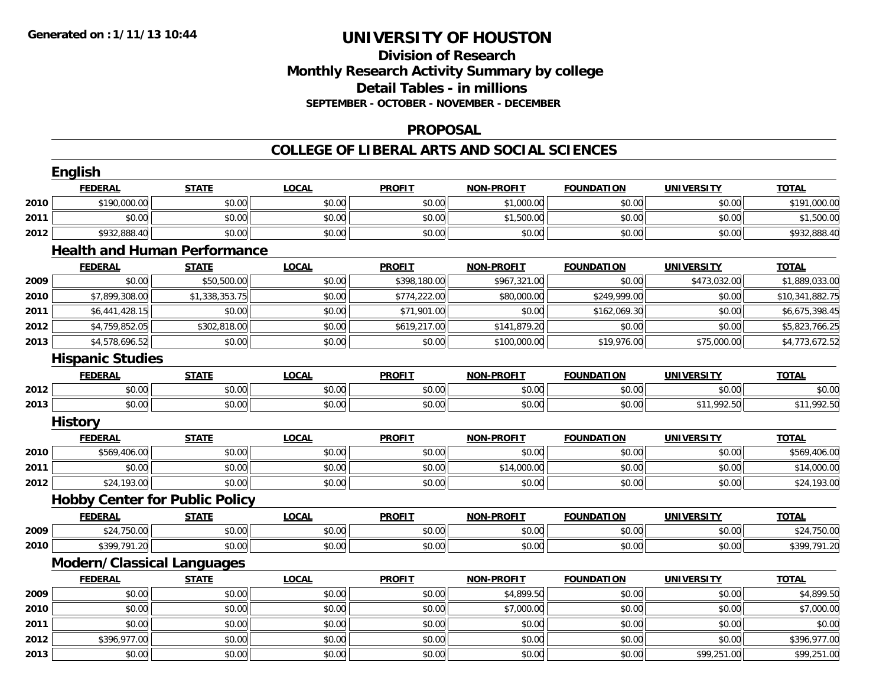## **Division of ResearchMonthly Research Activity Summary by college Detail Tables - in millions SEPTEMBER - OCTOBER - NOVEMBER - DECEMBER**

### **PROPOSAL**

### **COLLEGE OF LIBERAL ARTS AND SOCIAL SCIENCES**

|      | English                               |                |              |               |                   |                   |                   |                 |
|------|---------------------------------------|----------------|--------------|---------------|-------------------|-------------------|-------------------|-----------------|
|      | <b>FEDERAL</b>                        | <b>STATE</b>   | <b>LOCAL</b> | <b>PROFIT</b> | <b>NON-PROFIT</b> | <b>FOUNDATION</b> | <b>UNIVERSITY</b> | <b>TOTAL</b>    |
| 2010 | \$190,000.00                          | \$0.00         | \$0.00       | \$0.00        | \$1,000.00        | \$0.00            | \$0.00            | \$191,000.00    |
| 2011 | \$0.00                                | \$0.00         | \$0.00       | \$0.00        | \$1,500.00        | \$0.00            | \$0.00            | \$1,500.00      |
| 2012 | \$932,888.40                          | \$0.00         | \$0.00       | \$0.00        | \$0.00            | \$0.00            | \$0.00            | \$932,888.40    |
|      | <b>Health and Human Performance</b>   |                |              |               |                   |                   |                   |                 |
|      | <b>FEDERAL</b>                        | <b>STATE</b>   | <b>LOCAL</b> | <b>PROFIT</b> | <b>NON-PROFIT</b> | <b>FOUNDATION</b> | <b>UNIVERSITY</b> | <b>TOTAL</b>    |
| 2009 | \$0.00                                | \$50,500.00    | \$0.00       | \$398,180.00  | \$967,321.00      | \$0.00            | \$473,032.00      | \$1,889,033.00  |
| 2010 | \$7,899,308.00                        | \$1,338,353.75 | \$0.00       | \$774,222.00  | \$80,000.00       | \$249,999.00      | \$0.00            | \$10,341,882.75 |
| 2011 | \$6,441,428.15                        | \$0.00         | \$0.00       | \$71,901.00   | \$0.00            | \$162,069.30      | \$0.00            | \$6,675,398.45  |
| 2012 | \$4,759,852.05                        | \$302,818.00   | \$0.00       | \$619,217.00  | \$141,879.20      | \$0.00            | \$0.00            | \$5,823,766.25  |
| 2013 | \$4,578,696.52                        | \$0.00         | \$0.00       | \$0.00        | \$100,000.00      | \$19,976.00       | \$75,000.00       | \$4,773,672.52  |
|      | <b>Hispanic Studies</b>               |                |              |               |                   |                   |                   |                 |
|      | <b>FEDERAL</b>                        | <b>STATE</b>   | <b>LOCAL</b> | <b>PROFIT</b> | <b>NON-PROFIT</b> | <b>FOUNDATION</b> | <b>UNIVERSITY</b> | <b>TOTAL</b>    |
| 2012 | \$0.00                                | \$0.00         | \$0.00       | \$0.00        | \$0.00            | \$0.00            | \$0.00            | \$0.00          |
| 2013 | \$0.00                                | \$0.00         | \$0.00       | \$0.00        | \$0.00            | \$0.00            | \$11,992.50       | \$11,992.50     |
|      | <b>History</b>                        |                |              |               |                   |                   |                   |                 |
|      | <b>FEDERAL</b>                        | <b>STATE</b>   | <b>LOCAL</b> | <b>PROFIT</b> | <b>NON-PROFIT</b> | <b>FOUNDATION</b> | <b>UNIVERSITY</b> | <b>TOTAL</b>    |
| 2010 | \$569,406.00                          | \$0.00         | \$0.00       | \$0.00        | \$0.00            | \$0.00            | \$0.00            | \$569,406.00    |
| 2011 | \$0.00                                | \$0.00         | \$0.00       | \$0.00        | \$14,000.00       | \$0.00            | \$0.00            | \$14,000.00     |
| 2012 | \$24,193.00                           | \$0.00         | \$0.00       | \$0.00        | \$0.00            | \$0.00            | \$0.00            | \$24,193.00     |
|      | <b>Hobby Center for Public Policy</b> |                |              |               |                   |                   |                   |                 |
|      | <b>FEDERAL</b>                        | <b>STATE</b>   | <b>LOCAL</b> | <b>PROFIT</b> | <b>NON-PROFIT</b> | <b>FOUNDATION</b> | <b>UNIVERSITY</b> | <b>TOTAL</b>    |
| 2009 | \$24,750.00                           | \$0.00         | \$0.00       | \$0.00        | \$0.00            | \$0.00            | \$0.00            | \$24,750.00     |
| 2010 | \$399,791.20                          | \$0.00         | \$0.00       | \$0.00        | \$0.00            | \$0.00            | \$0.00            | \$399,791.20    |
|      | <b>Modern/Classical Languages</b>     |                |              |               |                   |                   |                   |                 |
|      | <b>FEDERAL</b>                        | <b>STATE</b>   | <b>LOCAL</b> | <b>PROFIT</b> | <b>NON-PROFIT</b> | <b>FOUNDATION</b> | <b>UNIVERSITY</b> | <b>TOTAL</b>    |
| 2009 | \$0.00                                | \$0.00         | \$0.00       | \$0.00        | \$4,899.50        | \$0.00            | \$0.00            | \$4,899.50      |
| 2010 | \$0.00                                | \$0.00         | \$0.00       | \$0.00        | \$7,000.00        | \$0.00            | \$0.00            | \$7,000.00      |
| 2011 | \$0.00                                | \$0.00         | \$0.00       | \$0.00        | \$0.00            | \$0.00            | \$0.00            | \$0.00          |
| 2012 | \$396,977.00                          | \$0.00         | \$0.00       | \$0.00        | \$0.00            | \$0.00            | \$0.00            | \$396,977.00    |
| 2013 | \$0.00                                | \$0.00         | \$0.00       | \$0.00        | \$0.00            | \$0.00            | \$99,251.00       | \$99,251.00     |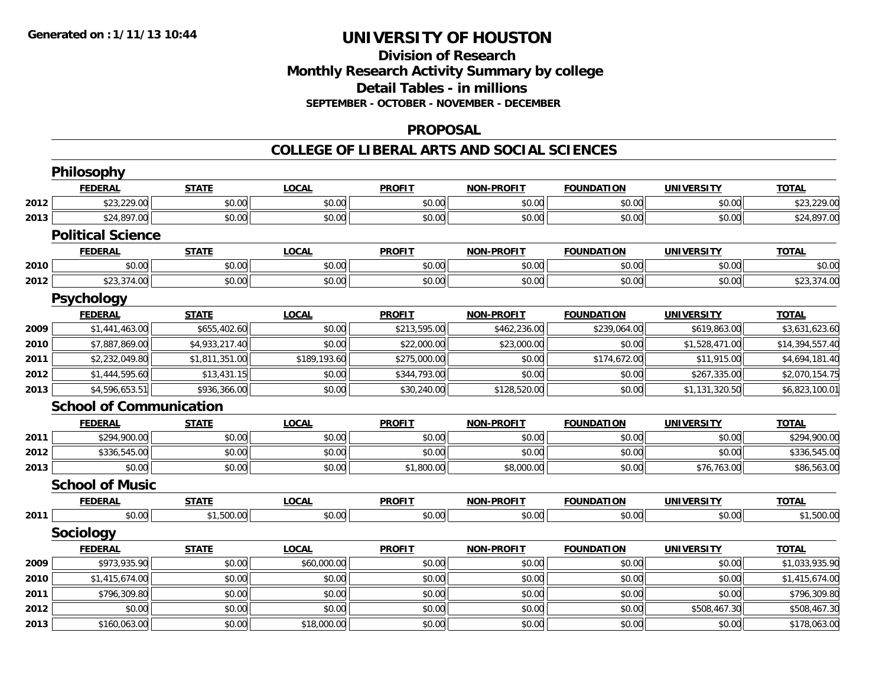## **Division of Research Monthly Research Activity Summary by college Detail Tables - in millions SEPTEMBER - OCTOBER - NOVEMBER - DECEMBER**

### **PROPOSAL**

|      | <b>Philosophy</b>              |                |              |               |                   |                   |                   |                 |
|------|--------------------------------|----------------|--------------|---------------|-------------------|-------------------|-------------------|-----------------|
|      | <b>FEDERAL</b>                 | <b>STATE</b>   | <b>LOCAL</b> | <b>PROFIT</b> | <b>NON-PROFIT</b> | <b>FOUNDATION</b> | <b>UNIVERSITY</b> | <b>TOTAL</b>    |
| 2012 | \$23,229.00                    | \$0.00         | \$0.00       | \$0.00        | \$0.00            | \$0.00            | \$0.00            | \$23,229.00     |
| 2013 | \$24,897.00                    | \$0.00         | \$0.00       | \$0.00        | \$0.00            | \$0.00            | \$0.00            | \$24,897.00     |
|      | <b>Political Science</b>       |                |              |               |                   |                   |                   |                 |
|      | <b>FEDERAL</b>                 | <b>STATE</b>   | <b>LOCAL</b> | <b>PROFIT</b> | <b>NON-PROFIT</b> | <b>FOUNDATION</b> | <b>UNIVERSITY</b> | <b>TOTAL</b>    |
| 2010 | \$0.00                         | \$0.00         | \$0.00       | \$0.00        | \$0.00            | \$0.00            | \$0.00            | \$0.00          |
| 2012 | \$23,374.00                    | \$0.00         | \$0.00       | \$0.00        | \$0.00            | \$0.00            | \$0.00            | \$23,374.00     |
|      | <b>Psychology</b>              |                |              |               |                   |                   |                   |                 |
|      | <b>FEDERAL</b>                 | <b>STATE</b>   | <b>LOCAL</b> | <b>PROFIT</b> | <b>NON-PROFIT</b> | <b>FOUNDATION</b> | <b>UNIVERSITY</b> | <b>TOTAL</b>    |
| 2009 | \$1,441,463.00                 | \$655,402.60   | \$0.00       | \$213,595.00  | \$462,236.00      | \$239,064.00      | \$619,863.00      | \$3,631,623.60  |
| 2010 | \$7,887,869.00                 | \$4,933,217.40 | \$0.00       | \$22,000.00   | \$23,000.00       | \$0.00            | \$1,528,471.00    | \$14,394,557.40 |
| 2011 | \$2,232,049.80                 | \$1,811,351.00 | \$189,193.60 | \$275,000.00  | \$0.00            | \$174,672.00      | \$11,915.00       | \$4,694,181.40  |
| 2012 | \$1,444,595.60                 | \$13,431.15    | \$0.00       | \$344,793.00  | \$0.00            | \$0.00            | \$267,335.00      | \$2,070,154.75  |
| 2013 | \$4,596,653.51                 | \$936,366.00   | \$0.00       | \$30,240.00   | \$128,520.00      | \$0.00            | \$1,131,320.50    | \$6,823,100.01  |
|      | <b>School of Communication</b> |                |              |               |                   |                   |                   |                 |
|      | <b>FEDERAL</b>                 | <b>STATE</b>   | <b>LOCAL</b> | <b>PROFIT</b> | <b>NON-PROFIT</b> | <b>FOUNDATION</b> | <b>UNIVERSITY</b> | <b>TOTAL</b>    |
| 2011 | \$294,900.00                   | \$0.00         | \$0.00       | \$0.00        | \$0.00            | \$0.00            | \$0.00            | \$294,900.00    |
| 2012 | \$336,545.00                   | \$0.00         | \$0.00       | \$0.00        | \$0.00            | \$0.00            | \$0.00            | \$336,545.00    |
| 2013 | \$0.00                         | \$0.00         | \$0.00       | \$1,800.00    | \$8,000.00        | \$0.00            | \$76,763.00       | \$86,563.00     |
|      | <b>School of Music</b>         |                |              |               |                   |                   |                   |                 |
|      | <b>FEDERAL</b>                 | <b>STATE</b>   | <b>LOCAL</b> | <b>PROFIT</b> | <b>NON-PROFIT</b> | <b>FOUNDATION</b> | <b>UNIVERSITY</b> | <b>TOTAL</b>    |
| 2011 | \$0.00                         | \$1,500.00     | \$0.00       | \$0.00        | \$0.00            | \$0.00            | \$0.00            | \$1,500.00      |
|      | <b>Sociology</b>               |                |              |               |                   |                   |                   |                 |
|      | <b>FEDERAL</b>                 | <b>STATE</b>   | <b>LOCAL</b> | <b>PROFIT</b> | <b>NON-PROFIT</b> | <b>FOUNDATION</b> | <b>UNIVERSITY</b> | <b>TOTAL</b>    |
| 2009 | \$973,935.90                   | \$0.00         | \$60,000.00  | \$0.00        | \$0.00            | \$0.00            | \$0.00            | \$1,033,935.90  |
| 2010 | \$1,415,674.00                 | \$0.00         | \$0.00       | \$0.00        | \$0.00            | \$0.00            | \$0.00            | \$1,415,674.00  |
| 2011 | \$796,309.80                   | \$0.00         | \$0.00       | \$0.00        | \$0.00            | \$0.00            | \$0.00            | \$796,309.80    |
| 2012 | \$0.00                         | \$0.00         | \$0.00       | \$0.00        | \$0.00            | \$0.00            | \$508,467.30      | \$508,467.30    |
| 2013 | \$160,063.00                   | \$0.00         | \$18,000.00  | \$0.00        | \$0.00            | \$0.00            | \$0.00            | \$178,063.00    |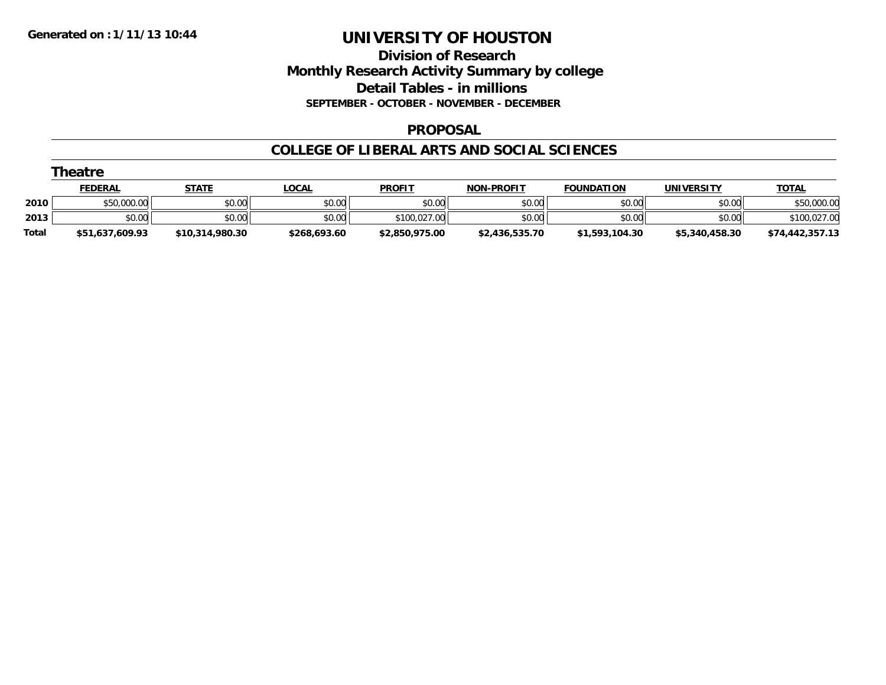## **Division of Research Monthly Research Activity Summary by college Detail Tables - in millions SEPTEMBER - OCTOBER - NOVEMBER - DECEMBER**

### **PROPOSAL**

|              | Theatre         |                 |              |                |                   |                   |                |                 |
|--------------|-----------------|-----------------|--------------|----------------|-------------------|-------------------|----------------|-----------------|
|              | <b>FEDERAL</b>  | <u>STATE</u>    | <u>LOCAL</u> | <b>PROFIT</b>  | <b>NON-PROFIT</b> | <b>FOUNDATION</b> | UNIVERSITY     | <b>TOTAL</b>    |
| 2010         | \$50,000.00     | \$0.00          | \$0.00       | \$0.00         | \$0.00            | \$0.00            | \$0.00         | \$50,000.00     |
| 2013         | \$0.00          | \$0.00          | \$0.00       | \$100,027.00   | \$0.00            | \$0.00            | \$0.00         | \$100,027.00    |
| <b>Total</b> | \$51,637,609.93 | \$10,314,980.30 | \$268,693.60 | \$2,850,975.00 | \$2,436,535.70    | \$1,593,104.30    | \$5,340,458.30 | \$74,442,357.13 |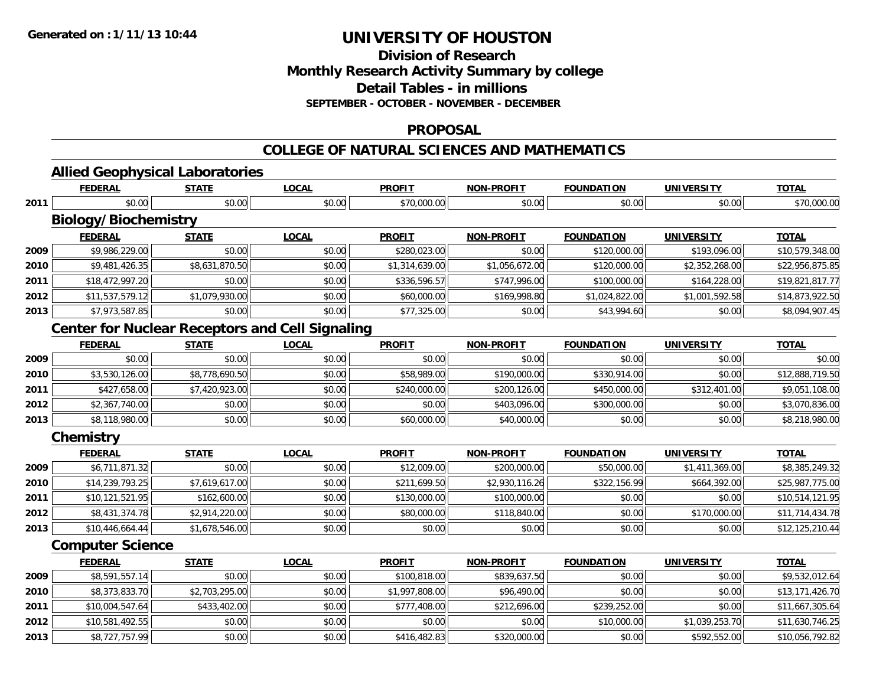**Division of Research**

**Monthly Research Activity Summary by college**

**Detail Tables - in millions**

**SEPTEMBER - OCTOBER - NOVEMBER - DECEMBER**

### **PROPOSAL**

### **COLLEGE OF NATURAL SCIENCES AND MATHEMATICS**

**TOTAL** 

| .<br>.<br>.      | aboratories<br>auur<br>. |             |              |                          |                   |                  |       |
|------------------|--------------------------|-------------|--------------|--------------------------|-------------------|------------------|-------|
| EEDEDAI<br>DERAI | <b>CTATE</b>             | <b>OCAL</b> | <b>PROFI</b> | .DDOEIT<br>NON-<br>י ⊩וי | <b>FOUNDATION</b> | <b>INIVERSIT</b> | ΤΟΤΑΙ |
|                  |                          |             |              |                          |                   |                  |       |

| 2011 | \$0.00                                                 | \$0.00         | \$0.00       | \$70,000.00    | \$0.00            | \$0.00            | \$0.00            | \$70,000.00     |
|------|--------------------------------------------------------|----------------|--------------|----------------|-------------------|-------------------|-------------------|-----------------|
|      | <b>Biology/Biochemistry</b>                            |                |              |                |                   |                   |                   |                 |
|      | <b>FEDERAL</b>                                         | <b>STATE</b>   | <b>LOCAL</b> | <b>PROFIT</b>  | <b>NON-PROFIT</b> | <b>FOUNDATION</b> | <b>UNIVERSITY</b> | <b>TOTAL</b>    |
| 2009 | \$9,986,229.00                                         | \$0.00         | \$0.00       | \$280,023.00   | \$0.00            | \$120,000.00      | \$193,096.00      | \$10,579,348.00 |
| 2010 | \$9,481,426.35                                         | \$8,631,870.50 | \$0.00       | \$1,314,639.00 | \$1,056,672.00    | \$120,000.00      | \$2,352,268.00    | \$22,956,875.85 |
| 2011 | \$18,472,997.20                                        | \$0.00         | \$0.00       | \$336,596.57   | \$747,996.00      | \$100,000.00      | \$164,228.00      | \$19,821,817.77 |
| 2012 | \$11,537,579.12                                        | \$1,079,930.00 | \$0.00       | \$60,000.00    | \$169,998.80      | \$1,024,822.00    | \$1,001,592.58    | \$14,873,922.50 |
| 2013 | \$7,973,587.85                                         | \$0.00         | \$0.00       | \$77,325.00    | \$0.00            | \$43,994.60       | \$0.00            | \$8,094,907.45  |
|      | <b>Center for Nuclear Receptors and Cell Signaling</b> |                |              |                |                   |                   |                   |                 |
|      | <b>FEDERAL</b>                                         | <b>STATE</b>   | <b>LOCAL</b> | <b>PROFIT</b>  | <b>NON-PROFIT</b> | <b>FOUNDATION</b> | <b>UNIVERSITY</b> | <b>TOTAL</b>    |
| 2009 | \$0.00                                                 | \$0.00         | \$0.00       | \$0.00         | \$0.00            | \$0.00            | \$0.00            | \$0.00          |
| 2010 | \$3,530,126.00                                         | \$8,778,690.50 | \$0.00       | \$58,989.00    | \$190,000.00      | \$330,914.00      | \$0.00            | \$12,888,719.50 |
| 2011 | \$427,658.00                                           | \$7,420,923.00 | \$0.00       | \$240,000.00   | \$200,126.00      | \$450,000.00      | \$312,401.00      | \$9,051,108.00  |
| 2012 | \$2,367,740.00                                         | \$0.00         | \$0.00       | \$0.00         | \$403,096.00      | \$300,000.00      | \$0.00            | \$3,070,836.00  |
| 2013 | \$8,118,980.00                                         | \$0.00         | \$0.00       | \$60,000.00    | \$40,000.00       | \$0.00            | \$0.00            | \$8,218,980.00  |
|      | Chemistry                                              |                |              |                |                   |                   |                   |                 |
|      | <b>FEDERAL</b>                                         | <b>STATE</b>   | <b>LOCAL</b> | <b>PROFIT</b>  | <b>NON-PROFIT</b> | <b>FOUNDATION</b> | <b>UNIVERSITY</b> | <b>TOTAL</b>    |
| 2009 | \$6,711,871.32                                         | \$0.00         | \$0.00       | \$12,009.00    | \$200,000.00      | \$50,000.00       | \$1,411,369.00    | \$8,385,249.32  |
| 2010 | \$14,239,793.25                                        | \$7,619,617.00 | \$0.00       | \$211,699.50   | \$2,930,116.26    | \$322,156.99      | \$664,392.00      | \$25,987,775.00 |
| 2011 | \$10,121,521.95                                        | \$162,600.00   | \$0.00       | \$130,000.00   | \$100,000.00      | \$0.00            | \$0.00            | \$10,514,121.95 |
| 2012 | \$8,431,374.78                                         | \$2,914,220.00 | \$0.00       | \$80,000.00    | \$118,840.00      | \$0.00            | \$170,000.00      | \$11,714,434.78 |
| 2013 | \$10,446,664.44                                        | \$1,678,546.00 | \$0.00       | \$0.00         | \$0.00            | \$0.00            | \$0.00            | \$12,125,210.44 |
|      | <b>Computer Science</b>                                |                |              |                |                   |                   |                   |                 |
|      | <b>FEDERAL</b>                                         | <b>STATE</b>   | <b>LOCAL</b> | <b>PROFIT</b>  | <b>NON-PROFIT</b> | <b>FOUNDATION</b> | <b>UNIVERSITY</b> | <b>TOTAL</b>    |
| 2009 | \$8,591,557.14                                         | \$0.00         | \$0.00       | \$100,818.00   | \$839,637.50      | \$0.00            | \$0.00            | \$9,532,012.64  |
| 2010 | \$8,373,833.70                                         | \$2,703,295.00 | \$0.00       | \$1,997,808.00 | \$96,490.00       | \$0.00            | \$0.00            | \$13,171,426.70 |
| 2011 | \$10,004,547.64                                        | \$433,402.00   | \$0.00       | \$777,408.00   | \$212,696.00      | \$239,252.00      | \$0.00            | \$11,667,305.64 |
| 2012 | \$10,581,492.55                                        | \$0.00         | \$0.00       | \$0.00         | \$0.00            | \$10,000.00       | \$1,039,253.70    | \$11,630,746.25 |
| 2013 | \$8,727,757.99                                         | \$0.00         | \$0.00       | \$416,482.83   | \$320,000.00      | \$0.00            | \$592,552.00      | \$10,056,792.82 |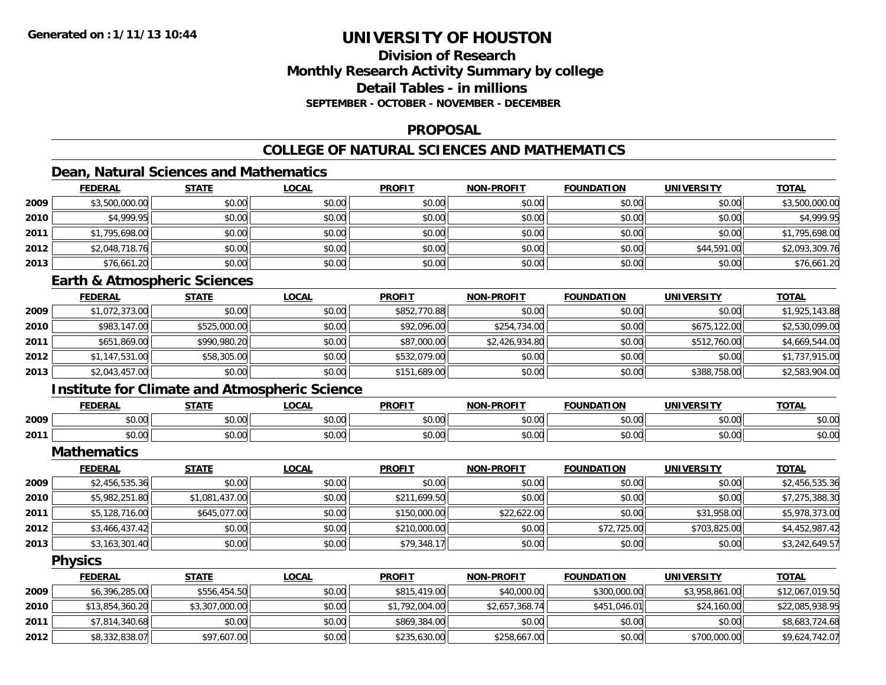## **Division of ResearchMonthly Research Activity Summary by college Detail Tables - in millionsSEPTEMBER - OCTOBER - NOVEMBER - DECEMBER**

### **PROPOSAL**

## **COLLEGE OF NATURAL SCIENCES AND MATHEMATICS**

## **Dean, Natural Sciences and Mathematics**

|      | <b>FEDERAL</b> | <b>STATE</b> | <u>LOCAL</u> | <b>PROFIT</b> | <b>NON-PROFIT</b> | <b>FOUNDATION</b> | <b>UNIVERSITY</b> | <b>TOTAL</b>   |
|------|----------------|--------------|--------------|---------------|-------------------|-------------------|-------------------|----------------|
| 2009 | \$3,500,000.00 | \$0.00       | \$0.00       | \$0.00        | \$0.00            | \$0.00            | \$0.00            | \$3,500,000.00 |
| 2010 | \$4,999.95     | \$0.00       | \$0.00       | \$0.00        | \$0.00            | \$0.00            | \$0.00            | \$4,999.95     |
| 2011 | \$1,795,698.00 | \$0.00       | \$0.00       | \$0.00        | \$0.00            | \$0.00            | \$0.00            | \$1,795,698.00 |
| 2012 | \$2,048,718.76 | \$0.00       | \$0.00       | \$0.00        | \$0.00            | \$0.00            | \$44,591.00       | \$2,093,309.76 |
| 2013 | \$76,661.20    | \$0.00       | \$0.00       | \$0.00        | \$0.00            | \$0.00            | \$0.00            | \$76,661.20    |

## **Earth & Atmospheric Sciences**

|      | <b>FEDERAL</b> | <b>STATE</b> | <u>LOCAL</u> | <b>PROFIT</b> | <b>NON-PROFIT</b> | <b>FOUNDATION</b> | <b>UNIVERSITY</b> | <b>TOTAL</b>   |
|------|----------------|--------------|--------------|---------------|-------------------|-------------------|-------------------|----------------|
| 2009 | \$1,072,373.00 | \$0.00       | \$0.00       | \$852,770.88  | \$0.00            | \$0.00            | \$0.00            | \$1,925,143.88 |
| 2010 | \$983,147.00   | \$525,000.00 | \$0.00       | \$92,096.00   | \$254,734.00      | \$0.00            | \$675,122.00      | \$2,530,099.00 |
| 2011 | \$651,869.00   | \$990,980.20 | \$0.00       | \$87,000.00   | \$2,426,934.80    | \$0.00            | \$512,760.00      | \$4,669,544.00 |
| 2012 | \$1,147,531.00 | \$58,305.00  | \$0.00       | \$532,079.00  | \$0.00            | \$0.00            | \$0.00            | \$1,737,915.00 |
| 2013 | \$2,043,457.00 | \$0.00       | \$0.00       | \$151,689.00  | \$0.00            | \$0.00            | \$388,758.00      | \$2,583,904.00 |

## **Institute for Climate and Atmospheric Science**

|      | <b>FEDERAL</b> | <b>CTATE</b>         | .OCAI              | <b>PROFIT</b>                  | <b>-PROFIT</b><br><b>AIOR</b>                         | лом<br>המוווחה:                          | UNIVERSITY     | <b>TOTAL</b> |
|------|----------------|----------------------|--------------------|--------------------------------|-------------------------------------------------------|------------------------------------------|----------------|--------------|
| 2009 | 0000<br>90.UU  | ሖ へ<br>וטט.          | $\sim$ 00<br>JU.UU | $\rightarrow$<br>∩∩ ،<br>JU.UU | $\mathsf{A} \cap \mathsf{A} \cap \mathsf{A}$<br>JU.UL | \$0.00                                   | 0000<br>JU.UU  | \$0.00       |
| 2011 | 0000<br>pv.uu  | $\sim$ $\sim$<br>υU. | 0000<br>vu.vu      | 40.00<br>v.vu                  | 0 <sup>n</sup><br>\$U.UC                              | $\uparrow$ $\uparrow$ $\uparrow$<br>∪.∪∪ | 0000<br>⊸∪.∪∪⊪ | \$0.00       |

**Mathematics**

|      | <b>FEDERAL</b> | <b>STATE</b>   | <b>LOCAL</b> | <b>PROFIT</b> | <b>NON-PROFIT</b> | <b>FOUNDATION</b> | <b>UNIVERSITY</b> | <b>TOTAL</b>   |
|------|----------------|----------------|--------------|---------------|-------------------|-------------------|-------------------|----------------|
| 2009 | \$2,456,535.36 | \$0.00         | \$0.00       | \$0.00        | \$0.00            | \$0.00            | \$0.00            | \$2,456,535.36 |
| 2010 | \$5,982,251.80 | \$1,081,437.00 | \$0.00       | \$211,699.50  | \$0.00            | \$0.00            | \$0.00            | \$7,275,388.30 |
| 2011 | \$5,128,716.00 | \$645,077,00   | \$0.00       | \$150,000.00  | \$22,622.00       | \$0.00            | \$31,958.00       | \$5,978,373.00 |
| 2012 | \$3,466,437.42 | \$0.00         | \$0.00       | \$210,000.00  | \$0.00            | \$72,725.00       | \$703,825.00      | \$4,452,987.42 |
| 2013 | \$3,163,301.40 | \$0.00         | \$0.00       | \$79,348.17   | \$0.00            | \$0.00            | \$0.00            | \$3,242,649.57 |

**Physics**

|      | <b>FEDERAL</b>  | <u>STATE</u>   | <u>LOCAL</u> | <b>PROFIT</b>  | <b>NON-PROFIT</b> | <b>FOUNDATION</b> | <b>UNIVERSITY</b> | <b>TOTAL</b>    |
|------|-----------------|----------------|--------------|----------------|-------------------|-------------------|-------------------|-----------------|
| 2009 | \$6,396,285.00  | \$556,454.50   | \$0.00       | \$815,419.00   | \$40,000.00       | \$300,000.00      | \$3,958,861,00    | \$12,067,019.50 |
| 2010 | \$13,854,360.20 | \$3,307,000.00 | \$0.00       | \$1,792,004.00 | \$2,657,368.74    | \$451,046.01      | \$24,160.00       | \$22,085,938.95 |
| 2011 | \$7,814,340.68  | \$0.00         | \$0.00       | \$869,384.00   | \$0.00            | \$0.00            | \$0.00            | \$8,683,724.68  |
| 2012 | \$8,332,838.07  | \$97,607.00    | \$0.00       | \$235,630.00   | \$258,667.00      | \$0.00            | \$700,000.00      | \$9,624,742.07  |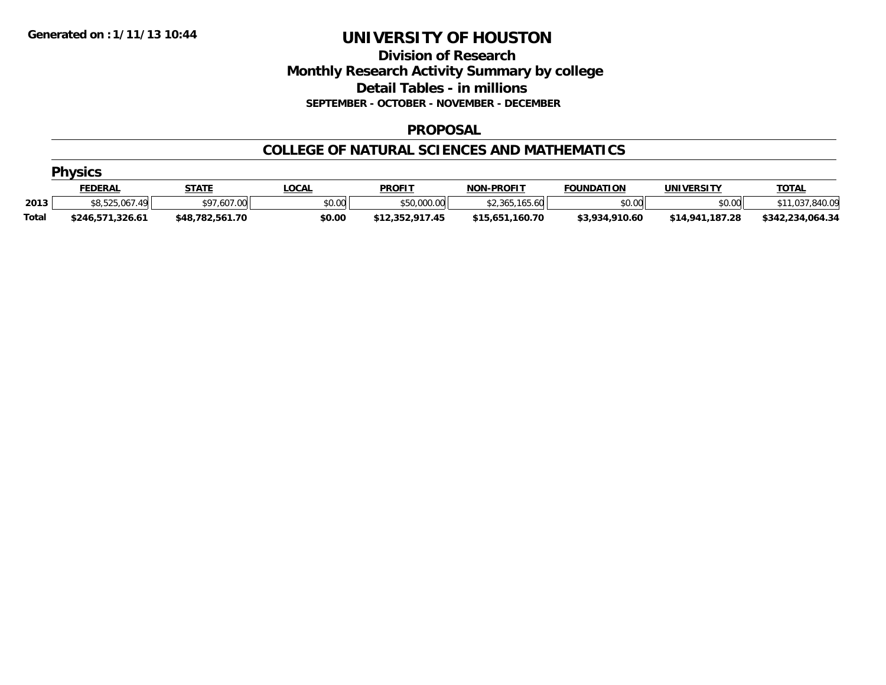## **Division of Research Monthly Research Activity Summary by college Detail Tables - in millions SEPTEMBER - OCTOBER - NOVEMBER - DECEMBER**

### **PROPOSAL**

### **COLLEGE OF NATURAL SCIENCES AND MATHEMATICS**

|              | <b>Physics</b>      |                 |              |                 |                    |                   |                   |                  |  |  |  |
|--------------|---------------------|-----------------|--------------|-----------------|--------------------|-------------------|-------------------|------------------|--|--|--|
|              | <u>FEDERAL</u>      | <u>STATE</u>    | <u>LOCAL</u> | <b>PROFIT</b>   | <b>NON-PROFIT</b>  | <b>FOUNDATION</b> | <b>UNIVERSITY</b> | <b>TOTAL</b>     |  |  |  |
| 2013         | \$8,525,067.<br>.49 | \$97,607.00     | \$0.00       | \$50,000.00     | .165.60<br>\$2,365 | \$0.00            | \$0.00            | 1,037,840.09     |  |  |  |
| <b>Total</b> | \$246,571,326.61    | \$48,782,561.70 | \$0.00       | \$12,352,917.45 | \$15,651,160.70    | \$3,934,910.60    | \$14,941,187.28   | \$342,234,064.34 |  |  |  |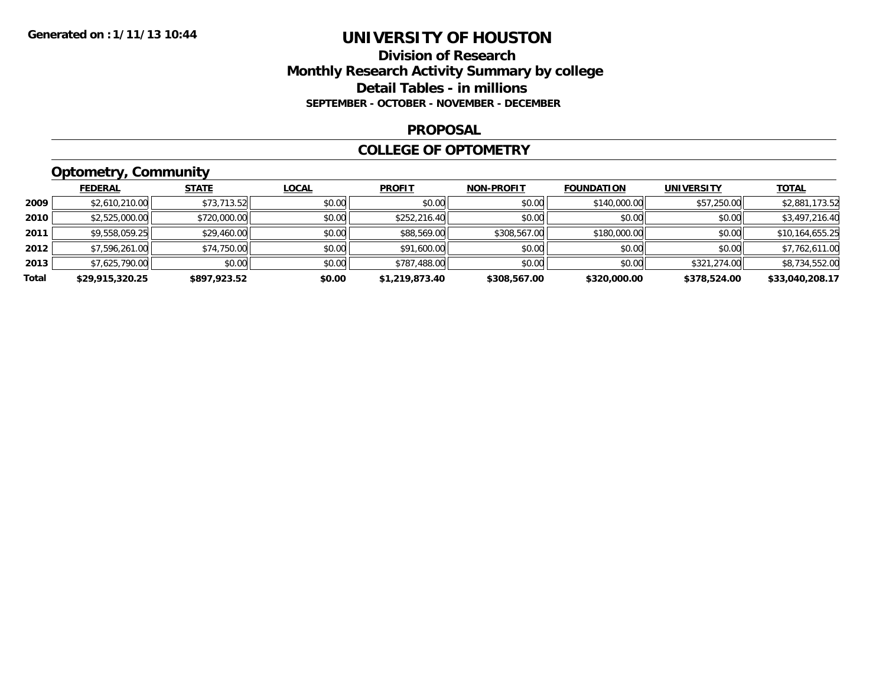## **Division of Research Monthly Research Activity Summary by college Detail Tables - in millions SEPTEMBER - OCTOBER - NOVEMBER - DECEMBER**

### **PROPOSAL**

### **COLLEGE OF OPTOMETRY**

## **Optometry, Community**

|       | <b>FEDERAL</b>  | <b>STATE</b> | <u>LOCAL</u> | <b>PROFIT</b>  | <b>NON-PROFIT</b> | <b>FOUNDATION</b> | <b>UNIVERSITY</b> | <b>TOTAL</b>    |
|-------|-----------------|--------------|--------------|----------------|-------------------|-------------------|-------------------|-----------------|
| 2009  | \$2,610,210.00  | \$73,713.52  | \$0.00       | \$0.00         | \$0.00            | \$140,000.00      | \$57,250.00       | \$2,881,173.52  |
| 2010  | \$2,525,000.00  | \$720,000.00 | \$0.00       | \$252,216.40   | \$0.00            | \$0.00            | \$0.00            | \$3,497,216.40  |
| 2011  | \$9,558,059.25  | \$29,460.00  | \$0.00       | \$88,569.00    | \$308,567.00      | \$180,000.00      | \$0.00            | \$10,164,655.25 |
| 2012  | \$7,596,261.00  | \$74,750.00  | \$0.00       | \$91,600.00    | \$0.00            | \$0.00            | \$0.00            | \$7,762,611.00  |
| 2013  | \$7,625,790.00  | \$0.00       | \$0.00       | \$787,488.00   | \$0.00            | \$0.00            | \$321,274.00      | \$8,734,552.00  |
| Total | \$29,915,320.25 | \$897.923.52 | \$0.00       | \$1,219,873.40 | \$308,567.00      | \$320,000.00      | \$378,524.00      | \$33,040,208.17 |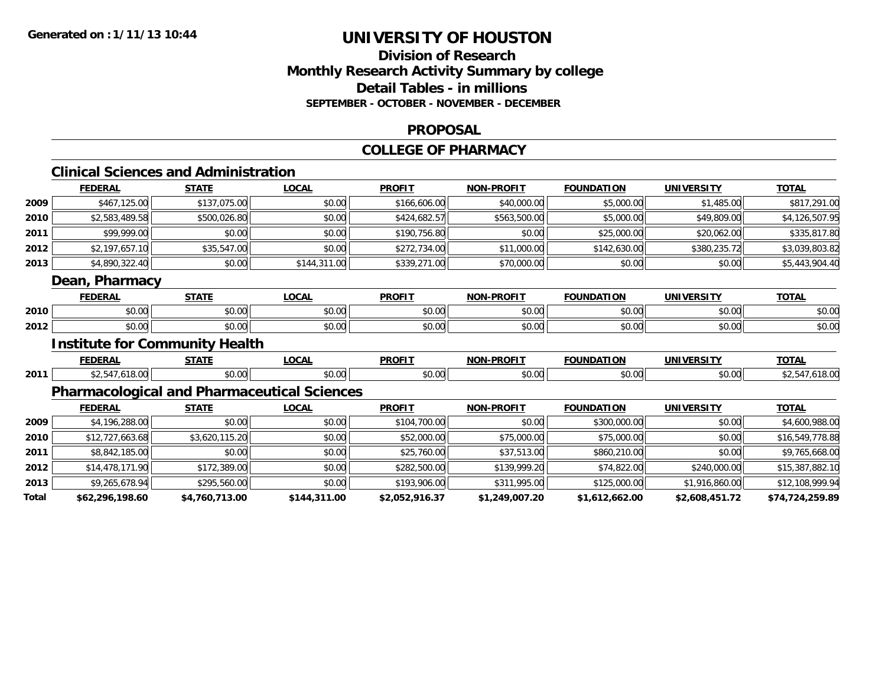## **Division of ResearchMonthly Research Activity Summary by college Detail Tables - in millions SEPTEMBER - OCTOBER - NOVEMBER - DECEMBER**

#### **PROPOSAL**

#### **COLLEGE OF PHARMACY**

### **Clinical Sciences and Administration**

|       | <b>FEDERAL</b>                        | <b>STATE</b>   | <b>LOCAL</b>                                       | <b>PROFIT</b>  | <b>NON-PROFIT</b> | <b>FOUNDATION</b> | <b>UNIVERSITY</b> | <b>TOTAL</b>    |
|-------|---------------------------------------|----------------|----------------------------------------------------|----------------|-------------------|-------------------|-------------------|-----------------|
| 2009  | \$467,125.00                          | \$137,075.00   | \$0.00                                             | \$166,606.00   | \$40,000.00       | \$5,000.00        | \$1,485.00        | \$817,291.00    |
| 2010  | \$2,583,489.58                        | \$500,026.80   | \$0.00                                             | \$424,682.57   | \$563,500.00      | \$5,000.00        | \$49,809.00       | \$4,126,507.95  |
| 2011  | \$99,999.00                           | \$0.00         | \$0.00                                             | \$190,756.80   | \$0.00            | \$25,000.00       | \$20,062.00       | \$335,817.80    |
| 2012  | \$2,197,657.10                        | \$35,547.00    | \$0.00                                             | \$272,734.00   | \$11,000.00       | \$142,630.00      | \$380,235.72      | \$3,039,803.82  |
| 2013  | \$4,890,322.40                        | \$0.00         | \$144,311.00                                       | \$339,271.00   | \$70,000.00       | \$0.00            | \$0.00            | \$5,443,904.40  |
|       | Dean, Pharmacy                        |                |                                                    |                |                   |                   |                   |                 |
|       | <b>FEDERAL</b>                        | <b>STATE</b>   | <b>LOCAL</b>                                       | <b>PROFIT</b>  | <b>NON-PROFIT</b> | <b>FOUNDATION</b> | <b>UNIVERSITY</b> | <b>TOTAL</b>    |
| 2010  | \$0.00                                | \$0.00         | \$0.00                                             | \$0.00         | \$0.00            | \$0.00            | \$0.00            | \$0.00          |
| 2012  | \$0.00                                | \$0.00         | \$0.00                                             | \$0.00         | \$0.00            | \$0.00            | \$0.00            | \$0.00          |
|       | <b>Institute for Community Health</b> |                |                                                    |                |                   |                   |                   |                 |
|       | <b>FEDERAL</b>                        | <b>STATE</b>   | <b>LOCAL</b>                                       | <b>PROFIT</b>  | <b>NON-PROFIT</b> | <b>FOUNDATION</b> | <b>UNIVERSITY</b> | <b>TOTAL</b>    |
| 2011  | \$2,547,618.00                        | \$0.00         | \$0.00                                             | \$0.00         | \$0.00            | \$0.00            | \$0.00            | \$2,547,618.00  |
|       |                                       |                | <b>Pharmacological and Pharmaceutical Sciences</b> |                |                   |                   |                   |                 |
|       | <b>FEDERAL</b>                        | <b>STATE</b>   | <b>LOCAL</b>                                       | <b>PROFIT</b>  | <b>NON-PROFIT</b> | <b>FOUNDATION</b> | <b>UNIVERSITY</b> | <b>TOTAL</b>    |
| 2009  | \$4,196,288.00                        | \$0.00         | \$0.00                                             | \$104,700.00   | \$0.00            | \$300,000.00      | \$0.00            | \$4,600,988.00  |
| 2010  | \$12,727,663.68                       | \$3,620,115.20 | \$0.00                                             | \$52,000.00    | \$75,000.00       | \$75,000.00       | \$0.00            | \$16,549,778.88 |
| 2011  | \$8,842,185.00                        | \$0.00         | \$0.00                                             | \$25,760.00    | \$37,513.00       | \$860,210.00      | \$0.00            | \$9,765,668.00  |
| 2012  | \$14,478,171.90                       | \$172,389.00   | \$0.00                                             | \$282,500.00   | \$139,999.20      | \$74,822.00       | \$240,000.00      | \$15,387,882.10 |
| 2013  | \$9,265,678.94                        | \$295,560.00   | \$0.00                                             | \$193,906.00   | \$311,995.00      | \$125,000.00      | \$1,916,860.00    | \$12,108,999.94 |
| Total | \$62,296,198.60                       | \$4,760,713.00 | \$144,311.00                                       | \$2,052,916.37 | \$1,249,007.20    | \$1,612,662.00    | \$2,608,451.72    | \$74,724,259.89 |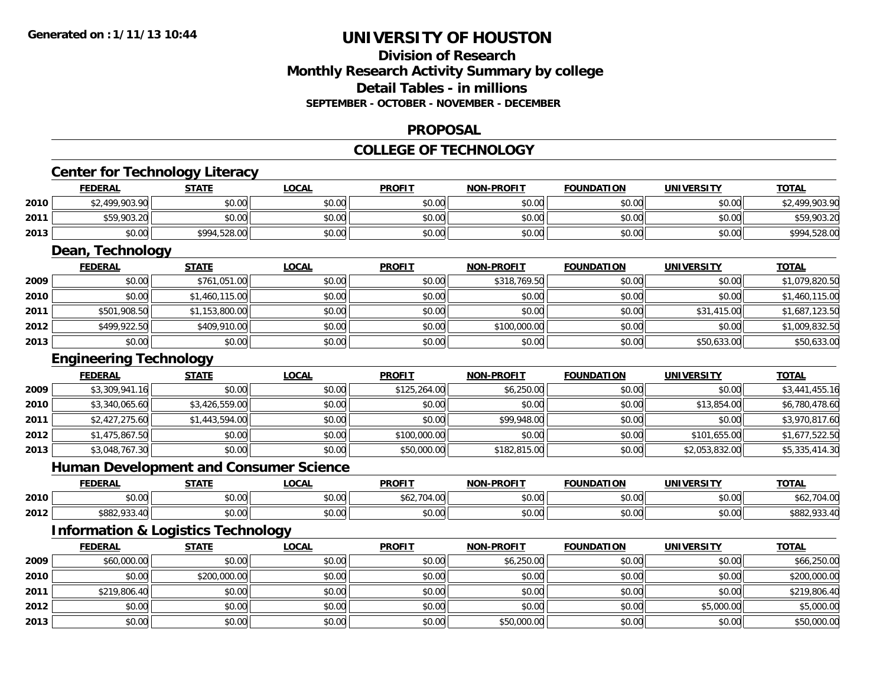## **Division of ResearchMonthly Research Activity Summary by college Detail Tables - in millions SEPTEMBER - OCTOBER - NOVEMBER - DECEMBER**

### **PROPOSAL**

#### **COLLEGE OF TECHNOLOGY**

|      | <b>FEDERAL</b>                                | <b>STATE</b>   | <b>LOCAL</b> | <b>PROFIT</b> | NON-PROFIT        | <b>FOUNDATION</b> | <b>UNIVERSITY</b> | <b>TOTAL</b>   |
|------|-----------------------------------------------|----------------|--------------|---------------|-------------------|-------------------|-------------------|----------------|
| 2010 | \$2,499,903.90                                | \$0.00         | \$0.00       | \$0.00        | \$0.00            | \$0.00            | \$0.00            | \$2,499,903.90 |
| 2011 | \$59,903.20                                   | \$0.00         | \$0.00       | \$0.00        | \$0.00            | \$0.00            | \$0.00            | \$59,903.20    |
| 2013 | \$0.00                                        | \$994,528.00   | \$0.00       | \$0.00        | \$0.00            | \$0.00            | \$0.00            | \$994,528.00   |
|      | Dean, Technology                              |                |              |               |                   |                   |                   |                |
|      | <b>FEDERAL</b>                                | <b>STATE</b>   | <b>LOCAL</b> | <b>PROFIT</b> | <b>NON-PROFIT</b> | <b>FOUNDATION</b> | <b>UNIVERSITY</b> | <b>TOTAL</b>   |
| 2009 | \$0.00                                        | \$761,051.00   | \$0.00       | \$0.00        | \$318,769.50      | \$0.00            | \$0.00            | \$1,079,820.50 |
| 2010 | \$0.00                                        | \$1,460,115.00 | \$0.00       | \$0.00        | \$0.00            | \$0.00            | \$0.00            | \$1,460,115.00 |
| 2011 | \$501,908.50                                  | \$1,153,800.00 | \$0.00       | \$0.00        | \$0.00            | \$0.00            | \$31,415.00       | \$1,687,123.50 |
| 2012 | \$499,922.50                                  | \$409,910.00   | \$0.00       | \$0.00        | \$100,000.00      | \$0.00            | \$0.00            | \$1,009,832.50 |
| 2013 | \$0.00                                        | \$0.00         | \$0.00       | \$0.00        | \$0.00            | \$0.00            | \$50,633.00       | \$50,633.00    |
|      | <b>Engineering Technology</b>                 |                |              |               |                   |                   |                   |                |
|      | <b>FEDERAL</b>                                | <b>STATE</b>   | <b>LOCAL</b> | <b>PROFIT</b> | <b>NON-PROFIT</b> | <b>FOUNDATION</b> | <b>UNIVERSITY</b> | <b>TOTAL</b>   |
| 2009 | \$3,309,941.16                                | \$0.00         | \$0.00       | \$125,264.00  | \$6,250.00        | \$0.00            | \$0.00            | \$3,441,455.16 |
| 2010 | \$3,340,065.60                                | \$3,426,559.00 | \$0.00       | \$0.00        | \$0.00            | \$0.00            | \$13,854.00       | \$6,780,478.60 |
| 2011 | \$2,427,275.60                                | \$1,443,594.00 | \$0.00       | \$0.00        | \$99,948.00       | \$0.00            | \$0.00            | \$3,970,817.60 |
| 2012 | \$1,475,867.50                                | \$0.00         | \$0.00       | \$100,000.00  | \$0.00            | \$0.00            | \$101,655.00      | \$1,677,522.50 |
| 2013 | \$3,048,767.30                                | \$0.00         | \$0.00       | \$50,000.00   | \$182,815.00      | \$0.00            | \$2,053,832.00    | \$5,335,414.30 |
|      | <b>Human Development and Consumer Science</b> |                |              |               |                   |                   |                   |                |
|      | <b>FEDERAL</b>                                | <b>STATE</b>   | <b>LOCAL</b> | <b>PROFIT</b> | NON-PROFIT        | <b>FOUNDATION</b> | <b>UNIVERSITY</b> | <b>TOTAL</b>   |
| 2010 | \$0.00                                        | \$0.00         | \$0.00       | \$62,704.00   | \$0.00            | \$0.00            | \$0.00            | \$62,704.00    |
| 2012 | \$882,933.40                                  | \$0.00         | \$0.00       | \$0.00        | \$0.00            | \$0.00            | \$0.00            | \$882,933.40   |
|      | <b>Information &amp; Logistics Technology</b> |                |              |               |                   |                   |                   |                |
|      | <b>FEDERAL</b>                                | <b>STATE</b>   | <b>LOCAL</b> | <b>PROFIT</b> | <b>NON-PROFIT</b> | <b>FOUNDATION</b> | <b>UNIVERSITY</b> | <b>TOTAL</b>   |
| 2009 | \$60,000.00                                   | \$0.00         | \$0.00       | \$0.00        | \$6,250.00        | \$0.00            | \$0.00            | \$66,250.00    |
| 2010 | \$0.00                                        | \$200,000.00   | \$0.00       | \$0.00        | \$0.00            | \$0.00            | \$0.00            | \$200,000.00   |
| 2011 | \$219,806.40                                  | \$0.00         | \$0.00       | \$0.00        | \$0.00            | \$0.00            | \$0.00            | \$219,806.40   |
| 2012 | \$0.00                                        | \$0.00         | \$0.00       | \$0.00        | \$0.00            | \$0.00            | \$5,000.00        | \$5,000.00     |
| 2013 | \$0.00                                        | \$0.00         | \$0.00       | \$0.00        | \$50,000.00       | \$0.00            | \$0.00            | \$50,000.00    |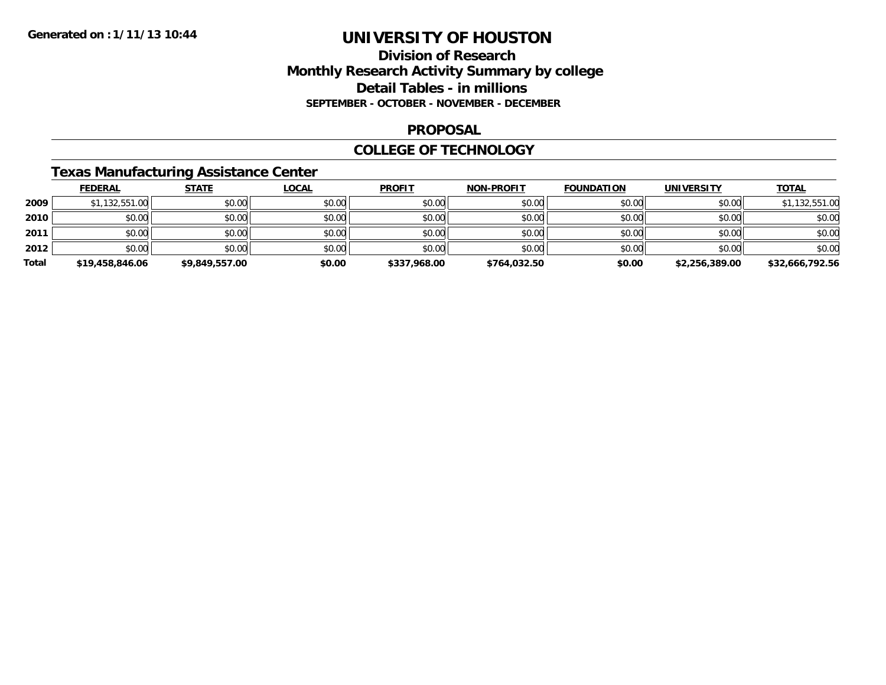## **Division of Research Monthly Research Activity Summary by college Detail Tables - in millions SEPTEMBER - OCTOBER - NOVEMBER - DECEMBER**

### **PROPOSAL**

### **COLLEGE OF TECHNOLOGY**

## **Texas Manufacturing Assistance Center**

|       | <b>FEDERAL</b>  | <b>STATE</b>   | <b>LOCAL</b> | <b>PROFIT</b> | <b>NON-PROFIT</b> | <b>FOUNDATION</b> | <b>UNIVERSITY</b> | <b>TOTAL</b>    |
|-------|-----------------|----------------|--------------|---------------|-------------------|-------------------|-------------------|-----------------|
| 2009  | \$1,132,551.00  | \$0.00         | \$0.00       | \$0.00        | \$0.00            | \$0.00            | \$0.00            | \$1,132,551.00  |
| 2010  | \$0.00          | \$0.00         | \$0.00       | \$0.00        | \$0.00            | \$0.00            | \$0.00            | \$0.00          |
| 2011  | \$0.00          | \$0.00         | \$0.00       | \$0.00        | \$0.00            | \$0.00            | \$0.00            | \$0.00          |
| 2012  | \$0.00          | \$0.00         | \$0.00       | \$0.00        | \$0.00            | \$0.00            | \$0.00            | \$0.00          |
| Total | \$19,458,846.06 | \$9,849,557.00 | \$0.00       | \$337,968.00  | \$764,032.50      | \$0.00            | \$2,256,389.00    | \$32,666,792.56 |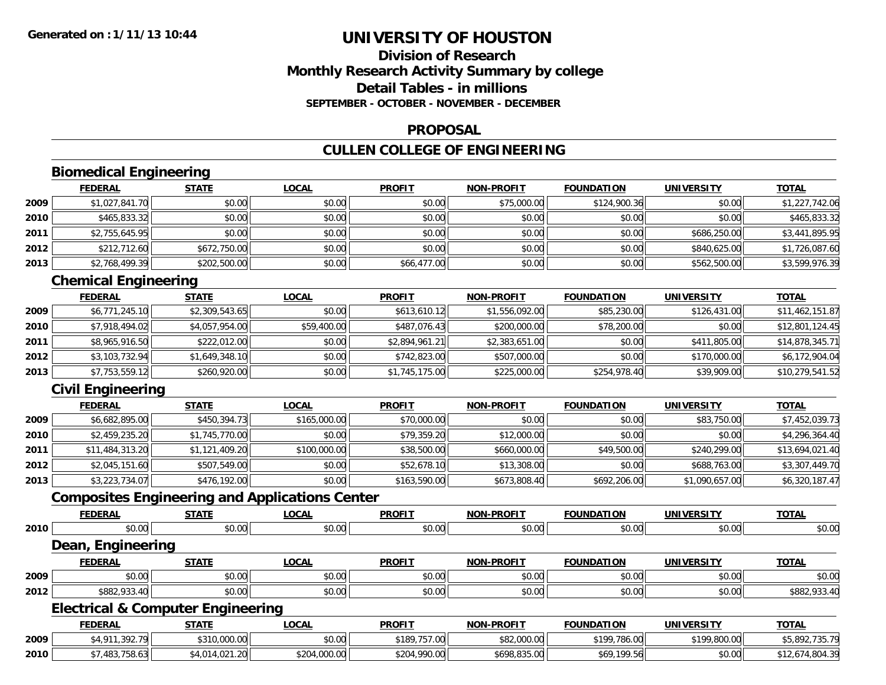## **Division of ResearchMonthly Research Activity Summary by college Detail Tables - in millionsSEPTEMBER - OCTOBER - NOVEMBER - DECEMBER**

## **PROPOSAL**

## **CULLEN COLLEGE OF ENGINEERING**

## **Biomedical Engineering**

|      | <b>FEDERAL</b> | <b>STATE</b> | <b>LOCAL</b> | <b>PROFIT</b> | <b>NON-PROFIT</b> | <b>FOUNDATION</b> | <b>UNIVERSITY</b> | <b>TOTAL</b>   |
|------|----------------|--------------|--------------|---------------|-------------------|-------------------|-------------------|----------------|
| 2009 | \$1,027,841.70 | \$0.00       | \$0.00       | \$0.00        | \$75,000.00       | \$124,900.36      | \$0.00            | \$1,227,742.06 |
| 2010 | \$465,833.32   | \$0.00       | \$0.00       | \$0.00        | \$0.00            | \$0.00            | \$0.00            | \$465,833.32   |
| 2011 | \$2,755,645.95 | \$0.00       | \$0.00       | \$0.00        | \$0.00            | \$0.00            | \$686,250.00      | \$3,441,895.95 |
| 2012 | \$212,712.60   | \$672,750.00 | \$0.00       | \$0.00        | \$0.00            | \$0.00            | \$840,625.00      | \$1,726,087.60 |
| 2013 | \$2,768,499.39 | \$202,500.00 | \$0.00       | \$66,477.00   | \$0.00            | \$0.00            | \$562,500.00      | \$3,599,976.39 |

## **Chemical Engineering**

|      | <b>FEDERAL</b> | <b>STATE</b>   | <b>LOCAL</b> | <b>PROFIT</b>  | <b>NON-PROFIT</b> | <b>FOUNDATION</b> | UNIVERSITY   | <b>TOTAL</b>    |
|------|----------------|----------------|--------------|----------------|-------------------|-------------------|--------------|-----------------|
| 2009 | \$6,771,245.10 | \$2,309,543.65 | \$0.00       | \$613,610.12   | \$1,556,092.00    | \$85,230.00       | \$126,431.00 | \$11,462,151.87 |
| 2010 | \$7,918,494.02 | \$4,057,954.00 | \$59,400.00  | \$487,076.43   | \$200,000.00      | \$78,200.00       | \$0.00       | \$12,801,124.45 |
| 2011 | \$8,965,916.50 | \$222,012.00   | \$0.00       | \$2,894,961.21 | \$2,383,651.00    | \$0.00            | \$411,805.00 | \$14,878,345.71 |
| 2012 | \$3,103,732.94 | \$1,649,348.10 | \$0.00       | \$742,823.00   | \$507,000.00      | \$0.00            | \$170,000.00 | \$6,172,904.04  |
| 2013 | \$7,753,559.12 | \$260,920.00   | \$0.00       | \$1,745,175.00 | \$225,000.00      | \$254,978.40      | \$39,909.00  | \$10,279,541.52 |

## **Civil Engineering**

**2010**

|      | <b>FEDERAL</b>  | <u>STATE</u>   | <u>LOCAL</u> | <b>PROFIT</b> | <b>NON-PROFIT</b> | <b>FOUNDATION</b> | <b>UNIVERSITY</b> | <b>TOTAL</b>    |
|------|-----------------|----------------|--------------|---------------|-------------------|-------------------|-------------------|-----------------|
| 2009 | \$6,682,895.00  | \$450,394.73   | \$165,000.00 | \$70,000.00   | \$0.00            | \$0.00            | \$83,750.00       | \$7,452,039.73  |
| 2010 | \$2,459,235.20  | \$1,745,770.00 | \$0.00       | \$79,359.20   | \$12,000.00       | \$0.00            | \$0.00            | \$4,296,364.40  |
| 2011 | \$11,484,313.20 | \$1,121,409.20 | \$100,000.00 | \$38,500.00   | \$660,000.00      | \$49,500.00       | \$240,299.00      | \$13,694,021.40 |
| 2012 | \$2,045,151.60  | \$507,549.00   | \$0.00       | \$52,678.10   | \$13,308.00       | \$0.00            | \$688,763,00      | \$3,307,449.70  |
| 2013 | \$3,223,734.07  | \$476,192.00   | \$0.00       | \$163,590.00  | \$673,808.40      | \$692,206.00      | \$1,090,657.00    | \$6,320,187.47  |

## **Composites Engineering and Applications Center**

|      | <b>FEDERAL</b>                               | <b>STATE</b> | <b>LOCAL</b> | <b>PROFIT</b> | <b>NON-PROFIT</b> | <b>FOUNDATION</b> | <b>UNIVERSITY</b> | <b>TOTAL</b>   |
|------|----------------------------------------------|--------------|--------------|---------------|-------------------|-------------------|-------------------|----------------|
| 2010 | \$0.00                                       | \$0.00       | \$0.00       | \$0.00        | \$0.00            | \$0.00            | \$0.00            | \$0.00         |
|      | Dean, Engineering                            |              |              |               |                   |                   |                   |                |
|      | <b>FEDERAL</b>                               | <b>STATE</b> | <b>LOCAL</b> | <b>PROFIT</b> | <b>NON-PROFIT</b> | <b>FOUNDATION</b> | <b>UNIVERSITY</b> | <b>TOTAL</b>   |
| 2009 | \$0.00                                       | \$0.00       | \$0.00       | \$0.00        | \$0.00            | \$0.00            | \$0.00            | \$0.00         |
| 2012 | \$882,933.40                                 | \$0.00       | \$0.00       | \$0.00        | \$0.00            | \$0.00            | \$0.00            | \$882,933.40   |
|      | <b>Electrical &amp; Computer Engineering</b> |              |              |               |                   |                   |                   |                |
|      | <b>FEDERAL</b>                               | <b>STATE</b> | <b>LOCAL</b> | <b>PROFIT</b> | <b>NON-PROFIT</b> | <b>FOUNDATION</b> | <b>UNIVERSITY</b> | <b>TOTAL</b>   |
| 2009 | \$4,911,392.79                               | \$310,000.00 | \$0.00       | \$189,757.00  | \$82,000.00       | \$199,786.00      | \$199,800.00      | \$5,892,735.79 |

0 \$7,483,758.63|| \$4,014,021.20|| \$204,000.00|| \$204,990.00|| \$698,835.00|| \$69,199.56|| \$0.00|| \$12,674,804.39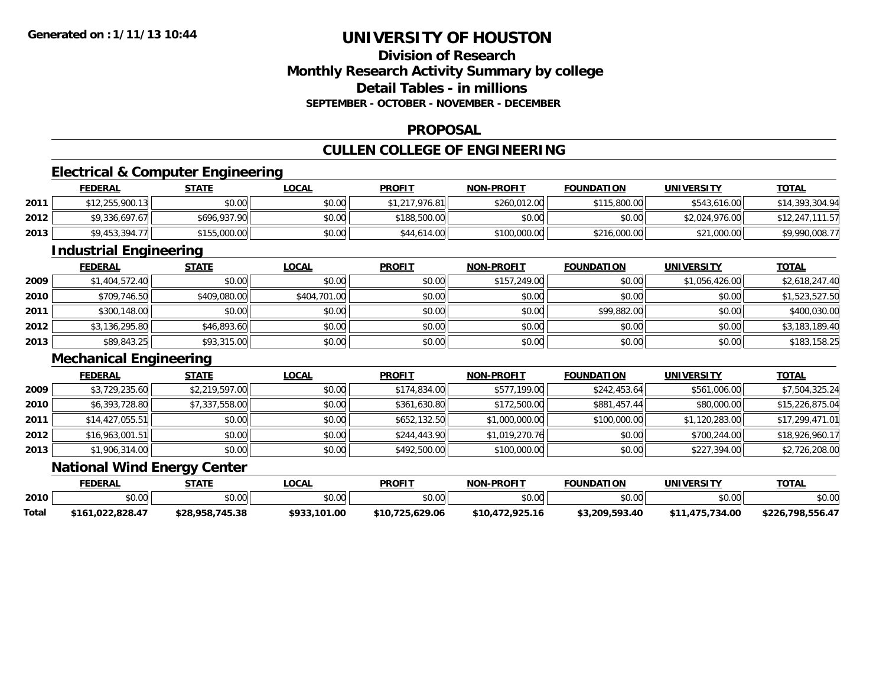## **Division of ResearchMonthly Research Activity Summary by college Detail Tables - in millionsSEPTEMBER - OCTOBER - NOVEMBER - DECEMBER**

### **PROPOSAL**

## **CULLEN COLLEGE OF ENGINEERING**

## **Electrical & Computer Engineering**

|      | <b>FEDERAL</b>  | <b>STATE</b> | <b>LOCAL</b> | <b>PROFIT</b>   | <b>NON-PROFIT</b> | <b>FOUNDATION</b> | <b>UNIVERSITY</b> | <b>TOTAL</b>          |
|------|-----------------|--------------|--------------|-----------------|-------------------|-------------------|-------------------|-----------------------|
| 2011 | \$12,255,900.13 | \$0.00       | \$0.00       | *1,217,976.81l। | \$260,012.00      | \$115,800.00      | \$543,616.00      | \$14,393,304.94       |
| 2012 | \$9,336,697.67  | \$696,937.90 | \$0.00       | \$188,500.00    | \$0.00            | \$0.00            | \$2,024,976.00    | ,111.57<br>\$12,247,1 |
| 2013 | \$9,453,394.77  | \$155,000.00 | \$0.00       | \$44,614.00     | \$100,000.00      | \$216,000.00      | \$21,000.00       | \$9,990,008.77        |

<u> 1980 - Andrea Station Barbara, actor a component de la componentación de la componentación de la componentaci</u>

## **Industrial Engineering**

|      | <b>FEDERAL</b> | <b>STATE</b> | <u>LOCAL</u> | <b>PROFIT</b> | <b>NON-PROFIT</b> | <b>FOUNDATION</b> | <b>UNIVERSITY</b> | <b>TOTAL</b>   |
|------|----------------|--------------|--------------|---------------|-------------------|-------------------|-------------------|----------------|
| 2009 | \$1,404,572.40 | \$0.00       | \$0.00       | \$0.00        | \$157,249.00      | \$0.00            | \$1,056,426.00    | \$2,618,247.40 |
| 2010 | \$709,746.50   | \$409,080.00 | \$404,701.00 | \$0.00        | \$0.00            | \$0.00            | \$0.00            | \$1,523,527.50 |
| 2011 | \$300,148.00   | \$0.00       | \$0.00       | \$0.00        | \$0.00            | \$99,882.00       | \$0.00            | \$400,030.00   |
| 2012 | \$3,136,295.80 | \$46,893.60  | \$0.00       | \$0.00        | \$0.00            | \$0.00            | \$0.00            | \$3,183,189.40 |
| 2013 | \$89,843.25    | \$93,315.00  | \$0.00       | \$0.00        | \$0.00            | \$0.00            | \$0.00            | \$183,158.25   |

## **Mechanical Engineering**

|      | <b>FEDERAL</b>  | <u>STATE</u>   | <b>LOCAL</b> | <b>PROFIT</b> | <b>NON-PROFIT</b> | <b>FOUNDATION</b> | <b>UNIVERSITY</b> | <b>TOTAL</b>    |
|------|-----------------|----------------|--------------|---------------|-------------------|-------------------|-------------------|-----------------|
| 2009 | \$3,729,235.60  | \$2,219,597.00 | \$0.00       | \$174,834.00  | \$577,199.00      | \$242.453.64      | \$561,006.00      | \$7,504,325.24  |
| 2010 | \$6,393,728.80  | \$7,337,558.00 | \$0.00       | \$361,630.80  | \$172,500.00      | \$881,457.44      | \$80,000.00       | \$15,226,875.04 |
| 2011 | \$14,427,055.51 | \$0.00         | \$0.00       | \$652,132.50  | \$1,000,000.00    | \$100,000.00      | \$1,120,283.00    | \$17,299,471.01 |
| 2012 | \$16,963,001.51 | \$0.00         | \$0.00       | \$244,443.90  | \$1,019,270.76    | \$0.00            | \$700,244.00      | \$18,926,960.17 |
| 2013 | \$1,906,314.00  | \$0.00         | \$0.00       | \$492,500.00  | \$100,000.00      | \$0.00            | \$227,394.00      | \$2,726,208.00  |

### **National Wind Energy Center**

|       | FEDERAL        | <b>СТАТБ</b>    | LOCAL        | <b>PROFIT</b>   | NON-PROFIT      | <b>FOUNDATION</b> | <b>UNIVERSITY</b> | <b>TOTAL</b>     |
|-------|----------------|-----------------|--------------|-----------------|-----------------|-------------------|-------------------|------------------|
| 2010  | ስስ ስስ<br>pu.uu | \$0.00          | \$0.00       | \$0.00          | \$0.00          | 0000<br>DU.UG     | \$0.00            | \$0.00           |
| Total | 161,022,828.47 | \$28,958,745.38 | \$933,101.00 | \$10,725,629.06 | \$10.472.925.16 | \$3,209,593.40    | .475.734.00       | \$226,798,556.47 |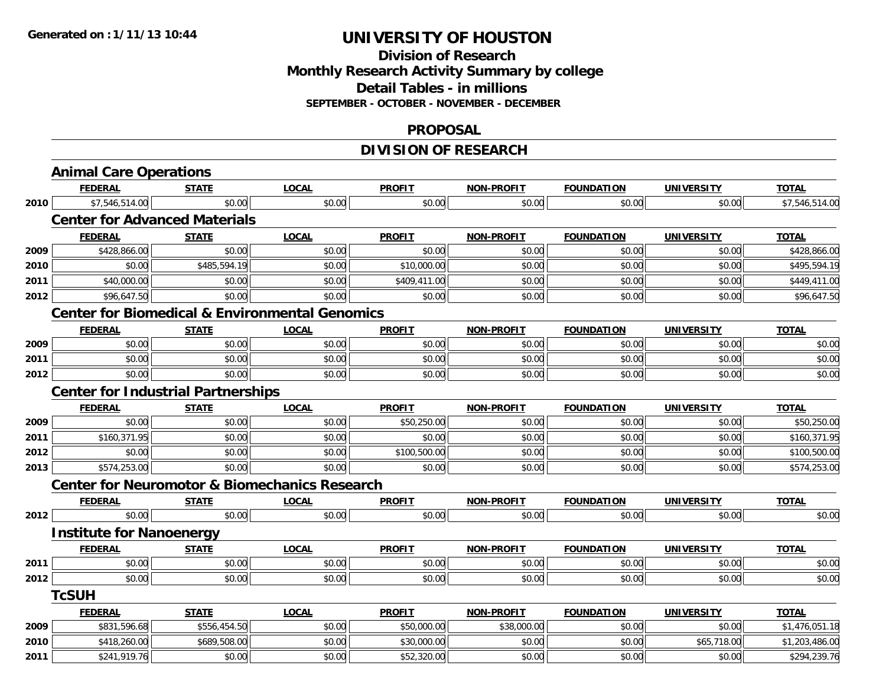## **Division of Research Monthly Research Activity Summary by college Detail Tables - in millions SEPTEMBER - OCTOBER - NOVEMBER - DECEMBER**

### **PROPOSAL**

## **DIVISION OF RESEARCH**

|                                                                                                              | <b>Animal Care Operations</b>                             |              |              |               |                   |                   |                   |                |
|--------------------------------------------------------------------------------------------------------------|-----------------------------------------------------------|--------------|--------------|---------------|-------------------|-------------------|-------------------|----------------|
|                                                                                                              | <b>FEDERAL</b>                                            | <b>STATE</b> | <b>LOCAL</b> | <b>PROFIT</b> | <b>NON-PROFIT</b> | <b>FOUNDATION</b> | <b>UNIVERSITY</b> | <b>TOTAL</b>   |
| 2010<br>2009<br>2010<br>2011<br>2012<br>2009<br>2011<br>2012<br>2009<br>2011<br>2012<br>2013<br>2012<br>2011 | \$7,546,514.00                                            | \$0.00       | \$0.00       | \$0.00        | \$0.00            | \$0.00            | \$0.00            | \$7,546,514.00 |
|                                                                                                              | <b>Center for Advanced Materials</b>                      |              |              |               |                   |                   |                   |                |
|                                                                                                              | <b>FEDERAL</b>                                            | <b>STATE</b> | <b>LOCAL</b> | <b>PROFIT</b> | <b>NON-PROFIT</b> | <b>FOUNDATION</b> | <b>UNIVERSITY</b> | <b>TOTAL</b>   |
|                                                                                                              | \$428,866.00                                              | \$0.00       | \$0.00       | \$0.00        | \$0.00            | \$0.00            | \$0.00            | \$428,866.00   |
|                                                                                                              | \$0.00                                                    | \$485,594.19 | \$0.00       | \$10,000.00   | \$0.00            | \$0.00            | \$0.00            | \$495,594.19   |
|                                                                                                              | \$40,000.00                                               | \$0.00       | \$0.00       | \$409,411.00  | \$0.00            | \$0.00            | \$0.00            | \$449,411.00   |
|                                                                                                              | \$96,647.50                                               | \$0.00       | \$0.00       | \$0.00        | \$0.00            | \$0.00            | \$0.00            | \$96,647.50    |
|                                                                                                              | <b>Center for Biomedical &amp; Environmental Genomics</b> |              |              |               |                   |                   |                   |                |
|                                                                                                              | <b>FEDERAL</b>                                            | <b>STATE</b> | <b>LOCAL</b> | <b>PROFIT</b> | <b>NON-PROFIT</b> | <b>FOUNDATION</b> | <b>UNIVERSITY</b> | <b>TOTAL</b>   |
|                                                                                                              | \$0.00                                                    | \$0.00       | \$0.00       | \$0.00        | \$0.00            | \$0.00            | \$0.00            | \$0.00         |
|                                                                                                              | \$0.00                                                    | \$0.00       | \$0.00       | \$0.00        | \$0.00            | \$0.00            | \$0.00            | \$0.00         |
|                                                                                                              | \$0.00                                                    | \$0.00       | \$0.00       | \$0.00        | \$0.00            | \$0.00            | \$0.00            | \$0.00         |
|                                                                                                              | <b>Center for Industrial Partnerships</b>                 |              |              |               |                   |                   |                   |                |
|                                                                                                              | <b>FEDERAL</b>                                            | <b>STATE</b> | <b>LOCAL</b> | <b>PROFIT</b> | <b>NON-PROFIT</b> | <b>FOUNDATION</b> | <b>UNIVERSITY</b> | <b>TOTAL</b>   |
|                                                                                                              | \$0.00                                                    | \$0.00       | \$0.00       | \$50,250.00   | \$0.00            | \$0.00            | \$0.00            | \$50,250.00    |
|                                                                                                              | \$160,371.95                                              | \$0.00       | \$0.00       | \$0.00        | \$0.00            | \$0.00            | \$0.00            | \$160,371.95   |
|                                                                                                              | \$0.00                                                    | \$0.00       | \$0.00       | \$100,500.00  | \$0.00            | \$0.00            | \$0.00            | \$100,500.00   |
|                                                                                                              | \$574,253.00                                              | \$0.00       | \$0.00       | \$0.00        | \$0.00            | \$0.00            | \$0.00            | \$574,253.00   |
|                                                                                                              | <b>Center for Neuromotor &amp; Biomechanics Research</b>  |              |              |               |                   |                   |                   |                |
|                                                                                                              | <b>FEDERAL</b>                                            | <b>STATE</b> | <b>LOCAL</b> | <b>PROFIT</b> | <b>NON-PROFIT</b> | <b>FOUNDATION</b> | <b>UNIVERSITY</b> | <b>TOTAL</b>   |
|                                                                                                              | \$0.00                                                    | \$0.00       | \$0.00       | \$0.00        | \$0.00            | \$0.00            | \$0.00            | \$0.00         |
|                                                                                                              | <b>Institute for Nanoenergy</b>                           |              |              |               |                   |                   |                   |                |
|                                                                                                              | <b>FEDERAL</b>                                            | <b>STATE</b> | <b>LOCAL</b> | <b>PROFIT</b> | <b>NON-PROFIT</b> | <b>FOUNDATION</b> | <b>UNIVERSITY</b> | <b>TOTAL</b>   |
|                                                                                                              | \$0.00                                                    | \$0.00       | \$0.00       | \$0.00        | \$0.00            | \$0.00            | \$0.00            | \$0.00         |
| 2012                                                                                                         | \$0.00                                                    | \$0.00       | \$0.00       | \$0.00        | \$0.00            | \$0.00            | \$0.00            | \$0.00         |
|                                                                                                              | <b>TcSUH</b>                                              |              |              |               |                   |                   |                   |                |
|                                                                                                              | <b>FEDERAL</b>                                            | <b>STATE</b> | <b>LOCAL</b> | <b>PROFIT</b> | <b>NON-PROFIT</b> | <b>FOUNDATION</b> | <b>UNIVERSITY</b> | <b>TOTAL</b>   |
| 2009                                                                                                         | \$831,596.68                                              | \$556,454.50 | \$0.00       | \$50,000.00   | \$38,000.00       | \$0.00            | \$0.00            | \$1,476,051.18 |
| 2010                                                                                                         | \$418,260.00                                              | \$689,508.00 | \$0.00       | \$30,000.00   | \$0.00            | \$0.00            | \$65,718.00       | \$1,203,486.00 |
| 2011                                                                                                         | \$241,919.76                                              | \$0.00       | \$0.00       | \$52,320.00   | \$0.00            | \$0.00            | \$0.00            | \$294,239.76   |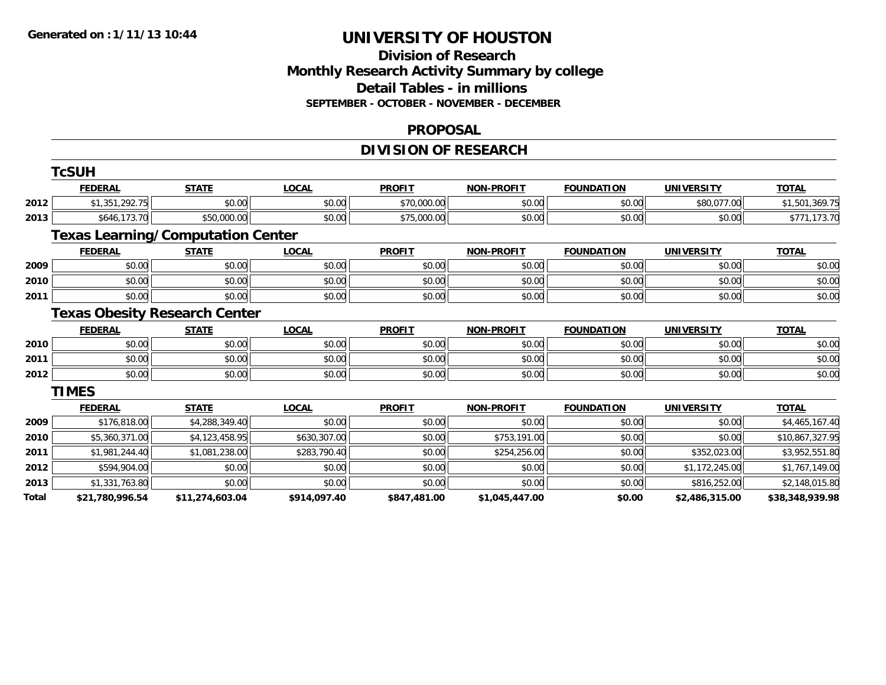## **Division of ResearchMonthly Research Activity Summary by college Detail Tables - in millions SEPTEMBER - OCTOBER - NOVEMBER - DECEMBER**

### **PROPOSAL**

## **DIVISION OF RESEARCH**

|       | <b>TcSUH</b>    |                                          |              |               |                   |                   |                   |                 |
|-------|-----------------|------------------------------------------|--------------|---------------|-------------------|-------------------|-------------------|-----------------|
|       | <b>FEDERAL</b>  | <b>STATE</b>                             | <b>LOCAL</b> | <b>PROFIT</b> | <b>NON-PROFIT</b> | <b>FOUNDATION</b> | <b>UNIVERSITY</b> | <b>TOTAL</b>    |
| 2012  | \$1,351,292.75  | \$0.00                                   | \$0.00       | \$70,000.00   | \$0.00            | \$0.00            | \$80,077.00       | \$1,501,369.75  |
| 2013  | \$646,173.70    | \$50,000.00                              | \$0.00       | \$75,000.00   | \$0.00            | \$0.00            | \$0.00            | \$771,173.70    |
|       |                 | <b>Texas Learning/Computation Center</b> |              |               |                   |                   |                   |                 |
|       | <b>FEDERAL</b>  | <b>STATE</b>                             | <b>LOCAL</b> | <b>PROFIT</b> | <b>NON-PROFIT</b> | <b>FOUNDATION</b> | <b>UNIVERSITY</b> | <b>TOTAL</b>    |
| 2009  | \$0.00          | \$0.00                                   | \$0.00       | \$0.00        | \$0.00            | \$0.00            | \$0.00            | \$0.00          |
| 2010  | \$0.00          | \$0.00                                   | \$0.00       | \$0.00        | \$0.00            | \$0.00            | \$0.00            | \$0.00          |
| 2011  | \$0.00          | \$0.00                                   | \$0.00       | \$0.00        | \$0.00            | \$0.00            | \$0.00            | \$0.00          |
|       |                 | <b>Texas Obesity Research Center</b>     |              |               |                   |                   |                   |                 |
|       | <b>FEDERAL</b>  | <b>STATE</b>                             | <b>LOCAL</b> | <b>PROFIT</b> | <b>NON-PROFIT</b> | <b>FOUNDATION</b> | <b>UNIVERSITY</b> | <b>TOTAL</b>    |
| 2010  | \$0.00          | \$0.00                                   | \$0.00       | \$0.00        | \$0.00            | \$0.00            | \$0.00            | \$0.00          |
| 2011  | \$0.00          | \$0.00                                   | \$0.00       | \$0.00        | \$0.00            | \$0.00            | \$0.00            | \$0.00          |
| 2012  | \$0.00          | \$0.00                                   | \$0.00       | \$0.00        | \$0.00            | \$0.00            | \$0.00            | \$0.00          |
|       | <b>TIMES</b>    |                                          |              |               |                   |                   |                   |                 |
|       | <b>FEDERAL</b>  | <b>STATE</b>                             | <b>LOCAL</b> | <b>PROFIT</b> | <b>NON-PROFIT</b> | <b>FOUNDATION</b> | <b>UNIVERSITY</b> | <b>TOTAL</b>    |
| 2009  | \$176,818.00    | \$4,288,349.40                           | \$0.00       | \$0.00        | \$0.00            | \$0.00            | \$0.00            | \$4,465,167.40  |
| 2010  | \$5,360,371.00  | \$4,123,458.95                           | \$630,307.00 | \$0.00        | \$753,191.00      | \$0.00            | \$0.00            | \$10,867,327.95 |
| 2011  | \$1,981,244.40  | \$1,081,238.00                           | \$283,790.40 | \$0.00        | \$254,256.00      | \$0.00            | \$352,023.00      | \$3,952,551.80  |
| 2012  | \$594,904.00    | \$0.00                                   | \$0.00       | \$0.00        | \$0.00            | \$0.00            | \$1,172,245.00    | \$1,767,149.00  |
| 2013  | \$1,331,763.80  | \$0.00                                   | \$0.00       | \$0.00        | \$0.00            | \$0.00            | \$816,252.00      | \$2,148,015.80  |
| Total | \$21,780,996.54 | \$11,274,603.04                          | \$914,097.40 | \$847,481.00  | \$1,045,447.00    | \$0.00            | \$2,486,315.00    | \$38,348,939.98 |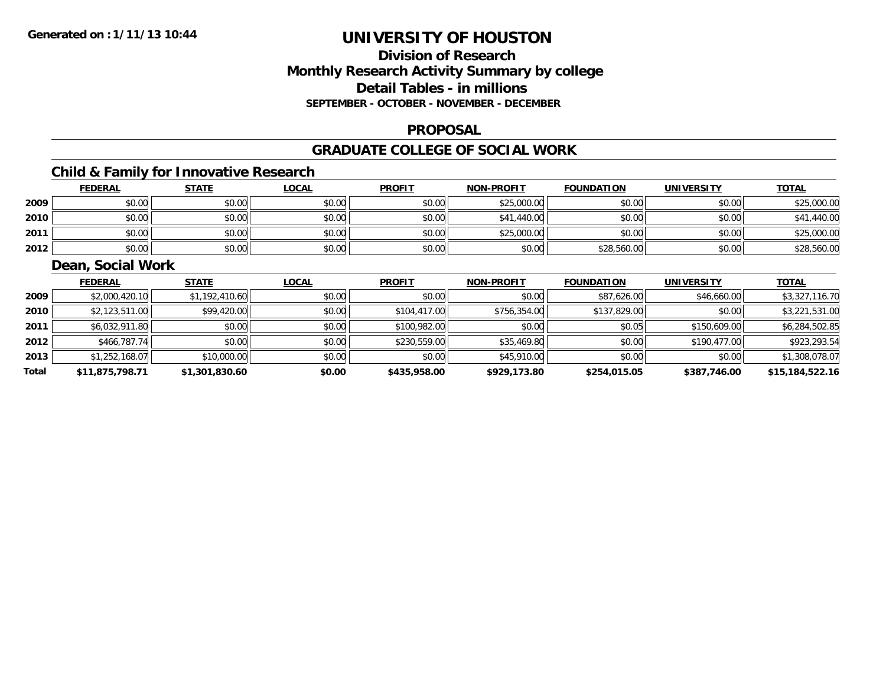## **Division of ResearchMonthly Research Activity Summary by college Detail Tables - in millions SEPTEMBER - OCTOBER - NOVEMBER - DECEMBER**

### **PROPOSAL**

### **GRADUATE COLLEGE OF SOCIAL WORK**

## **Child & Family for Innovative Research**

|      | <b>FEDERAL</b> | <b>STATE</b> | <u>LOCAL</u> | <b>PROFIT</b> | <b>NON-PROFIT</b> | <b>FOUNDATION</b> | <b>UNIVERSITY</b> | <b>TOTAL</b> |
|------|----------------|--------------|--------------|---------------|-------------------|-------------------|-------------------|--------------|
| 2009 | \$0.00         | \$0.00       | \$0.00       | \$0.00        | \$25,000.00       | \$0.00            | \$0.00            | \$25,000.00  |
| 2010 | \$0.00         | \$0.00       | \$0.00       | \$0.00        | \$41,440.00       | \$0.00            | \$0.00            | \$41,440.00  |
| 2011 | \$0.00         | \$0.00       | \$0.00       | \$0.00        | \$25,000.00       | \$0.00            | \$0.00            | \$25,000.00  |
| 2012 | \$0.00         | \$0.00       | \$0.00       | \$0.00        | \$0.00            | \$28,560.00       | \$0.00            | \$28,560.00  |

## **Dean, Social Work**

|       | <b>FEDERAL</b>  | <b>STATE</b>   | <b>LOCAL</b> | <b>PROFIT</b> | <b>NON-PROFIT</b> | <b>FOUNDATION</b> | <b>UNIVERSITY</b> | <b>TOTAL</b>    |
|-------|-----------------|----------------|--------------|---------------|-------------------|-------------------|-------------------|-----------------|
| 2009  | \$2,000,420.10  | \$1,192,410.60 | \$0.00       | \$0.00        | \$0.00            | \$87,626.00       | \$46,660.00       | \$3,327,116.70  |
| 2010  | \$2,123,511.00  | \$99,420.00    | \$0.00       | \$104,417.00  | \$756,354.00      | \$137,829.00      | \$0.00            | \$3,221,531.00  |
| 2011  | \$6,032,911.80  | \$0.00         | \$0.00       | \$100,982.00  | \$0.00            | \$0.05            | \$150,609.00      | \$6,284,502.85  |
| 2012  | \$466,787.74    | \$0.00         | \$0.00       | \$230,559.00  | \$35,469.80       | \$0.00            | \$190,477.00      | \$923,293.54    |
| 2013  | \$1,252,168.07  | \$10,000.00    | \$0.00       | \$0.00        | \$45,910.00       | \$0.00            | \$0.00            | \$1,308,078.07  |
| Total | \$11,875,798.71 | \$1,301,830.60 | \$0.00       | \$435,958.00  | \$929,173.80      | \$254,015.05      | \$387,746.00      | \$15,184,522.16 |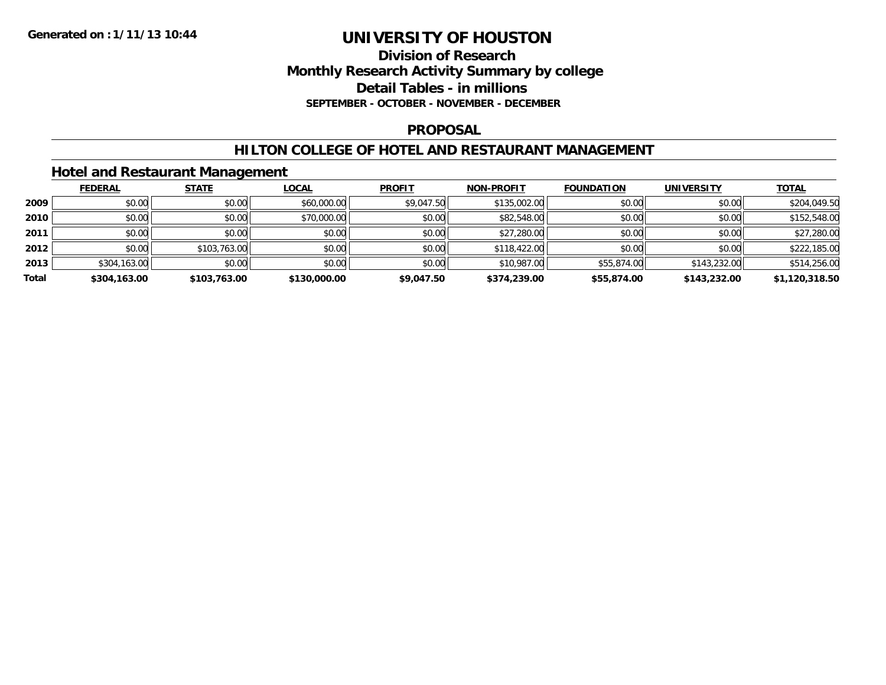### **Division of Research Monthly Research Activity Summary by college Detail Tables - in millions SEPTEMBER - OCTOBER - NOVEMBER - DECEMBER**

### **PROPOSAL**

### **HILTON COLLEGE OF HOTEL AND RESTAURANT MANAGEMENT**

## **Hotel and Restaurant Management**

|       | <b>FEDERAL</b> | <b>STATE</b> | <u>LOCAL</u> | <b>PROFIT</b> | <b>NON-PROFIT</b> | <b>FOUNDATION</b> | <b>UNIVERSITY</b> | <u>TOTAL</u>   |
|-------|----------------|--------------|--------------|---------------|-------------------|-------------------|-------------------|----------------|
| 2009  | \$0.00         | \$0.00       | \$60,000.00  | \$9,047.50    | \$135,002.00      | \$0.00            | \$0.00            | \$204,049.50   |
| 2010  | \$0.00         | \$0.00       | \$70,000.00  | \$0.00        | \$82,548.00       | \$0.00            | \$0.00            | \$152,548.00   |
| 2011  | \$0.00         | \$0.00       | \$0.00       | \$0.00        | \$27,280.00       | \$0.00            | \$0.00            | \$27,280.00    |
| 2012  | \$0.00         | \$103,763.00 | \$0.00       | \$0.00        | \$118,422.00      | \$0.00            | \$0.00            | \$222,185.00   |
| 2013  | \$304,163.00   | \$0.00       | \$0.00       | \$0.00        | \$10,987.00       | \$55,874.00       | \$143,232.00      | \$514,256.00   |
| Total | \$304,163.00   | \$103,763.00 | \$130,000.00 | \$9,047.50    | \$374,239.00      | \$55,874.00       | \$143,232.00      | \$1,120,318.50 |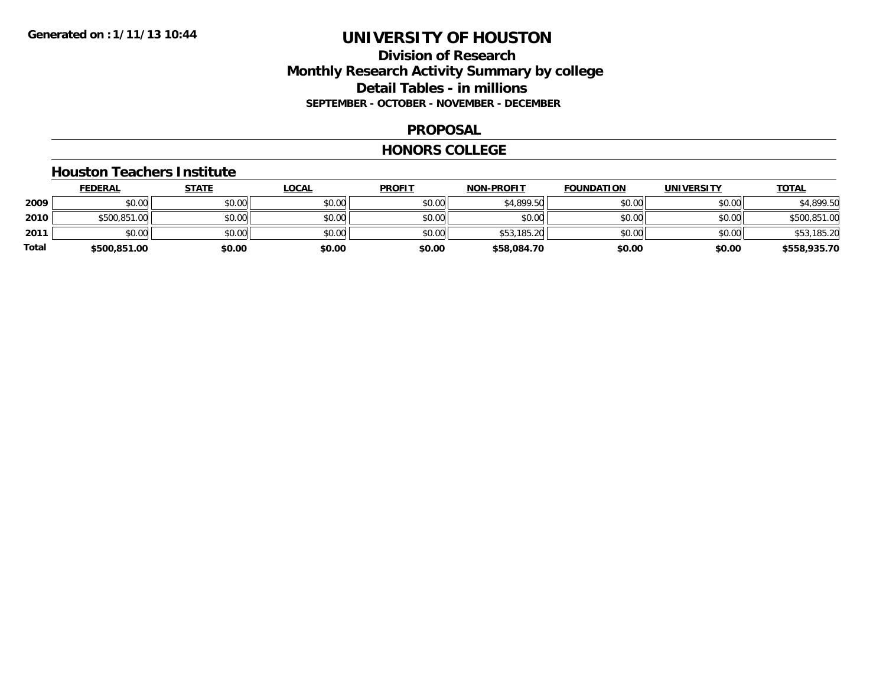## **Division of Research Monthly Research Activity Summary by college Detail Tables - in millions SEPTEMBER - OCTOBER - NOVEMBER - DECEMBER**

### **PROPOSAL**

#### **HONORS COLLEGE**

#### **Houston Teachers Institute**

|       | <b>FEDERAL</b> | <u>STATE</u> | <b>LOCAL</b> | <b>PROFIT</b> | <b>NON-PROFIT</b> | <b>FOUNDATION</b> | <b>UNIVERSITY</b> | <b>TOTAL</b> |
|-------|----------------|--------------|--------------|---------------|-------------------|-------------------|-------------------|--------------|
| 2009  | \$0.00         | \$0.00       | \$0.00       | \$0.00        | \$4,899.50        | \$0.00            | \$0.00            | \$4,899.50   |
| 2010  | \$500,851.00   | \$0.00       | \$0.00       | \$0.00        | \$0.00            | \$0.00            | \$0.00            | \$500,851.00 |
| 2011  | \$0.00         | \$0.00       | \$0.00       | \$0.00        | \$53,185.20       | \$0.00            | \$0.00            | \$53,185.20  |
| Total | \$500,851.00   | \$0.00       | \$0.00       | \$0.00        | \$58,084.70       | \$0.00            | \$0.00            | \$558,935.70 |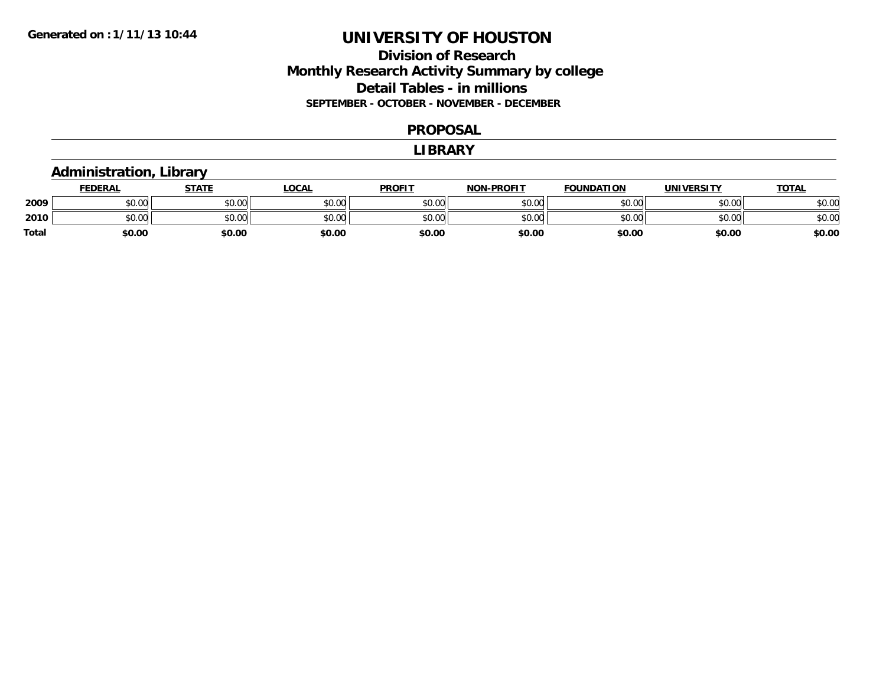## **Division of Research Monthly Research Activity Summary by college Detail Tables - in millions SEPTEMBER - OCTOBER - NOVEMBER - DECEMBER**

#### **PROPOSAL**

#### **LIBRARY**

## **Administration, Library**

|       | <b>FEDERAL</b> | <b>STATE</b> | <u>LOCAL</u> | <b>PROFIT</b> | <b>NON-PROFIT</b> | <b>FOUNDATION</b> | <b>UNIVERSITY</b> | <u>TOTAL</u> |
|-------|----------------|--------------|--------------|---------------|-------------------|-------------------|-------------------|--------------|
| 2009  | 0.00<br>DU.UG  | \$0.00       | \$0.00       | \$0.00        | \$0.00            | \$0.00            | \$0.00            | \$0.00       |
| 2010  | \$0.00         | \$0.00       | \$0.00       | \$0.00        | \$0.00            | \$0.00            | \$0.00            | \$0.00       |
| Total | \$0.00         | \$0.00       | \$0.00       | \$0.00        | \$0.00            | \$0.00            | \$0.00            | \$0.00       |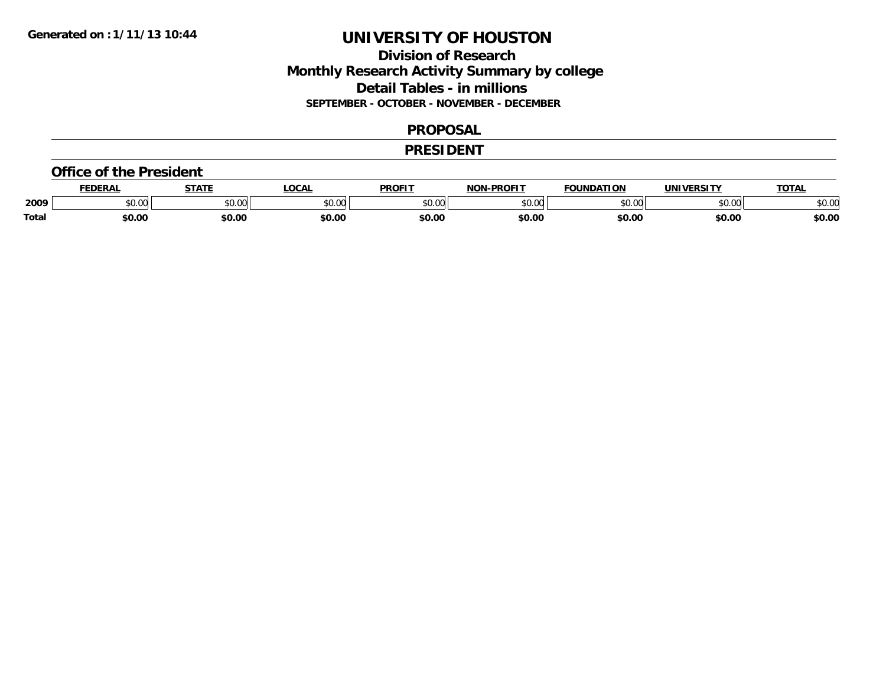## **Division of Research Monthly Research Activity Summary by college Detail Tables - in millions SEPTEMBER - OCTOBER - NOVEMBER - DECEMBER**

### **PROPOSAL**

### **PRESIDENT**

#### **Office of the President**

|       | <b>DERAL</b>   | <b>STATE</b>                             | <b>LOCAL</b>  | <b>PROFIT</b>           | <b>-PROFIT</b><br><b>NON</b> | <b>FOUNDATION</b> | <b>INIVE</b>  | <b>TOTAL</b> |
|-------|----------------|------------------------------------------|---------------|-------------------------|------------------------------|-------------------|---------------|--------------|
| 2009  | 0000<br>…o∪.∪∪ | $\uparrow$ $\uparrow$ $\uparrow$<br>JU.U | 0000<br>JU.UU | 0 <sup>0</sup><br>טט.טי | \$0.00                       | $\sim$ 00         | 0.00<br>DU.UU | \$0.OC       |
| Total | \$0.00         | \$0.00                                   | \$0.00        | \$0.00                  | \$0.00                       | \$0.00            | \$0.00        | \$0.00       |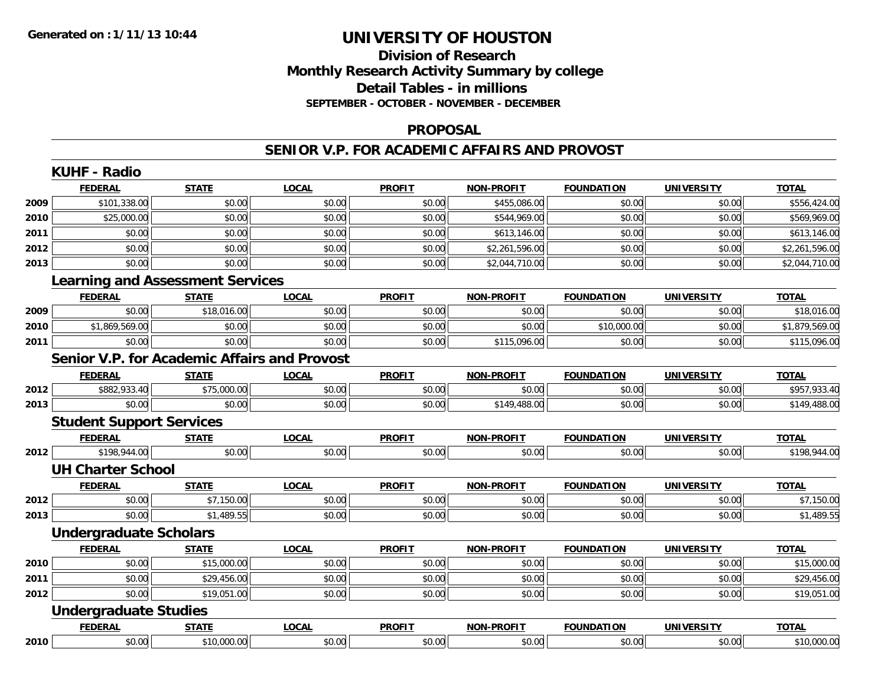## **Division of ResearchMonthly Research Activity Summary by college Detail Tables - in millions SEPTEMBER - OCTOBER - NOVEMBER - DECEMBER**

### **PROPOSAL**

### **SENIOR V.P. FOR ACADEMIC AFFAIRS AND PROVOST**

|        | <b>KUHF - Radio</b>                                 |              |              |               |                   |                   |                   |                |
|--------|-----------------------------------------------------|--------------|--------------|---------------|-------------------|-------------------|-------------------|----------------|
|        | <b>FEDERAL</b>                                      | <b>STATE</b> | <b>LOCAL</b> | <b>PROFIT</b> | <b>NON-PROFIT</b> | <b>FOUNDATION</b> | <b>UNIVERSITY</b> | <b>TOTAL</b>   |
| 2009   | \$101,338.00                                        | \$0.00       | \$0.00       | \$0.00        | \$455,086.00      | \$0.00            | \$0.00            | \$556,424.00   |
| 2010   | \$25,000.00                                         | \$0.00       | \$0.00       | \$0.00        | \$544,969.00      | \$0.00            | \$0.00            | \$569,969.00   |
| 2011   | \$0.00                                              | \$0.00       | \$0.00       | \$0.00        | \$613,146.00      | \$0.00            | \$0.00            | \$613,146.00   |
| 2012   | \$0.00                                              | \$0.00       | \$0.00       | \$0.00        | \$2,261,596.00    | \$0.00            | \$0.00            | \$2,261,596.00 |
| 2013   | \$0.00                                              | \$0.00       | \$0.00       | \$0.00        | \$2,044,710.00    | \$0.00            | \$0.00            | \$2,044,710.00 |
|        | <b>Learning and Assessment Services</b>             |              |              |               |                   |                   |                   |                |
|        | <b>FEDERAL</b>                                      | <b>STATE</b> | <b>LOCAL</b> | <b>PROFIT</b> | <b>NON-PROFIT</b> | <b>FOUNDATION</b> | <b>UNIVERSITY</b> | <b>TOTAL</b>   |
| 2009   | \$0.00                                              | \$18,016.00  | \$0.00       | \$0.00        | \$0.00            | \$0.00            | \$0.00            | \$18,016.00    |
| 2010   | \$1,869,569.00                                      | \$0.00       | \$0.00       | \$0.00        | \$0.00            | \$10,000.00       | \$0.00            | \$1,879,569.00 |
| 2011   | \$0.00                                              | \$0.00       | \$0.00       | \$0.00        | \$115,096.00      | \$0.00            | \$0.00            | \$115,096.00   |
|        | <b>Senior V.P. for Academic Affairs and Provost</b> |              |              |               |                   |                   |                   |                |
|        | <b>FEDERAL</b>                                      | <b>STATE</b> | <b>LOCAL</b> | <b>PROFIT</b> | <b>NON-PROFIT</b> | <b>FOUNDATION</b> | <b>UNIVERSITY</b> | <b>TOTAL</b>   |
| 2012   | \$882,933.40                                        | \$75,000.00  | \$0.00       | \$0.00        | \$0.00            | \$0.00            | \$0.00            | \$957,933.40   |
| 2013   | \$0.00                                              | \$0.00       | \$0.00       | \$0.00        | \$149,488.00      | \$0.00            | \$0.00            | \$149,488.00   |
|        | <b>Student Support Services</b>                     |              |              |               |                   |                   |                   |                |
|        | <b>FEDERAL</b>                                      | <b>STATE</b> | <b>LOCAL</b> | <b>PROFIT</b> | <b>NON-PROFIT</b> | <b>FOUNDATION</b> | <b>UNIVERSITY</b> | <b>TOTAL</b>   |
| 2012   | \$198,944.00                                        | \$0.00       | \$0.00       | \$0.00        | \$0.00            | \$0.00            | \$0.00            | \$198,944.00   |
|        | <b>UH Charter School</b>                            |              |              |               |                   |                   |                   |                |
|        | <b>FEDERAL</b>                                      | <b>STATE</b> | <b>LOCAL</b> | <b>PROFIT</b> | <b>NON-PROFIT</b> | <b>FOUNDATION</b> | <b>UNIVERSITY</b> | <b>TOTAL</b>   |
| 2012   | \$0.00                                              | \$7,150.00   | \$0.00       | \$0.00        | \$0.00            | \$0.00            | \$0.00            | \$7,150.00     |
| 2013   | \$0.00                                              | \$1,489.55   | \$0.00       | \$0.00        | \$0.00            | \$0.00            | \$0.00            | \$1,489.55     |
|        | <b>Undergraduate Scholars</b>                       |              |              |               |                   |                   |                   |                |
|        | <b>FEDERAL</b>                                      | <b>STATE</b> | <b>LOCAL</b> | <b>PROFIT</b> | <b>NON-PROFIT</b> | <b>FOUNDATION</b> | <b>UNIVERSITY</b> | <b>TOTAL</b>   |
| 2010   | \$0.00                                              | \$15,000.00  | \$0.00       | \$0.00        | \$0.00            | \$0.00            | \$0.00            | \$15,000.00    |
| 2011   | \$0.00                                              | \$29,456.00  | \$0.00       | \$0.00        | \$0.00            | \$0.00            | \$0.00            | \$29,456.00    |
| 2012   | \$0.00                                              | \$19,051.00  | \$0.00       | \$0.00        | \$0.00            | \$0.00            | \$0.00            | \$19,051.00    |
|        | <b>Undergraduate Studies</b>                        |              |              |               |                   |                   |                   |                |
|        | <b>FEDERAL</b>                                      | <b>STATE</b> | <b>LOCAL</b> | <b>PROFIT</b> | <b>NON-PROFIT</b> | <b>FOUNDATION</b> | <b>UNIVERSITY</b> | <b>TOTAL</b>   |
| ا 2010 | \$0.00                                              | \$10,000.00  | \$0.00       | \$0.00        | \$0.00            | \$0.00            | \$0.00            | \$10,000.00    |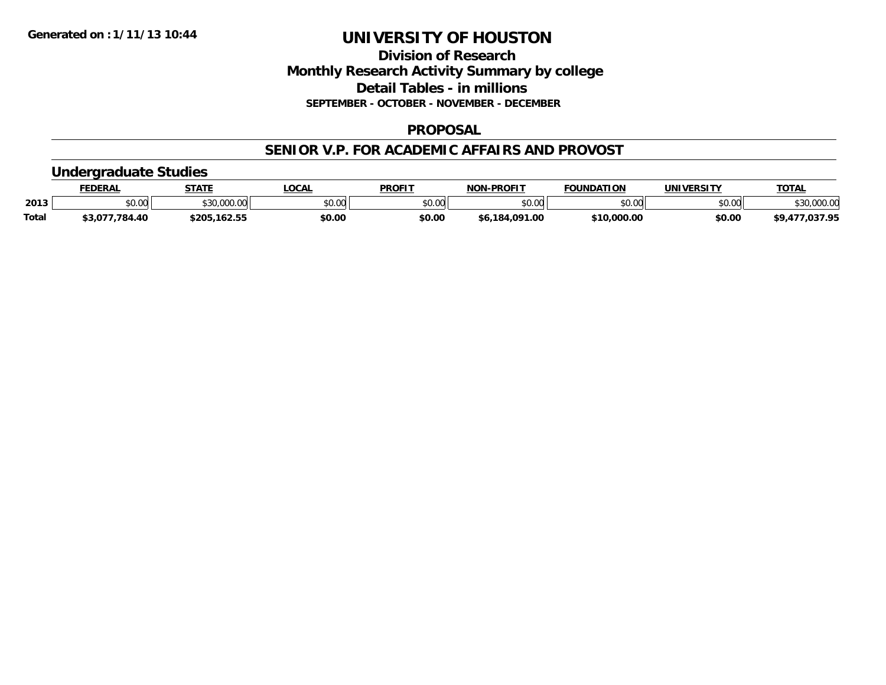## **Division of Research Monthly Research Activity Summary by college Detail Tables - in millions SEPTEMBER - OCTOBER - NOVEMBER - DECEMBER**

### **PROPOSAL**

### **SENIOR V.P. FOR ACADEMIC AFFAIRS AND PROVOST**

## **Undergraduate Studies**

|              | <b>FEDERA.</b>   | <b>STATE</b>             | <b>OCAL</b>     | <b>PROFIT</b>  | <b>LPROFIT</b><br>NON | <b>FOUNDATION</b>      | UNIVERSITY | <b>TOTAL</b> |
|--------------|------------------|--------------------------|-----------------|----------------|-----------------------|------------------------|------------|--------------|
| 2013         | JU.UU            | $\sim$<br>ፋ 3 C<br>uuu.u | 60.00<br>\$U.UU | 60.00<br>טט.טע | \$0.00                | \$0.00                 | \$0.00     | \$30,000.00  |
| <b>Total</b> | 784<br><b>AC</b> | .162.55<br>$\gamma$      | \$0.00          | \$0.00         | .00<br>. ററ∙<br>18∡   | <b>¢10</b><br>0.000.00 | \$0.00     | 027.OE       |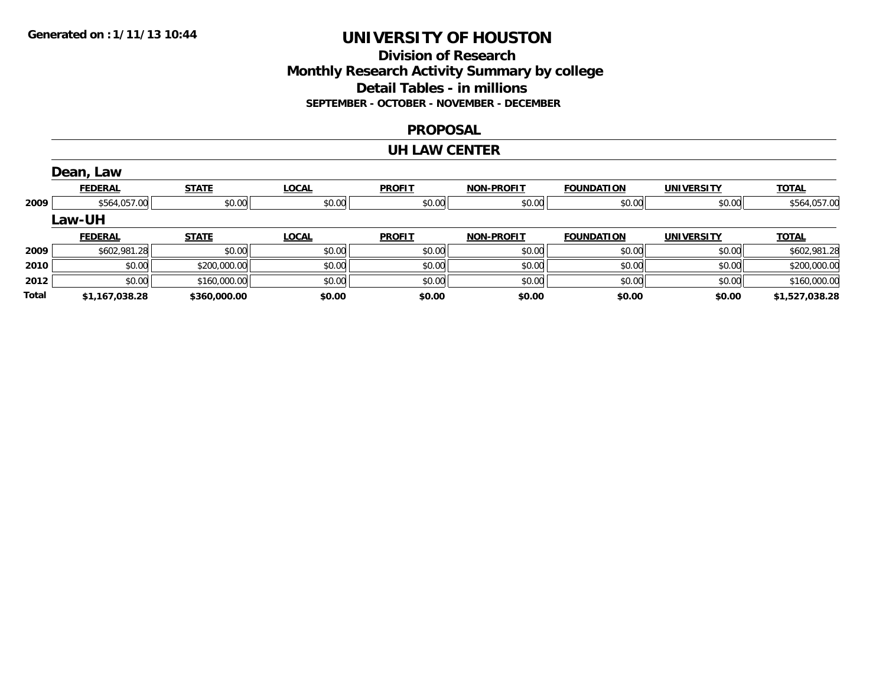## **Division of Research Monthly Research Activity Summary by college Detail Tables - in millions SEPTEMBER - OCTOBER - NOVEMBER - DECEMBER**

### **PROPOSAL**

### **UH LAW CENTER**

|       | Dean, Law      |              |              |               |                   |                   |                   |                |
|-------|----------------|--------------|--------------|---------------|-------------------|-------------------|-------------------|----------------|
|       | <b>FEDERAL</b> | <b>STATE</b> | <b>LOCAL</b> | <b>PROFIT</b> | <b>NON-PROFIT</b> | <b>FOUNDATION</b> | <b>UNIVERSITY</b> | <b>TOTAL</b>   |
| 2009  | \$564,057.00   | \$0.00       | \$0.00       | \$0.00        | \$0.00            | \$0.00            | \$0.00            | \$564,057.00   |
|       | <b>Law-UH</b>  |              |              |               |                   |                   |                   |                |
|       | <b>FEDERAL</b> | <b>STATE</b> | <b>LOCAL</b> | <b>PROFIT</b> | <b>NON-PROFIT</b> | <b>FOUNDATION</b> | <b>UNIVERSITY</b> | <u>TOTAL</u>   |
| 2009  | \$602,981.28   | \$0.00       | \$0.00       | \$0.00        | \$0.00            | \$0.00            | \$0.00            | \$602,981.28   |
| 2010  | \$0.00         | \$200,000.00 | \$0.00       | \$0.00        | \$0.00            | \$0.00            | \$0.00            | \$200,000.00   |
| 2012  | \$0.00         | \$160,000.00 | \$0.00       | \$0.00        | \$0.00            | \$0.00            | \$0.00            | \$160,000.00   |
| Total | \$1,167,038.28 | \$360,000.00 | \$0.00       | \$0.00        | \$0.00            | \$0.00            | \$0.00            | \$1,527,038.28 |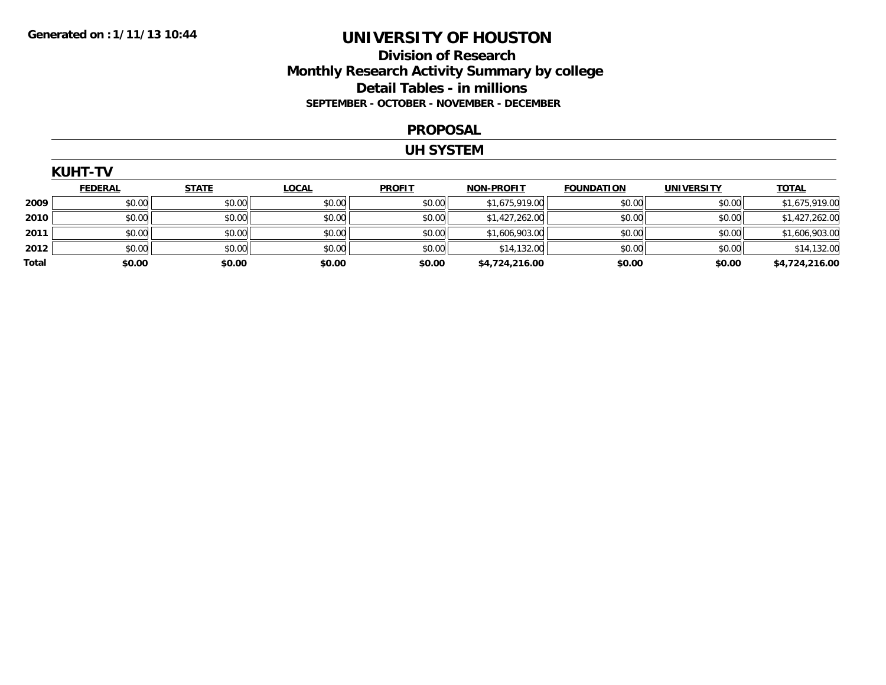## **Division of Research Monthly Research Activity Summary by college Detail Tables - in millions SEPTEMBER - OCTOBER - NOVEMBER - DECEMBER**

#### **PROPOSAL**

#### **UH SYSTEM**

|       | <b>KUHT-TV</b> |              |              |               |                   |                   |                   |                |
|-------|----------------|--------------|--------------|---------------|-------------------|-------------------|-------------------|----------------|
|       | <b>FEDERAL</b> | <b>STATE</b> | <u>LOCAL</u> | <b>PROFIT</b> | <b>NON-PROFIT</b> | <b>FOUNDATION</b> | <b>UNIVERSITY</b> | <b>TOTAL</b>   |
| 2009  | \$0.00         | \$0.00       | \$0.00       | \$0.00        | \$1,675,919.00    | \$0.00            | \$0.00            | \$1,675,919.00 |
| 2010  | \$0.00         | \$0.00       | \$0.00       | \$0.00        | \$1,427,262.00    | \$0.00            | \$0.00            | \$1,427,262.00 |
| 2011  | \$0.00         | \$0.00       | \$0.00       | \$0.00        | \$1,606,903.00    | \$0.00            | \$0.00            | \$1,606,903.00 |
| 2012  | \$0.00         | \$0.00       | \$0.00       | \$0.00        | \$14,132.00       | \$0.00            | \$0.00            | \$14,132.00    |
| Total | \$0.00         | \$0.00       | \$0.00       | \$0.00        | \$4,724,216.00    | \$0.00            | \$0.00            | \$4,724,216.00 |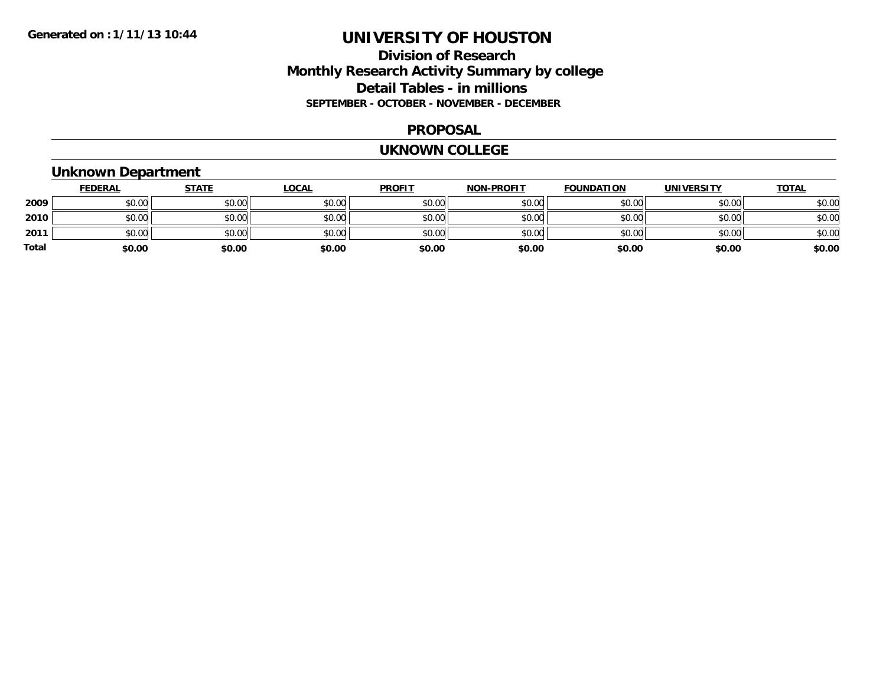## **Division of Research Monthly Research Activity Summary by college Detail Tables - in millions SEPTEMBER - OCTOBER - NOVEMBER - DECEMBER**

### **PROPOSAL**

#### **UKNOWN COLLEGE**

## **Unknown Department**

|       | <b>FEDERAL</b> | <b>STATE</b> | <b>LOCAL</b> | <b>PROFIT</b> | <b>NON-PROFIT</b> | <b>FOUNDATION</b> | <b>UNIVERSITY</b> | <b>TOTAL</b> |
|-------|----------------|--------------|--------------|---------------|-------------------|-------------------|-------------------|--------------|
| 2009  | \$0.00         | \$0.00       | \$0.00       | \$0.00        | \$0.00            | \$0.00            | \$0.00            | \$0.00       |
| 2010  | \$0.00         | \$0.00       | \$0.00       | \$0.00        | \$0.00            | \$0.00            | \$0.00            | \$0.00       |
| 2011  | \$0.00         | \$0.00       | \$0.00       | \$0.00        | \$0.00            | \$0.00            | \$0.00            | \$0.00       |
| Total | \$0.00         | \$0.00       | \$0.00       | \$0.00        | \$0.00            | \$0.00            | \$0.00            | \$0.00       |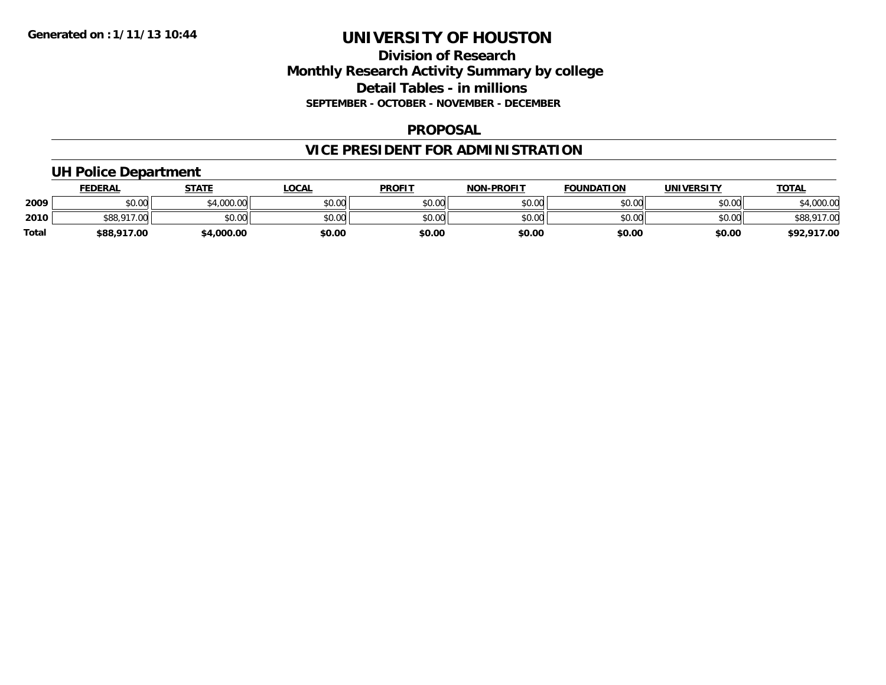## **Division of Research Monthly Research Activity Summary by college Detail Tables - in millions SEPTEMBER - OCTOBER - NOVEMBER - DECEMBER**

### **PROPOSAL**

## **VICE PRESIDENT FOR ADMINISTRATION**

## **UH Police Department**

|              | <b>FEDERAL</b> | <b>STATE</b> | <b>OCAL</b> | <b>PROFIT</b> | <b>NON-PROFIT</b> | <b>FOUNDATION</b> | UNIVERSITY | <b>TOTAL</b>        |
|--------------|----------------|--------------|-------------|---------------|-------------------|-------------------|------------|---------------------|
| 2009         | ሶስ ሰስ<br>JU.UU | ا 4,000.00   | \$0.00      | \$0.00        | \$0.00            | \$0.00            | \$0.00     | 000.00, 34          |
| 2010         | \$88,917.00    | \$0.00       | \$0.00      | \$0.00        | \$0.00            | \$0.00            | \$0.00     | \$88.917.00<br>,000 |
| <b>Total</b> | \$88,917.00    | \$4,000.00   | \$0.00      | \$0.00        | \$0.00            | \$0.00            | \$0.00     | \$92,917.00         |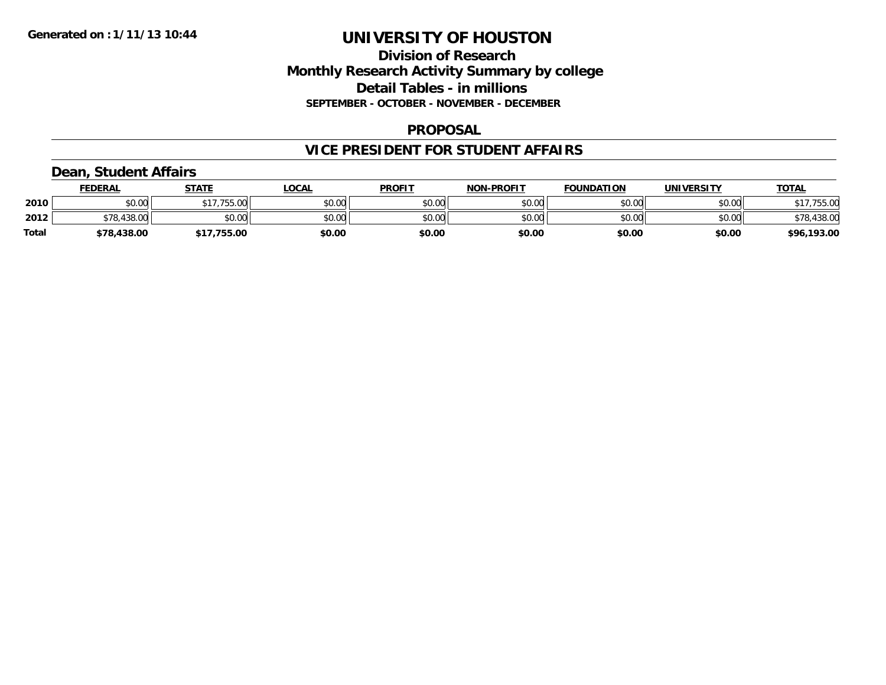## **Division of Research Monthly Research Activity Summary by college Detail Tables - in millions SEPTEMBER - OCTOBER - NOVEMBER - DECEMBER**

### **PROPOSAL**

### **VICE PRESIDENT FOR STUDENT AFFAIRS**

## **Dean, Student Affairs**

|              | <b>FEDERAL</b>         | <b>STATE</b> | _OCAL  | <b>PROFIT</b> | <b>NON-PROFIT</b> | <b>FOUNDATION</b> | <b>UNIVERSITY</b> | <u>TOTAL</u> |
|--------------|------------------------|--------------|--------|---------------|-------------------|-------------------|-------------------|--------------|
| 2010         | mn n¢<br>DU.U¢         | \$17,755.00  | \$0.00 | \$0.00        | \$0.00            | \$0.00            | \$0.00            | 755.00       |
| 2012         | .438.00<br>ס די<br>10. | \$0.00       | \$0.00 | \$0.00        | \$0.00            | \$0.00            | \$0.00            | \$78,438.00  |
| <b>Total</b> | \$78,438.00            | .755.00      | \$0.00 | \$0.00        | \$0.00            | \$0.00            | \$0.00            | \$96,193.00  |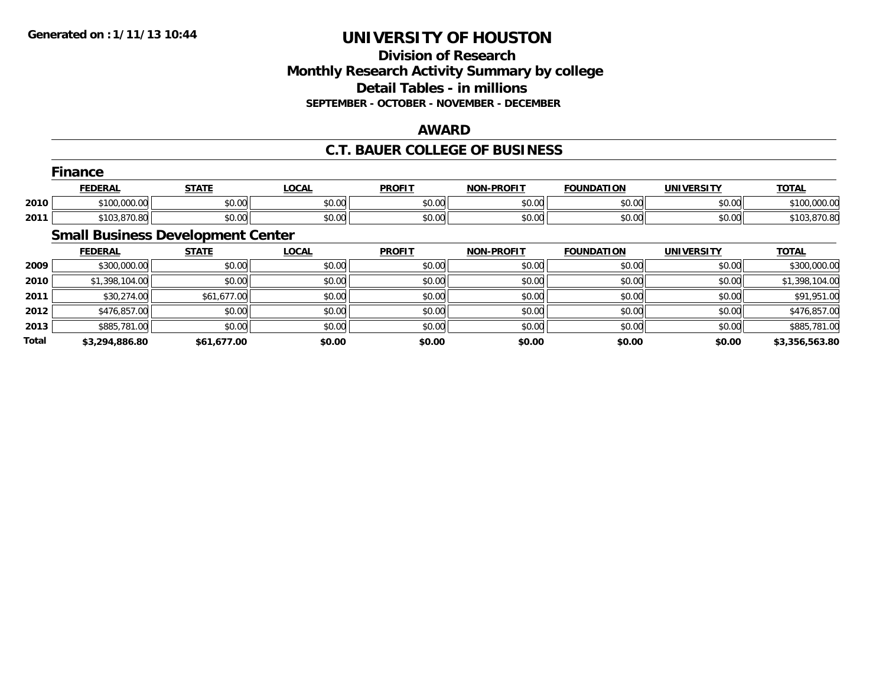## **Division of Research Monthly Research Activity Summary by college Detail Tables - in millions SEPTEMBER - OCTOBER - NOVEMBER - DECEMBER**

## **AWARD**

## **C.T. BAUER COLLEGE OF BUSINESS**

|      | --<br>Finance  |              |              |               |                   |                   |                   |              |  |  |  |
|------|----------------|--------------|--------------|---------------|-------------------|-------------------|-------------------|--------------|--|--|--|
|      | <b>FEDERAL</b> | <u>STATE</u> | <b>LOCAL</b> | <b>PROFIT</b> | <b>NON-PROFIT</b> | <b>FOUNDATION</b> | <b>UNIVERSITY</b> | <b>TOTAL</b> |  |  |  |
| 2010 | \$100,000.00   | \$0.00       | \$0.00       | \$0.00        | \$0.00            | \$0.00            | \$0.00            | \$100,000.00 |  |  |  |
| 2011 | \$103,870.80   | \$0.00       | \$0.00       | \$0.00        | \$0.00            | \$0.00            | \$0.00            | \$103,870.80 |  |  |  |
|      | ___<br>$\sim$  | $-$          |              |               |                   |                   |                   |              |  |  |  |

#### **Small Business Development Center**

|              | <b>FEDERAL</b> | <b>STATE</b> | <b>LOCAL</b> | <b>PROFIT</b> | <b>NON-PROFIT</b> | <b>FOUNDATION</b> | <b>UNIVERSITY</b> | <b>TOTAL</b>   |
|--------------|----------------|--------------|--------------|---------------|-------------------|-------------------|-------------------|----------------|
| 2009         | \$300,000.00   | \$0.00       | \$0.00       | \$0.00        | \$0.00            | \$0.00            | \$0.00            | \$300,000.00   |
| 2010         | \$1,398,104.00 | \$0.00       | \$0.00       | \$0.00        | \$0.00            | \$0.00            | \$0.00            | \$1,398,104.00 |
| 2011         | \$30,274.00    | \$61,677.00  | \$0.00       | \$0.00        | \$0.00            | \$0.00            | \$0.00            | \$91,951.00    |
| 2012         | \$476,857.00   | \$0.00       | \$0.00       | \$0.00        | \$0.00            | \$0.00            | \$0.00            | \$476,857.00   |
| 2013         | \$885,781.00   | \$0.00       | \$0.00       | \$0.00        | \$0.00            | \$0.00            | \$0.00            | \$885,781.00   |
| <b>Total</b> | \$3,294,886.80 | \$61,677.00  | \$0.00       | \$0.00        | \$0.00            | \$0.00            | \$0.00            | \$3,356,563.80 |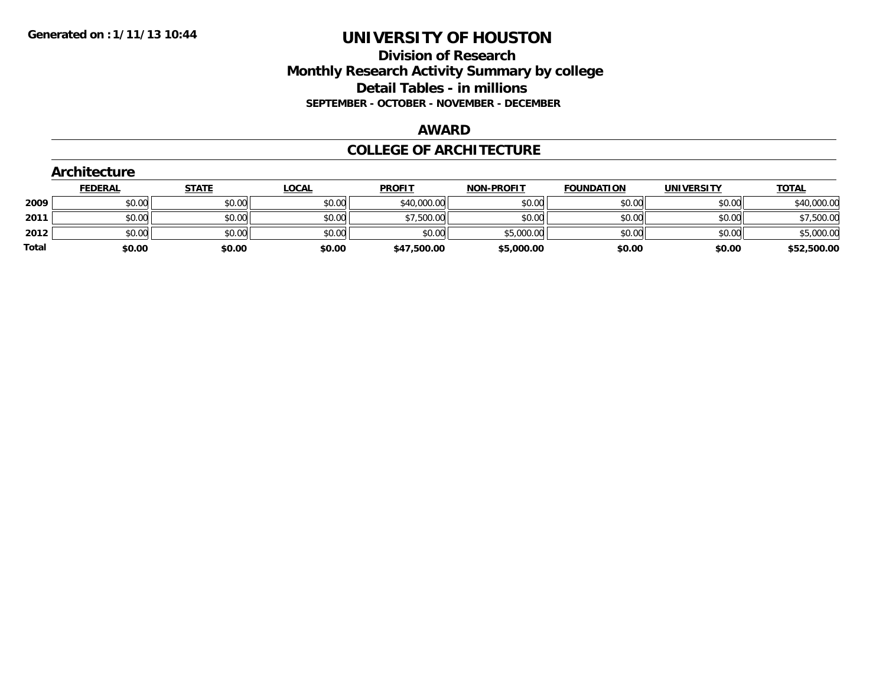## **Division of Research Monthly Research Activity Summary by college Detail Tables - in millions SEPTEMBER - OCTOBER - NOVEMBER - DECEMBER**

#### **AWARD**

### **COLLEGE OF ARCHITECTURE**

|       | Architecture   |              |              |               |                   |                   |                   |              |
|-------|----------------|--------------|--------------|---------------|-------------------|-------------------|-------------------|--------------|
|       | <b>FEDERAL</b> | <b>STATE</b> | <u>LOCAL</u> | <b>PROFIT</b> | <b>NON-PROFIT</b> | <b>FOUNDATION</b> | <b>UNIVERSITY</b> | <b>TOTAL</b> |
| 2009  | \$0.00         | \$0.00       | \$0.00       | \$40,000.00   | \$0.00            | \$0.00            | \$0.00            | \$40,000.00  |
| 2011  | \$0.00         | \$0.00       | \$0.00       | \$7,500.00    | \$0.00            | \$0.00            | \$0.00            | \$7,500.00   |
| 2012  | \$0.00         | \$0.00       | \$0.00       | \$0.00        | \$5,000.00        | \$0.00            | \$0.00            | \$5,000.00   |
| Total | \$0.00         | \$0.00       | \$0.00       | \$47,500.00   | \$5,000.00        | \$0.00            | \$0.00            | \$52,500.00  |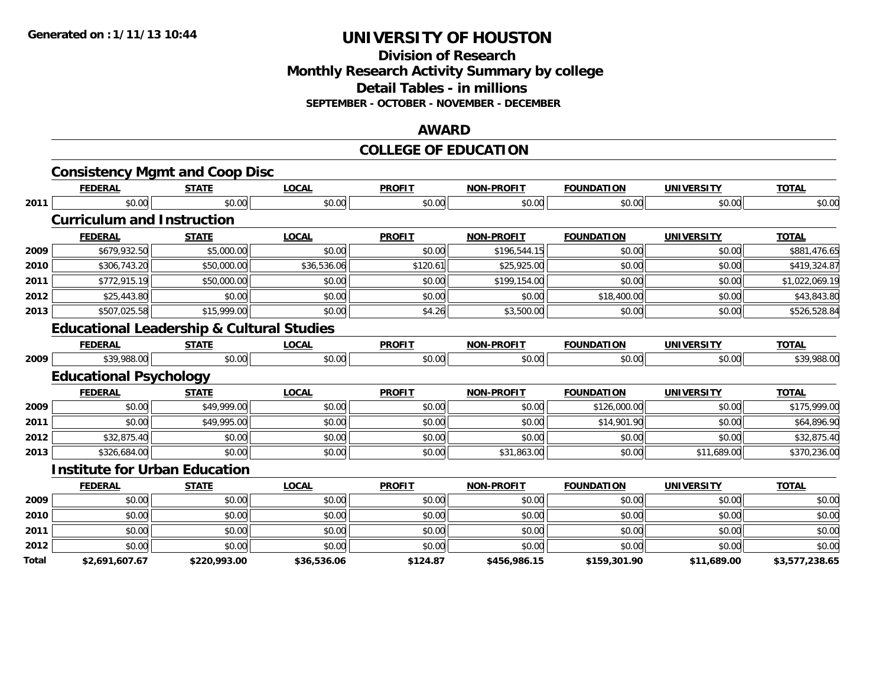### **Division of Research Monthly Research Activity Summary by college Detail Tables - in millions SEPTEMBER - OCTOBER - NOVEMBER - DECEMBER**

#### **AWARD**

#### **COLLEGE OF EDUCATION**

|       | <b>Consistency Mgmt and Coop Disc</b>                |              |              |               |                   |                   |                   |                |
|-------|------------------------------------------------------|--------------|--------------|---------------|-------------------|-------------------|-------------------|----------------|
|       | <b>FEDERAL</b>                                       | <b>STATE</b> | <b>LOCAL</b> | <b>PROFIT</b> | <b>NON-PROFIT</b> | <b>FOUNDATION</b> | <b>UNIVERSITY</b> | <b>TOTAL</b>   |
| 2011  | \$0.00                                               | \$0.00       | \$0.00       | \$0.00        | \$0.00            | \$0.00            | \$0.00            | \$0.00         |
|       | <b>Curriculum and Instruction</b>                    |              |              |               |                   |                   |                   |                |
|       | <b>FEDERAL</b>                                       | <b>STATE</b> | <b>LOCAL</b> | <b>PROFIT</b> | <b>NON-PROFIT</b> | <b>FOUNDATION</b> | <b>UNIVERSITY</b> | <b>TOTAL</b>   |
| 2009  | \$679,932.50                                         | \$5,000.00   | \$0.00       | \$0.00        | \$196,544.15      | \$0.00            | \$0.00            | \$881,476.65   |
| 2010  | \$306,743.20                                         | \$50,000.00  | \$36,536.06  | \$120.61      | \$25,925.00       | \$0.00            | \$0.00            | \$419,324.87   |
| 2011  | \$772,915.19                                         | \$50,000.00  | \$0.00       | \$0.00        | \$199,154.00      | \$0.00            | \$0.00            | \$1,022,069.19 |
| 2012  | \$25,443.80                                          | \$0.00       | \$0.00       | \$0.00        | \$0.00            | \$18,400.00       | \$0.00            | \$43,843.80    |
| 2013  | \$507,025.58                                         | \$15,999.00  | \$0.00       | \$4.26        | \$3,500.00        | \$0.00            | \$0.00            | \$526,528.84   |
|       | <b>Educational Leadership &amp; Cultural Studies</b> |              |              |               |                   |                   |                   |                |
|       | <b>FEDERAL</b>                                       | <b>STATE</b> | <b>LOCAL</b> | <b>PROFIT</b> | <b>NON-PROFIT</b> | <b>FOUNDATION</b> | <b>UNIVERSITY</b> | <b>TOTAL</b>   |
| 2009  | \$39,988.00                                          | \$0.00       | \$0.00       | \$0.00        | \$0.00            | \$0.00            | \$0.00            | \$39,988.00    |
|       | <b>Educational Psychology</b>                        |              |              |               |                   |                   |                   |                |
|       | <b>FEDERAL</b>                                       | <b>STATE</b> | <b>LOCAL</b> | <b>PROFIT</b> | <b>NON-PROFIT</b> | <b>FOUNDATION</b> | <b>UNIVERSITY</b> | <b>TOTAL</b>   |
| 2009  | \$0.00                                               | \$49,999.00  | \$0.00       | \$0.00        | \$0.00            | \$126,000.00      | \$0.00            | \$175,999.00   |
| 2011  | \$0.00                                               | \$49,995.00  | \$0.00       | \$0.00        | \$0.00            | \$14,901.90       | \$0.00            | \$64,896.90    |
| 2012  | \$32,875.40                                          | \$0.00       | \$0.00       | \$0.00        | \$0.00            | \$0.00            | \$0.00            | \$32,875.40    |
| 2013  | \$326,684.00                                         | \$0.00       | \$0.00       | \$0.00        | \$31,863.00       | \$0.00            | \$11,689.00       | \$370,236.00   |
|       | <b>Institute for Urban Education</b>                 |              |              |               |                   |                   |                   |                |
|       | <b>FEDERAL</b>                                       | <b>STATE</b> | <b>LOCAL</b> | <b>PROFIT</b> | <b>NON-PROFIT</b> | <b>FOUNDATION</b> | <b>UNIVERSITY</b> | <b>TOTAL</b>   |
| 2009  | \$0.00                                               | \$0.00       | \$0.00       | \$0.00        | \$0.00            | \$0.00            | \$0.00            | \$0.00         |
| 2010  | \$0.00                                               | \$0.00       | \$0.00       | \$0.00        | \$0.00            | \$0.00            | \$0.00            | \$0.00         |
| 2011  | \$0.00                                               | \$0.00       | \$0.00       | \$0.00        | \$0.00            | \$0.00            | \$0.00            | \$0.00         |
| 2012  | \$0.00                                               | \$0.00       | \$0.00       | \$0.00        | \$0.00            | \$0.00            | \$0.00            | \$0.00         |
| Total | \$2,691,607.67                                       | \$220,993.00 | \$36,536.06  | \$124.87      | \$456,986.15      | \$159,301.90      | \$11,689.00       | \$3,577,238.65 |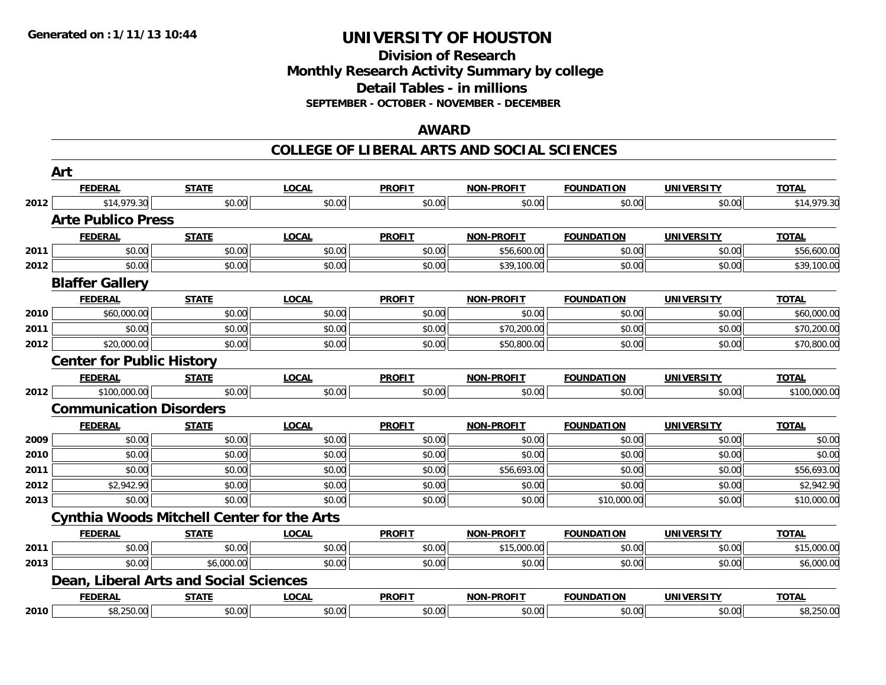**Division of Research Monthly Research Activity Summary by college Detail Tables - in millions SEPTEMBER - OCTOBER - NOVEMBER - DECEMBER**

#### **AWARD**

|      | Art                                               |              |              |               |                   |                   |                   |              |
|------|---------------------------------------------------|--------------|--------------|---------------|-------------------|-------------------|-------------------|--------------|
|      | <b>FEDERAL</b>                                    | <b>STATE</b> | <b>LOCAL</b> | <b>PROFIT</b> | <b>NON-PROFIT</b> | <b>FOUNDATION</b> | <b>UNIVERSITY</b> | <b>TOTAL</b> |
| 2012 | \$14,979.30                                       | \$0.00       | \$0.00       | \$0.00        | \$0.00            | \$0.00            | \$0.00            | \$14,979.30  |
|      | <b>Arte Publico Press</b>                         |              |              |               |                   |                   |                   |              |
|      | <b>FEDERAL</b>                                    | <b>STATE</b> | <b>LOCAL</b> | <b>PROFIT</b> | <b>NON-PROFIT</b> | <b>FOUNDATION</b> | <b>UNIVERSITY</b> | <b>TOTAL</b> |
| 2011 | \$0.00                                            | \$0.00       | \$0.00       | \$0.00        | \$56,600.00       | \$0.00            | \$0.00            | \$56,600.00  |
| 2012 | \$0.00                                            | \$0.00       | \$0.00       | \$0.00        | \$39,100.00       | \$0.00            | \$0.00            | \$39,100.00  |
|      | <b>Blaffer Gallery</b>                            |              |              |               |                   |                   |                   |              |
|      | <b>FEDERAL</b>                                    | <b>STATE</b> | <b>LOCAL</b> | <b>PROFIT</b> | <b>NON-PROFIT</b> | <b>FOUNDATION</b> | <b>UNIVERSITY</b> | <b>TOTAL</b> |
| 2010 | \$60,000.00                                       | \$0.00       | \$0.00       | \$0.00        | \$0.00            | \$0.00            | \$0.00            | \$60,000.00  |
| 2011 | \$0.00                                            | \$0.00       | \$0.00       | \$0.00        | \$70,200.00       | \$0.00            | \$0.00            | \$70,200.00  |
| 2012 | \$20,000.00                                       | \$0.00       | \$0.00       | \$0.00        | \$50,800.00       | \$0.00            | \$0.00            | \$70,800.00  |
|      | <b>Center for Public History</b>                  |              |              |               |                   |                   |                   |              |
|      | <b>FEDERAL</b>                                    | <b>STATE</b> | <b>LOCAL</b> | <b>PROFIT</b> | <b>NON-PROFIT</b> | <b>FOUNDATION</b> | <b>UNIVERSITY</b> | <b>TOTAL</b> |
| 2012 | \$100,000.00                                      | \$0.00       | \$0.00       | \$0.00        | \$0.00            | \$0.00            | \$0.00            | \$100,000.00 |
|      | <b>Communication Disorders</b>                    |              |              |               |                   |                   |                   |              |
|      | <b>FEDERAL</b>                                    | <b>STATE</b> | <b>LOCAL</b> | <b>PROFIT</b> | <b>NON-PROFIT</b> | <b>FOUNDATION</b> | <b>UNIVERSITY</b> | <b>TOTAL</b> |
| 2009 | \$0.00                                            | \$0.00       | \$0.00       | \$0.00        | \$0.00            | \$0.00            | \$0.00            | \$0.00       |
| 2010 | \$0.00                                            | \$0.00       | \$0.00       | \$0.00        | \$0.00            | \$0.00            | \$0.00            | \$0.00       |
| 2011 | \$0.00                                            | \$0.00       | \$0.00       | \$0.00        | \$56,693.00       | \$0.00            | \$0.00            | \$56,693.00  |
| 2012 | \$2,942.90                                        | \$0.00       | \$0.00       | \$0.00        | \$0.00            | \$0.00            | \$0.00            | \$2,942.90   |
| 2013 | \$0.00                                            | \$0.00       | \$0.00       | \$0.00        | \$0.00            | \$10,000.00       | \$0.00            | \$10,000.00  |
|      | <b>Cynthia Woods Mitchell Center for the Arts</b> |              |              |               |                   |                   |                   |              |
|      | <b>FEDERAL</b>                                    | <b>STATE</b> | <b>LOCAL</b> | <b>PROFIT</b> | <b>NON-PROFIT</b> | <b>FOUNDATION</b> | <b>UNIVERSITY</b> | <b>TOTAL</b> |
| 2011 | \$0.00                                            | \$0.00       | \$0.00       | \$0.00        | \$15,000.00       | \$0.00            | \$0.00            | \$15,000.00  |
| 2013 | \$0.00                                            | \$6,000.00   | \$0.00       | \$0.00        | \$0.00            | \$0.00            | \$0.00            | \$6,000.00   |
|      | Dean, Liberal Arts and Social Sciences            |              |              |               |                   |                   |                   |              |
|      | <b>FEDERAL</b>                                    | <b>STATE</b> | <b>LOCAL</b> | <b>PROFIT</b> | <b>NON-PROFIT</b> | <b>FOUNDATION</b> | <b>UNIVERSITY</b> | <b>TOTAL</b> |
| 2010 | \$8,250.00                                        | \$0.00       | \$0.00       | \$0.00        | \$0.00            | \$0.00            | \$0.00            | \$8,250.00   |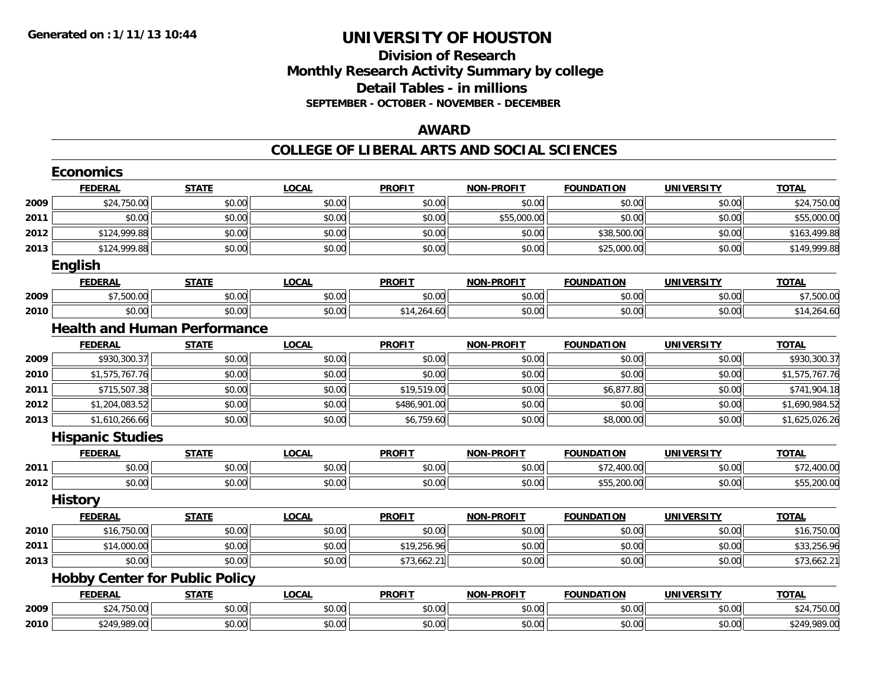## **Division of Research Monthly Research Activity Summary by college Detail Tables - in millions SEPTEMBER - OCTOBER - NOVEMBER - DECEMBER**

### **AWARD**

|      | <b>Economics</b>                      |              |              |               |                   |                   |                   |                |
|------|---------------------------------------|--------------|--------------|---------------|-------------------|-------------------|-------------------|----------------|
|      | <b>FEDERAL</b>                        | <b>STATE</b> | <b>LOCAL</b> | <b>PROFIT</b> | <b>NON-PROFIT</b> | <b>FOUNDATION</b> | <b>UNIVERSITY</b> | <b>TOTAL</b>   |
| 2009 | \$24,750.00                           | \$0.00       | \$0.00       | \$0.00        | \$0.00            | \$0.00            | \$0.00            | \$24,750.00    |
| 2011 | \$0.00                                | \$0.00       | \$0.00       | \$0.00        | \$55,000.00       | \$0.00            | \$0.00            | \$55,000.00    |
| 2012 | \$124,999.88                          | \$0.00       | \$0.00       | \$0.00        | \$0.00            | \$38,500.00       | \$0.00            | \$163,499.88   |
| 2013 | \$124,999.88                          | \$0.00       | \$0.00       | \$0.00        | \$0.00            | \$25,000.00       | \$0.00            | \$149,999.88   |
|      | English                               |              |              |               |                   |                   |                   |                |
|      | <b>FEDERAL</b>                        | <b>STATE</b> | <b>LOCAL</b> | <b>PROFIT</b> | <b>NON-PROFIT</b> | <b>FOUNDATION</b> | <b>UNIVERSITY</b> | <b>TOTAL</b>   |
| 2009 | \$7,500.00                            | \$0.00       | \$0.00       | \$0.00        | \$0.00            | \$0.00            | \$0.00            | \$7,500.00     |
| 2010 | \$0.00                                | \$0.00       | \$0.00       | \$14,264.60   | \$0.00            | \$0.00            | \$0.00            | \$14,264.60    |
|      | <b>Health and Human Performance</b>   |              |              |               |                   |                   |                   |                |
|      | <b>FEDERAL</b>                        | <b>STATE</b> | <b>LOCAL</b> | <b>PROFIT</b> | NON-PROFIT        | <b>FOUNDATION</b> | <b>UNIVERSITY</b> | <b>TOTAL</b>   |
| 2009 | \$930,300.37                          | \$0.00       | \$0.00       | \$0.00        | \$0.00            | \$0.00            | \$0.00            | \$930,300.37   |
| 2010 | \$1,575,767.76                        | \$0.00       | \$0.00       | \$0.00        | \$0.00            | \$0.00            | \$0.00            | \$1,575,767.76 |
| 2011 | \$715,507.38                          | \$0.00       | \$0.00       | \$19,519.00   | \$0.00            | \$6,877.80        | \$0.00            | \$741,904.18   |
| 2012 | \$1,204,083.52                        | \$0.00       | \$0.00       | \$486,901.00  | \$0.00            | \$0.00            | \$0.00            | \$1,690,984.52 |
| 2013 | \$1,610,266.66                        | \$0.00       | \$0.00       | \$6,759.60    | \$0.00            | \$8,000.00        | \$0.00            | \$1,625,026.26 |
|      | <b>Hispanic Studies</b>               |              |              |               |                   |                   |                   |                |
|      | <b>FEDERAL</b>                        | <b>STATE</b> | <b>LOCAL</b> | <b>PROFIT</b> | <b>NON-PROFIT</b> | <b>FOUNDATION</b> | <b>UNIVERSITY</b> | <b>TOTAL</b>   |
| 2011 | \$0.00                                | \$0.00       | \$0.00       | \$0.00        | \$0.00            | \$72,400.00       | \$0.00            | \$72,400.00    |
| 2012 | \$0.00                                | \$0.00       | \$0.00       | \$0.00        | \$0.00            | \$55,200.00       | \$0.00            | \$55,200.00    |
|      | <b>History</b>                        |              |              |               |                   |                   |                   |                |
|      | <b>FEDERAL</b>                        | <b>STATE</b> | <b>LOCAL</b> | <b>PROFIT</b> | <b>NON-PROFIT</b> | <b>FOUNDATION</b> | <b>UNIVERSITY</b> | <b>TOTAL</b>   |
| 2010 | \$16,750.00                           | \$0.00       | \$0.00       | \$0.00        | \$0.00            | \$0.00            | \$0.00            | \$16,750.00    |
| 2011 | \$14,000.00                           | \$0.00       | \$0.00       | \$19,256.96   | \$0.00            | \$0.00            | \$0.00            | \$33,256.96    |
| 2013 | \$0.00                                | \$0.00       | \$0.00       | \$73,662.21   | \$0.00            | \$0.00            | \$0.00            | \$73,662.21    |
|      | <b>Hobby Center for Public Policy</b> |              |              |               |                   |                   |                   |                |
|      | <b>FEDERAL</b>                        | <b>STATE</b> | <b>LOCAL</b> | <b>PROFIT</b> | <b>NON-PROFIT</b> | <b>FOUNDATION</b> | <b>UNIVERSITY</b> | <b>TOTAL</b>   |
| 2009 | \$24,750.00                           | \$0.00       | \$0.00       | \$0.00        | \$0.00            | \$0.00            | \$0.00            | \$24,750.00    |
| 2010 | \$249,989.00                          | \$0.00       | \$0.00       | \$0.00        | \$0.00            | \$0.00            | \$0.00            | \$249,989.00   |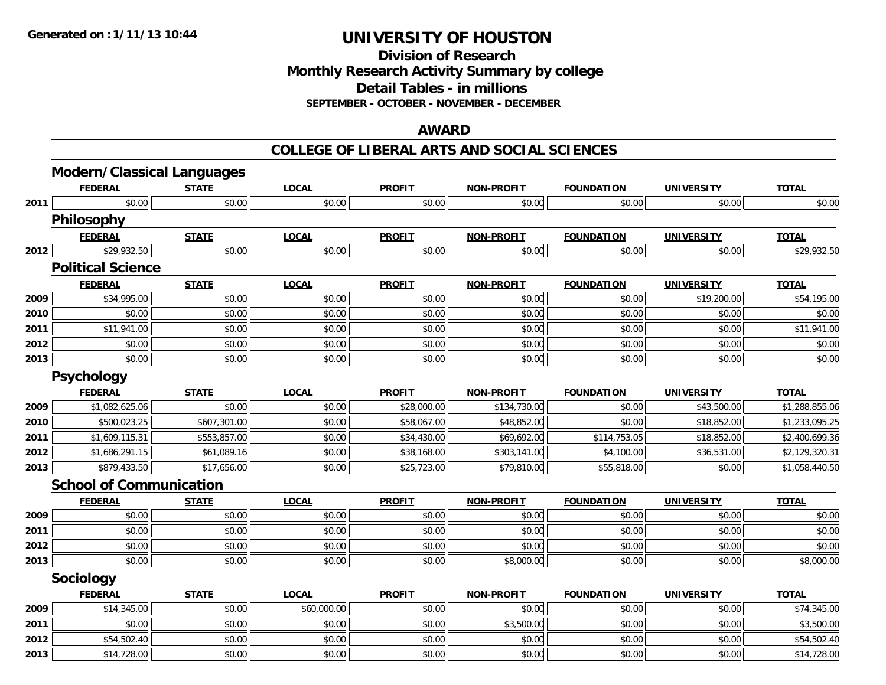**Division of ResearchMonthly Research Activity Summary by college Detail Tables - in millions SEPTEMBER - OCTOBER - NOVEMBER - DECEMBER**

### **AWARD**

|      | <b>Modern/Classical Languages</b> |              |              |               |                   |                   |                   |                |
|------|-----------------------------------|--------------|--------------|---------------|-------------------|-------------------|-------------------|----------------|
|      | <b>FEDERAL</b>                    | <b>STATE</b> | <b>LOCAL</b> | <b>PROFIT</b> | <b>NON-PROFIT</b> | <b>FOUNDATION</b> | <b>UNIVERSITY</b> | <b>TOTAL</b>   |
| 2011 | \$0.00                            | \$0.00       | \$0.00       | \$0.00        | \$0.00            | \$0.00            | \$0.00            | \$0.00         |
|      | Philosophy                        |              |              |               |                   |                   |                   |                |
|      | <b>FEDERAL</b>                    | <b>STATE</b> | <b>LOCAL</b> | <b>PROFIT</b> | <b>NON-PROFIT</b> | <b>FOUNDATION</b> | <b>UNIVERSITY</b> | <b>TOTAL</b>   |
| 2012 | \$29,932.50                       | \$0.00       | \$0.00       | \$0.00        | \$0.00            | \$0.00            | \$0.00            | \$29,932.50    |
|      | <b>Political Science</b>          |              |              |               |                   |                   |                   |                |
|      | <b>FEDERAL</b>                    | <b>STATE</b> | <b>LOCAL</b> | <b>PROFIT</b> | <b>NON-PROFIT</b> | <b>FOUNDATION</b> | <b>UNIVERSITY</b> | <b>TOTAL</b>   |
| 2009 | \$34,995.00                       | \$0.00       | \$0.00       | \$0.00        | \$0.00            | \$0.00            | \$19,200.00       | \$54,195.00    |
| 2010 | \$0.00                            | \$0.00       | \$0.00       | \$0.00        | \$0.00            | \$0.00            | \$0.00            | \$0.00         |
| 2011 | \$11,941.00                       | \$0.00       | \$0.00       | \$0.00        | \$0.00            | \$0.00            | \$0.00            | \$11,941.00    |
| 2012 | \$0.00                            | \$0.00       | \$0.00       | \$0.00        | \$0.00            | \$0.00            | \$0.00            | \$0.00         |
| 2013 | \$0.00                            | \$0.00       | \$0.00       | \$0.00        | \$0.00            | \$0.00            | \$0.00            | \$0.00         |
|      | Psychology                        |              |              |               |                   |                   |                   |                |
|      | <b>FEDERAL</b>                    | <b>STATE</b> | <b>LOCAL</b> | <b>PROFIT</b> | <b>NON-PROFIT</b> | <b>FOUNDATION</b> | <b>UNIVERSITY</b> | <b>TOTAL</b>   |
| 2009 | \$1,082,625.06                    | \$0.00       | \$0.00       | \$28,000.00   | \$134,730.00      | \$0.00            | \$43,500.00       | \$1,288,855.06 |
| 2010 | \$500,023.25                      | \$607,301.00 | \$0.00       | \$58,067.00   | \$48,852.00       | \$0.00            | \$18,852.00       | \$1,233,095.25 |
| 2011 | \$1,609,115.31                    | \$553,857.00 | \$0.00       | \$34,430.00   | \$69,692.00       | \$114,753.05      | \$18,852.00       | \$2,400,699.36 |
| 2012 | \$1,686,291.15                    | \$61,089.16  | \$0.00       | \$38,168.00   | \$303,141.00      | \$4,100.00        | \$36,531.00       | \$2,129,320.31 |
| 2013 | \$879,433.50                      | \$17,656.00  | \$0.00       | \$25,723.00   | \$79,810.00       | \$55,818.00       | \$0.00            | \$1,058,440.50 |
|      | <b>School of Communication</b>    |              |              |               |                   |                   |                   |                |
|      | <b>FEDERAL</b>                    | <b>STATE</b> | <b>LOCAL</b> | <b>PROFIT</b> | <b>NON-PROFIT</b> | <b>FOUNDATION</b> | <b>UNIVERSITY</b> | <b>TOTAL</b>   |
| 2009 | \$0.00                            | \$0.00       | \$0.00       | \$0.00        | \$0.00            | \$0.00            | \$0.00            | \$0.00         |
| 2011 | \$0.00                            | \$0.00       | \$0.00       | \$0.00        | \$0.00            | \$0.00            | \$0.00            | \$0.00         |
| 2012 | \$0.00                            | \$0.00       | \$0.00       | \$0.00        | \$0.00            | \$0.00            | \$0.00            | \$0.00         |
| 2013 | \$0.00                            | \$0.00       | \$0.00       | \$0.00        | \$8,000.00        | \$0.00            | \$0.00            | \$8,000.00     |
|      | Sociology                         |              |              |               |                   |                   |                   |                |
|      | <b>FEDERAL</b>                    | <b>STATE</b> | <b>LOCAL</b> | <b>PROFIT</b> | <b>NON-PROFIT</b> | <b>FOUNDATION</b> | <b>UNIVERSITY</b> | <b>TOTAL</b>   |
| 2009 | \$14,345.00                       | \$0.00       | \$60,000.00  | \$0.00        | \$0.00            | \$0.00            | \$0.00            | \$74,345.00    |
| 2011 | \$0.00                            | \$0.00       | \$0.00       | \$0.00        | \$3,500.00        | \$0.00            | \$0.00            | \$3,500.00     |
| 2012 | \$54,502.40                       | \$0.00       | \$0.00       | \$0.00        | \$0.00            | \$0.00            | \$0.00            | \$54,502.40    |
| 2013 | \$14,728.00                       | \$0.00       | \$0.00       | \$0.00        | \$0.00            | \$0.00            | \$0.00            | \$14,728.00    |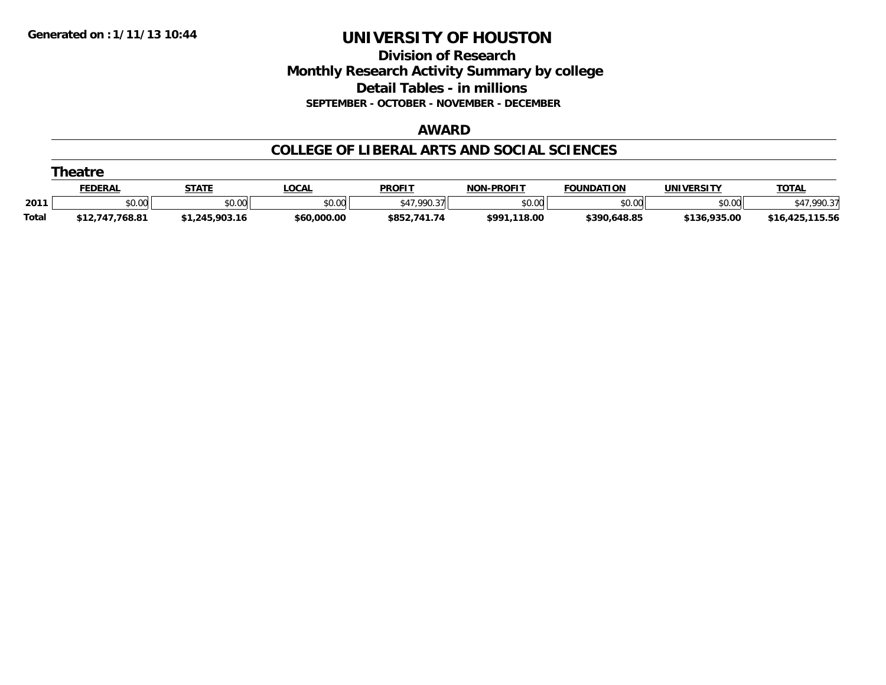**Division of Research Monthly Research Activity Summary by college Detail Tables - in millions SEPTEMBER - OCTOBER - NOVEMBER - DECEMBER**

#### **AWARD**

### **COLLEGE OF LIBERAL ARTS AND SOCIAL SCIENCES**

|              | Theatre         |                |             |               |                   |                   |              |                 |  |  |  |  |
|--------------|-----------------|----------------|-------------|---------------|-------------------|-------------------|--------------|-----------------|--|--|--|--|
|              | <b>FEDERAL</b>  | <b>STATE</b>   | <b>OCAL</b> | <b>PROFIT</b> | <b>NON-PROFIT</b> | <b>FOUNDATION</b> | UNIVERSITY   | <b>TOTAL</b>    |  |  |  |  |
| 2011         | \$0.00          | \$0.00         | \$0.00      | \$47.990.37   | \$0.00            | \$0.00            | \$0.00       | 7,990.37        |  |  |  |  |
| <b>Total</b> | \$12,747,768.81 | \$1,245,903.16 | \$60,000.00 | \$852,741.74  | \$991,118.00      | \$390,648.85      | \$136,935.00 | \$16,425,115.56 |  |  |  |  |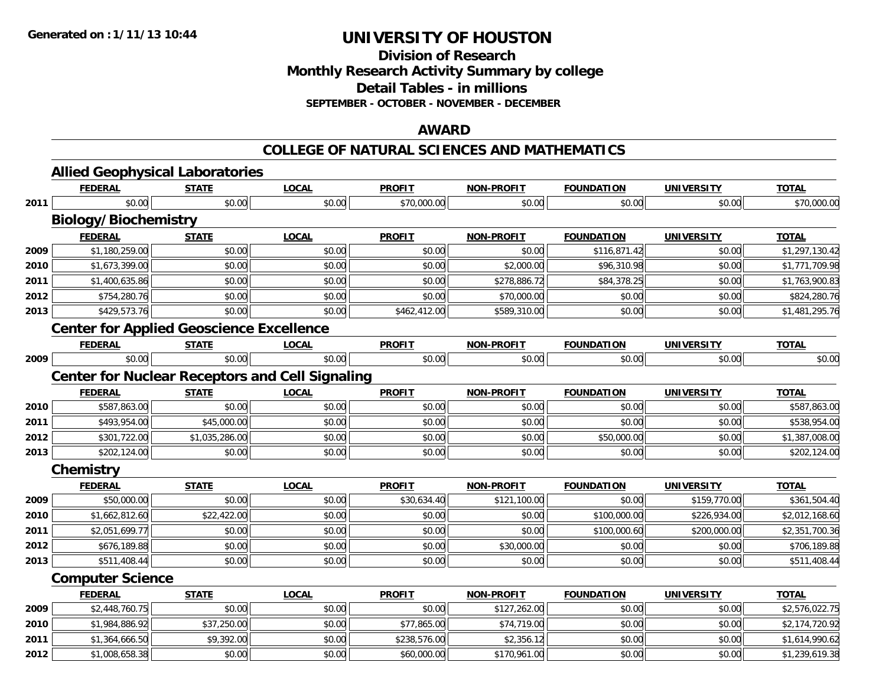**Division of Research**

**Monthly Research Activity Summary by college**

**Detail Tables - in millions**

**SEPTEMBER - OCTOBER - NOVEMBER - DECEMBER**

### **AWARD**

#### **COLLEGE OF NATURAL SCIENCES AND MATHEMATICS**

|      | <b>Allied Geophysical Laboratories</b>                 |                |              |               |                   |                   |                   |                |
|------|--------------------------------------------------------|----------------|--------------|---------------|-------------------|-------------------|-------------------|----------------|
|      | <b>FEDERAL</b>                                         | <b>STATE</b>   | <b>LOCAL</b> | <b>PROFIT</b> | <b>NON-PROFIT</b> | <b>FOUNDATION</b> | <b>UNIVERSITY</b> | <b>TOTAL</b>   |
| 2011 | \$0.00                                                 | \$0.00         | \$0.00       | \$70,000.00   | \$0.00            | \$0.00            | \$0.00            | \$70,000.00    |
|      | <b>Biology/Biochemistry</b>                            |                |              |               |                   |                   |                   |                |
|      | <b>FEDERAL</b>                                         | <b>STATE</b>   | <b>LOCAL</b> | <b>PROFIT</b> | <b>NON-PROFIT</b> | <b>FOUNDATION</b> | <b>UNIVERSITY</b> | <b>TOTAL</b>   |
| 2009 | \$1,180,259.00                                         | \$0.00         | \$0.00       | \$0.00        | \$0.00            | \$116,871.42      | \$0.00            | \$1,297,130.42 |
| 2010 | \$1,673,399.00                                         | \$0.00         | \$0.00       | \$0.00        | \$2,000.00        | \$96,310.98       | \$0.00            | \$1,771,709.98 |
| 2011 | \$1,400,635.86                                         | \$0.00         | \$0.00       | \$0.00        | \$278,886.72      | \$84,378.25       | \$0.00            | \$1,763,900.83 |
| 2012 | \$754,280.76                                           | \$0.00         | \$0.00       | \$0.00        | \$70,000.00       | \$0.00            | \$0.00            | \$824,280.76   |
| 2013 | \$429,573.76                                           | \$0.00         | \$0.00       | \$462,412.00  | \$589,310.00      | \$0.00            | \$0.00            | \$1,481,295.76 |
|      | <b>Center for Applied Geoscience Excellence</b>        |                |              |               |                   |                   |                   |                |
|      | <b>FEDERAL</b>                                         | <b>STATE</b>   | <b>LOCAL</b> | <b>PROFIT</b> | <b>NON-PROFIT</b> | <b>FOUNDATION</b> | <b>UNIVERSITY</b> | <b>TOTAL</b>   |
| 2009 | \$0.00                                                 | \$0.00         | \$0.00       | \$0.00        | \$0.00            | \$0.00            | \$0.00            | \$0.00         |
|      | <b>Center for Nuclear Receptors and Cell Signaling</b> |                |              |               |                   |                   |                   |                |
|      | <b>FEDERAL</b>                                         | <b>STATE</b>   | <b>LOCAL</b> | <b>PROFIT</b> | <b>NON-PROFIT</b> | <b>FOUNDATION</b> | <b>UNIVERSITY</b> | <b>TOTAL</b>   |
| 2010 | \$587,863.00                                           | \$0.00         | \$0.00       | \$0.00        | \$0.00            | \$0.00            | \$0.00            | \$587,863.00   |
| 2011 | \$493,954.00                                           | \$45,000.00    | \$0.00       | \$0.00        | \$0.00            | \$0.00            | \$0.00            | \$538,954.00   |
| 2012 | \$301,722.00                                           | \$1,035,286.00 | \$0.00       | \$0.00        | \$0.00            | \$50,000.00       | \$0.00            | \$1,387,008.00 |
| 2013 | \$202,124.00                                           | \$0.00         | \$0.00       | \$0.00        | \$0.00            | \$0.00            | \$0.00            | \$202,124.00   |
|      | Chemistry                                              |                |              |               |                   |                   |                   |                |
|      | <b>FEDERAL</b>                                         | <b>STATE</b>   | <b>LOCAL</b> | <b>PROFIT</b> | <b>NON-PROFIT</b> | <b>FOUNDATION</b> | <b>UNIVERSITY</b> | <b>TOTAL</b>   |
| 2009 | \$50,000.00                                            | \$0.00         | \$0.00       | \$30,634.40   | \$121,100.00      | \$0.00            | \$159,770.00      | \$361,504.40   |
| 2010 | \$1,662,812.60                                         | \$22,422.00    | \$0.00       | \$0.00        | \$0.00            | \$100,000.00      | \$226,934.00      | \$2,012,168.60 |
| 2011 | \$2,051,699.77                                         | \$0.00         | \$0.00       | \$0.00        | \$0.00            | \$100,000.60      | \$200,000.00      | \$2,351,700.36 |
| 2012 | \$676,189.88                                           | \$0.00         | \$0.00       | \$0.00        | \$30,000.00       | \$0.00            | \$0.00            | \$706,189.88   |
| 2013 | \$511,408.44                                           | \$0.00         | \$0.00       | \$0.00        | \$0.00            | \$0.00            | \$0.00            | \$511,408.44   |
|      | <b>Computer Science</b>                                |                |              |               |                   |                   |                   |                |
|      | <b>FEDERAL</b>                                         | <b>STATE</b>   | <b>LOCAL</b> | <b>PROFIT</b> | <b>NON-PROFIT</b> | <b>FOUNDATION</b> | <b>UNIVERSITY</b> | <b>TOTAL</b>   |
| 2009 | \$2,448,760.75                                         | \$0.00         | \$0.00       | \$0.00        | \$127,262.00      | \$0.00            | \$0.00            | \$2,576,022.75 |
| 2010 | \$1,984,886.92                                         | \$37,250.00    | \$0.00       | \$77,865.00   | \$74,719.00       | \$0.00            | \$0.00            | \$2,174,720.92 |
| 2011 | \$1,364,666.50                                         | \$9,392.00     | \$0.00       | \$238,576.00  | \$2,356.12        | \$0.00            | \$0.00            | \$1,614,990.62 |
| 2012 | \$1,008,658.38                                         | \$0.00         | \$0.00       | \$60,000.00   | \$170,961.00      | \$0.00            | \$0.00            | \$1,239,619.38 |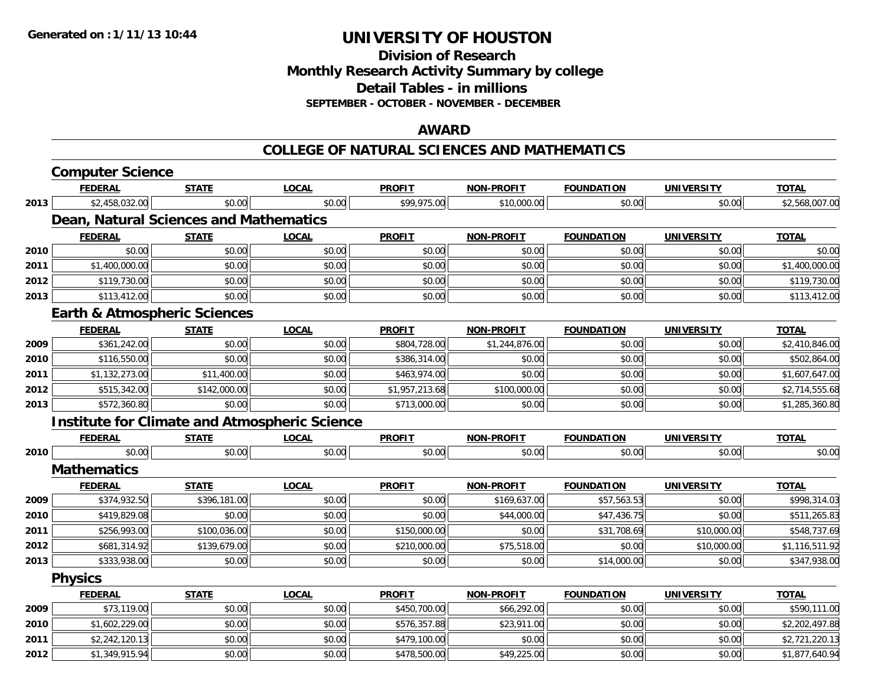**Division of ResearchMonthly Research Activity Summary by college Detail Tables - in millions**

**SEPTEMBER - OCTOBER - NOVEMBER - DECEMBER**

### **AWARD**

#### **COLLEGE OF NATURAL SCIENCES AND MATHEMATICS**

|      | <b>Computer Science</b>                              |              |              |                |                   |                   |                   |                |
|------|------------------------------------------------------|--------------|--------------|----------------|-------------------|-------------------|-------------------|----------------|
|      | <b>FEDERAL</b>                                       | <b>STATE</b> | <b>LOCAL</b> | <b>PROFIT</b>  | <b>NON-PROFIT</b> | <b>FOUNDATION</b> | <b>UNIVERSITY</b> | <b>TOTAL</b>   |
| 2013 | \$2,458,032.00                                       | \$0.00       | \$0.00       | \$99,975.00    | \$10,000.00       | \$0.00            | \$0.00            | \$2,568,007.00 |
|      | Dean, Natural Sciences and Mathematics               |              |              |                |                   |                   |                   |                |
|      | <b>FEDERAL</b>                                       | <b>STATE</b> | <b>LOCAL</b> | <b>PROFIT</b>  | <b>NON-PROFIT</b> | <b>FOUNDATION</b> | <b>UNIVERSITY</b> | <b>TOTAL</b>   |
| 2010 | \$0.00                                               | \$0.00       | \$0.00       | \$0.00         | \$0.00            | \$0.00            | \$0.00            | \$0.00         |
| 2011 | \$1,400,000.00                                       | \$0.00       | \$0.00       | \$0.00         | \$0.00            | \$0.00            | \$0.00            | \$1,400,000.00 |
| 2012 | \$119,730.00                                         | \$0.00       | \$0.00       | \$0.00         | \$0.00            | \$0.00            | \$0.00            | \$119,730.00   |
| 2013 | \$113,412.00                                         | \$0.00       | \$0.00       | \$0.00         | \$0.00            | \$0.00            | \$0.00            | \$113,412.00   |
|      | <b>Earth &amp; Atmospheric Sciences</b>              |              |              |                |                   |                   |                   |                |
|      | <b>FEDERAL</b>                                       | <b>STATE</b> | <b>LOCAL</b> | <b>PROFIT</b>  | <b>NON-PROFIT</b> | <b>FOUNDATION</b> | <b>UNIVERSITY</b> | <b>TOTAL</b>   |
| 2009 | \$361,242.00                                         | \$0.00       | \$0.00       | \$804,728.00   | \$1,244,876.00    | \$0.00            | \$0.00            | \$2,410,846.00 |
| 2010 | \$116,550.00                                         | \$0.00       | \$0.00       | \$386,314.00   | \$0.00            | \$0.00            | \$0.00            | \$502,864.00   |
| 2011 | \$1,132,273.00                                       | \$11,400.00  | \$0.00       | \$463,974.00   | \$0.00            | \$0.00            | \$0.00            | \$1,607,647.00 |
| 2012 | \$515,342.00                                         | \$142,000.00 | \$0.00       | \$1,957,213.68 | \$100,000.00      | \$0.00            | \$0.00            | \$2,714,555.68 |
| 2013 | \$572,360.80                                         | \$0.00       | \$0.00       | \$713,000.00   | \$0.00            | \$0.00            | \$0.00            | \$1,285,360.80 |
|      | <b>Institute for Climate and Atmospheric Science</b> |              |              |                |                   |                   |                   |                |
|      | <b>FEDERAL</b>                                       | <b>STATE</b> | <b>LOCAL</b> | <b>PROFIT</b>  | <b>NON-PROFIT</b> | <b>FOUNDATION</b> | <b>UNIVERSITY</b> | <b>TOTAL</b>   |
| 2010 | \$0.00                                               | \$0.00       | \$0.00       | \$0.00         | \$0.00            | \$0.00            | \$0.00            | \$0.00         |
|      | <b>Mathematics</b>                                   |              |              |                |                   |                   |                   |                |
|      | <b>FEDERAL</b>                                       | <b>STATE</b> | <b>LOCAL</b> | <b>PROFIT</b>  | <b>NON-PROFIT</b> | <b>FOUNDATION</b> | <b>UNIVERSITY</b> | <b>TOTAL</b>   |
| 2009 | \$374,932.50                                         | \$396,181.00 | \$0.00       | \$0.00         | \$169,637.00      | \$57,563.53       | \$0.00            | \$998,314.03   |
| 2010 | \$419,829.08                                         | \$0.00       | \$0.00       | \$0.00         | \$44,000.00       | \$47,436.75       | \$0.00            | \$511,265.83   |
| 2011 | \$256,993.00                                         | \$100,036.00 | \$0.00       | \$150,000.00   | \$0.00            | \$31,708.69       | \$10,000.00       | \$548,737.69   |
| 2012 | \$681,314.92                                         | \$139,679.00 | \$0.00       | \$210,000.00   | \$75,518.00       | \$0.00            | \$10,000.00       | \$1,116,511.92 |
| 2013 | \$333,938.00                                         | \$0.00       | \$0.00       | \$0.00         | \$0.00            | \$14,000.00       | \$0.00            | \$347,938.00   |
|      | <b>Physics</b>                                       |              |              |                |                   |                   |                   |                |
|      | <b>FEDERAL</b>                                       | <b>STATE</b> | <b>LOCAL</b> | <b>PROFIT</b>  | <b>NON-PROFIT</b> | <b>FOUNDATION</b> | <b>UNIVERSITY</b> | <b>TOTAL</b>   |
| 2009 | \$73,119.00                                          | \$0.00       | \$0.00       | \$450,700.00   | \$66,292.00       | \$0.00            | \$0.00            | \$590,111.00   |
| 2010 | \$1,602,229.00                                       | \$0.00       | \$0.00       | \$576,357.88   | \$23,911.00       | \$0.00            | \$0.00            | \$2,202,497.88 |
| 2011 | \$2,242,120.13                                       | \$0.00       | \$0.00       | \$479,100.00   | \$0.00            | \$0.00            | \$0.00            | \$2,721,220.13 |
| 2012 | \$1,349,915.94                                       | \$0.00       | \$0.00       | \$478,500.00   | \$49,225.00       | \$0.00            | \$0.00            | \$1,877,640.94 |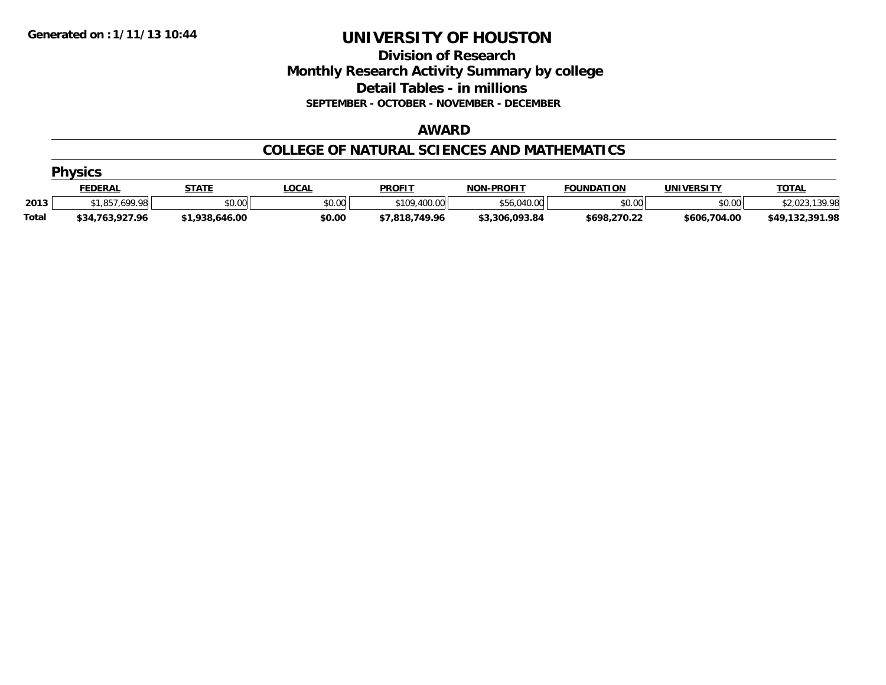**Division of Research Monthly Research Activity Summary by college Detail Tables - in millions SEPTEMBER - OCTOBER - NOVEMBER - DECEMBER**

#### **AWARD**

### **COLLEGE OF NATURAL SCIENCES AND MATHEMATICS**

|              | <b>Physics</b>  |                |              |                |                   |                   |              |                    |  |  |  |  |
|--------------|-----------------|----------------|--------------|----------------|-------------------|-------------------|--------------|--------------------|--|--|--|--|
|              | <b>FEDERAL</b>  | <b>STATE</b>   | <u>.OCAL</u> | <b>PROFIT</b>  | <b>NON-PROFIT</b> | <b>FOUNDATION</b> | UNIVERSITY   | <b>TOTAL</b>       |  |  |  |  |
| 2013         | \$1.857.699.98  | \$0.00         | \$0.00       | \$109,400.00   | \$56,040.00       | \$0.00            | \$0.00       | .139.98<br>\$2,023 |  |  |  |  |
| <b>Total</b> | \$34,763,927.96 | \$1,938,646.00 | \$0.00       | \$7,818,749.96 | \$3,306,093.84    | \$698,270.22      | \$606,704.00 | \$49,132,391.98    |  |  |  |  |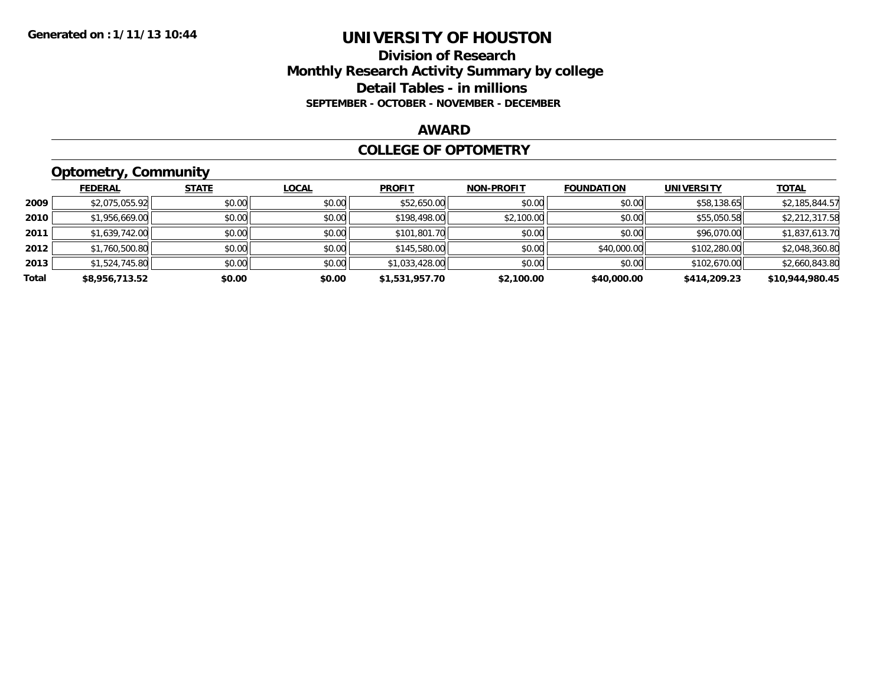# **Division of Research Monthly Research Activity Summary by college Detail Tables - in millions SEPTEMBER - OCTOBER - NOVEMBER - DECEMBER**

#### **AWARD**

### **COLLEGE OF OPTOMETRY**

# **Optometry, Community**

|       | ___            |              |              |                |                   |                   |                   |                 |
|-------|----------------|--------------|--------------|----------------|-------------------|-------------------|-------------------|-----------------|
|       | <b>FEDERAL</b> | <b>STATE</b> | <u>LOCAL</u> | <b>PROFIT</b>  | <b>NON-PROFIT</b> | <b>FOUNDATION</b> | <b>UNIVERSITY</b> | <b>TOTAL</b>    |
| 2009  | \$2,075,055.92 | \$0.00       | \$0.00       | \$52,650.00    | \$0.00            | \$0.00            | \$58,138.65       | \$2,185,844.57  |
| 2010  | \$1,956,669.00 | \$0.00       | \$0.00       | \$198,498.00   | \$2,100.00        | \$0.00            | \$55,050.58       | \$2,212,317.58  |
| 2011  | \$1,639,742.00 | \$0.00       | \$0.00       | \$101,801.70   | \$0.00            | \$0.00            | \$96,070.00       | \$1,837,613.70  |
| 2012  | \$1,760,500.80 | \$0.00       | \$0.00       | \$145,580.00   | \$0.00            | \$40,000.00       | \$102,280.00      | \$2,048,360.80  |
| 2013  | \$1,524,745.80 | \$0.00       | \$0.00       | \$1,033,428.00 | \$0.00            | \$0.00            | \$102,670.00      | \$2,660,843.80  |
| Total | \$8,956,713.52 | \$0.00       | \$0.00       | \$1,531,957.70 | \$2,100.00        | \$40,000.00       | \$414,209.23      | \$10,944,980.45 |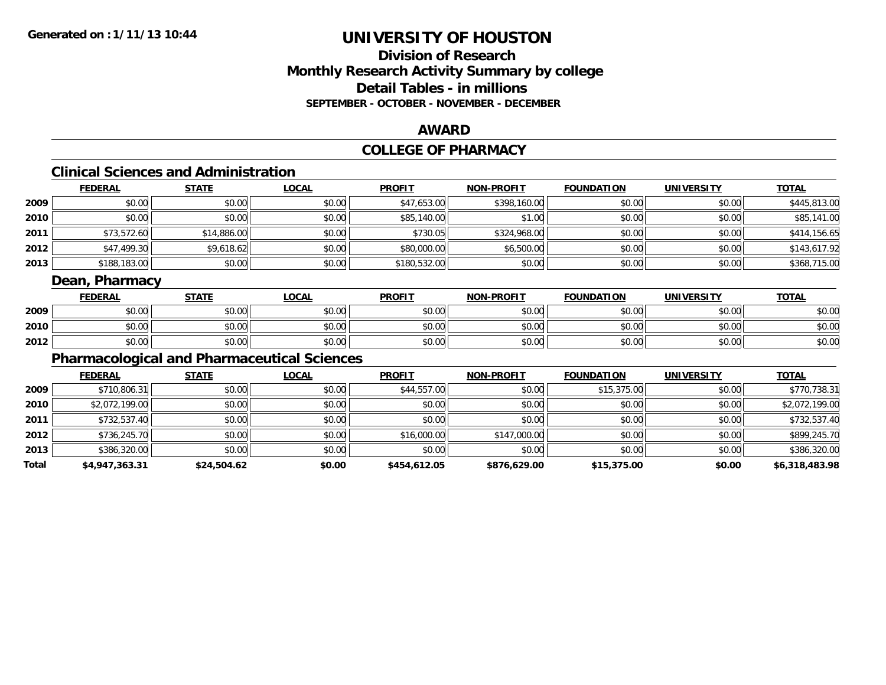# **Division of ResearchMonthly Research Activity Summary by college Detail Tables - in millions SEPTEMBER - OCTOBER - NOVEMBER - DECEMBER**

### **AWARD**

# **COLLEGE OF PHARMACY**

# **Clinical Sciences and Administration**

|      | <b>FEDERAL</b> | <b>STATE</b> | <u>LOCAL</u> | <b>PROFIT</b> | <b>NON-PROFIT</b> | <b>FOUNDATION</b> | <b>UNIVERSITY</b> | <b>TOTAL</b> |
|------|----------------|--------------|--------------|---------------|-------------------|-------------------|-------------------|--------------|
| 2009 | \$0.00         | \$0.00       | \$0.00       | \$47,653.00   | \$398,160.00      | \$0.00            | \$0.00            | \$445,813.00 |
| 2010 | \$0.00         | \$0.00       | \$0.00       | \$85,140.00   | \$1.00            | \$0.00            | \$0.00            | \$85,141.00  |
| 2011 | \$73,572.60    | \$14,886.00  | \$0.00       | \$730.05      | \$324,968.00      | \$0.00            | \$0.00            | \$414,156.65 |
| 2012 | \$47,499.30    | \$9,618.62   | \$0.00       | \$80,000.00   | \$6,500.00        | \$0.00            | \$0.00            | \$143,617.92 |
| 2013 | \$188,183.00   | \$0.00       | \$0.00       | \$180,532.00  | \$0.00            | \$0.00            | \$0.00            | \$368,715.00 |

# **Dean, Pharmacy**

|      | <b>FEDERAL</b> | <b>STATE</b>          | <b>_OCAL</b> | <b>PROFIT</b> | <b>NON-PROFIT</b> | <b>FOUNDATION</b>      | <b>UNIVERSITY</b> | <b>TOTAL</b> |
|------|----------------|-----------------------|--------------|---------------|-------------------|------------------------|-------------------|--------------|
| 2009 | \$0.00         | 40.00<br>vu.uu        | \$0.00       | \$0.00        | \$0.00            | $n \cap \neg$<br>JU.UU | \$0.00            | \$0.00       |
| 2010 | \$0.00         | 0000<br>JU.UU         | \$0.00       | \$0.00        | \$0.00            | \$0.00                 | \$0.00            | \$0.00       |
| 2012 | \$0.00         | 40.00<br><b>JU.UU</b> | \$0.00       | \$0.00        | \$0.00            | \$0.00                 | \$0.00            | \$0.00       |

# **Pharmacological and Pharmaceutical Sciences**

|       | <b>FEDERAL</b> | <b>STATE</b> | <u>LOCAL</u> | <b>PROFIT</b> | <b>NON-PROFIT</b> | <b>FOUNDATION</b> | <b>UNIVERSITY</b> | <b>TOTAL</b>   |
|-------|----------------|--------------|--------------|---------------|-------------------|-------------------|-------------------|----------------|
| 2009  | \$710,806.31   | \$0.00       | \$0.00       | \$44,557.00   | \$0.00            | \$15,375.00       | \$0.00            | \$770,738.31   |
| 2010  | \$2,072,199.00 | \$0.00       | \$0.00       | \$0.00        | \$0.00            | \$0.00            | \$0.00            | \$2,072,199.00 |
| 2011  | \$732,537.40   | \$0.00       | \$0.00       | \$0.00        | \$0.00            | \$0.00            | \$0.00            | \$732,537.40   |
| 2012  | \$736,245.70   | \$0.00       | \$0.00       | \$16,000.00   | \$147,000.00      | \$0.00            | \$0.00            | \$899,245.70   |
| 2013  | \$386,320.00   | \$0.00       | \$0.00       | \$0.00        | \$0.00            | \$0.00            | \$0.00            | \$386,320.00   |
| Total | \$4,947,363.31 | \$24,504.62  | \$0.00       | \$454,612.05  | \$876,629.00      | \$15,375.00       | \$0.00            | \$6,318,483.98 |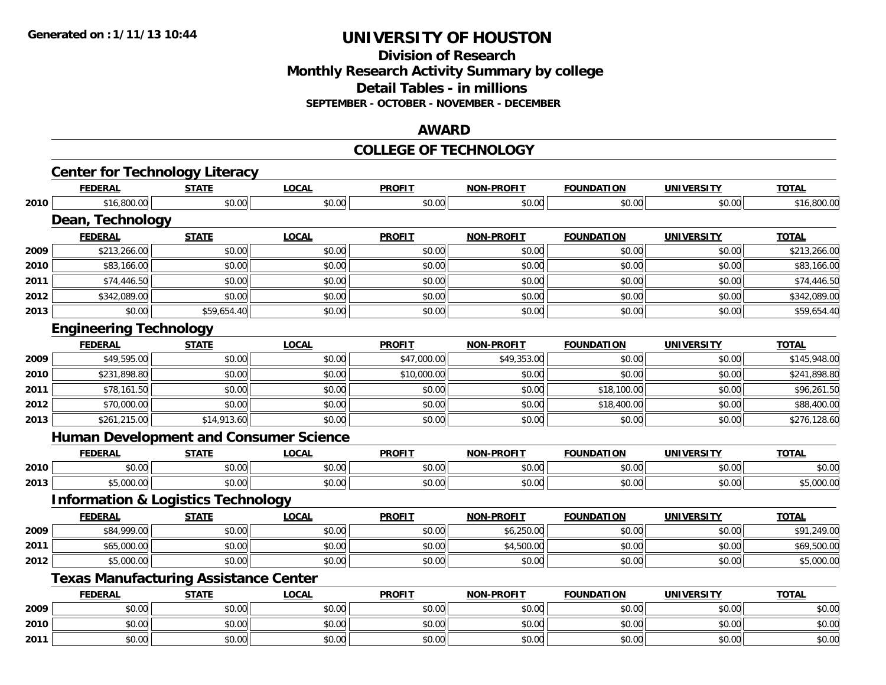### **Division of Research Monthly Research Activity Summary by college Detail Tables - in millions SEPTEMBER - OCTOBER - NOVEMBER - DECEMBER**

### **AWARD**

#### **COLLEGE OF TECHNOLOGY**

|      | <b>Center for Technology Literacy</b>         |              |              |               |                   |                   |                   |              |
|------|-----------------------------------------------|--------------|--------------|---------------|-------------------|-------------------|-------------------|--------------|
|      | <b>FEDERAL</b>                                | <b>STATE</b> | <b>LOCAL</b> | <b>PROFIT</b> | <b>NON-PROFIT</b> | <b>FOUNDATION</b> | <b>UNIVERSITY</b> | <b>TOTAL</b> |
| 2010 | \$16,800.00                                   | \$0.00       | \$0.00       | \$0.00        | \$0.00            | \$0.00            | \$0.00            | \$16,800.00  |
|      | Dean, Technology                              |              |              |               |                   |                   |                   |              |
|      | <b>FEDERAL</b>                                | <b>STATE</b> | <b>LOCAL</b> | <b>PROFIT</b> | <b>NON-PROFIT</b> | <b>FOUNDATION</b> | <b>UNIVERSITY</b> | <b>TOTAL</b> |
| 2009 | \$213,266.00                                  | \$0.00       | \$0.00       | \$0.00        | \$0.00            | \$0.00            | \$0.00            | \$213,266.00 |
| 2010 | \$83,166.00                                   | \$0.00       | \$0.00       | \$0.00        | \$0.00            | \$0.00            | \$0.00            | \$83,166.00  |
| 2011 | \$74,446.50                                   | \$0.00       | \$0.00       | \$0.00        | \$0.00            | \$0.00            | \$0.00            | \$74,446.50  |
| 2012 | \$342,089.00                                  | \$0.00       | \$0.00       | \$0.00        | \$0.00            | \$0.00            | \$0.00            | \$342,089.00 |
| 2013 | \$0.00                                        | \$59,654.40  | \$0.00       | \$0.00        | \$0.00            | \$0.00            | \$0.00            | \$59,654.40  |
|      | <b>Engineering Technology</b>                 |              |              |               |                   |                   |                   |              |
|      | <b>FEDERAL</b>                                | <b>STATE</b> | <b>LOCAL</b> | <b>PROFIT</b> | <b>NON-PROFIT</b> | <b>FOUNDATION</b> | <b>UNIVERSITY</b> | <b>TOTAL</b> |
| 2009 | \$49,595.00                                   | \$0.00       | \$0.00       | \$47,000.00   | \$49,353.00       | \$0.00            | \$0.00            | \$145,948.00 |
| 2010 | \$231,898.80                                  | \$0.00       | \$0.00       | \$10,000.00   | \$0.00            | \$0.00            | \$0.00            | \$241,898.80 |
| 2011 | \$78,161.50                                   | \$0.00       | \$0.00       | \$0.00        | \$0.00            | \$18,100.00       | \$0.00            | \$96,261.50  |
| 2012 | \$70,000.00                                   | \$0.00       | \$0.00       | \$0.00        | \$0.00            | \$18,400.00       | \$0.00            | \$88,400.00  |
| 2013 | \$261,215.00                                  | \$14,913.60  | \$0.00       | \$0.00        | \$0.00            | \$0.00            | \$0.00            | \$276,128.60 |
|      | <b>Human Development and Consumer Science</b> |              |              |               |                   |                   |                   |              |
|      | <b>FEDERAL</b>                                | <b>STATE</b> | <b>LOCAL</b> | <b>PROFIT</b> | <b>NON-PROFIT</b> | <b>FOUNDATION</b> | <b>UNIVERSITY</b> | <b>TOTAL</b> |
| 2010 | \$0.00                                        | \$0.00       | \$0.00       | \$0.00        | \$0.00            | \$0.00            | \$0.00            | \$0.00       |
| 2013 | \$5,000.00                                    | \$0.00       | \$0.00       | \$0.00        | \$0.00            | \$0.00            | \$0.00            | \$5,000.00   |
|      | <b>Information &amp; Logistics Technology</b> |              |              |               |                   |                   |                   |              |
|      | <b>FEDERAL</b>                                | <b>STATE</b> | <b>LOCAL</b> | <b>PROFIT</b> | <b>NON-PROFIT</b> | <b>FOUNDATION</b> | <b>UNIVERSITY</b> | <b>TOTAL</b> |
| 2009 | \$84,999.00                                   | \$0.00       | \$0.00       | \$0.00        | \$6,250.00        | \$0.00            | \$0.00            | \$91,249.00  |
| 2011 | \$65,000.00                                   | \$0.00       | \$0.00       | \$0.00        | \$4,500.00        | \$0.00            | \$0.00            | \$69,500.00  |
| 2012 | \$5,000.00                                    | \$0.00       | \$0.00       | \$0.00        | \$0.00            | \$0.00            | \$0.00            | \$5,000.00   |
|      | <b>Texas Manufacturing Assistance Center</b>  |              |              |               |                   |                   |                   |              |
|      | <b>FEDERAL</b>                                | <b>STATE</b> | <b>LOCAL</b> | <b>PROFIT</b> | <b>NON-PROFIT</b> | <b>FOUNDATION</b> | <b>UNIVERSITY</b> | <b>TOTAL</b> |
| 2009 | \$0.00                                        | \$0.00       | \$0.00       | \$0.00        | \$0.00            | \$0.00            | \$0.00            | \$0.00       |
| 2010 | \$0.00                                        | \$0.00       | \$0.00       | \$0.00        | \$0.00            | \$0.00            | \$0.00            | \$0.00       |
| 2011 | \$0.00                                        | \$0.00       | \$0.00       | \$0.00        | \$0.00            | \$0.00            | \$0.00            | \$0.00       |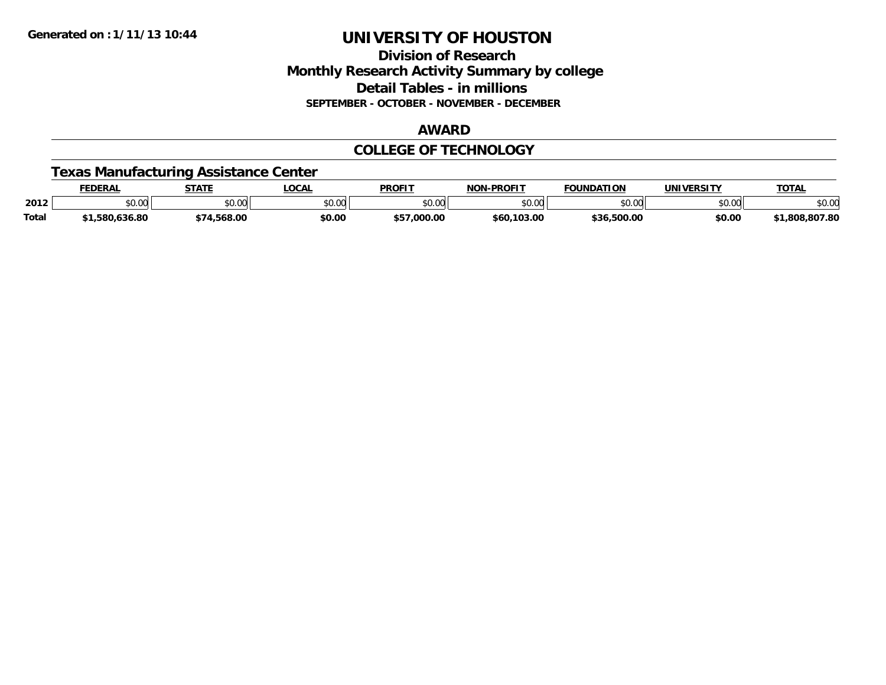### **Division of Research Monthly Research Activity Summary by college Detail Tables - in millions SEPTEMBER - OCTOBER - NOVEMBER - DECEMBER**

#### **AWARD**

### **COLLEGE OF TECHNOLOGY**

# **Texas Manufacturing Assistance Center**

|              | EDERAL            | <b>STATE</b>                        | LOCAL         | <b>PROFIT</b>         | -PROFIT<br>NON | <b>FOUNDATION</b>     | UNIVERSITY | <b>TOTAL</b>    |
|--------------|-------------------|-------------------------------------|---------------|-----------------------|----------------|-----------------------|------------|-----------------|
| 2012         | \$0.00            | $\uparrow$ $\land$ $\land$<br>JU.UU | 0000<br>JU.UU | <b>¢∩ ∩∩</b><br>JU.UU | \$0.00         | nn nn<br>טט.טע        | \$0.00     | \$0.00          |
| <b>Total</b> | 636.80.د<br>.580. | .568.00                             | \$0.00        | 0.000.00              | \$60,103.00    | 500.00,<br><b>436</b> | \$0.00     | .807.80<br>.808 |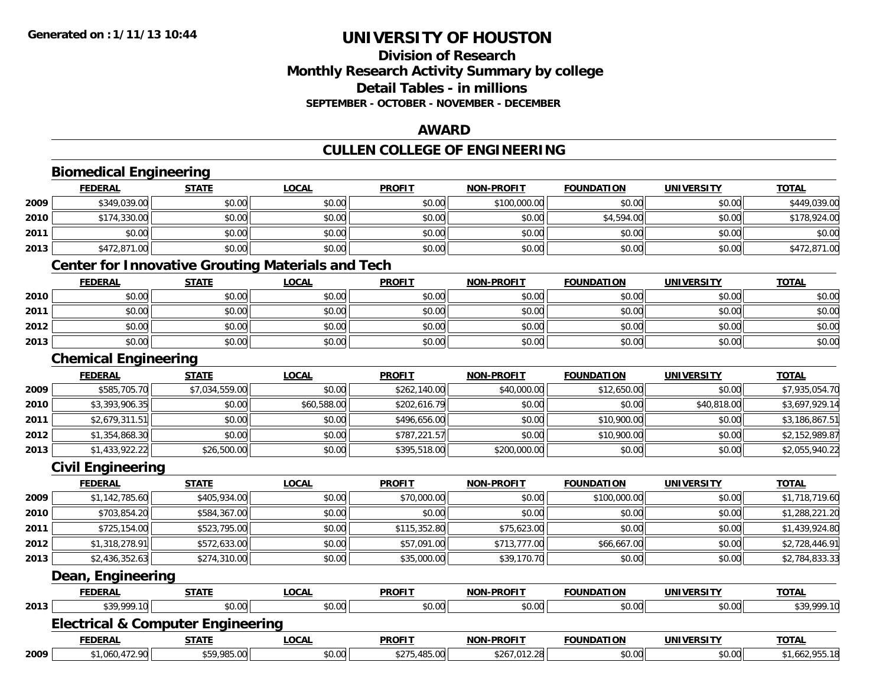# **Division of ResearchMonthly Research Activity Summary by college Detail Tables - in millions SEPTEMBER - OCTOBER - NOVEMBER - DECEMBER**

# **AWARD**

# **CULLEN COLLEGE OF ENGINEERING**

|      | <b>FEDERAL</b>                                           | <b>STATE</b>   | <b>LOCAL</b> | <b>PROFIT</b> | <b>NON-PROFIT</b> | <b>FOUNDATION</b> | <b>UNIVERSITY</b> | <b>TOTAL</b>   |
|------|----------------------------------------------------------|----------------|--------------|---------------|-------------------|-------------------|-------------------|----------------|
| 2009 | \$349,039.00                                             | \$0.00         | \$0.00       | \$0.00        | \$100,000.00      | \$0.00            | \$0.00            | \$449,039.00   |
| 2010 | \$174,330.00                                             | \$0.00         | \$0.00       | \$0.00        | \$0.00            | \$4,594.00        | \$0.00            | \$178,924.00   |
| 2011 | \$0.00                                                   | \$0.00         | \$0.00       | \$0.00        | \$0.00            | \$0.00            | \$0.00            | \$0.00         |
| 2013 | \$472,871.00                                             | \$0.00         | \$0.00       | \$0.00        | \$0.00            | \$0.00            | \$0.00            | \$472,871.00   |
|      | <b>Center for Innovative Grouting Materials and Tech</b> |                |              |               |                   |                   |                   |                |
|      | <b>FEDERAL</b>                                           | <b>STATE</b>   | <b>LOCAL</b> | <b>PROFIT</b> | <b>NON-PROFIT</b> | <b>FOUNDATION</b> | <b>UNIVERSITY</b> | <b>TOTAL</b>   |
| 2010 | \$0.00                                                   | \$0.00         | \$0.00       | \$0.00        | \$0.00            | \$0.00            | \$0.00            | \$0.00         |
| 2011 | \$0.00                                                   | \$0.00         | \$0.00       | \$0.00        | \$0.00            | \$0.00            | \$0.00            | \$0.00         |
| 2012 | \$0.00                                                   | \$0.00         | \$0.00       | \$0.00        | \$0.00            | \$0.00            | \$0.00            | \$0.00         |
| 2013 | \$0.00                                                   | \$0.00         | \$0.00       | \$0.00        | \$0.00            | \$0.00            | \$0.00            | \$0.00         |
|      | <b>Chemical Engineering</b>                              |                |              |               |                   |                   |                   |                |
|      | <b>FEDERAL</b>                                           | <b>STATE</b>   | <b>LOCAL</b> | <b>PROFIT</b> | <b>NON-PROFIT</b> | <b>FOUNDATION</b> | <b>UNIVERSITY</b> | <b>TOTAL</b>   |
| 2009 | \$585,705.70                                             | \$7,034,559.00 | \$0.00       | \$262,140.00  | \$40,000.00       | \$12,650.00       | \$0.00            | \$7,935,054.70 |
| 2010 | \$3,393,906.35                                           | \$0.00         | \$60,588.00  | \$202,616.79  | \$0.00            | \$0.00            | \$40,818.00       | \$3,697,929.14 |
| 2011 | \$2,679,311.51                                           | \$0.00         | \$0.00       | \$496,656.00  | \$0.00            | \$10,900.00       | \$0.00            | \$3,186,867.51 |
| 2012 | \$1,354,868.30                                           | \$0.00         | \$0.00       | \$787,221.57  | \$0.00            | \$10,900.00       | \$0.00            | \$2,152,989.87 |
| 2013 | \$1,433,922.22                                           | \$26,500.00    | \$0.00       | \$395,518.00  | \$200,000.00      | \$0.00            | \$0.00            | \$2,055,940.22 |
|      | <b>Civil Engineering</b>                                 |                |              |               |                   |                   |                   |                |
|      | <b>FEDERAL</b>                                           | <b>STATE</b>   | <b>LOCAL</b> | <b>PROFIT</b> | <b>NON-PROFIT</b> | <b>FOUNDATION</b> | <b>UNIVERSITY</b> | <b>TOTAL</b>   |
| 2009 | \$1,142,785.60                                           | \$405,934.00   | \$0.00       | \$70,000.00   | \$0.00            | \$100,000.00      | \$0.00            | \$1,718,719.60 |
| 2010 | \$703,854.20                                             | \$584,367.00   | \$0.00       | \$0.00        | \$0.00            | \$0.00            | \$0.00            | \$1,288,221.20 |
| 2011 | \$725,154.00                                             | \$523,795.00   | \$0.00       | \$115,352.80  | \$75,623.00       | \$0.00            | \$0.00            | \$1,439,924.80 |
| 2012 | \$1,318,278.91                                           | \$572,633.00   | \$0.00       | \$57,091.00   | \$713,777.00      | \$66,667.00       | \$0.00            | \$2,728,446.91 |
| 2013 | \$2,436,352.63                                           | \$274,310.00   | \$0.00       | \$35,000.00   | \$39,170.70       | \$0.00            | \$0.00            | \$2,784,833.33 |
|      | Dean, Engineering                                        |                |              |               |                   |                   |                   |                |
|      | <b>FEDERAL</b>                                           | <b>STATE</b>   | <b>LOCAL</b> | <b>PROFIT</b> | <b>NON-PROFIT</b> | <b>FOUNDATION</b> | <b>UNIVERSITY</b> | <b>TOTAL</b>   |
| 2013 | \$39,999.10                                              | \$0.00         | \$0.00       | \$0.00        | \$0.00            | \$0.00            | \$0.00            | \$39,999.10    |
|      | <b>Electrical &amp; Computer Engineering</b>             |                |              |               |                   |                   |                   |                |
|      | <b>FEDERAL</b>                                           | <b>STATE</b>   | <b>LOCAL</b> | <b>PROFIT</b> | <b>NON-PROFIT</b> | <b>FOUNDATION</b> | <b>UNIVERSITY</b> | <b>TOTAL</b>   |
| 2009 | \$1,060,472.90                                           | \$59,985.00    | \$0.00       | \$275,485.00  | \$267,012.28      | \$0.00            | \$0.00            | \$1,662,955.18 |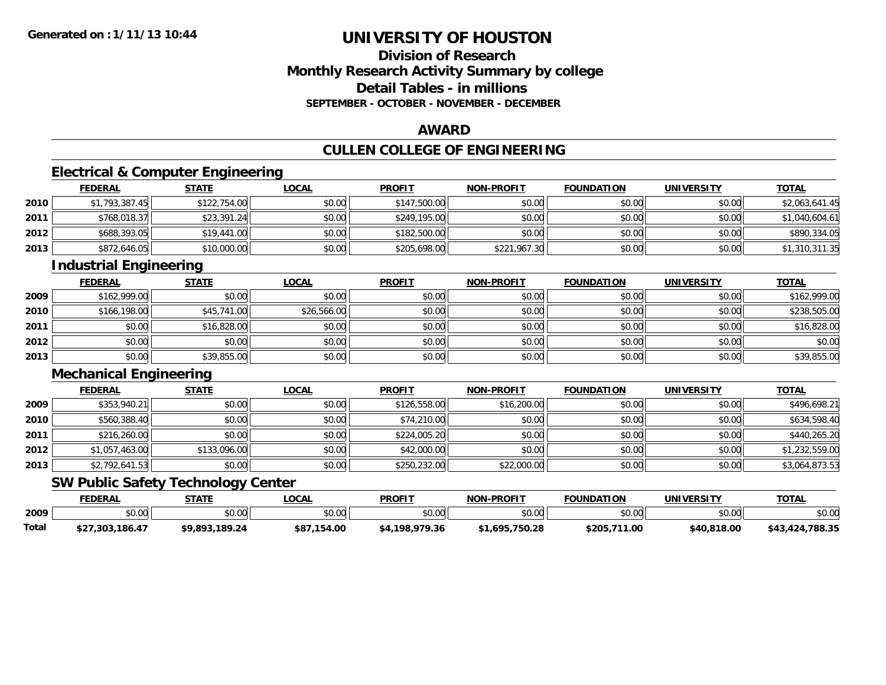# **Division of ResearchMonthly Research Activity Summary by college Detail Tables - in millionsSEPTEMBER - OCTOBER - NOVEMBER - DECEMBER**

# **AWARD**

# **CULLEN COLLEGE OF ENGINEERING**

# **Electrical & Computer Engineering**

|      | <b>FEDERAL</b> | <u>STATE</u> | <u>LOCAL</u> | <b>PROFIT</b> | <b>NON-PROFIT</b> | <b>FOUNDATION</b> | <b>UNIVERSITY</b> | <b>TOTAL</b>   |
|------|----------------|--------------|--------------|---------------|-------------------|-------------------|-------------------|----------------|
| 2010 | \$1,793,387.45 | \$122,754.00 | \$0.00       | \$147,500.00  | \$0.00            | \$0.00            | \$0.00            | \$2,063,641.45 |
| 2011 | \$768,018.37   | \$23,391.24  | \$0.00       | \$249,195.00  | \$0.00            | \$0.00            | \$0.00            | \$1,040,604.61 |
| 2012 | \$688,393.05   | \$19,441.00  | \$0.00       | \$182,500.00  | \$0.00            | \$0.00            | \$0.00            | \$890,334.05   |
| 2013 | \$872,646.05   | \$10,000.00  | \$0.00       | \$205,698,00  | \$221,967.30      | \$0.00            | \$0.00            | \$1,310,311.35 |

# **Industrial Engineering**

|      | <b>FEDERAL</b> | <b>STATE</b> | <u>LOCAL</u> | <b>PROFIT</b> | <b>NON-PROFIT</b> | <b>FOUNDATION</b> | <b>UNIVERSITY</b> | <b>TOTAL</b> |
|------|----------------|--------------|--------------|---------------|-------------------|-------------------|-------------------|--------------|
| 2009 | \$162,999.00   | \$0.00       | \$0.00       | \$0.00        | \$0.00            | \$0.00            | \$0.00            | \$162,999.00 |
| 2010 | \$166,198.00   | \$45,741.00  | \$26,566.00  | \$0.00        | \$0.00            | \$0.00            | \$0.00            | \$238,505.00 |
| 2011 | \$0.00         | \$16,828.00  | \$0.00       | \$0.00        | \$0.00            | \$0.00            | \$0.00            | \$16,828.00  |
| 2012 | \$0.00         | \$0.00       | \$0.00       | \$0.00        | \$0.00            | \$0.00            | \$0.00            | \$0.00       |
| 2013 | \$0.00         | \$39,855.00  | \$0.00       | \$0.00        | \$0.00            | \$0.00            | \$0.00            | \$39,855.00  |

### **Mechanical Engineering**

|      | <b>FEDERAL</b> | <u>STATE</u> | <b>LOCAL</b> | <b>PROFIT</b> | <b>NON-PROFIT</b> | <b>FOUNDATION</b> | <b>UNIVERSITY</b> | <b>TOTAL</b>   |
|------|----------------|--------------|--------------|---------------|-------------------|-------------------|-------------------|----------------|
| 2009 | \$353,940.21   | \$0.00       | \$0.00       | \$126,558.00  | \$16,200.00       | \$0.00            | \$0.00            | \$496,698.21   |
| 2010 | \$560,388.40   | \$0.00       | \$0.00       | \$74,210.00   | \$0.00            | \$0.00            | \$0.00            | \$634,598.40   |
| 2011 | \$216,260.00   | \$0.00       | \$0.00       | \$224,005.20  | \$0.00            | \$0.00            | \$0.00            | \$440,265.20   |
| 2012 | \$1,057,463.00 | \$133,096.00 | \$0.00       | \$42,000.00   | \$0.00            | \$0.00            | \$0.00            | \$1,232,559.00 |
| 2013 | \$2,792,641.53 | \$0.00       | \$0.00       | \$250,232.00  | \$22,000.00       | \$0.00            | \$0.00            | \$3,064,873.53 |

# **SW Public Safety Technology Center**

|       | FEDERAL           | STATE          | LOCAL            | <b>PROFIT</b>  | <b>NON-PROFIT</b> | <b>FOUNDATION</b> | UNIVERSITY  | <b>TOTAL</b>    |
|-------|-------------------|----------------|------------------|----------------|-------------------|-------------------|-------------|-----------------|
| 2009  | $\cdots$<br>vu.uu | \$0.00         | \$0.00           | \$0.00         | \$0.00            | \$0.00            | \$0.00      | \$0.00          |
| Total | \$27,303,186.47   | \$9.893.189.24 | \$87,<br>,154.00 | \$4,198,979.36 | \$1,695,750.28    | \$205<br>.711.00  | \$40,818.00 | \$43,424,788.35 |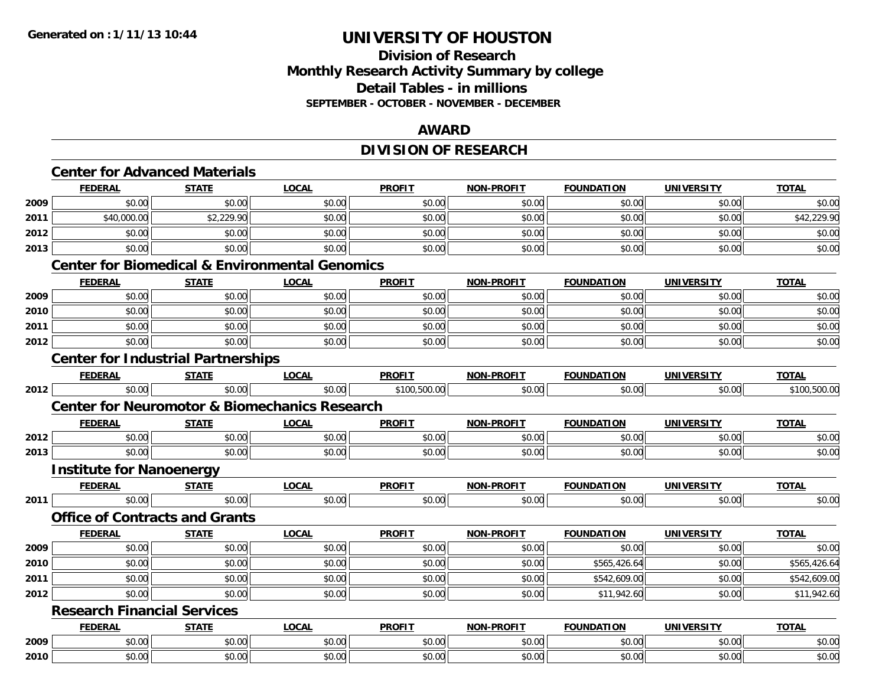# **Division of ResearchMonthly Research Activity Summary by college Detail Tables - in millions SEPTEMBER - OCTOBER - NOVEMBER - DECEMBER**

# **AWARD**

# **DIVISION OF RESEARCH**

|      |                                    | <b>Center for Advanced Materials</b>      |                                                           |               |                   |                   |                   |              |
|------|------------------------------------|-------------------------------------------|-----------------------------------------------------------|---------------|-------------------|-------------------|-------------------|--------------|
|      | <b>FEDERAL</b>                     | <b>STATE</b>                              | <b>LOCAL</b>                                              | <b>PROFIT</b> | NON-PROFIT        | <b>FOUNDATION</b> | <b>UNIVERSITY</b> | <b>TOTAL</b> |
| 2009 | \$0.00                             | \$0.00                                    | \$0.00                                                    | \$0.00        | \$0.00            | \$0.00            | \$0.00            | \$0.00       |
| 2011 | \$40,000.00                        | \$2,229.90                                | \$0.00                                                    | \$0.00        | \$0.00            | \$0.00            | \$0.00            | \$42,229.90  |
| 2012 | \$0.00                             | \$0.00                                    | \$0.00                                                    | \$0.00        | \$0.00            | \$0.00            | \$0.00            | \$0.00       |
| 2013 | \$0.00                             | \$0.00                                    | \$0.00                                                    | \$0.00        | \$0.00            | \$0.00            | \$0.00            | \$0.00       |
|      |                                    |                                           | <b>Center for Biomedical &amp; Environmental Genomics</b> |               |                   |                   |                   |              |
|      | <b>FEDERAL</b>                     | <b>STATE</b>                              | <b>LOCAL</b>                                              | <b>PROFIT</b> | <b>NON-PROFIT</b> | <b>FOUNDATION</b> | <b>UNIVERSITY</b> | <b>TOTAL</b> |
| 2009 | \$0.00                             | \$0.00                                    | \$0.00                                                    | \$0.00        | \$0.00            | \$0.00            | \$0.00            | \$0.00       |
| 2010 | \$0.00                             | \$0.00                                    | \$0.00                                                    | \$0.00        | \$0.00            | \$0.00            | \$0.00            | \$0.00       |
| 2011 | \$0.00                             | \$0.00                                    | \$0.00                                                    | \$0.00        | \$0.00            | \$0.00            | \$0.00            | \$0.00       |
| 2012 | \$0.00                             | \$0.00                                    | \$0.00                                                    | \$0.00        | \$0.00            | \$0.00            | \$0.00            | \$0.00       |
|      |                                    | <b>Center for Industrial Partnerships</b> |                                                           |               |                   |                   |                   |              |
|      | <b>FEDERAL</b>                     | <b>STATE</b>                              | <b>LOCAL</b>                                              | <b>PROFIT</b> | NON-PROFIT        | <b>FOUNDATION</b> | <b>UNIVERSITY</b> | <b>TOTAL</b> |
| 2012 | \$0.00                             | \$0.00                                    | \$0.00                                                    | \$100,500.00  | \$0.00            | \$0.00            | \$0.00            | \$100,500.00 |
|      |                                    |                                           | <b>Center for Neuromotor &amp; Biomechanics Research</b>  |               |                   |                   |                   |              |
|      | <b>FEDERAL</b>                     | <b>STATE</b>                              | <b>LOCAL</b>                                              | <b>PROFIT</b> | <b>NON-PROFIT</b> | <b>FOUNDATION</b> | <b>UNIVERSITY</b> | <b>TOTAL</b> |
| 2012 | \$0.00                             | \$0.00                                    | \$0.00                                                    | \$0.00        | \$0.00            | \$0.00            | \$0.00            | \$0.00       |
| 2013 | \$0.00                             | \$0.00                                    | \$0.00                                                    | \$0.00        | \$0.00            | \$0.00            | \$0.00            | \$0.00       |
|      | <b>Institute for Nanoenergy</b>    |                                           |                                                           |               |                   |                   |                   |              |
|      | <b>FEDERAL</b>                     | <b>STATE</b>                              | <b>LOCAL</b>                                              | <b>PROFIT</b> | <b>NON-PROFIT</b> | <b>FOUNDATION</b> | <b>UNIVERSITY</b> | <b>TOTAL</b> |
| 2011 | \$0.00                             | \$0.00                                    | \$0.00                                                    | \$0.00        | \$0.00            | \$0.00            | \$0.00            | \$0.00       |
|      |                                    | <b>Office of Contracts and Grants</b>     |                                                           |               |                   |                   |                   |              |
|      | <b>FEDERAL</b>                     | <b>STATE</b>                              | <b>LOCAL</b>                                              | <b>PROFIT</b> | <b>NON-PROFIT</b> | <b>FOUNDATION</b> | <b>UNIVERSITY</b> | <b>TOTAL</b> |
| 2009 | \$0.00                             | \$0.00                                    | \$0.00                                                    | \$0.00        | \$0.00            | \$0.00            | \$0.00            | \$0.00       |
| 2010 | \$0.00                             | \$0.00                                    | \$0.00                                                    | \$0.00        | \$0.00            | \$565,426.64      | \$0.00            | \$565,426.64 |
| 2011 | \$0.00                             | \$0.00                                    | \$0.00                                                    | \$0.00        | \$0.00            | \$542,609.00      | \$0.00            | \$542,609.00 |
| 2012 | \$0.00                             | \$0.00                                    | \$0.00                                                    | \$0.00        | \$0.00            | \$11,942.60       | \$0.00            | \$11,942.60  |
|      | <b>Research Financial Services</b> |                                           |                                                           |               |                   |                   |                   |              |
|      | <b>FEDERAL</b>                     | <b>STATE</b>                              | <b>LOCAL</b>                                              | <b>PROFIT</b> | <b>NON-PROFIT</b> | <b>FOUNDATION</b> | <b>UNIVERSITY</b> | <b>TOTAL</b> |
| 2009 | \$0.00                             | \$0.00                                    | \$0.00                                                    | \$0.00        | \$0.00            | \$0.00            | \$0.00            | \$0.00       |
| 2010 | \$0.00                             | \$0.00                                    | \$0.00                                                    | \$0.00        | \$0.00            | \$0.00            | \$0.00            | \$0.00       |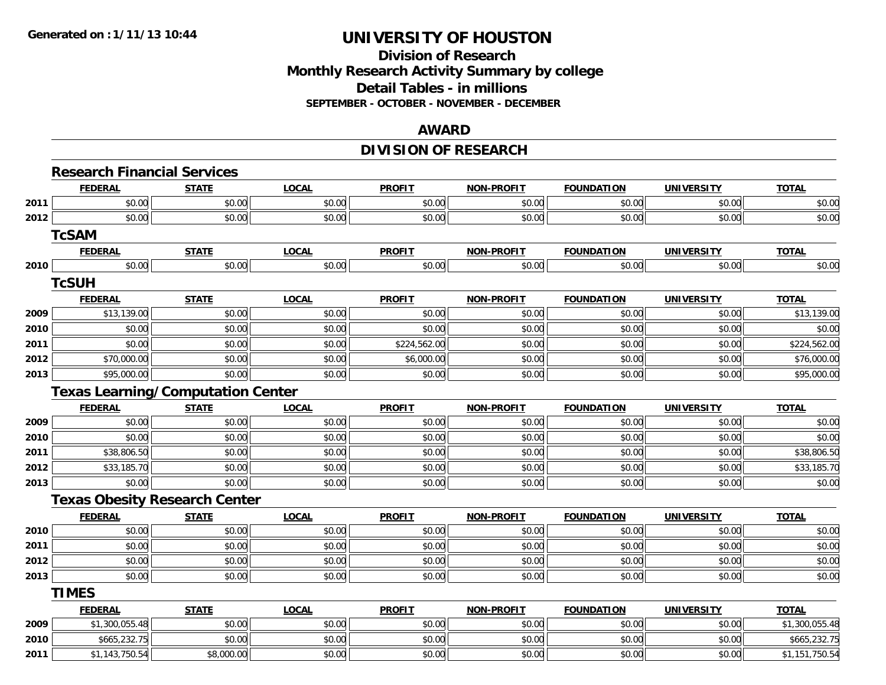# **Division of Research Monthly Research Activity Summary by college Detail Tables - in millions SEPTEMBER - OCTOBER - NOVEMBER - DECEMBER**

#### **AWARD**

# **DIVISION OF RESEARCH**

|      | <b>Research Financial Services</b>       |              |              |               |                   |                   |                   |                |
|------|------------------------------------------|--------------|--------------|---------------|-------------------|-------------------|-------------------|----------------|
|      | <b>FEDERAL</b>                           | <b>STATE</b> | <b>LOCAL</b> | <b>PROFIT</b> | <b>NON-PROFIT</b> | <b>FOUNDATION</b> | <b>UNIVERSITY</b> | <b>TOTAL</b>   |
| 2011 | \$0.00                                   | \$0.00       | \$0.00       | \$0.00        | \$0.00            | \$0.00            | \$0.00            | \$0.00         |
| 2012 | \$0.00                                   | \$0.00       | \$0.00       | \$0.00        | \$0.00            | \$0.00            | \$0.00            | \$0.00         |
|      | <b>TcSAM</b>                             |              |              |               |                   |                   |                   |                |
|      | <b>FEDERAL</b>                           | <b>STATE</b> | <b>LOCAL</b> | <b>PROFIT</b> | <b>NON-PROFIT</b> | <b>FOUNDATION</b> | <b>UNIVERSITY</b> | <b>TOTAL</b>   |
| 2010 | \$0.00                                   | \$0.00       | \$0.00       | \$0.00        | \$0.00            | \$0.00            | \$0.00            | \$0.00         |
|      | <b>TcSUH</b>                             |              |              |               |                   |                   |                   |                |
|      | <b>FEDERAL</b>                           | <b>STATE</b> | <b>LOCAL</b> | <b>PROFIT</b> | <b>NON-PROFIT</b> | <b>FOUNDATION</b> | <b>UNIVERSITY</b> | <b>TOTAL</b>   |
| 2009 | \$13,139.00                              | \$0.00       | \$0.00       | \$0.00        | \$0.00            | \$0.00            | \$0.00            | \$13,139.00    |
| 2010 | \$0.00                                   | \$0.00       | \$0.00       | \$0.00        | \$0.00            | \$0.00            | \$0.00            | \$0.00         |
| 2011 | \$0.00                                   | \$0.00       | \$0.00       | \$224,562.00  | \$0.00            | \$0.00            | \$0.00            | \$224,562.00   |
| 2012 | \$70,000.00                              | \$0.00       | \$0.00       | \$6,000.00    | \$0.00            | \$0.00            | \$0.00            | \$76,000.00    |
| 2013 | \$95,000.00                              | \$0.00       | \$0.00       | \$0.00        | \$0.00            | \$0.00            | \$0.00            | \$95,000.00    |
|      | <b>Texas Learning/Computation Center</b> |              |              |               |                   |                   |                   |                |
|      | <b>FEDERAL</b>                           | <b>STATE</b> | <b>LOCAL</b> | <b>PROFIT</b> | <b>NON-PROFIT</b> | <b>FOUNDATION</b> | <b>UNIVERSITY</b> | <b>TOTAL</b>   |
| 2009 | \$0.00                                   | \$0.00       | \$0.00       | \$0.00        | \$0.00            | \$0.00            | \$0.00            | \$0.00         |
| 2010 | \$0.00                                   | \$0.00       | \$0.00       | \$0.00        | \$0.00            | \$0.00            | \$0.00            | \$0.00         |
| 2011 | \$38,806.50                              | \$0.00       | \$0.00       | \$0.00        | \$0.00            | \$0.00            | \$0.00            | \$38,806.50    |
| 2012 | \$33,185.70                              | \$0.00       | \$0.00       | \$0.00        | \$0.00            | \$0.00            | \$0.00            | \$33,185.70    |
| 2013 | \$0.00                                   | \$0.00       | \$0.00       | \$0.00        | \$0.00            | \$0.00            | \$0.00            | \$0.00         |
|      | <b>Texas Obesity Research Center</b>     |              |              |               |                   |                   |                   |                |
|      | <b>FEDERAL</b>                           | <b>STATE</b> | <b>LOCAL</b> | <b>PROFIT</b> | <b>NON-PROFIT</b> | <b>FOUNDATION</b> | <b>UNIVERSITY</b> | <b>TOTAL</b>   |
| 2010 | \$0.00                                   | \$0.00       | \$0.00       | \$0.00        | \$0.00            | \$0.00            | \$0.00            | \$0.00         |
| 2011 | \$0.00                                   | \$0.00       | \$0.00       | \$0.00        | \$0.00            | \$0.00            | \$0.00            | \$0.00         |
| 2012 | \$0.00                                   | \$0.00       | \$0.00       | \$0.00        | \$0.00            | \$0.00            | \$0.00            | \$0.00         |
| 2013 | \$0.00                                   | \$0.00       | \$0.00       | \$0.00        | \$0.00            | \$0.00            | \$0.00            | \$0.00         |
|      | <b>TIMES</b>                             |              |              |               |                   |                   |                   |                |
|      | <b>FEDERAL</b>                           | <b>STATE</b> | <b>LOCAL</b> | <b>PROFIT</b> | <b>NON-PROFIT</b> | <b>FOUNDATION</b> | <b>UNIVERSITY</b> | <b>TOTAL</b>   |
| 2009 | \$1,300,055.48                           | \$0.00       | \$0.00       | \$0.00        | \$0.00            | \$0.00            | \$0.00            | \$1,300,055.48 |
| 2010 | \$665,232.75                             | \$0.00       | \$0.00       | \$0.00        | \$0.00            | \$0.00            | \$0.00            | \$665,232.75   |
| 2011 | \$1,143,750.54                           | \$8,000.00   | \$0.00       | \$0.00        | \$0.00            | \$0.00            | \$0.00            | \$1,151,750.54 |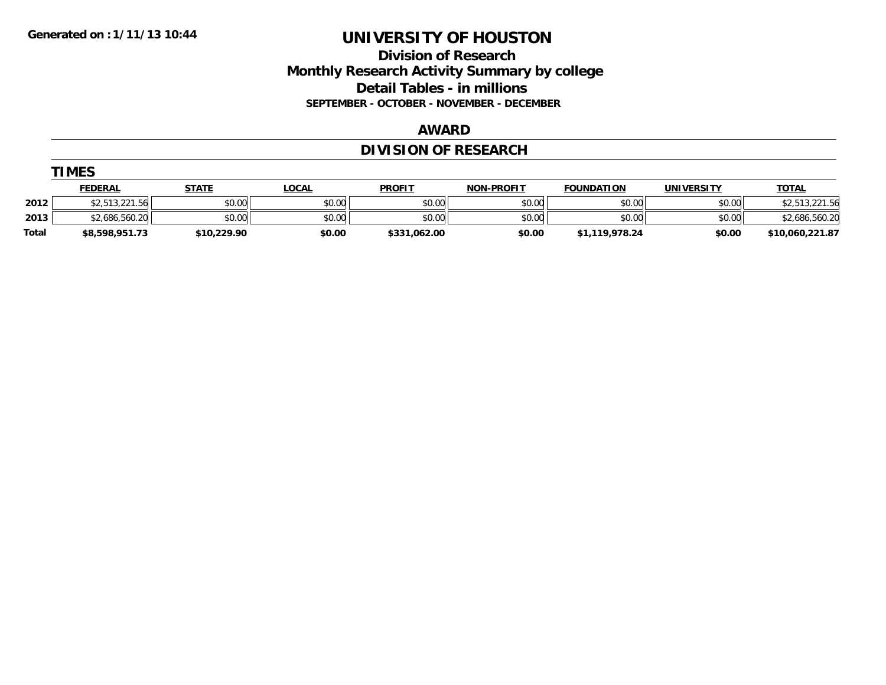**TIMES** 

# **UNIVERSITY OF HOUSTON**

# **Division of Research Monthly Research Activity Summary by college Detail Tables - in millions SEPTEMBER - OCTOBER - NOVEMBER - DECEMBER**

#### **AWARD**

# **DIVISION OF RESEARCH**

|       | <b>IMES</b>    |              |              |               |                   |                   |                   |                 |  |  |  |
|-------|----------------|--------------|--------------|---------------|-------------------|-------------------|-------------------|-----------------|--|--|--|
|       | <b>FEDERAL</b> | <u>STATE</u> | <b>LOCAL</b> | <b>PROFIT</b> | <b>NON-PROFIT</b> | <b>FOUNDATION</b> | <b>UNIVERSITY</b> | <b>TOTAL</b>    |  |  |  |
| 2012  | \$2,513,221.56 | \$0.00       | \$0.00       | \$0.00        | \$0.00            | \$0.00            | \$0.00            | \$2,513,221.56  |  |  |  |
| 2013  | \$2,686,560.20 | \$0.00       | \$0.00       | \$0.00        | \$0.00            | \$0.00            | \$0.00            | \$2,686,560.20  |  |  |  |
| Total | \$8,598,951.73 | \$10,229.90  | \$0.00       | \$331,062.00  | \$0.00            | \$1,119,978.24    | \$0.00            | \$10,060,221.87 |  |  |  |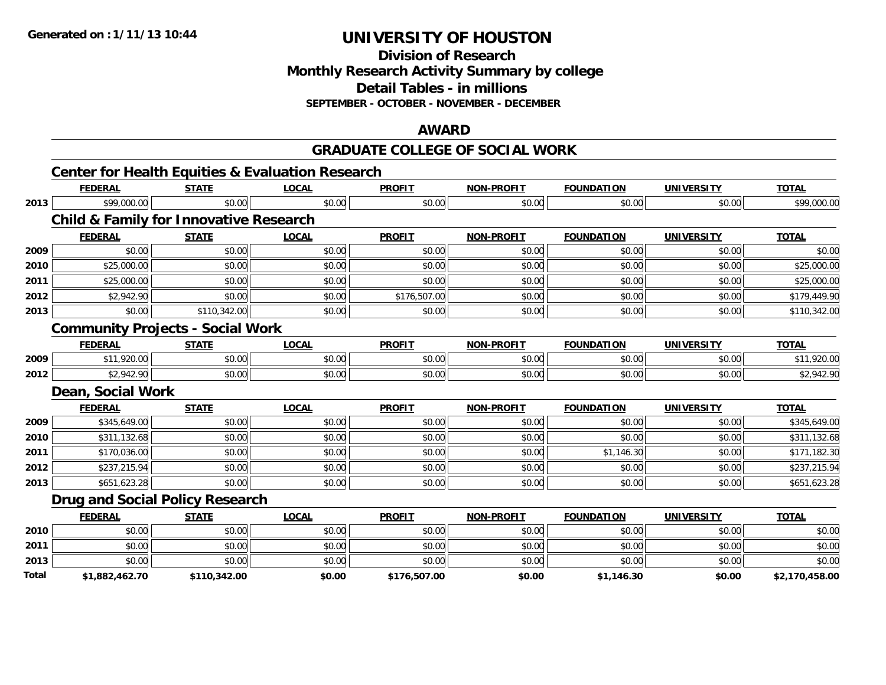**Division of Research**

**Monthly Research Activity Summary by college**

**Detail Tables - in millions**

**SEPTEMBER - OCTOBER - NOVEMBER - DECEMBER**

### **AWARD**

#### **GRADUATE COLLEGE OF SOCIAL WORK**

|       | <b>Center for Health Equities &amp; Evaluation Research</b> |              |              |               |                   |                   |                   |                |
|-------|-------------------------------------------------------------|--------------|--------------|---------------|-------------------|-------------------|-------------------|----------------|
|       | <b>FEDERAL</b>                                              | <b>STATE</b> | <b>LOCAL</b> | <b>PROFIT</b> | <b>NON-PROFIT</b> | <b>FOUNDATION</b> | <b>UNIVERSITY</b> | <b>TOTAL</b>   |
| 2013  | \$99,000.00                                                 | \$0.00       | \$0.00       | \$0.00        | \$0.00            | \$0.00            | \$0.00            | \$99,000.00    |
|       | <b>Child &amp; Family for Innovative Research</b>           |              |              |               |                   |                   |                   |                |
|       | <b>FEDERAL</b>                                              | <b>STATE</b> | <b>LOCAL</b> | <b>PROFIT</b> | <b>NON-PROFIT</b> | <b>FOUNDATION</b> | <b>UNIVERSITY</b> | <b>TOTAL</b>   |
| 2009  | \$0.00                                                      | \$0.00       | \$0.00       | \$0.00        | \$0.00            | \$0.00            | \$0.00            | \$0.00         |
| 2010  | \$25,000.00                                                 | \$0.00       | \$0.00       | \$0.00        | \$0.00            | \$0.00            | \$0.00            | \$25,000.00    |
| 2011  | \$25,000.00                                                 | \$0.00       | \$0.00       | \$0.00        | \$0.00            | \$0.00            | \$0.00            | \$25,000.00    |
| 2012  | \$2,942.90                                                  | \$0.00       | \$0.00       | \$176,507.00  | \$0.00            | \$0.00            | \$0.00            | \$179,449.90   |
| 2013  | \$0.00                                                      | \$110,342.00 | \$0.00       | \$0.00        | \$0.00            | \$0.00            | \$0.00            | \$110,342.00   |
|       | <b>Community Projects - Social Work</b>                     |              |              |               |                   |                   |                   |                |
|       | <b>FEDERAL</b>                                              | <b>STATE</b> | <b>LOCAL</b> | <b>PROFIT</b> | <b>NON-PROFIT</b> | <b>FOUNDATION</b> | <b>UNIVERSITY</b> | <b>TOTAL</b>   |
| 2009  | \$11,920.00                                                 | \$0.00       | \$0.00       | \$0.00        | \$0.00            | \$0.00            | \$0.00            | \$11,920.00    |
| 2012  | \$2,942.90                                                  | \$0.00       | \$0.00       | \$0.00        | \$0.00            | \$0.00            | \$0.00            | \$2,942.90     |
|       | Dean, Social Work                                           |              |              |               |                   |                   |                   |                |
|       | <b>FEDERAL</b>                                              | <b>STATE</b> | <b>LOCAL</b> | <b>PROFIT</b> | <b>NON-PROFIT</b> | <b>FOUNDATION</b> | <b>UNIVERSITY</b> | <b>TOTAL</b>   |
| 2009  | \$345,649.00                                                | \$0.00       | \$0.00       | \$0.00        | \$0.00            | \$0.00            | \$0.00            | \$345,649.00   |
| 2010  | \$311,132.68                                                | \$0.00       | \$0.00       | \$0.00        | \$0.00            | \$0.00            | \$0.00            | \$311,132.68   |
| 2011  | \$170,036.00                                                | \$0.00       | \$0.00       | \$0.00        | \$0.00            | \$1,146.30        | \$0.00            | \$171,182.30   |
| 2012  | \$237,215.94                                                | \$0.00       | \$0.00       | \$0.00        | \$0.00            | \$0.00            | \$0.00            | \$237,215.94   |
| 2013  | \$651,623.28                                                | \$0.00       | \$0.00       | \$0.00        | \$0.00            | \$0.00            | \$0.00            | \$651,623.28   |
|       | <b>Drug and Social Policy Research</b>                      |              |              |               |                   |                   |                   |                |
|       | <b>FEDERAL</b>                                              | <b>STATE</b> | <b>LOCAL</b> | <b>PROFIT</b> | <b>NON-PROFIT</b> | <b>FOUNDATION</b> | <b>UNIVERSITY</b> | <b>TOTAL</b>   |
| 2010  | \$0.00                                                      | \$0.00       | \$0.00       | \$0.00        | \$0.00            | \$0.00            | \$0.00            | \$0.00         |
| 2011  | \$0.00                                                      | \$0.00       | \$0.00       | \$0.00        | \$0.00            | \$0.00            | \$0.00            | \$0.00         |
| 2013  | \$0.00                                                      | \$0.00       | \$0.00       | \$0.00        | \$0.00            | \$0.00            | \$0.00            | \$0.00         |
| Total | \$1,882,462.70                                              | \$110,342.00 | \$0.00       | \$176,507.00  | \$0.00            | \$1,146.30        | \$0.00            | \$2,170,458.00 |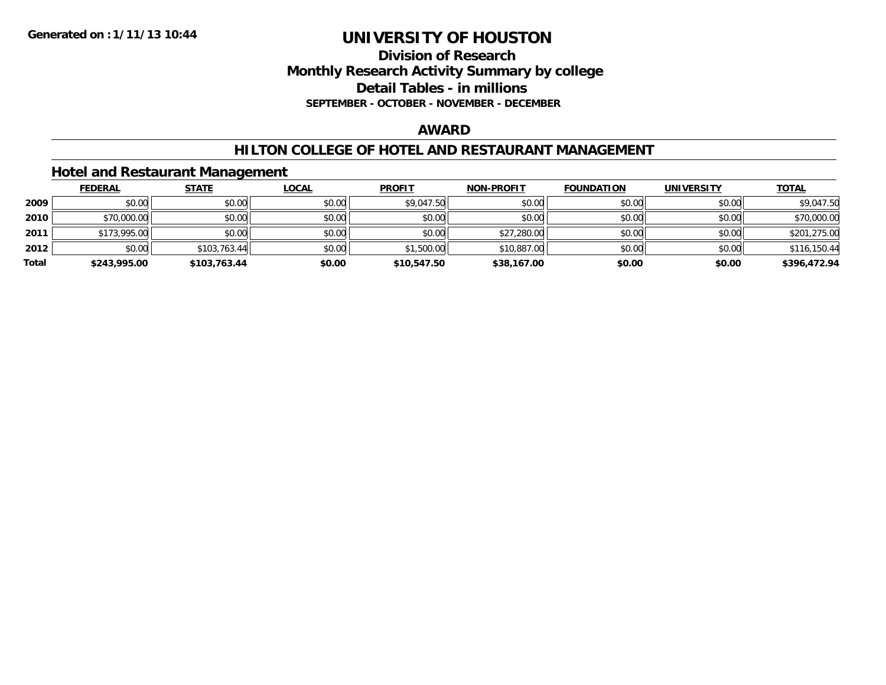### **Division of Research Monthly Research Activity Summary by college Detail Tables - in millions SEPTEMBER - OCTOBER - NOVEMBER - DECEMBER**

#### **AWARD**

### **HILTON COLLEGE OF HOTEL AND RESTAURANT MANAGEMENT**

# **Hotel and Restaurant Management**

|       | <b>FEDERAL</b> | <b>STATE</b> | <u>LOCAL</u> | <b>PROFIT</b> | <b>NON-PROFIT</b> | <b>FOUNDATION</b> | <b>UNIVERSITY</b> | <b>TOTAL</b> |
|-------|----------------|--------------|--------------|---------------|-------------------|-------------------|-------------------|--------------|
| 2009  | \$0.00         | \$0.00       | \$0.00       | \$9,047.50    | \$0.00            | \$0.00            | \$0.00            | \$9,047.50   |
| 2010  | \$70,000.00    | \$0.00       | \$0.00       | \$0.00        | \$0.00            | \$0.00            | \$0.00            | \$70,000.00  |
| 2011  | \$173,995.00   | \$0.00       | \$0.00       | \$0.00        | \$27,280.00       | \$0.00            | \$0.00            | \$201,275.00 |
| 2012  | \$0.00         | \$103,763.44 | \$0.00       | \$1,500.00    | \$10,887.00       | \$0.00            | \$0.00            | \$116,150.44 |
| Total | \$243,995.00   | \$103,763.44 | \$0.00       | \$10,547.50   | \$38,167.00       | \$0.00            | \$0.00            | \$396,472.94 |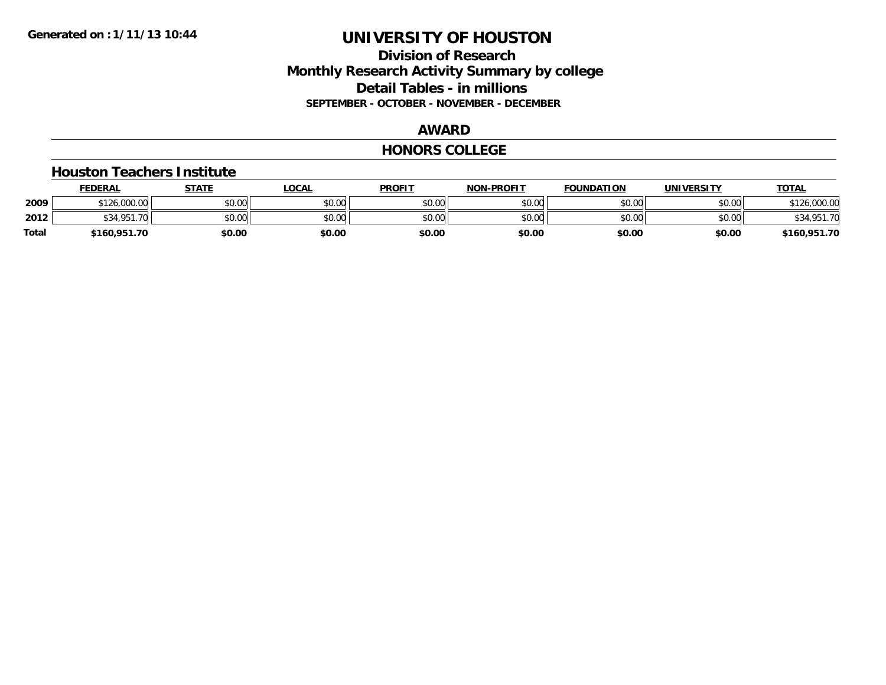# **Division of Research Monthly Research Activity Summary by college Detail Tables - in millions SEPTEMBER - OCTOBER - NOVEMBER - DECEMBER**

### **AWARD**

#### **HONORS COLLEGE**

#### **Houston Teachers Institute**

|       | <b>FEDERAL</b>   | STATE  | <b>LOCAL</b> | <b>PROFIT</b> | <b>NON-PROFIT</b> | <b>FOUNDATION</b> | <b>UNIVERSITY</b> | <b>TOTAL</b>        |
|-------|------------------|--------|--------------|---------------|-------------------|-------------------|-------------------|---------------------|
| 2009  | \$126,000.00     | \$0.00 | \$0.00       | \$0.00        | \$0.00            | \$0.00            | \$0.00            | 126,000.00<br>0.101 |
| 2012  | \$34.951.<br>.70 | \$0.00 | \$0.00       | \$0.00        | \$0.00            | \$0.00            | \$0.00            | \$34,951.70         |
| Total | \$160,951.70     | \$0.00 | \$0.00       | \$0.00        | \$0.00            | \$0.00            | \$0.00            | \$160,951.70        |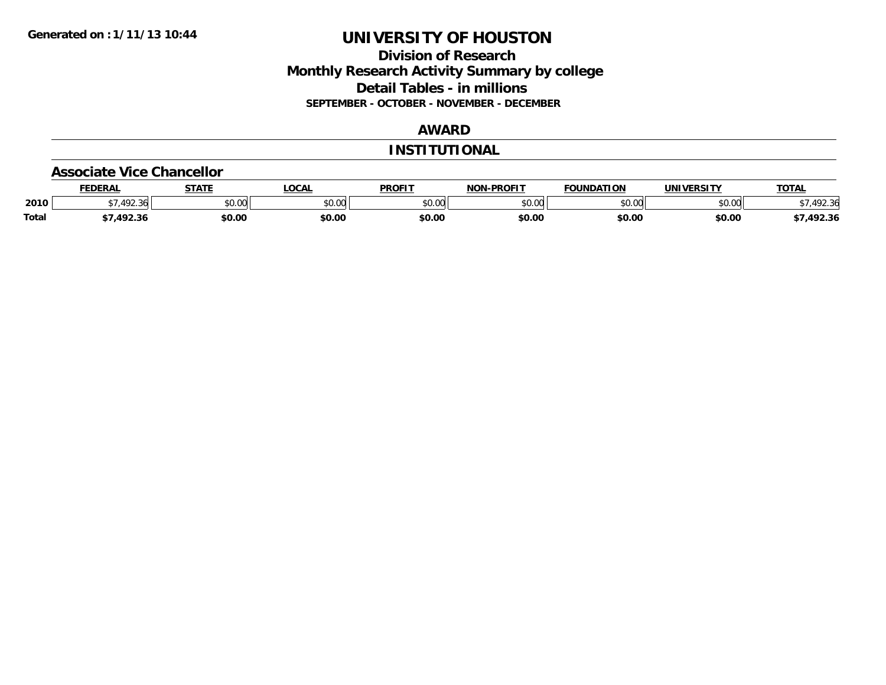# **Division of Research Monthly Research Activity Summary by college Detail Tables - in millions SEPTEMBER - OCTOBER - NOVEMBER - DECEMBER**

# **AWARD**

### **INSTITUTIONAL**

#### **Associate Vice Chancellor**

|              | <b>FEDERAL</b>   | <b>STATE</b> | <b>OCAL</b>   | <b>PROFIT</b> | <b>NON-PROFIT</b> | <b>FOUNDATION</b> | <b>UNIVERSITY</b> | <b>TOTAL</b> |
|--------------|------------------|--------------|---------------|---------------|-------------------|-------------------|-------------------|--------------|
| 2010         | 102.24<br>$\sim$ | \$0.00       | 0.00<br>vu.vu | \$0.00        | 0000<br>vv.vv     | \$0.00            | \$0.00            | 72.36        |
| <b>Total</b> | 102.2<br>12.3C   | \$0.00       | \$0.00        | \$0.00        | \$0.00            | \$0.00            | \$0.00            | 7,492.36     |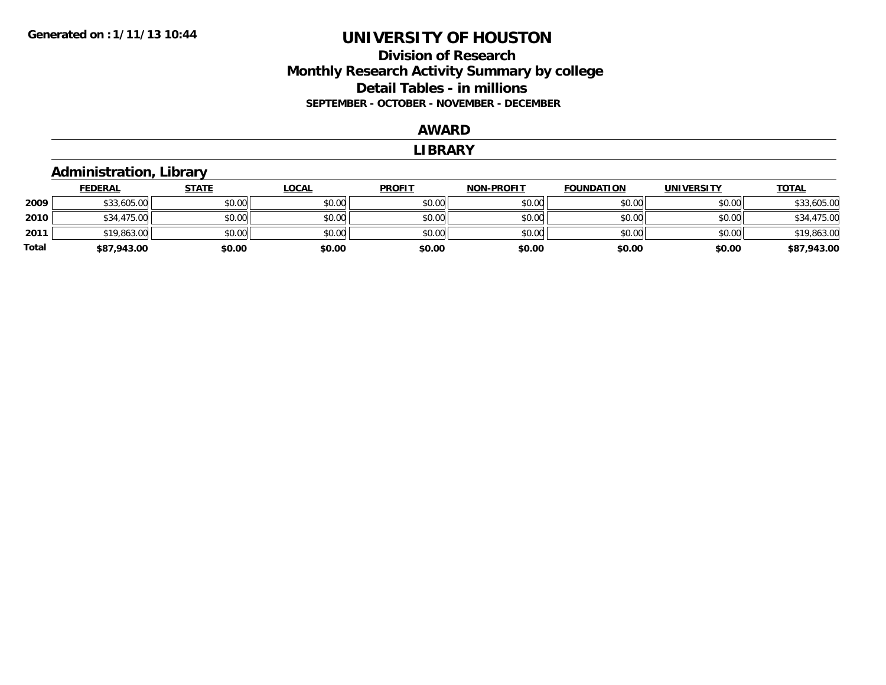# **Division of Research Monthly Research Activity Summary by college Detail Tables - in millions SEPTEMBER - OCTOBER - NOVEMBER - DECEMBER**

#### **AWARD**

#### **LIBRARY**

# **Administration, Library**

|       | <b>FEDERAL</b> | <u>STATE</u> | <u>LOCAL</u> | <b>PROFIT</b> | <b>NON-PROFIT</b> | <b>FOUNDATION</b> | <b>UNIVERSITY</b> | <b>TOTAL</b> |
|-------|----------------|--------------|--------------|---------------|-------------------|-------------------|-------------------|--------------|
| 2009  | \$33,605.00    | \$0.00       | \$0.00       | \$0.00        | \$0.00            | \$0.00            | \$0.00            | \$33,605.00  |
| 2010  | \$34,475.00    | \$0.00       | \$0.00       | \$0.00        | \$0.00            | \$0.00            | \$0.00            | \$34,475.00  |
| 2011  | \$19,863.00    | \$0.00       | \$0.00       | \$0.00        | \$0.00            | \$0.00            | \$0.00            | \$19,863.00  |
| Total | \$87,943.00    | \$0.00       | \$0.00       | \$0.00        | \$0.00            | \$0.00            | \$0.00            | \$87,943.00  |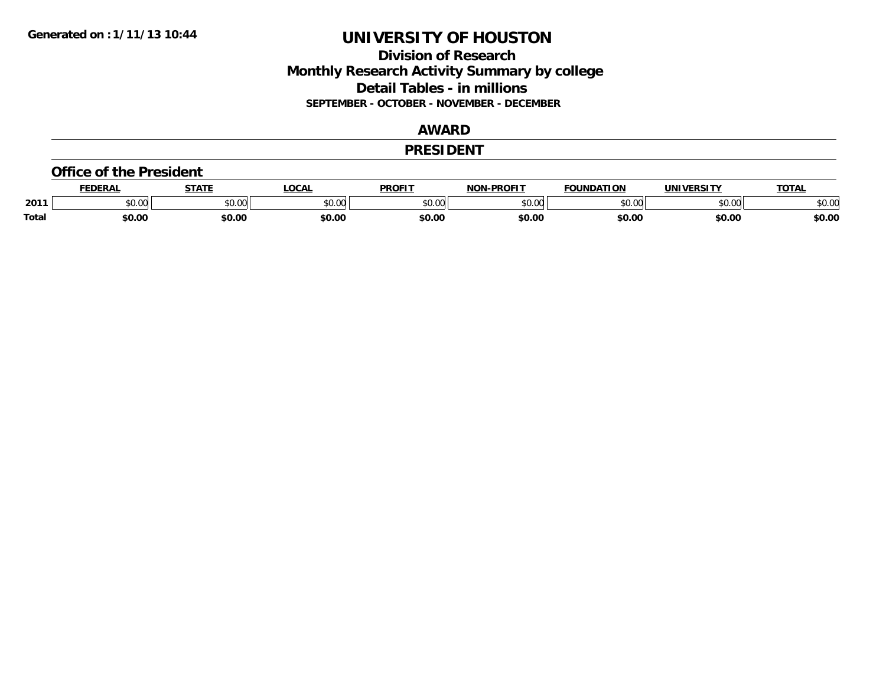# **Division of Research Monthly Research Activity Summary by college Detail Tables - in millions SEPTEMBER - OCTOBER - NOVEMBER - DECEMBER**

#### **AWARD**

#### **PRESIDENT**

#### **Office of the President**

|              | -      | <b>STATE</b> | <b>LOCAL</b>  | DDOE!"               | <b>DDOEIT</b><br>הרוח | ΓΙΩΝ<br>DΔ. | <u>urneitu</u> | TOTA.  |
|--------------|--------|--------------|---------------|----------------------|-----------------------|-------------|----------------|--------|
| 2011         | JU.UU  | 40M<br>JU.U  | 0000<br>JU.UU | $\sim$ 00<br>ັນບຸປເມ | 0000<br>ט.טי          | 0000        | 0000<br>⊸∪.∪∿  | \$0.00 |
| <b>Total</b> | \$0.00 | \$0.00       | \$0.00        | \$0.00               | \$0.00                | \$0.00      | \$0.00         | \$0.00 |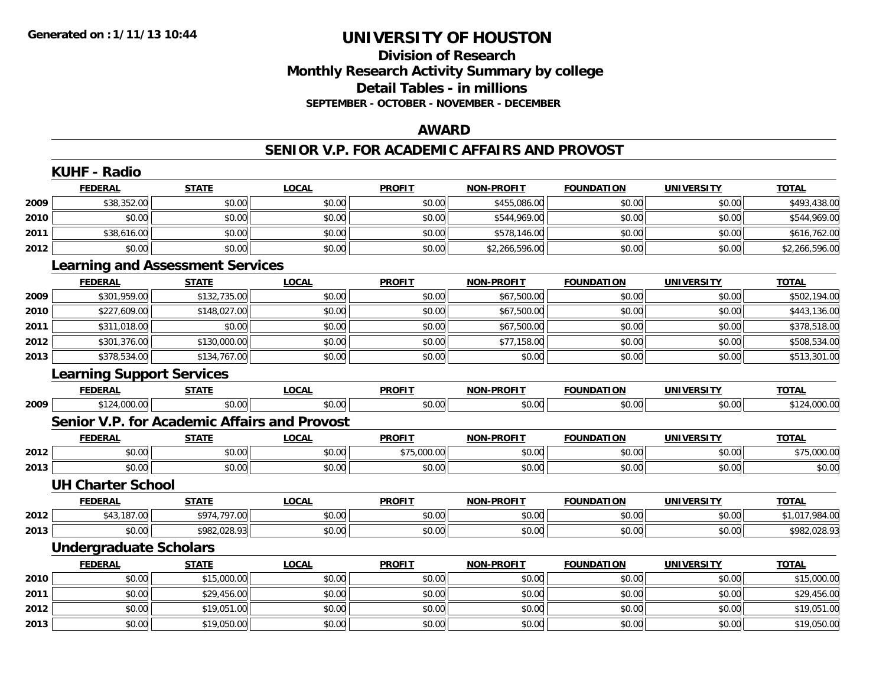# **Division of ResearchMonthly Research Activity Summary by college Detail Tables - in millions SEPTEMBER - OCTOBER - NOVEMBER - DECEMBER**

#### **AWARD**

### **SENIOR V.P. FOR ACADEMIC AFFAIRS AND PROVOST**

|      | <b>KUHF - Radio</b>                                 |              |              |               |                   |                   |                   |                |
|------|-----------------------------------------------------|--------------|--------------|---------------|-------------------|-------------------|-------------------|----------------|
|      | <b>FEDERAL</b>                                      | <b>STATE</b> | <b>LOCAL</b> | <b>PROFIT</b> | <b>NON-PROFIT</b> | <b>FOUNDATION</b> | <b>UNIVERSITY</b> | <b>TOTAL</b>   |
| 2009 | \$38,352.00                                         | \$0.00       | \$0.00       | \$0.00        | \$455,086.00      | \$0.00            | \$0.00            | \$493,438.00   |
| 2010 | \$0.00                                              | \$0.00       | \$0.00       | \$0.00        | \$544,969.00      | \$0.00            | \$0.00            | \$544,969.00   |
| 2011 | \$38,616.00                                         | \$0.00       | \$0.00       | \$0.00        | \$578,146.00      | \$0.00            | \$0.00            | \$616,762.00   |
| 2012 | \$0.00                                              | \$0.00       | \$0.00       | \$0.00        | \$2,266,596.00    | \$0.00            | \$0.00            | \$2,266,596.00 |
|      | <b>Learning and Assessment Services</b>             |              |              |               |                   |                   |                   |                |
|      | <b>FEDERAL</b>                                      | <b>STATE</b> | <b>LOCAL</b> | <b>PROFIT</b> | <b>NON-PROFIT</b> | <b>FOUNDATION</b> | <b>UNIVERSITY</b> | <b>TOTAL</b>   |
| 2009 | \$301,959.00                                        | \$132,735.00 | \$0.00       | \$0.00        | \$67,500.00       | \$0.00            | \$0.00            | \$502,194.00   |
| 2010 | \$227,609.00                                        | \$148,027.00 | \$0.00       | \$0.00        | \$67,500.00       | \$0.00            | \$0.00            | \$443,136.00   |
| 2011 | \$311,018.00                                        | \$0.00       | \$0.00       | \$0.00        | \$67,500.00       | \$0.00            | \$0.00            | \$378,518.00   |
| 2012 | \$301,376.00                                        | \$130,000.00 | \$0.00       | \$0.00        | \$77,158.00       | \$0.00            | \$0.00            | \$508,534.00   |
| 2013 | \$378,534.00                                        | \$134,767.00 | \$0.00       | \$0.00        | \$0.00            | \$0.00            | \$0.00            | \$513,301.00   |
|      | <b>Learning Support Services</b>                    |              |              |               |                   |                   |                   |                |
|      | <b>FEDERAL</b>                                      | <b>STATE</b> | <b>LOCAL</b> | <b>PROFIT</b> | <b>NON-PROFIT</b> | <b>FOUNDATION</b> | <b>UNIVERSITY</b> | <b>TOTAL</b>   |
| 2009 | \$124,000.00                                        | \$0.00       | \$0.00       | \$0.00        | \$0.00            | \$0.00            | \$0.00            | \$124,000.00   |
|      | <b>Senior V.P. for Academic Affairs and Provost</b> |              |              |               |                   |                   |                   |                |
|      | <b>FEDERAL</b>                                      | <b>STATE</b> | <b>LOCAL</b> | <b>PROFIT</b> | <b>NON-PROFIT</b> | <b>FOUNDATION</b> | <b>UNIVERSITY</b> | <b>TOTAL</b>   |
| 2012 | \$0.00                                              | \$0.00       | \$0.00       | \$75,000.00   | \$0.00            | \$0.00            | \$0.00            | \$75,000.00    |
| 2013 | \$0.00                                              | \$0.00       | \$0.00       | \$0.00        | \$0.00            | \$0.00            | \$0.00            | \$0.00         |
|      | <b>UH Charter School</b>                            |              |              |               |                   |                   |                   |                |
|      | <b>FEDERAL</b>                                      | <b>STATE</b> | <b>LOCAL</b> | <b>PROFIT</b> | <b>NON-PROFIT</b> | <b>FOUNDATION</b> | <b>UNIVERSITY</b> | <b>TOTAL</b>   |
| 2012 | \$43,187.00                                         | \$974,797.00 | \$0.00       | \$0.00        | \$0.00            | \$0.00            | \$0.00            | \$1,017,984.00 |
| 2013 | \$0.00                                              | \$982,028.93 | \$0.00       | \$0.00        | \$0.00            | \$0.00            | \$0.00            | \$982,028.93   |
|      | <b>Undergraduate Scholars</b>                       |              |              |               |                   |                   |                   |                |
|      | <b>FEDERAL</b>                                      | <b>STATE</b> | <b>LOCAL</b> | <b>PROFIT</b> | <b>NON-PROFIT</b> | <b>FOUNDATION</b> | <b>UNIVERSITY</b> | <b>TOTAL</b>   |
| 2010 | \$0.00                                              | \$15,000.00  | \$0.00       | \$0.00        | \$0.00            | \$0.00            | \$0.00            | \$15,000.00    |
| 2011 | \$0.00                                              | \$29,456.00  | \$0.00       | \$0.00        | \$0.00            | \$0.00            | \$0.00            | \$29,456.00    |
| 2012 | \$0.00                                              | \$19,051.00  | \$0.00       | \$0.00        | \$0.00            | \$0.00            | \$0.00            | \$19,051.00    |
| 2013 | \$0.00                                              | \$19,050.00  | \$0.00       | \$0.00        | \$0.00            | \$0.00            | \$0.00            | \$19,050.00    |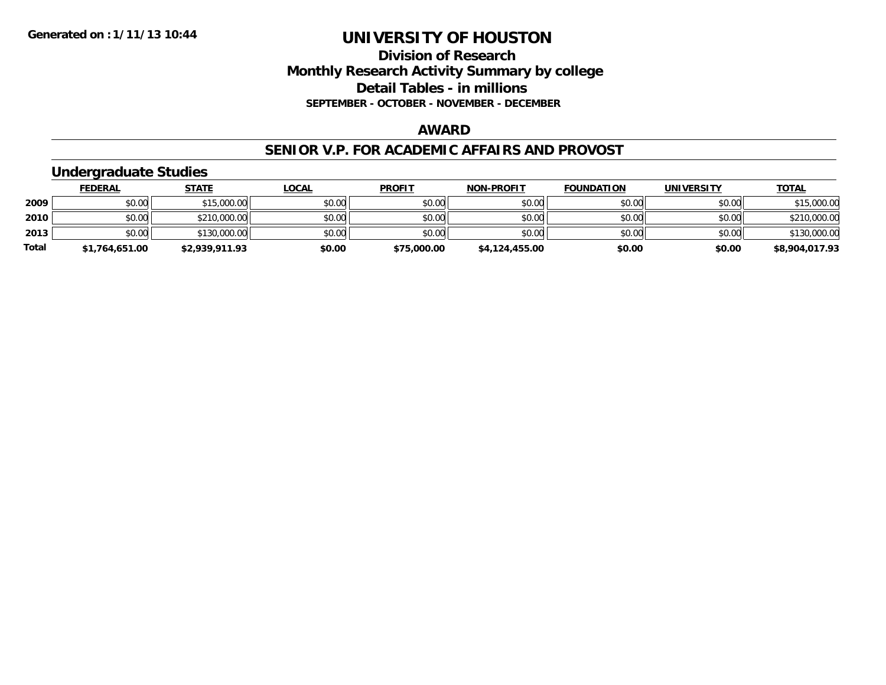# **Division of Research Monthly Research Activity Summary by college Detail Tables - in millions SEPTEMBER - OCTOBER - NOVEMBER - DECEMBER**

### **AWARD**

#### **SENIOR V.P. FOR ACADEMIC AFFAIRS AND PROVOST**

# **Undergraduate Studies**

|              | <b>FEDERAL</b> | <u>STATE</u>   | <u>LOCAL</u> | <b>PROFIT</b> | <b>NON-PROFIT</b> | <b>FOUNDATION</b> | <b>UNIVERSITY</b> | <b>TOTAL</b>   |
|--------------|----------------|----------------|--------------|---------------|-------------------|-------------------|-------------------|----------------|
| 2009         | \$0.00         | \$15,000.00    | \$0.00       | \$0.00        | \$0.00            | \$0.00            | \$0.00            | \$15,000.00    |
| 2010         | \$0.00         | \$210,000.00   | \$0.00       | \$0.00        | \$0.00            | \$0.00            | \$0.00            | \$210,000.00   |
| 2013         | \$0.00         | \$130,000.00   | \$0.00       | \$0.00        | \$0.00            | \$0.00            | \$0.00            | \$130,000.00   |
| <b>Total</b> | \$1,764,651.00 | \$2,939,911.93 | \$0.00       | \$75,000.00   | \$4,124,455.00    | \$0.00            | \$0.00            | \$8,904,017.93 |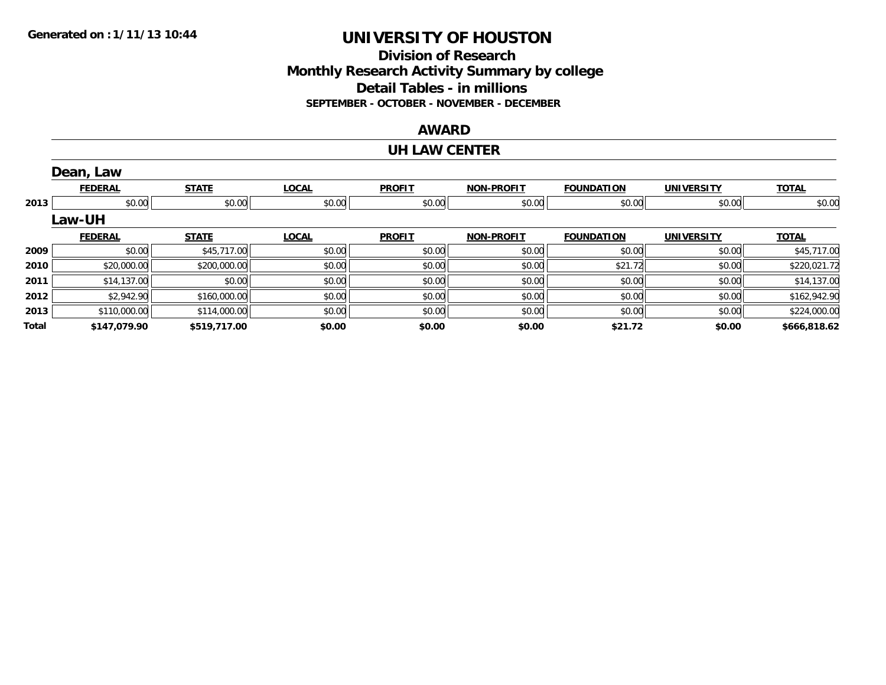# **Division of ResearchMonthly Research Activity Summary by college Detail Tables - in millions SEPTEMBER - OCTOBER - NOVEMBER - DECEMBER**

# **AWARD**

#### **UH LAW CENTER**

|       | Dean, Law      |              |              |               |                   |                   |                   |              |
|-------|----------------|--------------|--------------|---------------|-------------------|-------------------|-------------------|--------------|
|       | <b>FEDERAL</b> | <b>STATE</b> | <b>LOCAL</b> | <b>PROFIT</b> | <b>NON-PROFIT</b> | <b>FOUNDATION</b> | <b>UNIVERSITY</b> | <b>TOTAL</b> |
| 2013  | \$0.00         | \$0.00       | \$0.00       | \$0.00        | \$0.00            | \$0.00            | \$0.00            | \$0.00       |
|       | <b>Law-UH</b>  |              |              |               |                   |                   |                   |              |
|       | <b>FEDERAL</b> | <b>STATE</b> | <b>LOCAL</b> | <b>PROFIT</b> | <b>NON-PROFIT</b> | <b>FOUNDATION</b> | <b>UNIVERSITY</b> | <b>TOTAL</b> |
| 2009  | \$0.00         | \$45,717.00  | \$0.00       | \$0.00        | \$0.00            | \$0.00            | \$0.00            | \$45,717.00  |
| 2010  | \$20,000.00    | \$200,000.00 | \$0.00       | \$0.00        | \$0.00            | \$21.72           | \$0.00            | \$220,021.72 |
| 2011  | \$14,137.00    | \$0.00       | \$0.00       | \$0.00        | \$0.00            | \$0.00            | \$0.00            | \$14,137.00  |
| 2012  | \$2,942.90     | \$160,000.00 | \$0.00       | \$0.00        | \$0.00            | \$0.00            | \$0.00            | \$162,942.90 |
| 2013  | \$110,000.00   | \$114,000.00 | \$0.00       | \$0.00        | \$0.00            | \$0.00            | \$0.00            | \$224,000.00 |
| Total | \$147,079.90   | \$519,717.00 | \$0.00       | \$0.00        | \$0.00            | \$21.72           | \$0.00            | \$666,818.62 |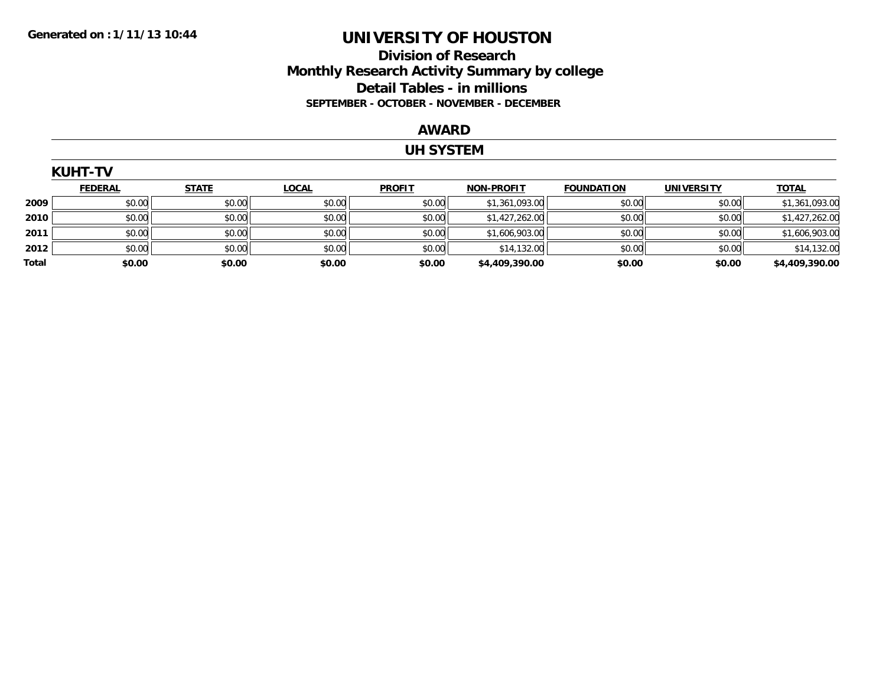# **Division of Research Monthly Research Activity Summary by college Detail Tables - in millions SEPTEMBER - OCTOBER - NOVEMBER - DECEMBER**

#### **AWARD**

# **UH SYSTEM**

|       | <b>KUHT-TV</b> |              |              |               |                   |                   |                   |                |  |  |  |
|-------|----------------|--------------|--------------|---------------|-------------------|-------------------|-------------------|----------------|--|--|--|
|       | <b>FEDERAL</b> | <b>STATE</b> | <b>LOCAL</b> | <b>PROFIT</b> | <b>NON-PROFIT</b> | <b>FOUNDATION</b> | <b>UNIVERSITY</b> | <b>TOTAL</b>   |  |  |  |
| 2009  | \$0.00         | \$0.00       | \$0.00       | \$0.00        | \$1,361,093.00    | \$0.00            | \$0.00            | \$1,361,093.00 |  |  |  |
| 2010  | \$0.00         | \$0.00       | \$0.00       | \$0.00        | \$1,427,262.00    | \$0.00            | \$0.00            | \$1,427,262.00 |  |  |  |
| 2011  | \$0.00         | \$0.00       | \$0.00       | \$0.00        | \$1,606,903.00    | \$0.00            | \$0.00            | \$1,606,903.00 |  |  |  |
| 2012  | \$0.00         | \$0.00       | \$0.00       | \$0.00        | \$14,132.00       | \$0.00            | \$0.00            | \$14,132.00    |  |  |  |
| Total | \$0.00         | \$0.00       | \$0.00       | \$0.00        | \$4,409,390.00    | \$0.00            | \$0.00            | \$4,409,390.00 |  |  |  |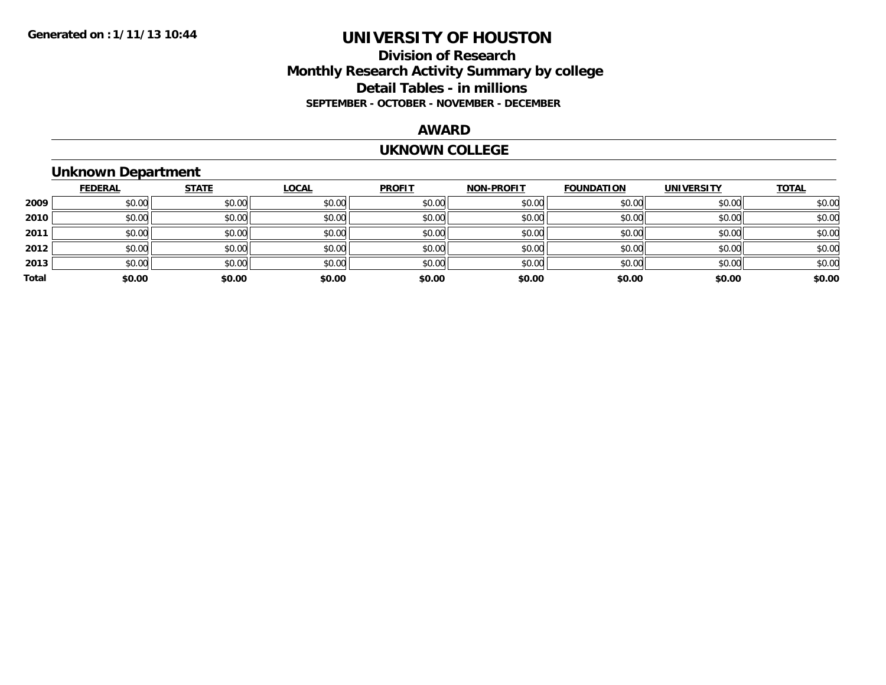# **Division of Research Monthly Research Activity Summary by college Detail Tables - in millions SEPTEMBER - OCTOBER - NOVEMBER - DECEMBER**

#### **AWARD**

#### **UKNOWN COLLEGE**

# **Unknown Department**

|       | <b>FEDERAL</b> | <b>STATE</b> | <b>LOCAL</b> | <b>PROFIT</b> | <b>NON-PROFIT</b> | <b>FOUNDATION</b> | <b>UNIVERSITY</b> | <u>TOTAL</u> |
|-------|----------------|--------------|--------------|---------------|-------------------|-------------------|-------------------|--------------|
| 2009  | \$0.00         | \$0.00       | \$0.00       | \$0.00        | \$0.00            | \$0.00            | \$0.00            | \$0.00       |
| 2010  | \$0.00         | \$0.00       | \$0.00       | \$0.00        | \$0.00            | \$0.00            | \$0.00            | \$0.00       |
| 2011  | \$0.00         | \$0.00       | \$0.00       | \$0.00        | \$0.00            | \$0.00            | \$0.00            | \$0.00       |
| 2012  | \$0.00         | \$0.00       | \$0.00       | \$0.00        | \$0.00            | \$0.00            | \$0.00            | \$0.00       |
| 2013  | \$0.00         | \$0.00       | \$0.00       | \$0.00        | \$0.00            | \$0.00            | \$0.00            | \$0.00       |
| Total | \$0.00         | \$0.00       | \$0.00       | \$0.00        | \$0.00            | \$0.00            | \$0.00            | \$0.00       |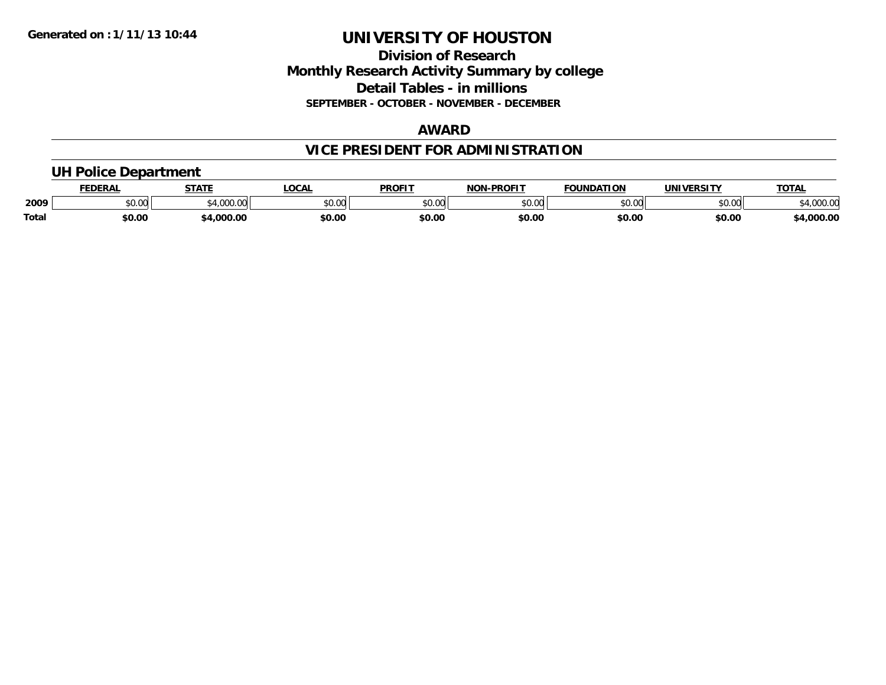# **Division of Research Monthly Research Activity Summary by college Detail Tables - in millions SEPTEMBER - OCTOBER - NOVEMBER - DECEMBER**

### **AWARD**

# **VICE PRESIDENT FOR ADMINISTRATION**

# **UH Police Department**

|              | <b>FEDERAL</b> | <b>STATE</b>   | LOCAL         | <b>PROFIT</b> | <b>LPROFIT</b><br>NON | <b>FOUNDATION</b> | UNIVERSITY | <b>TOTAL</b>      |
|--------------|----------------|----------------|---------------|---------------|-----------------------|-------------------|------------|-------------------|
| 2009         | vv.vv          | 0.100<br>uuu.u | 0000<br>PO.OO | 0000<br>JU.UU | 0000<br>vu.uu -       | \$0.00            | \$0.00     | 00000<br>4,000.00 |
| <b>Total</b> | \$0.00         | .000.00        | \$0.00        | \$0.00        | \$0.00                | \$0.00            | \$0.00     | 4,000.00          |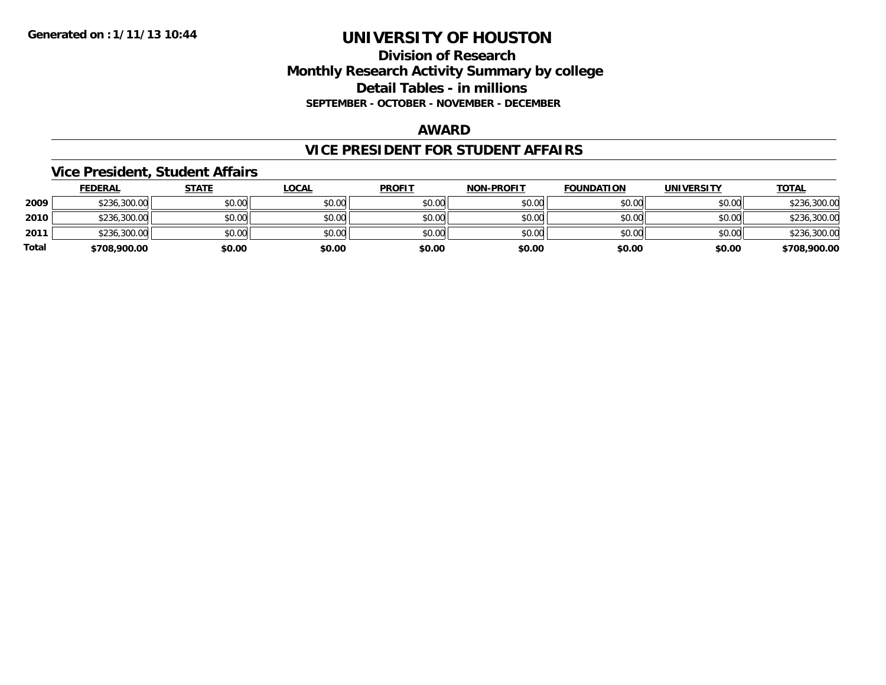# **Division of Research Monthly Research Activity Summary by college Detail Tables - in millions SEPTEMBER - OCTOBER - NOVEMBER - DECEMBER**

#### **AWARD**

### **VICE PRESIDENT FOR STUDENT AFFAIRS**

# **Vice President, Student Affairs**

|       | <b>FEDERAL</b> | <u>STATE</u> | <u>LOCAL</u> | <b>PROFIT</b> | <b>NON-PROFIT</b> | <b>FOUNDATION</b> | <b>UNIVERSITY</b> | <b>TOTAL</b> |
|-------|----------------|--------------|--------------|---------------|-------------------|-------------------|-------------------|--------------|
| 2009  | \$236,300.00   | \$0.00       | \$0.00       | \$0.00        | \$0.00            | \$0.00            | \$0.00            | \$236,300.00 |
| 2010  | \$236,300.00   | \$0.00       | \$0.00       | \$0.00        | \$0.00            | \$0.00            | \$0.00            | \$236,300.00 |
| 2011  | \$236,300.00   | \$0.00       | \$0.00       | \$0.00        | \$0.00            | \$0.00            | \$0.00            | \$236,300.00 |
| Total | \$708,900.00   | \$0.00       | \$0.00       | \$0.00        | \$0.00            | \$0.00            | \$0.00            | \$708,900.00 |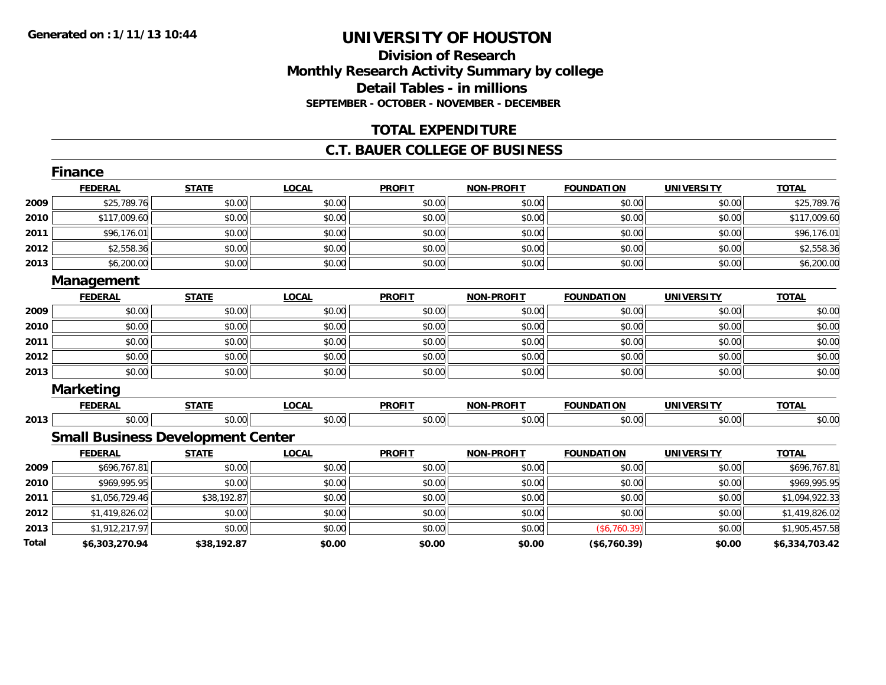### **Division of Research Monthly Research Activity Summary by college Detail Tables - in millions SEPTEMBER - OCTOBER - NOVEMBER - DECEMBER**

# **TOTAL EXPENDITURE**

### **C.T. BAUER COLLEGE OF BUSINESS**

|       | <b>Finance</b>   |                                          |              |               |                   |                   |                   |                |
|-------|------------------|------------------------------------------|--------------|---------------|-------------------|-------------------|-------------------|----------------|
|       | <b>FEDERAL</b>   | <b>STATE</b>                             | <b>LOCAL</b> | <b>PROFIT</b> | <b>NON-PROFIT</b> | <b>FOUNDATION</b> | <b>UNIVERSITY</b> | <b>TOTAL</b>   |
| 2009  | \$25,789.76      | \$0.00                                   | \$0.00       | \$0.00        | \$0.00            | \$0.00            | \$0.00            | \$25,789.76    |
| 2010  | \$117,009.60     | \$0.00                                   | \$0.00       | \$0.00        | \$0.00            | \$0.00            | \$0.00            | \$117,009.60   |
| 2011  | \$96,176.01      | \$0.00                                   | \$0.00       | \$0.00        | \$0.00            | \$0.00            | \$0.00            | \$96,176.01    |
| 2012  | \$2,558.36       | \$0.00                                   | \$0.00       | \$0.00        | \$0.00            | \$0.00            | \$0.00            | \$2,558.36     |
| 2013  | \$6,200.00       | \$0.00                                   | \$0.00       | \$0.00        | \$0.00            | \$0.00            | \$0.00            | \$6,200.00     |
|       | Management       |                                          |              |               |                   |                   |                   |                |
|       | <b>FEDERAL</b>   | <b>STATE</b>                             | <b>LOCAL</b> | <b>PROFIT</b> | <b>NON-PROFIT</b> | <b>FOUNDATION</b> | <b>UNIVERSITY</b> | <b>TOTAL</b>   |
| 2009  | \$0.00           | \$0.00                                   | \$0.00       | \$0.00        | \$0.00            | \$0.00            | \$0.00            | \$0.00         |
| 2010  | \$0.00           | \$0.00                                   | \$0.00       | \$0.00        | \$0.00            | \$0.00            | \$0.00            | \$0.00         |
| 2011  | \$0.00           | \$0.00                                   | \$0.00       | \$0.00        | \$0.00            | \$0.00            | \$0.00            | \$0.00         |
| 2012  | \$0.00           | \$0.00                                   | \$0.00       | \$0.00        | \$0.00            | \$0.00            | \$0.00            | \$0.00         |
| 2013  | \$0.00           | \$0.00                                   | \$0.00       | \$0.00        | \$0.00            | \$0.00            | \$0.00            | \$0.00         |
|       | <b>Marketing</b> |                                          |              |               |                   |                   |                   |                |
|       | <b>FEDERAL</b>   | <b>STATE</b>                             | <b>LOCAL</b> | <b>PROFIT</b> | <b>NON-PROFIT</b> | <b>FOUNDATION</b> | <b>UNIVERSITY</b> | <b>TOTAL</b>   |
| 2013  | \$0.00           | \$0.00                                   | \$0.00       | \$0.00        | \$0.00            | \$0.00            | \$0.00            | \$0.00         |
|       |                  | <b>Small Business Development Center</b> |              |               |                   |                   |                   |                |
|       | <b>FEDERAL</b>   | <b>STATE</b>                             | <b>LOCAL</b> | <b>PROFIT</b> | <b>NON-PROFIT</b> | <b>FOUNDATION</b> | <b>UNIVERSITY</b> | <b>TOTAL</b>   |
| 2009  | \$696,767.81     | \$0.00                                   | \$0.00       | \$0.00        | \$0.00            | \$0.00            | \$0.00            | \$696,767.81   |
| 2010  | \$969,995.95     | \$0.00                                   | \$0.00       | \$0.00        | \$0.00            | \$0.00            | \$0.00            | \$969,995.95   |
| 2011  | \$1,056,729.46   | \$38,192.87                              | \$0.00       | \$0.00        | \$0.00            | \$0.00            | \$0.00            | \$1,094,922.33 |
| 2012  | \$1,419,826.02   | \$0.00                                   | \$0.00       | \$0.00        | \$0.00            | \$0.00            | \$0.00            | \$1,419,826.02 |
| 2013  | \$1,912,217.97   | \$0.00                                   | \$0.00       | \$0.00        | \$0.00            | (\$6,760.39)      | \$0.00            | \$1,905,457.58 |
| Total | \$6,303,270.94   | \$38,192.87                              | \$0.00       | \$0.00        | \$0.00            | (\$6,760.39)      | \$0.00            | \$6,334,703.42 |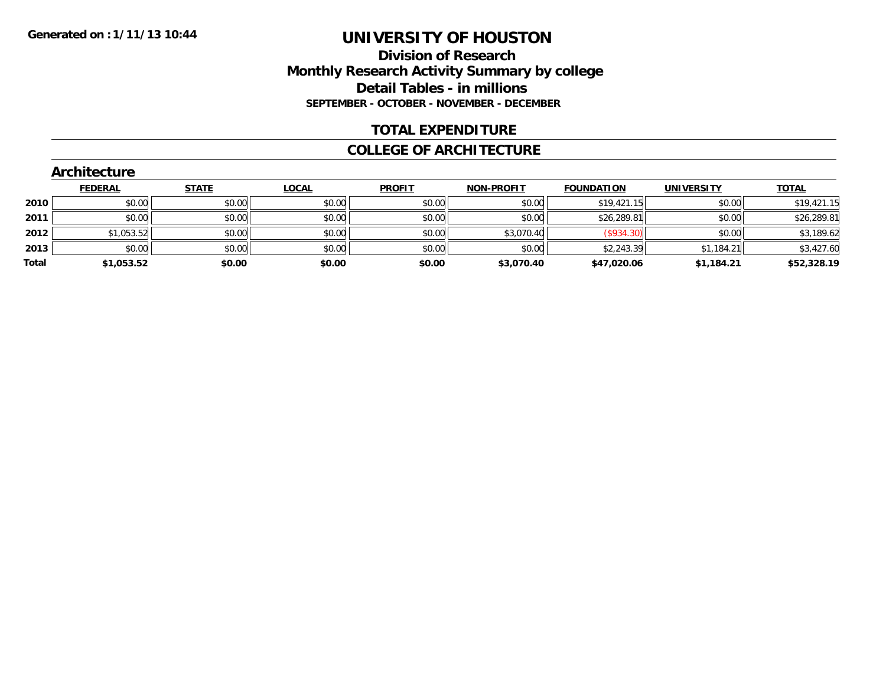# **Division of ResearchMonthly Research Activity Summary by college Detail Tables - in millionsSEPTEMBER - OCTOBER - NOVEMBER - DECEMBER**

# **TOTAL EXPENDITURE**

#### **COLLEGE OF ARCHITECTURE**

#### **FEDERAL STATE LOCAL PROFIT NON-PROFIT FOUNDATION UNIVERSITY TOTALTOTAL 2010** $\textsf{0} \parallel \textsf{0} \parallel \textsf{0} \parallel \textsf{0} \parallel \textsf{0} \parallel \textsf{0} \parallel \textsf{0} \parallel \textsf{0} \parallel \textsf{0} \parallel \textsf{0} \parallel \textsf{0} \parallel \textsf{0} \parallel \textsf{0} \parallel \textsf{0} \parallel \textsf{0} \parallel \textsf{0} \parallel \textsf{0} \parallel \textsf{0} \parallel \textsf{0} \parallel \textsf{0} \parallel \textsf{0} \parallel \textsf{0} \parallel \textsf{0} \parallel \textsf{0} \parallel \textsf{0} \parallel \textsf{0} \parallel \textsf{0} \parallel \textsf{$ **2011** \$0.00 \$0.00 \$0.00 \$0.00 \$0.00 \$26,289.81 \$0.00 \$26,289.81 **2012** \$1,053.52 \$0.00 \$0.00 \$0.00 \$3,070.40 (\$934.30) \$0.00 \$3,189.62 **2013** $\textbf{3} \mid \textbf{3} \mid \textbf{5} \mid \textbf{6} \mid \textbf{7} \mid \textbf{8} \mid \textbf{8} \mid \textbf{1} \mid \textbf{1} \mid \textbf{1} \mid \textbf{1} \mid \textbf{1} \mid \textbf{1} \mid \textbf{1} \mid \textbf{1} \mid \textbf{1} \mid \textbf{1} \mid \textbf{1} \mid \textbf{1} \mid \textbf{1} \mid \textbf{1} \mid \textbf{1} \mid \textbf{1} \mid \textbf{1} \mid \textbf{1} \mid \textbf{1} \mid \textbf{1} \mid \textbf{$ **Total\$1,053.52 \$0.00 \$0.00 \$0.00 \$3,070.40 \$47,020.06 \$1,184.21 \$52,328.19**

#### **Architecture**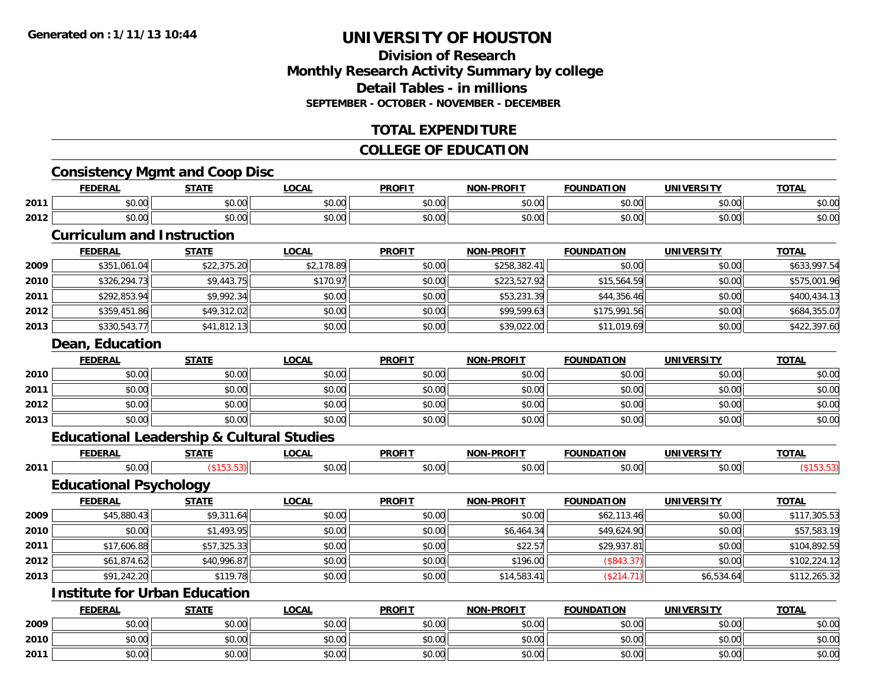# **Division of ResearchMonthly Research Activity Summary by college Detail Tables - in millionsSEPTEMBER - OCTOBER - NOVEMBER - DECEMBER**

# **TOTAL EXPENDITURE**

# **COLLEGE OF EDUCATION**

# **Consistency Mgmt and Coop Disc**

|      | <b>FEDERAL</b> | STATE                   | <b>OCAL</b>   | <b>PROFIT</b>           | -PROFIT<br>NON. | <b>FOUNDATION</b>      | <b>IINIVEDSITV</b> | <b>TOTAL</b> |  |  |
|------|----------------|-------------------------|---------------|-------------------------|-----------------|------------------------|--------------------|--------------|--|--|
| 2011 | 0000<br>DU.UU  | 0000<br>JU.U            | 0.00<br>JU.UU | 0 <sub>0</sub><br>JU.UU | 0000<br>JU.UU   | 0.000<br>JU.UU         | \$0.00             | \$0.00       |  |  |
| 2012 | 0000<br>DU.UU  | 0 <sub>0</sub><br>JU.UU | \$0.00        | JU.UU                   | \$0.00          | $\sim$ $\sim$<br>JU.UU | \$0.00             | \$0.00       |  |  |
|      |                |                         |               |                         |                 |                        |                    |              |  |  |

#### **Curriculum and Instruction**

|      | <b>FEDERAL</b> | <b>STATE</b> | <b>LOCAL</b> | <b>PROFIT</b> | <b>NON-PROFIT</b> | <b>FOUNDATION</b> | <b>UNIVERSITY</b> | <b>TOTAL</b> |
|------|----------------|--------------|--------------|---------------|-------------------|-------------------|-------------------|--------------|
| 2009 | \$351,061.04   | \$22,375.20  | \$2,178.89   | \$0.00        | \$258,382.41      | \$0.00            | \$0.00            | \$633,997.54 |
| 2010 | \$326,294.73   | \$9,443.75   | \$170.97     | \$0.00        | \$223,527.92      | \$15,564.59       | \$0.00            | \$575,001.96 |
| 2011 | \$292,853.94   | \$9,992.34   | \$0.00       | \$0.00        | \$53,231.39       | \$44,356.46       | \$0.00            | \$400,434.13 |
| 2012 | \$359,451.86   | \$49,312.02  | \$0.00       | \$0.00        | \$99,599.63       | \$175,991.56      | \$0.00            | \$684,355.07 |
| 2013 | \$330,543.77   | \$41,812.13  | \$0.00       | \$0.00        | \$39,022.00       | \$11,019.69       | \$0.00            | \$422,397.60 |
|      |                |              |              |               |                   |                   |                   |              |

#### **Dean, Education**

|      | <u>FEDERAL</u> | <b>STATE</b> | <u>LOCAL</u> | <b>PROFIT</b> | <b>NON-PROFIT</b> | <b>FOUNDATION</b> | <b>UNIVERSITY</b> | <b>TOTAL</b> |
|------|----------------|--------------|--------------|---------------|-------------------|-------------------|-------------------|--------------|
| 2010 | \$0.00         | \$0.00       | \$0.00       | \$0.00        | \$0.00            | \$0.00            | \$0.00            | \$0.00       |
| 2011 | \$0.00         | \$0.00       | \$0.00       | \$0.00        | \$0.00            | \$0.00            | \$0.00            | \$0.00       |
| 2012 | \$0.00         | \$0.00       | \$0.00       | \$0.00        | \$0.00            | \$0.00            | \$0.00            | \$0.00       |
| 2013 | \$0.00         | \$0.00       | \$0.00       | \$0.00        | \$0.00            | \$0.00            | \$0.00            | \$0.00       |

### **Educational Leadership & Cultural Studies**

|      | <b>FFBFBA</b><br>-RA' | CTATI | $\sim$<br>. Juh    | <b>PROFI</b> | <b>DDAF!?</b><br><b>NON</b><br>'I JE | LOP            | .                  | $-2$ |
|------|-----------------------|-------|--------------------|--------------|--------------------------------------|----------------|--------------------|------|
| 2011 | ሖ<br>$\sim$<br>וט.טע  |       | $\sim$ 00<br>וט.טע | ູນບ.ພ        | $\sim$ 0.01<br>JU.UU                 | $\sim$<br>וטט. | $\sim$ 00<br>,,,,, |      |

# **Educational Psychology**

|      | <b>FEDERAL</b> | <b>STATE</b> | <b>LOCAL</b> | <b>PROFIT</b> | <b>NON-PROFIT</b> | <b>FOUNDATION</b> | <b>UNIVERSITY</b> | <b>TOTAL</b> |
|------|----------------|--------------|--------------|---------------|-------------------|-------------------|-------------------|--------------|
| 2009 | \$45,880.43    | \$9,311.64   | \$0.00       | \$0.00        | \$0.00            | \$62,113.46       | \$0.00            | \$117,305.53 |
| 2010 | \$0.00         | \$1,493.95   | \$0.00       | \$0.00        | \$6,464.34        | \$49,624.90       | \$0.00            | \$57,583.19  |
| 2011 | \$17,606.88    | \$57,325.33  | \$0.00       | \$0.00        | \$22.57           | \$29,937.81       | \$0.00            | \$104,892.59 |
| 2012 | \$61,874.62    | \$40,996.87  | \$0.00       | \$0.00        | \$196.00          | (\$843.37)        | \$0.00            | \$102,224.12 |
| 2013 | \$91,242.20    | \$119.78     | \$0.00       | \$0.00        | \$14,583.41       | (\$214.71)        | \$6,534.64        | \$112,265.32 |

# **Institute for Urban Education**

|      | <b>FEDERAL</b> | <b>STATE</b> | <b>LOCAL</b> | <b>PROFIT</b> | <b>NON-PROFIT</b>                              | <b>FOUNDATION</b> | UNIVERSITY | <b>TOTAL</b> |
|------|----------------|--------------|--------------|---------------|------------------------------------------------|-------------------|------------|--------------|
| 2009 | \$0.00         | \$0.00       | \$0.00       | \$0.00        | $\mathfrak{c} \cap \mathfrak{c} \cap$<br>JU.UU | \$0.00            | \$0.00     | \$0.00       |
| 2010 | \$0.00         | \$0.00       | \$0.00       | \$0.00        | $n \cap \Omega$<br>DU.U¢                       | \$0.00            | \$0.00     | \$0.00       |
| 2011 | \$0.00         | \$0.00       | \$0.00       | \$0.00        | \$0.00                                         | \$0.00            | \$0.00     | \$0.00       |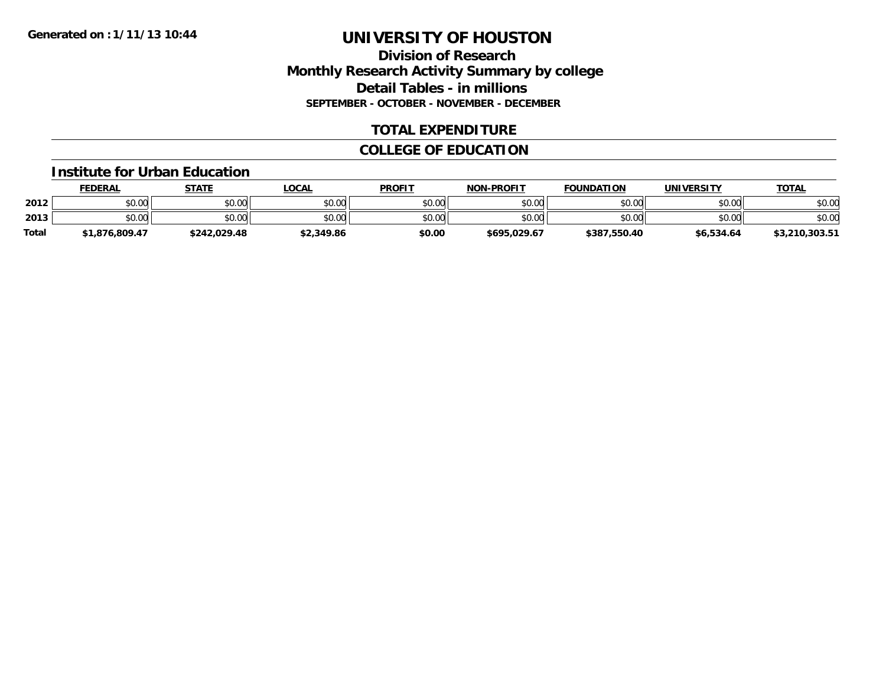# **Division of Research Monthly Research Activity Summary by college Detail Tables - in millions SEPTEMBER - OCTOBER - NOVEMBER - DECEMBER**

# **TOTAL EXPENDITURE**

# **COLLEGE OF EDUCATION**

#### **Institute for Urban Education**

|              | <b>FEDERAL</b> | STATE        | LOCAL      | <b>PROFIT</b> | <b>NON-PROFIT</b> | <b>FOUNDATION</b> | UNIVERSITY | <b>TOTAL</b>   |
|--------------|----------------|--------------|------------|---------------|-------------------|-------------------|------------|----------------|
| 2012         | \$0.00         | \$0.00       | \$0.00     | \$0.00        | \$0.00            | \$0.00            | \$0.00     | \$0.00         |
| 2013         | \$0.00         | \$0.00       | \$0.00     | \$0.00        | \$0.00            | \$0.00            | \$0.00     | \$0.00         |
| <b>Total</b> | \$1,876,809.47 | \$242.029.48 | \$2,349.86 | \$0.00        | \$695,029.67      | \$387,550.40      | \$6,534.64 | \$3,210,303.51 |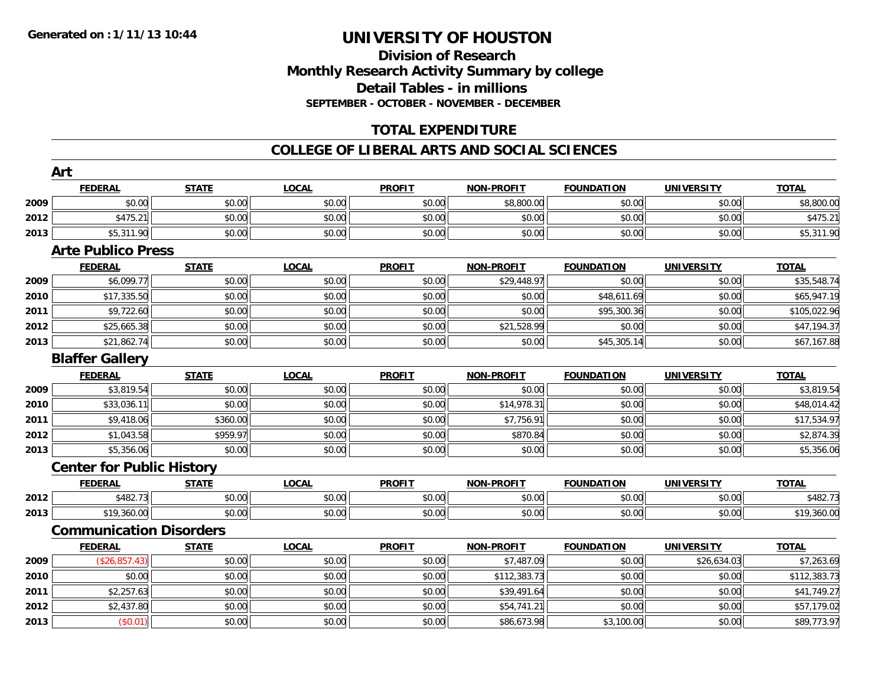# **Division of ResearchMonthly Research Activity Summary by college Detail Tables - in millions SEPTEMBER - OCTOBER - NOVEMBER - DECEMBER**

# **TOTAL EXPENDITURE**

### **COLLEGE OF LIBERAL ARTS AND SOCIAL SCIENCES**

|      | Art                              |              |              |               |                   |                   |                   |              |
|------|----------------------------------|--------------|--------------|---------------|-------------------|-------------------|-------------------|--------------|
|      | <b>FEDERAL</b>                   | <b>STATE</b> | <b>LOCAL</b> | <b>PROFIT</b> | <b>NON-PROFIT</b> | <b>FOUNDATION</b> | <b>UNIVERSITY</b> | <b>TOTAL</b> |
| 2009 | \$0.00                           | \$0.00       | \$0.00       | \$0.00        | \$8,800.00        | \$0.00            | \$0.00            | \$8,800.00   |
| 2012 | \$475.21                         | \$0.00       | \$0.00       | \$0.00        | \$0.00            | \$0.00            | \$0.00            | \$475.21     |
| 2013 | \$5,311.90                       | \$0.00       | \$0.00       | \$0.00        | \$0.00            | \$0.00            | \$0.00            | \$5,311.90   |
|      | <b>Arte Publico Press</b>        |              |              |               |                   |                   |                   |              |
|      | <b>FEDERAL</b>                   | <b>STATE</b> | <b>LOCAL</b> | <b>PROFIT</b> | <b>NON-PROFIT</b> | <b>FOUNDATION</b> | <b>UNIVERSITY</b> | <b>TOTAL</b> |
| 2009 | \$6,099.77                       | \$0.00       | \$0.00       | \$0.00        | \$29,448.97       | \$0.00            | \$0.00            | \$35,548.74  |
| 2010 | \$17,335.50                      | \$0.00       | \$0.00       | \$0.00        | \$0.00            | \$48,611.69       | \$0.00            | \$65,947.19  |
| 2011 | \$9,722.60                       | \$0.00       | \$0.00       | \$0.00        | \$0.00            | \$95,300.36       | \$0.00            | \$105,022.96 |
| 2012 | \$25,665.38                      | \$0.00       | \$0.00       | \$0.00        | \$21,528.99       | \$0.00            | \$0.00            | \$47,194.37  |
| 2013 | \$21,862.74                      | \$0.00       | \$0.00       | \$0.00        | \$0.00            | \$45,305.14       | \$0.00            | \$67,167.88  |
|      | <b>Blaffer Gallery</b>           |              |              |               |                   |                   |                   |              |
|      | <b>FEDERAL</b>                   | <b>STATE</b> | <b>LOCAL</b> | <b>PROFIT</b> | <b>NON-PROFIT</b> | <b>FOUNDATION</b> | <b>UNIVERSITY</b> | <b>TOTAL</b> |
| 2009 | \$3,819.54                       | \$0.00       | \$0.00       | \$0.00        | \$0.00            | \$0.00            | \$0.00            | \$3,819.54   |
| 2010 | \$33,036.11                      | \$0.00       | \$0.00       | \$0.00        | \$14,978.31       | \$0.00            | \$0.00            | \$48,014.42  |
| 2011 | \$9,418.06                       | \$360.00     | \$0.00       | \$0.00        | \$7,756.91        | \$0.00            | \$0.00            | \$17,534.97  |
| 2012 | \$1,043.58                       | \$959.97     | \$0.00       | \$0.00        | \$870.84          | \$0.00            | \$0.00            | \$2,874.39   |
| 2013 | \$5,356.06                       | \$0.00       | \$0.00       | \$0.00        | \$0.00            | \$0.00            | \$0.00            | \$5,356.06   |
|      | <b>Center for Public History</b> |              |              |               |                   |                   |                   |              |
|      | <b>FEDERAL</b>                   | <b>STATE</b> | <b>LOCAL</b> | <b>PROFIT</b> | <b>NON-PROFIT</b> | <b>FOUNDATION</b> | <b>UNIVERSITY</b> | <b>TOTAL</b> |
| 2012 | \$482.73                         | \$0.00       | \$0.00       | \$0.00        | \$0.00            | \$0.00            | \$0.00            | \$482.73     |
| 2013 | \$19,360.00                      | \$0.00       | \$0.00       | \$0.00        | \$0.00            | \$0.00            | \$0.00            | \$19,360.00  |
|      | <b>Communication Disorders</b>   |              |              |               |                   |                   |                   |              |
|      | <b>FEDERAL</b>                   | <b>STATE</b> | <b>LOCAL</b> | <b>PROFIT</b> | <b>NON-PROFIT</b> | <b>FOUNDATION</b> | <b>UNIVERSITY</b> | <b>TOTAL</b> |
| 2009 | (\$26,857.43)                    | \$0.00       | \$0.00       | \$0.00        | \$7,487.09        | \$0.00            | \$26,634.03       | \$7,263.69   |
| 2010 | \$0.00                           | \$0.00       | \$0.00       | \$0.00        | \$112,383.73      | \$0.00            | \$0.00            | \$112,383.73 |
| 2011 | \$2,257.63                       | \$0.00       | \$0.00       | \$0.00        | \$39,491.64       | \$0.00            | \$0.00            | \$41,749.27  |
| 2012 | \$2,437.80                       | \$0.00       | \$0.00       | \$0.00        | \$54,741.21       | \$0.00            | \$0.00            | \$57,179.02  |
| 2013 | (\$0.01)                         | \$0.00       | \$0.00       | \$0.00        | \$86,673.98       | \$3,100.00        | \$0.00            | \$89,773.97  |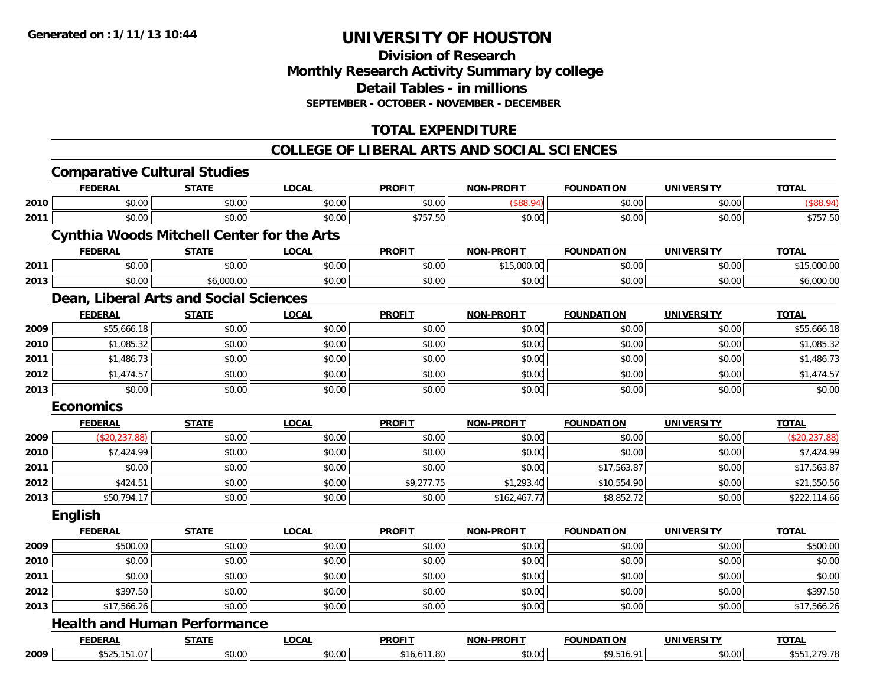### **Division of Research Monthly Research Activity Summary by college Detail Tables - in millions SEPTEMBER - OCTOBER - NOVEMBER - DECEMBER**

# **TOTAL EXPENDITURE**

### **COLLEGE OF LIBERAL ARTS AND SOCIAL SCIENCES**

|      |                  | <b>Comparative Cultural Studies</b>               |              |               |                   |                   |                   |                |
|------|------------------|---------------------------------------------------|--------------|---------------|-------------------|-------------------|-------------------|----------------|
|      | <b>FEDERAL</b>   | <b>STATE</b>                                      | <b>LOCAL</b> | <b>PROFIT</b> | <b>NON-PROFIT</b> | <b>FOUNDATION</b> | <b>UNIVERSITY</b> | <b>TOTAL</b>   |
| 2010 | \$0.00           | \$0.00                                            | \$0.00       | \$0.00        | (\$88.94)         | \$0.00            | \$0.00            | (\$88.94)      |
| 2011 | \$0.00           | \$0.00                                            | \$0.00       | \$757.50      | \$0.00            | \$0.00            | \$0.00            | \$757.50       |
|      |                  | <b>Cynthia Woods Mitchell Center for the Arts</b> |              |               |                   |                   |                   |                |
|      | <b>FEDERAL</b>   | <b>STATE</b>                                      | <b>LOCAL</b> | <b>PROFIT</b> | <b>NON-PROFIT</b> | <b>FOUNDATION</b> | <b>UNIVERSITY</b> | <b>TOTAL</b>   |
| 2011 | \$0.00           | \$0.00                                            | \$0.00       | \$0.00        | \$15,000.00       | \$0.00            | \$0.00            | \$15,000.00    |
| 2013 | \$0.00           | \$6,000.00                                        | \$0.00       | \$0.00        | \$0.00            | \$0.00            | \$0.00            | \$6,000.00     |
|      |                  | Dean, Liberal Arts and Social Sciences            |              |               |                   |                   |                   |                |
|      | <b>FEDERAL</b>   | <b>STATE</b>                                      | <b>LOCAL</b> | <b>PROFIT</b> | <b>NON-PROFIT</b> | <b>FOUNDATION</b> | <b>UNIVERSITY</b> | <b>TOTAL</b>   |
| 2009 | \$55,666.18      | \$0.00                                            | \$0.00       | \$0.00        | \$0.00            | \$0.00            | \$0.00            | \$55,666.18    |
| 2010 | \$1,085.32       | \$0.00                                            | \$0.00       | \$0.00        | \$0.00            | \$0.00            | \$0.00            | \$1,085.32     |
| 2011 | \$1,486.73       | \$0.00                                            | \$0.00       | \$0.00        | \$0.00            | \$0.00            | \$0.00            | \$1,486.73     |
| 2012 | \$1,474.57       | \$0.00                                            | \$0.00       | \$0.00        | \$0.00            | \$0.00            | \$0.00            | \$1,474.57     |
| 2013 | \$0.00           | \$0.00                                            | \$0.00       | \$0.00        | \$0.00            | \$0.00            | \$0.00            | \$0.00         |
|      | <b>Economics</b> |                                                   |              |               |                   |                   |                   |                |
|      | <b>FEDERAL</b>   | <b>STATE</b>                                      | <b>LOCAL</b> | <b>PROFIT</b> | <b>NON-PROFIT</b> | <b>FOUNDATION</b> | <b>UNIVERSITY</b> | <b>TOTAL</b>   |
| 2009 | (\$20,237.88)    | \$0.00                                            | \$0.00       | \$0.00        | \$0.00            | \$0.00            | \$0.00            | (\$20, 237.88) |
| 2010 | \$7,424.99       | \$0.00                                            | \$0.00       | \$0.00        | \$0.00            | \$0.00            | \$0.00            | \$7,424.99     |
| 2011 | \$0.00           | \$0.00                                            | \$0.00       | \$0.00        | \$0.00            | \$17,563.87       | \$0.00            | \$17,563.87    |
| 2012 | \$424.51         | \$0.00                                            | \$0.00       | \$9,277.75    | \$1,293.40        | \$10,554.90       | \$0.00            | \$21,550.56    |
| 2013 | \$50,794.17      | \$0.00                                            | \$0.00       | \$0.00        | \$162,467.77      | \$8,852.72        | \$0.00            | \$222,114.66   |
|      | <b>English</b>   |                                                   |              |               |                   |                   |                   |                |
|      | <b>FEDERAL</b>   | <b>STATE</b>                                      | <b>LOCAL</b> | <b>PROFIT</b> | <b>NON-PROFIT</b> | <b>FOUNDATION</b> | <b>UNIVERSITY</b> | <b>TOTAL</b>   |
| 2009 | \$500.00         | \$0.00                                            | \$0.00       | \$0.00        | \$0.00            | \$0.00            | \$0.00            | \$500.00       |
| 2010 | \$0.00           | \$0.00                                            | \$0.00       | \$0.00        | \$0.00            | \$0.00            | \$0.00            | \$0.00         |
| 2011 | \$0.00           | \$0.00                                            | \$0.00       | \$0.00        | \$0.00            | \$0.00            | \$0.00            | \$0.00         |
| 2012 | \$397.50         | \$0.00                                            | \$0.00       | \$0.00        | \$0.00            | \$0.00            | \$0.00            | \$397.50       |
| 2013 | \$17,566.26      | \$0.00                                            | \$0.00       | \$0.00        | \$0.00            | \$0.00            | \$0.00            | \$17,566.26    |
|      |                  | <b>Health and Human Performance</b>               |              |               |                   |                   |                   |                |
|      | <b>FEDERAL</b>   | <b>STATE</b>                                      | <b>LOCAL</b> | <b>PROFIT</b> | <b>NON-PROFIT</b> | <b>FOUNDATION</b> | <b>UNIVERSITY</b> | <b>TOTAL</b>   |
| 2009 | \$525,151.07     | \$0.00                                            | \$0.00       | \$16,611.80   | \$0.00            | \$9,516.91        | \$0.00            | \$551,279.78   |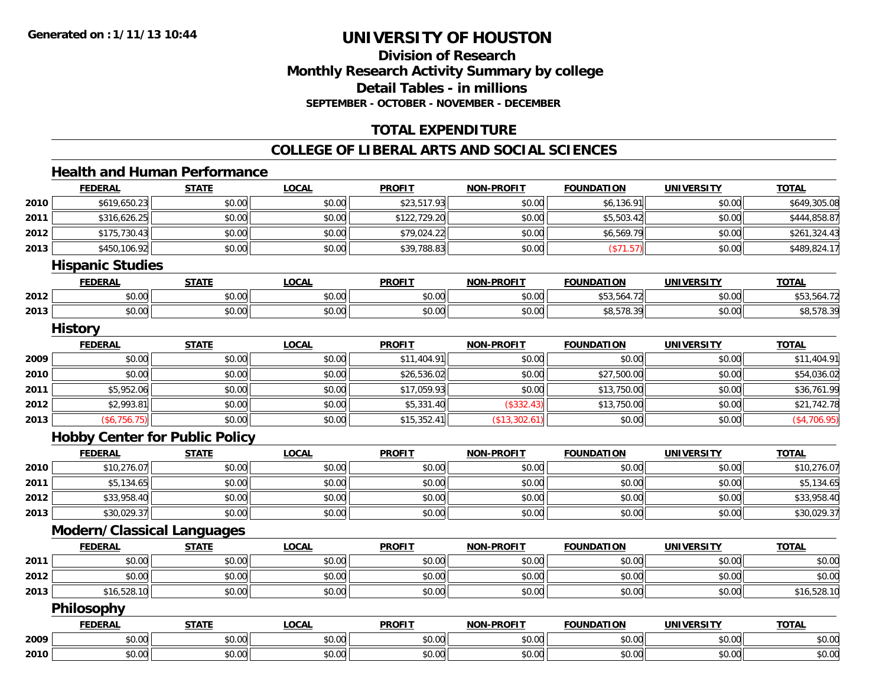# **Division of ResearchMonthly Research Activity Summary by college Detail Tables - in millions SEPTEMBER - OCTOBER - NOVEMBER - DECEMBER**

# **TOTAL EXPENDITURE**

#### **COLLEGE OF LIBERAL ARTS AND SOCIAL SCIENCES**

#### **Health and Human Performance**

| \$619,650.23<br>\$23,517.93<br>\$0.00<br>\$0.00<br>\$0.00<br>\$6,136.91<br>\$0.00<br>2010<br>\$316,626.25<br>\$0.00<br>\$122,729.20<br>2011<br>\$0.00<br>\$0.00<br>\$5,503.42<br>\$0.00<br>2012<br>\$0.00<br>\$79,024.22<br>\$175,730.43<br>\$0.00<br>\$0.00<br>\$6,569.79<br>\$0.00<br>\$450,106.92<br>\$0.00<br>\$0.00<br>\$39,788.83<br>\$0.00<br>2013<br>\$0.00<br>(\$71.57)<br><b>Hispanic Studies</b><br><b>STATE</b><br><b>FOUNDATION</b><br><b>FEDERAL</b><br><b>LOCAL</b><br><b>PROFIT</b><br><b>NON-PROFIT</b><br><b>UNIVERSITY</b><br><b>TOTAL</b><br>\$0.00<br>\$0.00<br>\$0.00<br>\$0.00<br>\$53,564.72<br>\$0.00<br>2012<br>\$0.00<br>\$0.00<br>2013<br>\$0.00<br>\$0.00<br>\$0.00<br>\$0.00<br>\$8,578.39<br>\$0.00<br><b>History</b><br><b>STATE</b><br><b>LOCAL</b><br><b>PROFIT</b><br><b>FEDERAL</b><br>NON-PROFIT<br><b>FOUNDATION</b><br><b>UNIVERSITY</b><br><b>TOTAL</b><br>\$0.00<br>\$0.00<br>\$0.00<br>\$11,404.91<br>\$0.00<br>\$0.00<br>\$0.00<br>2009<br>\$0.00<br>\$0.00<br>\$26,536.02<br>\$27,500.00<br>\$0.00<br>2010<br>\$0.00<br>\$0.00<br>\$0.00<br>\$17,059.93<br>2011<br>\$5,952.06<br>\$0.00<br>\$0.00<br>\$13,750.00<br>\$0.00<br>\$5,331.40<br>(\$332.43)<br>2012<br>\$2,993.81<br>\$0.00<br>\$13,750.00<br>\$0.00<br>\$0.00<br>\$15,352.41<br>2013<br>(\$6,756.75)<br>\$0.00<br>\$0.00<br>(\$13,302.61)<br>\$0.00<br>\$0.00<br><b>Hobby Center for Public Policy</b><br><b>FEDERAL</b><br><b>LOCAL</b><br><b>PROFIT</b><br><b>NON-PROFIT</b><br><b>FOUNDATION</b><br><b>UNIVERSITY</b><br><b>TOTAL</b><br><b>STATE</b><br>\$0.00<br>\$10,276.07<br>\$0.00<br>2010<br>\$0.00<br>\$0.00<br>\$0.00<br>\$0.00<br>\$5,134.65<br>\$0.00<br>2011<br>\$0.00<br>\$0.00<br>\$0.00<br>\$0.00<br>\$0.00<br>2012<br>\$33,958.40<br>\$0.00<br>\$0.00<br>\$0.00<br>\$0.00<br>\$0.00<br>\$0.00<br>\$0.00<br>\$0.00<br>\$30,029.37<br>\$0.00<br>\$0.00<br>\$0.00<br>\$0.00<br>2013<br><b>Modern/Classical Languages</b><br><b>STATE</b><br><b>LOCAL</b><br><b>PROFIT</b><br><b>NON-PROFIT</b><br><b>FOUNDATION</b><br><b>UNIVERSITY</b><br><b>TOTAL</b><br><b>FEDERAL</b><br>\$0.00<br>\$0.00<br>\$0.00<br>\$0.00<br>\$0.00<br>2011<br>\$0.00<br>\$0.00<br>\$0.00<br>\$0.00<br>\$0.00<br>\$0.00<br>2012<br>\$0.00<br>\$0.00<br>\$0.00<br>\$16,528.10<br>\$0.00<br>2013<br>\$0.00<br>\$0.00<br>\$0.00<br>\$0.00<br>\$0.00<br>Philosophy<br><b>STATE</b><br><b>LOCAL</b><br><b>PROFIT</b><br><b>FEDERAL</b><br><b>NON-PROFIT</b><br><b>FOUNDATION</b><br><b>UNIVERSITY</b><br><b>TOTAL</b><br>\$0.00<br>\$0.00<br>\$0.00<br>\$0.00<br>\$0.00<br>2009<br>\$0.00<br>\$0.00<br>\$0.00<br>2010<br>\$0.00<br>\$0.00<br>\$0.00<br>\$0.00<br>\$0.00<br>\$0.00 | <b>FEDERAL</b> | <b>STATE</b> | <b>LOCAL</b> | <b>PROFIT</b> | <b>NON-PROFIT</b> | <b>FOUNDATION</b> | <b>UNIVERSITY</b> | <b>TOTAL</b> |
|-------------------------------------------------------------------------------------------------------------------------------------------------------------------------------------------------------------------------------------------------------------------------------------------------------------------------------------------------------------------------------------------------------------------------------------------------------------------------------------------------------------------------------------------------------------------------------------------------------------------------------------------------------------------------------------------------------------------------------------------------------------------------------------------------------------------------------------------------------------------------------------------------------------------------------------------------------------------------------------------------------------------------------------------------------------------------------------------------------------------------------------------------------------------------------------------------------------------------------------------------------------------------------------------------------------------------------------------------------------------------------------------------------------------------------------------------------------------------------------------------------------------------------------------------------------------------------------------------------------------------------------------------------------------------------------------------------------------------------------------------------------------------------------------------------------------------------------------------------------------------------------------------------------------------------------------------------------------------------------------------------------------------------------------------------------------------------------------------------------------------------------------------------------------------------------------------------------------------------------------------------------------------------------------------------------------------------------------------------------------------------------------------------------------------------------------------------------------------------------------------------------------------------------------------------------------------------------------------------------------------------------------------------------------------------|----------------|--------------|--------------|---------------|-------------------|-------------------|-------------------|--------------|
|                                                                                                                                                                                                                                                                                                                                                                                                                                                                                                                                                                                                                                                                                                                                                                                                                                                                                                                                                                                                                                                                                                                                                                                                                                                                                                                                                                                                                                                                                                                                                                                                                                                                                                                                                                                                                                                                                                                                                                                                                                                                                                                                                                                                                                                                                                                                                                                                                                                                                                                                                                                                                                                                               |                |              |              |               |                   |                   |                   | \$649,305.08 |
|                                                                                                                                                                                                                                                                                                                                                                                                                                                                                                                                                                                                                                                                                                                                                                                                                                                                                                                                                                                                                                                                                                                                                                                                                                                                                                                                                                                                                                                                                                                                                                                                                                                                                                                                                                                                                                                                                                                                                                                                                                                                                                                                                                                                                                                                                                                                                                                                                                                                                                                                                                                                                                                                               |                |              |              |               |                   |                   |                   | \$444,858.87 |
|                                                                                                                                                                                                                                                                                                                                                                                                                                                                                                                                                                                                                                                                                                                                                                                                                                                                                                                                                                                                                                                                                                                                                                                                                                                                                                                                                                                                                                                                                                                                                                                                                                                                                                                                                                                                                                                                                                                                                                                                                                                                                                                                                                                                                                                                                                                                                                                                                                                                                                                                                                                                                                                                               |                |              |              |               |                   |                   |                   | \$261,324.43 |
|                                                                                                                                                                                                                                                                                                                                                                                                                                                                                                                                                                                                                                                                                                                                                                                                                                                                                                                                                                                                                                                                                                                                                                                                                                                                                                                                                                                                                                                                                                                                                                                                                                                                                                                                                                                                                                                                                                                                                                                                                                                                                                                                                                                                                                                                                                                                                                                                                                                                                                                                                                                                                                                                               |                |              |              |               |                   |                   |                   | \$489,824.17 |
|                                                                                                                                                                                                                                                                                                                                                                                                                                                                                                                                                                                                                                                                                                                                                                                                                                                                                                                                                                                                                                                                                                                                                                                                                                                                                                                                                                                                                                                                                                                                                                                                                                                                                                                                                                                                                                                                                                                                                                                                                                                                                                                                                                                                                                                                                                                                                                                                                                                                                                                                                                                                                                                                               |                |              |              |               |                   |                   |                   |              |
|                                                                                                                                                                                                                                                                                                                                                                                                                                                                                                                                                                                                                                                                                                                                                                                                                                                                                                                                                                                                                                                                                                                                                                                                                                                                                                                                                                                                                                                                                                                                                                                                                                                                                                                                                                                                                                                                                                                                                                                                                                                                                                                                                                                                                                                                                                                                                                                                                                                                                                                                                                                                                                                                               |                |              |              |               |                   |                   |                   |              |
|                                                                                                                                                                                                                                                                                                                                                                                                                                                                                                                                                                                                                                                                                                                                                                                                                                                                                                                                                                                                                                                                                                                                                                                                                                                                                                                                                                                                                                                                                                                                                                                                                                                                                                                                                                                                                                                                                                                                                                                                                                                                                                                                                                                                                                                                                                                                                                                                                                                                                                                                                                                                                                                                               |                |              |              |               |                   |                   |                   | \$53,564.72  |
|                                                                                                                                                                                                                                                                                                                                                                                                                                                                                                                                                                                                                                                                                                                                                                                                                                                                                                                                                                                                                                                                                                                                                                                                                                                                                                                                                                                                                                                                                                                                                                                                                                                                                                                                                                                                                                                                                                                                                                                                                                                                                                                                                                                                                                                                                                                                                                                                                                                                                                                                                                                                                                                                               |                |              |              |               |                   |                   |                   | \$8,578.39   |
|                                                                                                                                                                                                                                                                                                                                                                                                                                                                                                                                                                                                                                                                                                                                                                                                                                                                                                                                                                                                                                                                                                                                                                                                                                                                                                                                                                                                                                                                                                                                                                                                                                                                                                                                                                                                                                                                                                                                                                                                                                                                                                                                                                                                                                                                                                                                                                                                                                                                                                                                                                                                                                                                               |                |              |              |               |                   |                   |                   |              |
|                                                                                                                                                                                                                                                                                                                                                                                                                                                                                                                                                                                                                                                                                                                                                                                                                                                                                                                                                                                                                                                                                                                                                                                                                                                                                                                                                                                                                                                                                                                                                                                                                                                                                                                                                                                                                                                                                                                                                                                                                                                                                                                                                                                                                                                                                                                                                                                                                                                                                                                                                                                                                                                                               |                |              |              |               |                   |                   |                   |              |
|                                                                                                                                                                                                                                                                                                                                                                                                                                                                                                                                                                                                                                                                                                                                                                                                                                                                                                                                                                                                                                                                                                                                                                                                                                                                                                                                                                                                                                                                                                                                                                                                                                                                                                                                                                                                                                                                                                                                                                                                                                                                                                                                                                                                                                                                                                                                                                                                                                                                                                                                                                                                                                                                               |                |              |              |               |                   |                   |                   | \$11,404.91  |
|                                                                                                                                                                                                                                                                                                                                                                                                                                                                                                                                                                                                                                                                                                                                                                                                                                                                                                                                                                                                                                                                                                                                                                                                                                                                                                                                                                                                                                                                                                                                                                                                                                                                                                                                                                                                                                                                                                                                                                                                                                                                                                                                                                                                                                                                                                                                                                                                                                                                                                                                                                                                                                                                               |                |              |              |               |                   |                   |                   | \$54,036.02  |
|                                                                                                                                                                                                                                                                                                                                                                                                                                                                                                                                                                                                                                                                                                                                                                                                                                                                                                                                                                                                                                                                                                                                                                                                                                                                                                                                                                                                                                                                                                                                                                                                                                                                                                                                                                                                                                                                                                                                                                                                                                                                                                                                                                                                                                                                                                                                                                                                                                                                                                                                                                                                                                                                               |                |              |              |               |                   |                   |                   | \$36,761.99  |
|                                                                                                                                                                                                                                                                                                                                                                                                                                                                                                                                                                                                                                                                                                                                                                                                                                                                                                                                                                                                                                                                                                                                                                                                                                                                                                                                                                                                                                                                                                                                                                                                                                                                                                                                                                                                                                                                                                                                                                                                                                                                                                                                                                                                                                                                                                                                                                                                                                                                                                                                                                                                                                                                               |                |              |              |               |                   |                   |                   | \$21,742.78  |
|                                                                                                                                                                                                                                                                                                                                                                                                                                                                                                                                                                                                                                                                                                                                                                                                                                                                                                                                                                                                                                                                                                                                                                                                                                                                                                                                                                                                                                                                                                                                                                                                                                                                                                                                                                                                                                                                                                                                                                                                                                                                                                                                                                                                                                                                                                                                                                                                                                                                                                                                                                                                                                                                               |                |              |              |               |                   |                   |                   | (\$4,706.95) |
|                                                                                                                                                                                                                                                                                                                                                                                                                                                                                                                                                                                                                                                                                                                                                                                                                                                                                                                                                                                                                                                                                                                                                                                                                                                                                                                                                                                                                                                                                                                                                                                                                                                                                                                                                                                                                                                                                                                                                                                                                                                                                                                                                                                                                                                                                                                                                                                                                                                                                                                                                                                                                                                                               |                |              |              |               |                   |                   |                   |              |
|                                                                                                                                                                                                                                                                                                                                                                                                                                                                                                                                                                                                                                                                                                                                                                                                                                                                                                                                                                                                                                                                                                                                                                                                                                                                                                                                                                                                                                                                                                                                                                                                                                                                                                                                                                                                                                                                                                                                                                                                                                                                                                                                                                                                                                                                                                                                                                                                                                                                                                                                                                                                                                                                               |                |              |              |               |                   |                   |                   |              |
|                                                                                                                                                                                                                                                                                                                                                                                                                                                                                                                                                                                                                                                                                                                                                                                                                                                                                                                                                                                                                                                                                                                                                                                                                                                                                                                                                                                                                                                                                                                                                                                                                                                                                                                                                                                                                                                                                                                                                                                                                                                                                                                                                                                                                                                                                                                                                                                                                                                                                                                                                                                                                                                                               |                |              |              |               |                   |                   |                   | \$10,276.07  |
|                                                                                                                                                                                                                                                                                                                                                                                                                                                                                                                                                                                                                                                                                                                                                                                                                                                                                                                                                                                                                                                                                                                                                                                                                                                                                                                                                                                                                                                                                                                                                                                                                                                                                                                                                                                                                                                                                                                                                                                                                                                                                                                                                                                                                                                                                                                                                                                                                                                                                                                                                                                                                                                                               |                |              |              |               |                   |                   |                   | \$5,134.65   |
|                                                                                                                                                                                                                                                                                                                                                                                                                                                                                                                                                                                                                                                                                                                                                                                                                                                                                                                                                                                                                                                                                                                                                                                                                                                                                                                                                                                                                                                                                                                                                                                                                                                                                                                                                                                                                                                                                                                                                                                                                                                                                                                                                                                                                                                                                                                                                                                                                                                                                                                                                                                                                                                                               |                |              |              |               |                   |                   |                   | \$33,958.40  |
|                                                                                                                                                                                                                                                                                                                                                                                                                                                                                                                                                                                                                                                                                                                                                                                                                                                                                                                                                                                                                                                                                                                                                                                                                                                                                                                                                                                                                                                                                                                                                                                                                                                                                                                                                                                                                                                                                                                                                                                                                                                                                                                                                                                                                                                                                                                                                                                                                                                                                                                                                                                                                                                                               |                |              |              |               |                   |                   |                   | \$30,029.37  |
|                                                                                                                                                                                                                                                                                                                                                                                                                                                                                                                                                                                                                                                                                                                                                                                                                                                                                                                                                                                                                                                                                                                                                                                                                                                                                                                                                                                                                                                                                                                                                                                                                                                                                                                                                                                                                                                                                                                                                                                                                                                                                                                                                                                                                                                                                                                                                                                                                                                                                                                                                                                                                                                                               |                |              |              |               |                   |                   |                   |              |
|                                                                                                                                                                                                                                                                                                                                                                                                                                                                                                                                                                                                                                                                                                                                                                                                                                                                                                                                                                                                                                                                                                                                                                                                                                                                                                                                                                                                                                                                                                                                                                                                                                                                                                                                                                                                                                                                                                                                                                                                                                                                                                                                                                                                                                                                                                                                                                                                                                                                                                                                                                                                                                                                               |                |              |              |               |                   |                   |                   |              |
|                                                                                                                                                                                                                                                                                                                                                                                                                                                                                                                                                                                                                                                                                                                                                                                                                                                                                                                                                                                                                                                                                                                                                                                                                                                                                                                                                                                                                                                                                                                                                                                                                                                                                                                                                                                                                                                                                                                                                                                                                                                                                                                                                                                                                                                                                                                                                                                                                                                                                                                                                                                                                                                                               |                |              |              |               |                   |                   |                   | \$0.00       |
|                                                                                                                                                                                                                                                                                                                                                                                                                                                                                                                                                                                                                                                                                                                                                                                                                                                                                                                                                                                                                                                                                                                                                                                                                                                                                                                                                                                                                                                                                                                                                                                                                                                                                                                                                                                                                                                                                                                                                                                                                                                                                                                                                                                                                                                                                                                                                                                                                                                                                                                                                                                                                                                                               |                |              |              |               |                   |                   |                   | \$0.00       |
|                                                                                                                                                                                                                                                                                                                                                                                                                                                                                                                                                                                                                                                                                                                                                                                                                                                                                                                                                                                                                                                                                                                                                                                                                                                                                                                                                                                                                                                                                                                                                                                                                                                                                                                                                                                                                                                                                                                                                                                                                                                                                                                                                                                                                                                                                                                                                                                                                                                                                                                                                                                                                                                                               |                |              |              |               |                   |                   |                   | \$16,528.10  |
|                                                                                                                                                                                                                                                                                                                                                                                                                                                                                                                                                                                                                                                                                                                                                                                                                                                                                                                                                                                                                                                                                                                                                                                                                                                                                                                                                                                                                                                                                                                                                                                                                                                                                                                                                                                                                                                                                                                                                                                                                                                                                                                                                                                                                                                                                                                                                                                                                                                                                                                                                                                                                                                                               |                |              |              |               |                   |                   |                   |              |
|                                                                                                                                                                                                                                                                                                                                                                                                                                                                                                                                                                                                                                                                                                                                                                                                                                                                                                                                                                                                                                                                                                                                                                                                                                                                                                                                                                                                                                                                                                                                                                                                                                                                                                                                                                                                                                                                                                                                                                                                                                                                                                                                                                                                                                                                                                                                                                                                                                                                                                                                                                                                                                                                               |                |              |              |               |                   |                   |                   |              |
|                                                                                                                                                                                                                                                                                                                                                                                                                                                                                                                                                                                                                                                                                                                                                                                                                                                                                                                                                                                                                                                                                                                                                                                                                                                                                                                                                                                                                                                                                                                                                                                                                                                                                                                                                                                                                                                                                                                                                                                                                                                                                                                                                                                                                                                                                                                                                                                                                                                                                                                                                                                                                                                                               |                |              |              |               |                   |                   |                   | \$0.00       |
|                                                                                                                                                                                                                                                                                                                                                                                                                                                                                                                                                                                                                                                                                                                                                                                                                                                                                                                                                                                                                                                                                                                                                                                                                                                                                                                                                                                                                                                                                                                                                                                                                                                                                                                                                                                                                                                                                                                                                                                                                                                                                                                                                                                                                                                                                                                                                                                                                                                                                                                                                                                                                                                                               |                |              |              |               |                   |                   |                   | \$0.00       |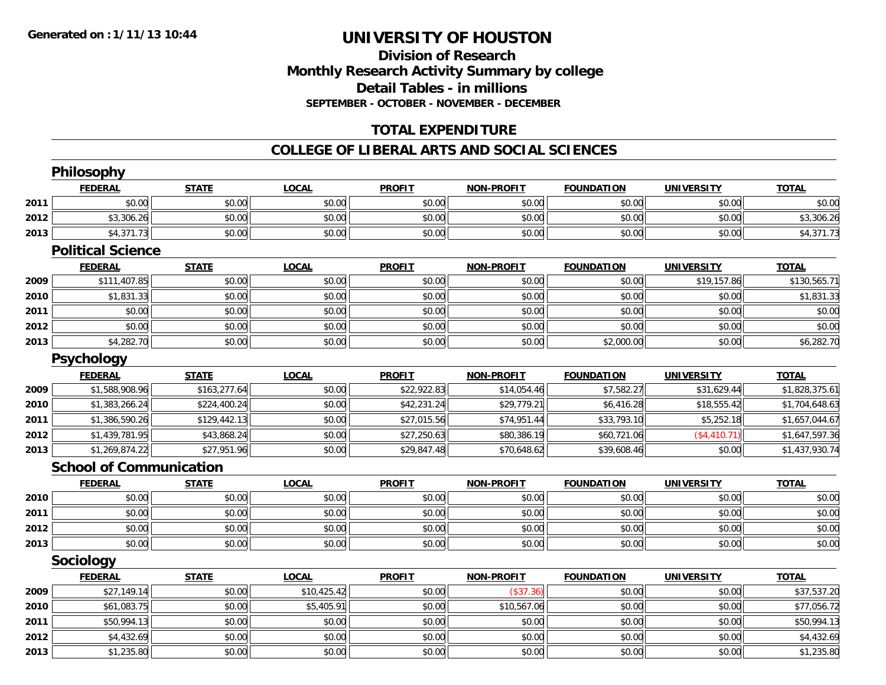# **Division of ResearchMonthly Research Activity Summary by college Detail Tables - in millions SEPTEMBER - OCTOBER - NOVEMBER - DECEMBER**

# **TOTAL EXPENDITURE**

### **COLLEGE OF LIBERAL ARTS AND SOCIAL SCIENCES**

|      | Philosophy                     |              |              |               |                   |                   |                   |                |
|------|--------------------------------|--------------|--------------|---------------|-------------------|-------------------|-------------------|----------------|
|      | <b>FEDERAL</b>                 | <b>STATE</b> | <b>LOCAL</b> | <b>PROFIT</b> | <b>NON-PROFIT</b> | <b>FOUNDATION</b> | <b>UNIVERSITY</b> | <b>TOTAL</b>   |
| 2011 | \$0.00                         | \$0.00       | \$0.00       | \$0.00        | \$0.00            | \$0.00            | \$0.00            | \$0.00         |
| 2012 | \$3,306.26                     | \$0.00       | \$0.00       | \$0.00        | \$0.00            | \$0.00            | \$0.00            | \$3,306.26     |
| 2013 | \$4,371.73                     | \$0.00       | \$0.00       | \$0.00        | \$0.00            | \$0.00            | \$0.00            | \$4,371.73     |
|      | <b>Political Science</b>       |              |              |               |                   |                   |                   |                |
|      | <b>FEDERAL</b>                 | <b>STATE</b> | <b>LOCAL</b> | <b>PROFIT</b> | <b>NON-PROFIT</b> | <b>FOUNDATION</b> | <b>UNIVERSITY</b> | <b>TOTAL</b>   |
| 2009 | \$111,407.85                   | \$0.00       | \$0.00       | \$0.00        | \$0.00            | \$0.00            | \$19,157.86       | \$130,565.71   |
| 2010 | \$1,831.33                     | \$0.00       | \$0.00       | \$0.00        | \$0.00            | \$0.00            | \$0.00            | \$1,831.33     |
| 2011 | \$0.00                         | \$0.00       | \$0.00       | \$0.00        | \$0.00            | \$0.00            | \$0.00            | \$0.00         |
| 2012 | \$0.00                         | \$0.00       | \$0.00       | \$0.00        | \$0.00            | \$0.00            | \$0.00            | \$0.00         |
| 2013 | \$4,282.70                     | \$0.00       | \$0.00       | \$0.00        | \$0.00            | \$2,000.00        | \$0.00            | \$6,282.70     |
|      | <b>Psychology</b>              |              |              |               |                   |                   |                   |                |
|      | <b>FEDERAL</b>                 | <b>STATE</b> | <b>LOCAL</b> | <b>PROFIT</b> | <b>NON-PROFIT</b> | <b>FOUNDATION</b> | <b>UNIVERSITY</b> | <b>TOTAL</b>   |
| 2009 | \$1,588,908.96                 | \$163,277.64 | \$0.00       | \$22,922.83   | \$14,054.46       | \$7,582.27        | \$31,629.44       | \$1,828,375.61 |
| 2010 | \$1,383,266.24                 | \$224,400.24 | \$0.00       | \$42,231.24   | \$29,779.21       | \$6,416.28        | \$18,555.42       | \$1,704,648.63 |
| 2011 | \$1,386,590.26                 | \$129,442.13 | \$0.00       | \$27,015.56   | \$74,951.44       | \$33,793.10       | \$5,252.18        | \$1,657,044.67 |
| 2012 | \$1,439,781.95                 | \$43,868.24  | \$0.00       | \$27,250.63   | \$80,386.19       | \$60,721.06       | (\$4,410.71)      | \$1,647,597.36 |
| 2013 | \$1,269,874.22                 | \$27,951.96  | \$0.00       | \$29,847.48   | \$70,648.62       | \$39,608.46       | \$0.00            | \$1,437,930.74 |
|      | <b>School of Communication</b> |              |              |               |                   |                   |                   |                |
|      | <b>FEDERAL</b>                 | <b>STATE</b> | <b>LOCAL</b> | <b>PROFIT</b> | <b>NON-PROFIT</b> | <b>FOUNDATION</b> | <b>UNIVERSITY</b> | <b>TOTAL</b>   |
| 2010 | \$0.00                         | \$0.00       | \$0.00       | \$0.00        | \$0.00            | \$0.00            | \$0.00            | \$0.00         |
| 2011 | \$0.00                         | \$0.00       | \$0.00       | \$0.00        | \$0.00            | \$0.00            | \$0.00            | \$0.00         |
| 2012 | \$0.00                         | \$0.00       | \$0.00       | \$0.00        | \$0.00            | \$0.00            | \$0.00            | \$0.00         |
| 2013 | \$0.00                         | \$0.00       | \$0.00       | \$0.00        | \$0.00            | \$0.00            | \$0.00            | \$0.00         |
|      | Sociology                      |              |              |               |                   |                   |                   |                |
|      | <b>FEDERAL</b>                 | <b>STATE</b> | <b>LOCAL</b> | <b>PROFIT</b> | <b>NON-PROFIT</b> | <b>FOUNDATION</b> | <b>UNIVERSITY</b> | <b>TOTAL</b>   |
| 2009 | \$27,149.14                    | \$0.00       | \$10,425.42  | \$0.00        | (\$37.36)         | \$0.00            | \$0.00            | \$37,537.20    |
| 2010 | \$61,083.75                    | \$0.00       | \$5,405.91   | \$0.00        | \$10,567.06       | \$0.00            | \$0.00            | \$77,056.72    |
| 2011 | \$50,994.13                    | \$0.00       | \$0.00       | \$0.00        | \$0.00            | \$0.00            | \$0.00            | \$50,994.13    |
| 2012 | \$4,432.69                     | \$0.00       | \$0.00       | \$0.00        | \$0.00            | \$0.00            | \$0.00            | \$4,432.69     |
| 2013 | \$1,235.80                     | \$0.00       | \$0.00       | \$0.00        | \$0.00            | \$0.00            | \$0.00            | \$1,235.80     |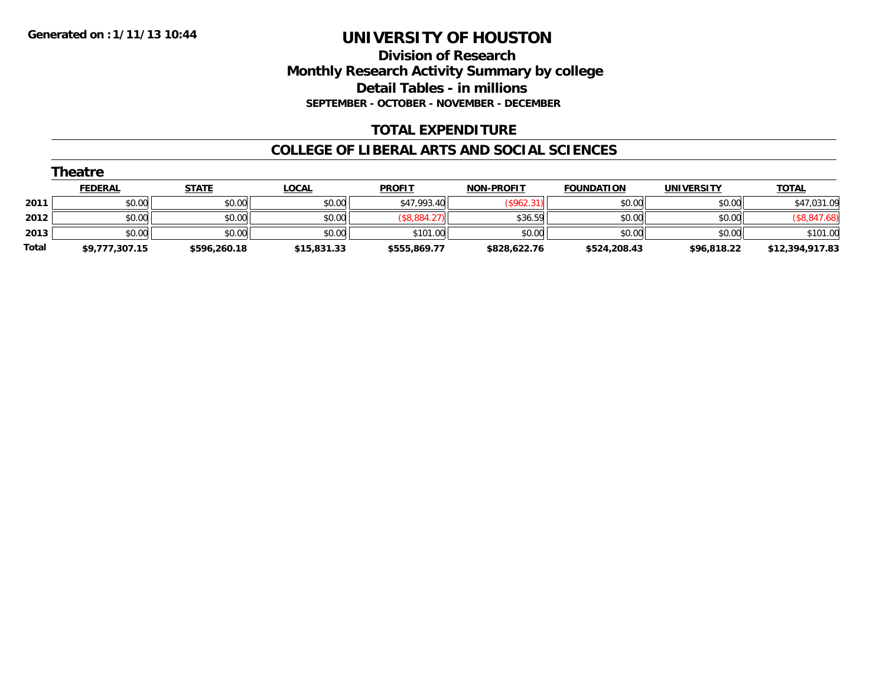# **Division of Research Monthly Research Activity Summary by college Detail Tables - in millions SEPTEMBER - OCTOBER - NOVEMBER - DECEMBER**

# **TOTAL EXPENDITURE**

#### **COLLEGE OF LIBERAL ARTS AND SOCIAL SCIENCES**

|       | Theatre        |              |              |               |                   |                   |                   |                 |
|-------|----------------|--------------|--------------|---------------|-------------------|-------------------|-------------------|-----------------|
|       | <b>FEDERAL</b> | <b>STATE</b> | <u>LOCAL</u> | <b>PROFIT</b> | <b>NON-PROFIT</b> | <b>FOUNDATION</b> | <b>UNIVERSITY</b> | <b>TOTAL</b>    |
| 2011  | \$0.00         | \$0.00       | \$0.00       | \$47,993.40   | (\$962.31)        | \$0.00            | \$0.00            | \$47,031.09     |
| 2012  | \$0.00         | \$0.00       | \$0.00       | \$8,884.27    | \$36.59           | \$0.00            | \$0.00            | (\$8,847.68)    |
| 2013  | \$0.00         | \$0.00       | \$0.00       | \$101.00      | \$0.00            | \$0.00            | \$0.00            | \$101.00        |
| Total | \$9,777,307.15 | \$596,260.18 | \$15,831.33  | \$555,869.77  | \$828,622.76      | \$524,208.43      | \$96,818.22       | \$12,394,917.83 |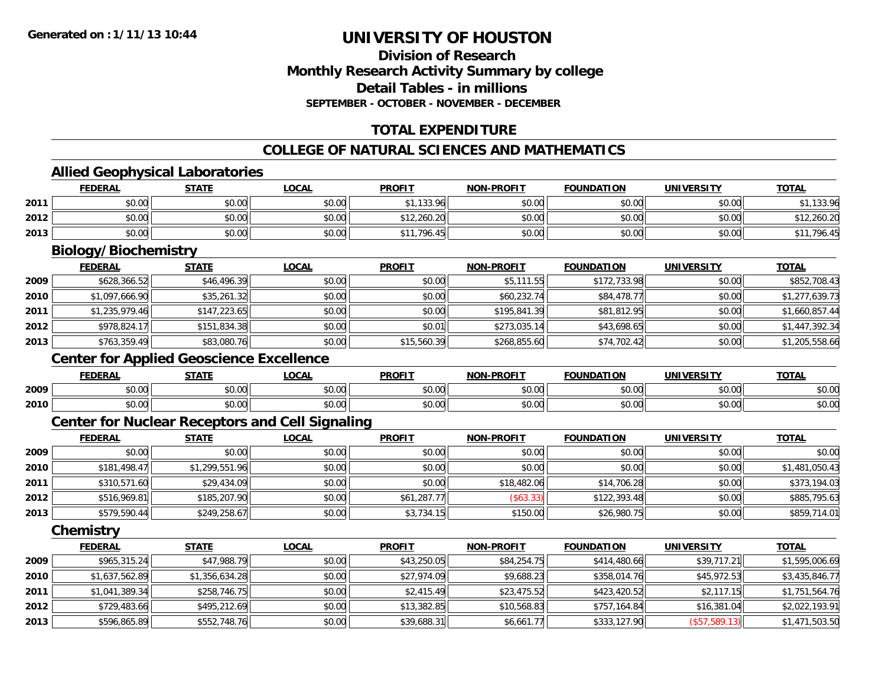# **Division of ResearchMonthly Research Activity Summary by college Detail Tables - in millions SEPTEMBER - OCTOBER - NOVEMBER - DECEMBER**

# **TOTAL EXPENDITURE**

### **COLLEGE OF NATURAL SCIENCES AND MATHEMATICS**

# **Allied Geophysical Laboratories**

|      | <b>FEDERAL</b>                                         | <b>STATE</b>   | <b>LOCAL</b> | <b>PROFIT</b> | <b>NON-PROFIT</b> | <b>FOUNDATION</b> | <b>UNIVERSITY</b> | <b>TOTAL</b>   |
|------|--------------------------------------------------------|----------------|--------------|---------------|-------------------|-------------------|-------------------|----------------|
| 2011 | \$0.00                                                 | \$0.00         | \$0.00       | \$1,133.96    | \$0.00            | \$0.00            | \$0.00            | \$1,133.96     |
| 2012 | \$0.00                                                 | \$0.00         | \$0.00       | \$12,260.20   | \$0.00            | \$0.00            | \$0.00            | \$12,260.20    |
| 2013 | \$0.00                                                 | \$0.00         | \$0.00       | \$11,796.45   | \$0.00            | \$0.00            | \$0.00            | \$11,796.45    |
|      | <b>Biology/Biochemistry</b>                            |                |              |               |                   |                   |                   |                |
|      | <b>FEDERAL</b>                                         | <b>STATE</b>   | <b>LOCAL</b> | <b>PROFIT</b> | <b>NON-PROFIT</b> | <b>FOUNDATION</b> | <b>UNIVERSITY</b> | <b>TOTAL</b>   |
| 2009 | \$628,366.52                                           | \$46,496.39    | \$0.00       | \$0.00        | \$5,111.55        | \$172,733.98      | \$0.00            | \$852,708.43   |
| 2010 | \$1,097,666.90                                         | \$35,261.32    | \$0.00       | \$0.00        | \$60,232.74       | \$84,478.77       | \$0.00            | \$1,277,639.73 |
| 2011 | \$1,235,979.46                                         | \$147,223.65   | \$0.00       | \$0.00        | \$195,841.39      | \$81,812.95       | \$0.00            | \$1,660,857.44 |
| 2012 | \$978,824.17                                           | \$151,834.38   | \$0.00       | \$0.01        | \$273,035.14      | \$43,698.65       | \$0.00            | \$1,447,392.34 |
| 2013 | \$763,359.49                                           | \$83,080.76    | \$0.00       | \$15,560.39   | \$268,855.60      | \$74,702.42       | \$0.00            | \$1,205,558.66 |
|      | <b>Center for Applied Geoscience Excellence</b>        |                |              |               |                   |                   |                   |                |
|      | <b>FEDERAL</b>                                         | <b>STATE</b>   | <b>LOCAL</b> | <b>PROFIT</b> | <b>NON-PROFIT</b> | <b>FOUNDATION</b> | <b>UNIVERSITY</b> | <b>TOTAL</b>   |
| 2009 | \$0.00                                                 | \$0.00         | \$0.00       | \$0.00        | \$0.00            | \$0.00            | \$0.00            | \$0.00         |
| 2010 | \$0.00                                                 | \$0.00         | \$0.00       | \$0.00        | \$0.00            | \$0.00            | \$0.00            | \$0.00         |
|      | <b>Center for Nuclear Receptors and Cell Signaling</b> |                |              |               |                   |                   |                   |                |
|      | <b>FEDERAL</b>                                         | <b>STATE</b>   | <b>LOCAL</b> | <b>PROFIT</b> | <b>NON-PROFIT</b> | <b>FOUNDATION</b> | <b>UNIVERSITY</b> | <b>TOTAL</b>   |
| 2009 | \$0.00                                                 | \$0.00         | \$0.00       | \$0.00        | \$0.00            | \$0.00            | \$0.00            | \$0.00         |
| 2010 | \$181,498.47                                           | \$1,299,551.96 | \$0.00       | \$0.00        | \$0.00            | \$0.00            | \$0.00            | \$1,481,050.43 |
| 2011 | \$310,571.60                                           | \$29,434.09    | \$0.00       | \$0.00        | \$18,482.06       | \$14,706.28       | \$0.00            | \$373,194.03   |
| 2012 | \$516,969.81                                           | \$185,207.90   | \$0.00       | \$61,287.77   | (\$63.33)         | \$122,393.48      | \$0.00            | \$885,795.63   |
| 2013 | \$579,590.44                                           | \$249,258.67   | \$0.00       | \$3,734.15    | \$150.00          | \$26,980.75       | \$0.00            | \$859,714.01   |
|      | Chemistry                                              |                |              |               |                   |                   |                   |                |
|      | <b>FEDERAL</b>                                         | <b>STATE</b>   | <b>LOCAL</b> | <b>PROFIT</b> | <b>NON-PROFIT</b> | <b>FOUNDATION</b> | <b>UNIVERSITY</b> | <b>TOTAL</b>   |
| 2009 | \$965,315.24                                           | \$47,988.79    | \$0.00       | \$43,250.05   | \$84,254.75       | \$414,480.66      | \$39,717.21       | \$1,595,006.69 |
| 2010 | \$1,637,562.89                                         | \$1,356,634.28 | \$0.00       | \$27,974.09   | \$9,688.23        | \$358,014.76      | \$45,972.53       | \$3,435,846.77 |
| 2011 | \$1,041,389.34                                         | \$258,746.75   | \$0.00       | \$2,415.49    | \$23,475.52       | \$423,420.52      | \$2,117.15        | \$1,751,564.76 |
| 2012 | \$729,483.66                                           | \$495,212.69   | \$0.00       | \$13,382.85   | \$10,568.83       | \$757,164.84      | \$16,381.04       | \$2,022,193.91 |
| 2013 | \$596,865.89                                           | \$552,748.76   | \$0.00       | \$39,688.31   | \$6,661.77        | \$333,127.90      | (\$57,589.13)     | \$1,471,503.50 |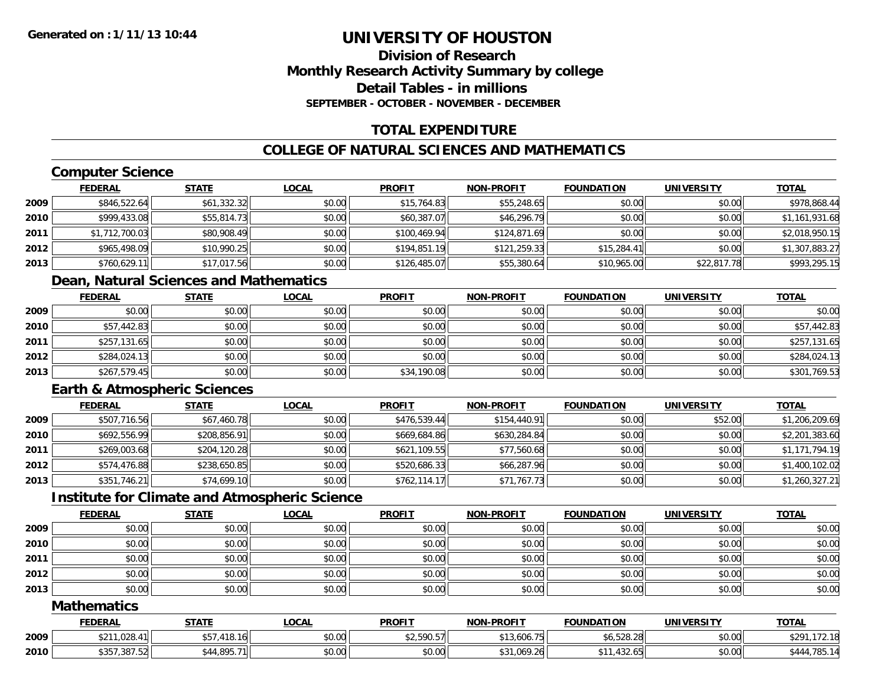# **Division of ResearchMonthly Research Activity Summary by college Detail Tables - in millionsSEPTEMBER - OCTOBER - NOVEMBER - DECEMBER**

# **TOTAL EXPENDITURE**

# **COLLEGE OF NATURAL SCIENCES AND MATHEMATICS**

# **Computer Science**

|      | <b>FEDERAL</b> | <u>STATE</u> | <u>LOCAL</u> | <b>PROFIT</b> | <b>NON-PROFIT</b> | <b>FOUNDATION</b> | <b>UNIVERSITY</b> | <b>TOTAL</b>   |
|------|----------------|--------------|--------------|---------------|-------------------|-------------------|-------------------|----------------|
| 2009 | \$846,522.64   | \$61,332.32  | \$0.00       | \$15,764.83   | \$55,248.65       | \$0.00            | \$0.00            | \$978,868.44   |
| 2010 | \$999,433.08   | \$55,814.73  | \$0.00       | \$60,387.07   | \$46,296.79       | \$0.00            | \$0.00            | \$1,161,931.68 |
| 2011 | \$1,712,700.03 | \$80,908.49  | \$0.00       | \$100,469.94  | \$124,871.69      | \$0.00            | \$0.00            | \$2,018,950.15 |
| 2012 | \$965,498.09   | \$10,990.25  | \$0.00       | \$194,851.19  | \$121,259.33      | \$15,284.41       | \$0.00            | \$1,307,883.27 |
| 2013 | \$760,629.11   | \$17,017.56  | \$0.00       | \$126,485.07  | \$55,380.64       | \$10,965.00       | \$22,817.78       | \$993,295.15   |

# **Dean, Natural Sciences and Mathematics**

|      | <u>FEDERAL</u> | <u>STATE</u> | <u>LOCAL</u> | <b>PROFIT</b> | <b>NON-PROFIT</b> | <b>FOUNDATION</b> | <b>UNIVERSITY</b> | <b>TOTAL</b> |
|------|----------------|--------------|--------------|---------------|-------------------|-------------------|-------------------|--------------|
| 2009 | \$0.00         | \$0.00       | \$0.00       | \$0.00        | \$0.00            | \$0.00            | \$0.00            | \$0.00       |
| 2010 | \$57,442.83    | \$0.00       | \$0.00       | \$0.00        | \$0.00            | \$0.00            | \$0.00            | \$57,442.83  |
| 2011 | \$257,131.65   | \$0.00       | \$0.00       | \$0.00        | \$0.00            | \$0.00            | \$0.00            | \$257,131.65 |
| 2012 | \$284,024.13   | \$0.00       | \$0.00       | \$0.00        | \$0.00            | \$0.00            | \$0.00            | \$284,024.13 |
| 2013 | \$267,579.45   | \$0.00       | \$0.00       | \$34,190.08   | \$0.00            | \$0.00            | \$0.00            | \$301,769.53 |

# **Earth & Atmospheric Sciences**

|      | <b>FEDERAL</b> | <b>STATE</b> | <u>LOCAL</u> | <b>PROFIT</b> | <b>NON-PROFIT</b> | <b>FOUNDATION</b> | <b>UNIVERSITY</b> | <b>TOTAL</b>   |
|------|----------------|--------------|--------------|---------------|-------------------|-------------------|-------------------|----------------|
| 2009 | \$507,716.56   | \$67,460.78  | \$0.00       | \$476,539.44  | \$154,440.91      | \$0.00            | \$52.00           | \$1,206,209.69 |
| 2010 | \$692,556.99   | \$208,856.91 | \$0.00       | \$669,684.86  | \$630,284.84      | \$0.00            | \$0.00            | \$2,201,383.60 |
| 2011 | \$269,003.68   | \$204,120.28 | \$0.00       | \$621,109.55  | \$77,560.68       | \$0.00            | \$0.00            | \$1,171,794.19 |
| 2012 | \$574,476.88   | \$238,650.85 | \$0.00       | \$520,686.33  | \$66,287.96       | \$0.00            | \$0.00            | \$1,400,102.02 |
| 2013 | \$351,746.21   | \$74,699.10  | \$0.00       | \$762,114.17  | \$71,767.73       | \$0.00            | \$0.00            | \$1,260,327.21 |

# **Institute for Climate and Atmospheric Science**

|      | <u>FEDERAL</u> | <b>STATE</b> | <u>LOCAL</u> | <b>PROFIT</b> | <b>NON-PROFIT</b> | <b>FOUNDATION</b> | <b>UNIVERSITY</b> | <b>TOTAL</b> |
|------|----------------|--------------|--------------|---------------|-------------------|-------------------|-------------------|--------------|
| 2009 | \$0.00         | \$0.00       | \$0.00       | \$0.00        | \$0.00            | \$0.00            | \$0.00            | \$0.00       |
| 2010 | \$0.00         | \$0.00       | \$0.00       | \$0.00        | \$0.00            | \$0.00            | \$0.00            | \$0.00       |
| 2011 | \$0.00         | \$0.00       | \$0.00       | \$0.00        | \$0.00            | \$0.00            | \$0.00            | \$0.00       |
| 2012 | \$0.00         | \$0.00       | \$0.00       | \$0.00        | \$0.00            | \$0.00            | \$0.00            | \$0.00       |
| 2013 | \$0.00         | \$0.00       | \$0.00       | \$0.00        | \$0.00            | \$0.00            | \$0.00            | \$0.00       |

#### **Mathematics**

|      | <b>FEDERAL</b>            | <b>STATE</b>    | <b>LOCAL</b>   | <b>PROFIT</b>                                       | <b>NON-PROFIT</b> | <b>FOUNDATION</b>              | <b>UNIVERSITY</b> | <b>TOTAL</b>    |
|------|---------------------------|-----------------|----------------|-----------------------------------------------------|-------------------|--------------------------------|-------------------|-----------------|
| 2009 | ,028.4<br>ሖ へ ィ ィ<br>ジムート | 418.16<br>, כל  | nn nn<br>DU.UU | $*$ $\cap$ $\cap$ $\cap$ $\cap$ $\cap$<br>72,590.57 | \$13,606.75       | \$6,528.28                     | \$0.00            | \$291<br>.72.10 |
| 2010 | \$357,387.52              | 4,895.7<br>$-1$ | 0000<br>DU.UG  | \$0.00                                              | \$31,069.26       | 10011<br><u>т</u> и.<br>432.65 | \$0.00            | 785.1<br>444ء   |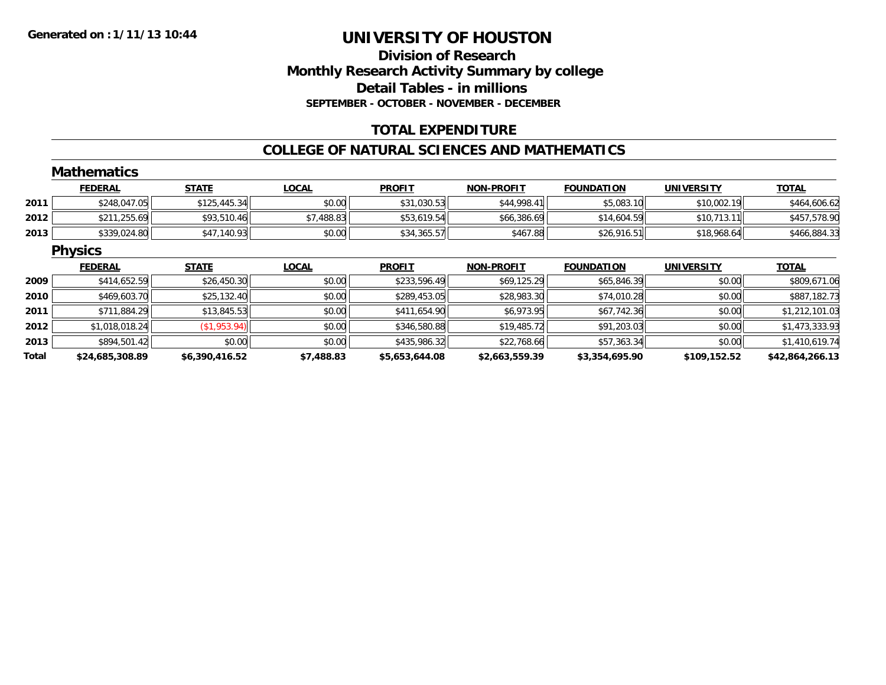# **Division of ResearchMonthly Research Activity Summary by college Detail Tables - in millions SEPTEMBER - OCTOBER - NOVEMBER - DECEMBER**

# **TOTAL EXPENDITURE**

#### **COLLEGE OF NATURAL SCIENCES AND MATHEMATICS**

|       | <b>Mathematics</b> |                |              |                |                   |                   |                   |                 |
|-------|--------------------|----------------|--------------|----------------|-------------------|-------------------|-------------------|-----------------|
|       | <b>FEDERAL</b>     | <b>STATE</b>   | <b>LOCAL</b> | <b>PROFIT</b>  | <b>NON-PROFIT</b> | <b>FOUNDATION</b> | <b>UNIVERSITY</b> | <b>TOTAL</b>    |
| 2011  | \$248,047.05       | \$125,445.34   | \$0.00       | \$31,030.53    | \$44,998.41       | \$5,083.10        | \$10,002.19       | \$464,606.62    |
| 2012  | \$211,255.69       | \$93,510.46    | \$7,488.83   | \$53,619.54    | \$66,386.69       | \$14,604.59       | \$10,713.11       | \$457,578.90    |
| 2013  | \$339,024.80       | \$47,140.93    | \$0.00       | \$34,365.57    | \$467.88          | \$26,916.51       | \$18,968.64       | \$466,884.33    |
|       | <b>Physics</b>     |                |              |                |                   |                   |                   |                 |
|       | <b>FEDERAL</b>     | <b>STATE</b>   | <b>LOCAL</b> | <b>PROFIT</b>  | <b>NON-PROFIT</b> | <b>FOUNDATION</b> | <b>UNIVERSITY</b> | <b>TOTAL</b>    |
| 2009  | \$414,652.59       | \$26,450.30    | \$0.00       | \$233,596.49   | \$69,125.29       | \$65,846.39       | \$0.00            | \$809,671.06    |
| 2010  | \$469,603.70       | \$25,132.40    | \$0.00       | \$289,453.05   | \$28,983.30       | \$74,010.28       | \$0.00            | \$887,182.73    |
| 2011  | \$711,884.29       | \$13,845.53    | \$0.00       | \$411,654.90   | \$6,973.95        | \$67,742.36       | \$0.00            | \$1,212,101.03  |
| 2012  | \$1,018,018.24     | (\$1,953.94)   | \$0.00       | \$346,580.88   | \$19,485.72       | \$91,203.03       | \$0.00            | \$1,473,333.93  |
| 2013  | \$894,501.42       | \$0.00         | \$0.00       | \$435,986.32   | \$22,768.66       | \$57,363.34       | \$0.00            | \$1,410,619.74  |
| Total | \$24,685,308.89    | \$6,390,416.52 | \$7,488.83   | \$5,653,644.08 | \$2,663,559.39    | \$3,354,695.90    | \$109,152.52      | \$42,864,266.13 |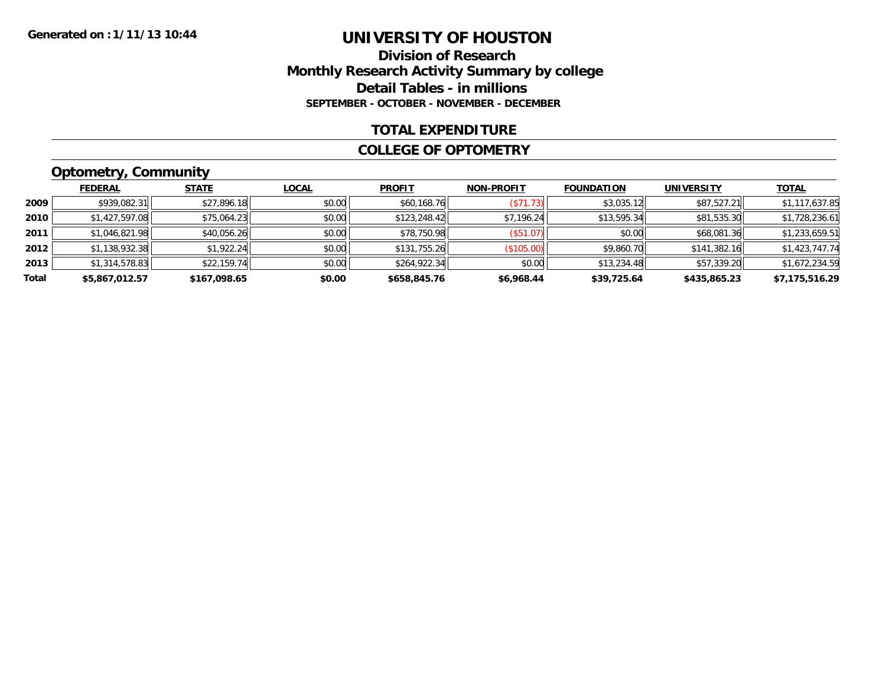### **Division of Research Monthly Research Activity Summary by college Detail Tables - in millions SEPTEMBER - OCTOBER - NOVEMBER - DECEMBER**

### **TOTAL EXPENDITURE**

#### **COLLEGE OF OPTOMETRY**

# **Optometry, Community**

|       | <b>FEDERAL</b> | <b>STATE</b> | <b>LOCAL</b> | <b>PROFIT</b> | <b>NON-PROFIT</b> | <b>FOUNDATION</b> | <b>UNIVERSITY</b> | <b>TOTAL</b>   |
|-------|----------------|--------------|--------------|---------------|-------------------|-------------------|-------------------|----------------|
| 2009  | \$939,082.31   | \$27,896.18  | \$0.00       | \$60,168.76   | (S71.73)          | \$3,035.12        | \$87,527.21       | \$1,117,637.85 |
| 2010  | \$1,427,597.08 | \$75,064.23  | \$0.00       | \$123,248.42  | \$7,196.24        | \$13,595.34       | \$81,535.30       | \$1,728,236.61 |
| 2011  | \$1,046,821.98 | \$40,056.26  | \$0.00       | \$78,750.98   | (\$51.07)         | \$0.00            | \$68,081.36       | \$1,233,659.51 |
| 2012  | \$1,138,932.38 | \$1,922.24   | \$0.00       | \$131,755.26  | (\$105.00)        | \$9,860.70        | \$141,382.16      | \$1,423,747.74 |
| 2013  | \$1,314,578.83 | \$22,159.74  | \$0.00       | \$264,922.34  | \$0.00            | \$13,234.48       | \$57,339.20       | \$1,672,234.59 |
| Total | \$5,867,012.57 | \$167,098.65 | \$0.00       | \$658,845.76  | \$6,968.44        | \$39,725.64       | \$435,865.23      | \$7,175,516.29 |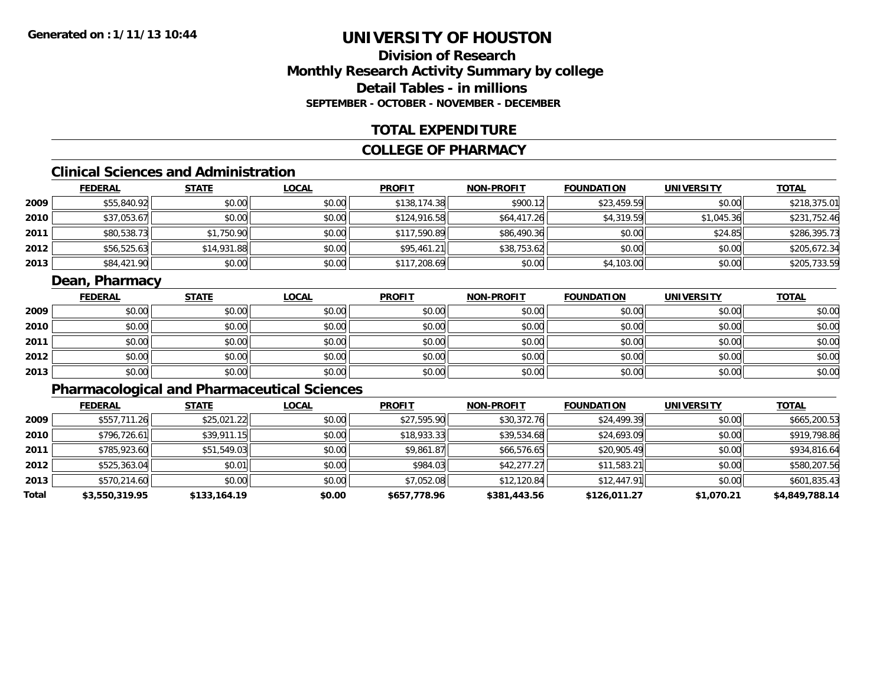# **Division of ResearchMonthly Research Activity Summary by college Detail Tables - in millionsSEPTEMBER - OCTOBER - NOVEMBER - DECEMBER**

### **TOTAL EXPENDITURE**

### **COLLEGE OF PHARMACY**

# **Clinical Sciences and Administration**

|      | <b>FEDERAL</b> | <u>STATE</u> | <b>LOCAL</b> | <b>PROFIT</b> | <b>NON-PROFIT</b> | <b>FOUNDATION</b> | <b>UNIVERSITY</b> | <b>TOTAL</b> |
|------|----------------|--------------|--------------|---------------|-------------------|-------------------|-------------------|--------------|
| 2009 | \$55,840.92    | \$0.00       | \$0.00       | \$138,174.38  | \$900.12          | \$23,459.59       | \$0.00            | \$218,375.01 |
| 2010 | \$37,053.67    | \$0.00       | \$0.00       | \$124,916.58  | \$64,417.26       | \$4,319.59        | \$1,045.36        | \$231,752.46 |
| 2011 | \$80,538.73    | \$1,750.90   | \$0.00       | \$117,590.89  | \$86,490.36       | \$0.00            | \$24.85           | \$286,395.73 |
| 2012 | \$56,525.63    | \$14,931.88  | \$0.00       | \$95,461.21   | \$38,753.62       | \$0.00            | \$0.00            | \$205,672.34 |
| 2013 | \$84,421.90    | \$0.00       | \$0.00       | \$117,208.69  | \$0.00            | \$4,103.00        | \$0.00            | \$205,733.59 |

### **Dean, Pharmacy**

|      | <b>FEDERAL</b> | <b>STATE</b> | <b>LOCAL</b> | <b>PROFIT</b> | <b>NON-PROFIT</b> | <b>FOUNDATION</b> | <b>UNIVERSITY</b> | <b>TOTAL</b> |
|------|----------------|--------------|--------------|---------------|-------------------|-------------------|-------------------|--------------|
| 2009 | \$0.00         | \$0.00       | \$0.00       | \$0.00        | \$0.00            | \$0.00            | \$0.00            | \$0.00       |
| 2010 | \$0.00         | \$0.00       | \$0.00       | \$0.00        | \$0.00            | \$0.00            | \$0.00            | \$0.00       |
| 2011 | \$0.00         | \$0.00       | \$0.00       | \$0.00        | \$0.00            | \$0.00            | \$0.00            | \$0.00       |
| 2012 | \$0.00         | \$0.00       | \$0.00       | \$0.00        | \$0.00            | \$0.00            | \$0.00            | \$0.00       |
| 2013 | \$0.00         | \$0.00       | \$0.00       | \$0.00        | \$0.00            | \$0.00            | \$0.00            | \$0.00       |

# **Pharmacological and Pharmaceutical Sciences**

|       | <b>FEDERAL</b> | <b>STATE</b> | <b>LOCAL</b> | <b>PROFIT</b> | <b>NON-PROFIT</b> | <b>FOUNDATION</b> | <b>UNIVERSITY</b> | <b>TOTAL</b>   |
|-------|----------------|--------------|--------------|---------------|-------------------|-------------------|-------------------|----------------|
| 2009  | \$557,711.26   | \$25,021.22  | \$0.00       | \$27,595.90   | \$30,372.76       | \$24,499.39       | \$0.00            | \$665,200.53   |
| 2010  | \$796.726.61   | \$39,911.15  | \$0.00       | \$18,933.33   | \$39,534.68       | \$24,693.09       | \$0.00            | \$919,798.86   |
| 2011  | \$785,923.60   | \$51,549.03  | \$0.00       | \$9,861.87    | \$66,576.65       | \$20,905.49       | \$0.00            | \$934,816.64   |
| 2012  | \$525,363.04   | \$0.01       | \$0.00       | \$984.03      | \$42,277.27       | \$11,583.21       | \$0.00            | \$580,207.56   |
| 2013  | \$570,214.60   | \$0.00       | \$0.00       | \$7,052.08    | \$12,120.84       | \$12,447.91       | \$0.00            | \$601,835.43   |
| Total | \$3,550,319.95 | \$133,164.19 | \$0.00       | \$657,778.96  | \$381,443.56      | \$126,011.27      | \$1,070.21        | \$4,849,788.14 |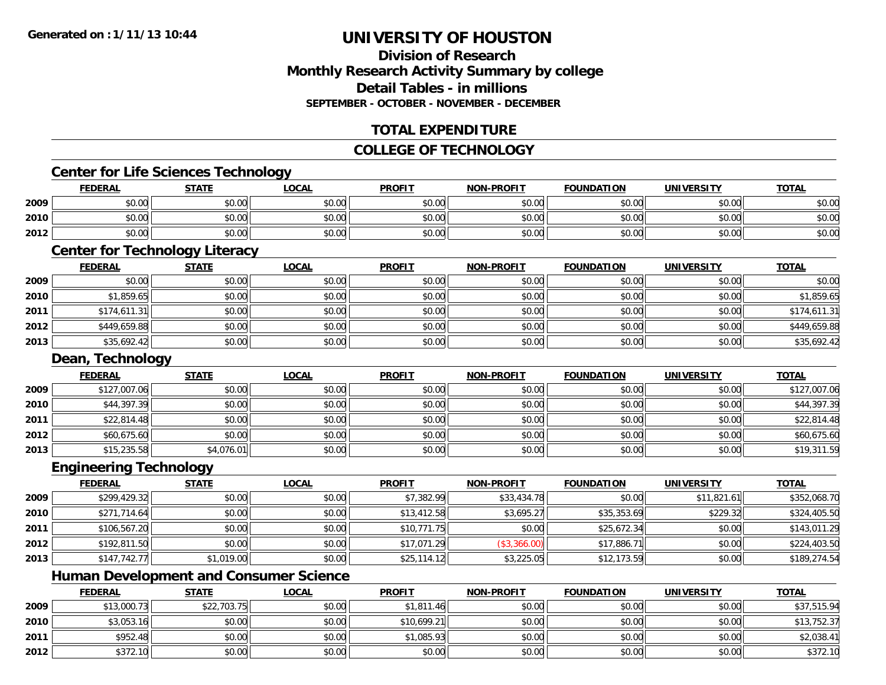# **Division of ResearchMonthly Research Activity Summary by college Detail Tables - in millionsSEPTEMBER - OCTOBER - NOVEMBER - DECEMBER**

# **TOTAL EXPENDITURE**

# **COLLEGE OF TECHNOLOGY**

### **Center for Life Sciences Technology**

|      | <b>FEDERAL</b> | <b>STATE</b> | <u>LOCAL</u> | <b>PROFIT</b> | <b>NON-PROFIT</b> | <b>FOUNDATION</b> | <b>UNIVERSITY</b> | <b>TOTAL</b> |
|------|----------------|--------------|--------------|---------------|-------------------|-------------------|-------------------|--------------|
| 2009 | \$0.00         | \$0.00       | \$0.00       | \$0.00        | \$0.00            | \$0.00            | \$0.00            | \$0.00       |
| 2010 | \$0.00         | \$0.00       | \$0.00       | \$0.00        | \$0.00            | \$0.00            | \$0.00            | \$0.00       |
| 2012 | \$0.00         | \$0.00       | \$0.00       | \$0.00        | \$0.00            | \$0.00            | \$0.00            | \$0.00       |

# **Center for Technology Literacy**

|      | <b>FEDERAL</b> | <b>STATE</b> | <u>LOCAL</u> | <b>PROFIT</b> | <b>NON-PROFIT</b> | <b>FOUNDATION</b> | <b>UNIVERSITY</b> | <b>TOTAL</b> |
|------|----------------|--------------|--------------|---------------|-------------------|-------------------|-------------------|--------------|
| 2009 | \$0.00         | \$0.00       | \$0.00       | \$0.00        | \$0.00            | \$0.00            | \$0.00            | \$0.00       |
| 2010 | \$1,859.65     | \$0.00       | \$0.00       | \$0.00        | \$0.00            | \$0.00            | \$0.00            | \$1,859.65   |
| 2011 | \$174,611.31   | \$0.00       | \$0.00       | \$0.00        | \$0.00            | \$0.00            | \$0.00            | \$174,611.31 |
| 2012 | \$449,659.88   | \$0.00       | \$0.00       | \$0.00        | \$0.00            | \$0.00            | \$0.00            | \$449,659.88 |
| 2013 | \$35,692.42    | \$0.00       | \$0.00       | \$0.00        | \$0.00            | \$0.00            | \$0.00            | \$35,692.42  |

#### **Dean, Technology**

|      | <b>FEDERAL</b> | <b>STATE</b> | <u>LOCAL</u> | <b>PROFIT</b> | <b>NON-PROFIT</b> | <b>FOUNDATION</b> | <b>UNIVERSITY</b> | <b>TOTAL</b> |
|------|----------------|--------------|--------------|---------------|-------------------|-------------------|-------------------|--------------|
| 2009 | \$127,007.06   | \$0.00       | \$0.00       | \$0.00        | \$0.00            | \$0.00            | \$0.00            | \$127,007.06 |
| 2010 | \$44,397.39    | \$0.00       | \$0.00       | \$0.00        | \$0.00            | \$0.00            | \$0.00            | \$44,397.39  |
| 2011 | \$22,814.48    | \$0.00       | \$0.00       | \$0.00        | \$0.00            | \$0.00            | \$0.00            | \$22,814.48  |
| 2012 | \$60,675.60    | \$0.00       | \$0.00       | \$0.00        | \$0.00            | \$0.00            | \$0.00            | \$60,675.60  |
| 2013 | \$15,235.58    | \$4,076.01   | \$0.00       | \$0.00        | \$0.00            | \$0.00            | \$0.00            | \$19,311.59  |

#### **Engineering Technology**

|      | <u>FEDERAL</u> | <b>STATE</b> | <b>LOCAL</b> | <b>PROFIT</b> | <b>NON-PROFIT</b> | <b>FOUNDATION</b> | <b>UNIVERSITY</b> | <b>TOTAL</b> |
|------|----------------|--------------|--------------|---------------|-------------------|-------------------|-------------------|--------------|
| 2009 | \$299,429.32   | \$0.00       | \$0.00       | \$7,382.99    | \$33,434.78       | \$0.00            | \$11,821.61       | \$352,068.70 |
| 2010 | \$271,714.64   | \$0.00       | \$0.00       | \$13,412.58   | \$3,695.27        | \$35,353.69       | \$229.32          | \$324,405.50 |
| 2011 | \$106,567.20   | \$0.00       | \$0.00       | \$10,771.75   | \$0.00            | \$25,672.34       | \$0.00            | \$143,011.29 |
| 2012 | \$192,811.50   | \$0.00       | \$0.00       | \$17,071.29   | (\$3,366.00)      | \$17,886.71       | \$0.00            | \$224,403.50 |
| 2013 | \$147.742.77   | \$1,019.00   | \$0.00       | \$25,114.12   | \$3,225.05        | \$12,173.59       | \$0.00            | \$189,274.54 |

<u> 1989 - Johann Stoff, deutscher Stoffen und der Stoffen und der Stoffen und der Stoffen und der Stoffen und de</u>

# **Human Development and Consumer Science**

|      | <b>FEDERAL</b> | <b>STATE</b> | <b>LOCAL</b> | <b>PROFIT</b> | <b>NON-PROFIT</b> | <b>FOUNDATION</b> | <b>UNIVERSITY</b> | <b>TOTAL</b> |
|------|----------------|--------------|--------------|---------------|-------------------|-------------------|-------------------|--------------|
| 2009 | \$13,000.73    | \$22,703.75  | \$0.00       | \$1,811.46    | \$0.00            | \$0.00            | \$0.00            | \$37,515.94  |
| 2010 | \$3,053.16     | \$0.00       | \$0.00       | \$10,699.21   | \$0.00            | \$0.00            | \$0.00            | \$13,752.37  |
| 2011 | \$952.48       | \$0.00       | \$0.00       | \$1,085.93    | \$0.00            | \$0.00            | \$0.00            | \$2,038.41   |
| 2012 | \$372.10       | \$0.00       | \$0.00       | \$0.00        | \$0.00            | \$0.00            | \$0.00            | \$372.10     |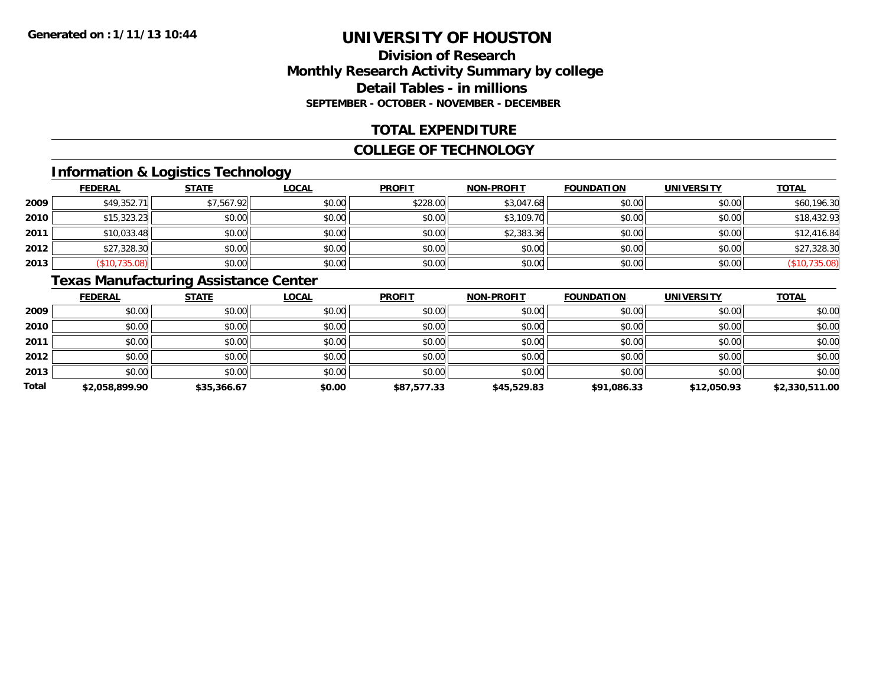# **Division of ResearchMonthly Research Activity Summary by college Detail Tables - in millions SEPTEMBER - OCTOBER - NOVEMBER - DECEMBER**

# **TOTAL EXPENDITURE**

#### **COLLEGE OF TECHNOLOGY**

# **Information & Logistics Technology**

|      | <b>FEDERAL</b> | <b>STATE</b> | <u>LOCAL</u> | <b>PROFIT</b> | <b>NON-PROFIT</b> | <b>FOUNDATION</b> | <b>UNIVERSITY</b> | <b>TOTAL</b>  |
|------|----------------|--------------|--------------|---------------|-------------------|-------------------|-------------------|---------------|
| 2009 | \$49,352.71    | \$7,567.92   | \$0.00       | \$228.00      | \$3,047.68        | \$0.00            | \$0.00            | \$60,196.30   |
| 2010 | \$15,323.23    | \$0.00       | \$0.00       | \$0.00        | \$3,109.70        | \$0.00            | \$0.00            | \$18,432.93   |
| 2011 | \$10,033.48    | \$0.00       | \$0.00       | \$0.00        | \$2,383.36        | \$0.00            | \$0.00            | \$12,416.84   |
| 2012 | \$27,328.30    | \$0.00       | \$0.00       | \$0.00        | \$0.00            | \$0.00            | \$0.00            | \$27,328.30   |
| 2013 | (\$10,735.08)  | \$0.00       | \$0.00       | \$0.00        | \$0.00            | \$0.00            | \$0.00            | (\$10,735.08) |

# **Texas Manufacturing Assistance Center**

|       | <b>FEDERAL</b> | <b>STATE</b> | <b>LOCAL</b> | <b>PROFIT</b> | <b>NON-PROFIT</b> | <b>FOUNDATION</b> | <b>UNIVERSITY</b> | <b>TOTAL</b>   |
|-------|----------------|--------------|--------------|---------------|-------------------|-------------------|-------------------|----------------|
| 2009  | \$0.00         | \$0.00       | \$0.00       | \$0.00        | \$0.00            | \$0.00            | \$0.00            | \$0.00         |
| 2010  | \$0.00         | \$0.00       | \$0.00       | \$0.00        | \$0.00            | \$0.00            | \$0.00            | \$0.00         |
| 2011  | \$0.00         | \$0.00       | \$0.00       | \$0.00        | \$0.00            | \$0.00            | \$0.00            | \$0.00         |
| 2012  | \$0.00         | \$0.00       | \$0.00       | \$0.00        | \$0.00            | \$0.00            | \$0.00            | \$0.00         |
| 2013  | \$0.00         | \$0.00       | \$0.00       | \$0.00        | \$0.00            | \$0.00            | \$0.00            | \$0.00         |
| Total | \$2,058,899.90 | \$35,366.67  | \$0.00       | \$87,577.33   | \$45,529.83       | \$91,086.33       | \$12,050.93       | \$2,330,511.00 |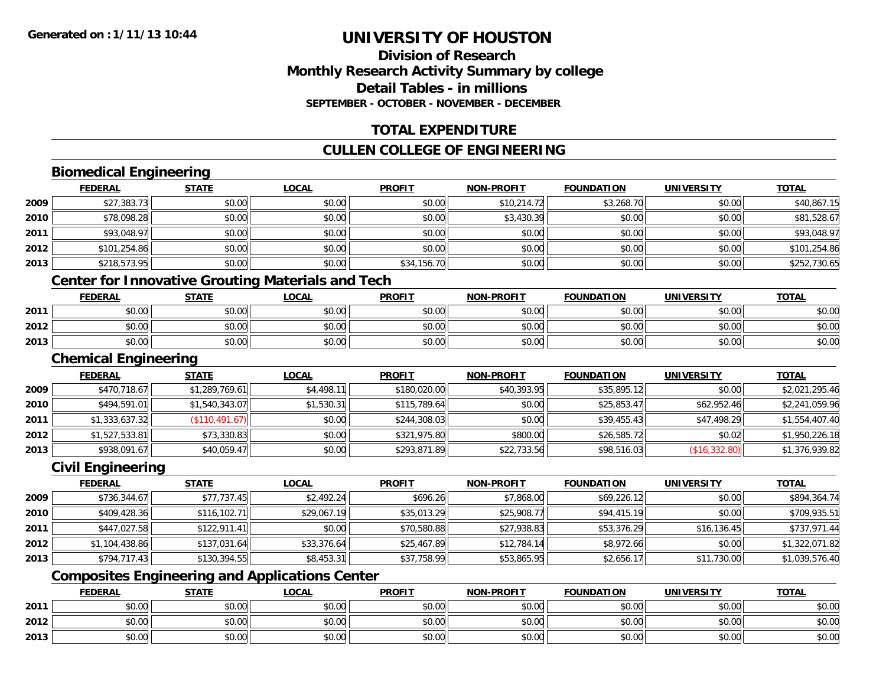# **Division of ResearchMonthly Research Activity Summary by college Detail Tables - in millionsSEPTEMBER - OCTOBER - NOVEMBER - DECEMBER**

# **TOTAL EXPENDITURE**

# **CULLEN COLLEGE OF ENGINEERING**

# **Biomedical Engineering**

|      | <b>FEDERAL</b> | <b>STATE</b> | <b>LOCAL</b> | <b>PROFIT</b> | <b>NON-PROFIT</b> | <b>FOUNDATION</b> | <b>UNIVERSITY</b> | <u>TOTAL</u> |
|------|----------------|--------------|--------------|---------------|-------------------|-------------------|-------------------|--------------|
| 2009 | \$27,383.73    | \$0.00       | \$0.00       | \$0.00        | \$10,214.72       | \$3,268.70        | \$0.00            | \$40,867.15  |
| 2010 | \$78,098.28    | \$0.00       | \$0.00       | \$0.00        | \$3,430.39        | \$0.00            | \$0.00            | \$81,528.67  |
| 2011 | \$93,048.97    | \$0.00       | \$0.00       | \$0.00        | \$0.00            | \$0.00            | \$0.00            | \$93,048.97  |
| 2012 | \$101,254.86   | \$0.00       | \$0.00       | \$0.00        | \$0.00            | \$0.00            | \$0.00            | \$101,254.86 |
| 2013 | \$218,573.95   | \$0.00       | \$0.00       | \$34,156.70   | \$0.00            | \$0.00            | \$0.00            | \$252,730.65 |
|      |                |              |              |               |                   |                   |                   |              |

### **Center for Innovative Grouting Materials and Tech**

|      | <b>FEDERAL</b> | <b>STATE</b>         | <b>_OCAL</b>                           | <b>PROFIT</b>           | <b>NON-PROFIT</b> | <b>FOUNDATION</b> | <b>UNIVERSITY</b> | <b>TOTAL</b> |
|------|----------------|----------------------|----------------------------------------|-------------------------|-------------------|-------------------|-------------------|--------------|
| 2011 | 0000<br>,u.u   | ሳሳ<br>$\sim$<br>JU.U | $\sigma$ $\sim$<br>pu.uu               | $\sqrt{2}$<br>JU.U      | \$0.00            | 0000              | \$0.00            | \$0.00       |
| 2012 | 0000<br>,u.u   | 60.00<br>ΨU.         | $\uparrow$ $\land$ $\uparrow$<br>DU.UG | $\epsilon$ 0.00<br>JU.U | \$0.00            | 0.00<br>JU.UU     | \$0.00            | \$0.00       |
| 2013 | \$0.00         | 40.00<br>JU.UU       | \$0.00                                 | \$0.00                  | \$0.00            | 0.00<br>JU.UU     | \$0.00            | \$0.00       |

#### **Chemical Engineering**

|      | <b>FEDERAL</b> | <u>STATE</u>   | <b>LOCAL</b> | <b>PROFIT</b> | <b>NON-PROFIT</b> | <b>FOUNDATION</b> | <b>UNIVERSITY</b> | <b>TOTAL</b>   |
|------|----------------|----------------|--------------|---------------|-------------------|-------------------|-------------------|----------------|
| 2009 | \$470,718.67   | \$1,289,769.61 | \$4,498.11   | \$180,020.00  | \$40,393.95       | \$35,895.12       | \$0.00            | \$2,021,295.46 |
| 2010 | \$494,591.01   | \$1,540,343.07 | \$1,530.31   | \$115,789.64  | \$0.00            | \$25,853.47       | \$62,952.46       | \$2,241,059.96 |
| 2011 | \$1,333,637.32 | (\$110,491.67) | \$0.00       | \$244,308.03  | \$0.00            | \$39,455.43       | \$47,498.29       | \$1,554,407.40 |
| 2012 | \$1,527,533.81 | \$73,330.83    | \$0.00       | \$321,975.80  | \$800.00          | \$26,585.72       | \$0.02            | \$1,950,226.18 |
| 2013 | \$938,091.67   | \$40,059.47    | \$0.00       | \$293,871.89  | \$22,733.56       | \$98,516.03       | (S16, 332.80)     | \$1,376,939.82 |

### **Civil Engineering**

|      | <b>FEDERAL</b> | <b>STATE</b> | <u>LOCAL</u> | <b>PROFIT</b> | <b>NON-PROFIT</b> | <b>FOUNDATION</b> | <b>UNIVERSITY</b> | <b>TOTAL</b>   |
|------|----------------|--------------|--------------|---------------|-------------------|-------------------|-------------------|----------------|
| 2009 | \$736,344.67   | \$77,737.45  | \$2.492.24   | \$696.26      | \$7,868.00        | \$69,226.12       | \$0.00            | \$894,364.74   |
| 2010 | \$409,428.36   | \$116,102.71 | \$29,067.19  | \$35,013.29   | \$25,908.77       | \$94,415.19       | \$0.00            | \$709,935.51   |
| 2011 | \$447,027.58   | \$122,911.41 | \$0.00       | \$70,580.88   | \$27,938.83       | \$53,376.29       | \$16, 136.45      | \$737,971.44   |
| 2012 | \$1,104,438.86 | \$137,031.64 | \$33,376.64  | \$25,467.89   | \$12,784.14       | \$8,972.66        | \$0.00            | \$1,322,071.82 |
| 2013 | \$794,717.43   | \$130,394.55 | \$8,453.31   | \$37,758.99   | \$53,865.95       | \$2,656.17        | \$11,730.00       | \$1,039,576.40 |

# **Composites Engineering and Applications Center**

|      | <b>FEDERAL</b>         | <b>STATE</b>                       | LOCAL                | <b>PROFIT</b>                                            | <b>NON-PROFIT</b> | <b>FOUNDATION</b> | <b>UNIVERSITY</b><br>. | <b>TOTAL</b> |
|------|------------------------|------------------------------------|----------------------|----------------------------------------------------------|-------------------|-------------------|------------------------|--------------|
| 2011 | $\sim$<br>Ψ.<br>טט.טע  | 40.00<br>JU.UU                     | 0000<br><b>JU.UU</b> | 0.00<br>JU.UU                                            | \$0.00            | \$0.00            | \$0.00                 | \$0.00       |
| 2012 | ÷n.<br>$\sim$<br>טט.טט | 60.00<br>งบ.บบ                     | 0000<br>JU.UU        | $\mathsf{A} \cap \mathsf{A} \cap$<br>$-90.06$            | \$0.00            | \$0.00            | \$0.00                 | \$0.00       |
| 2013 | ልስ ሰሰ<br>DU.UU         | $\uparrow$ $\cap$ $\cap$<br>\$U.UU | \$0.00               | $\mathsf{A} \cap \mathsf{A} \cap \mathsf{A}$<br>$-40.06$ | \$0.00            | \$0.00            | \$0.00                 | \$0.00       |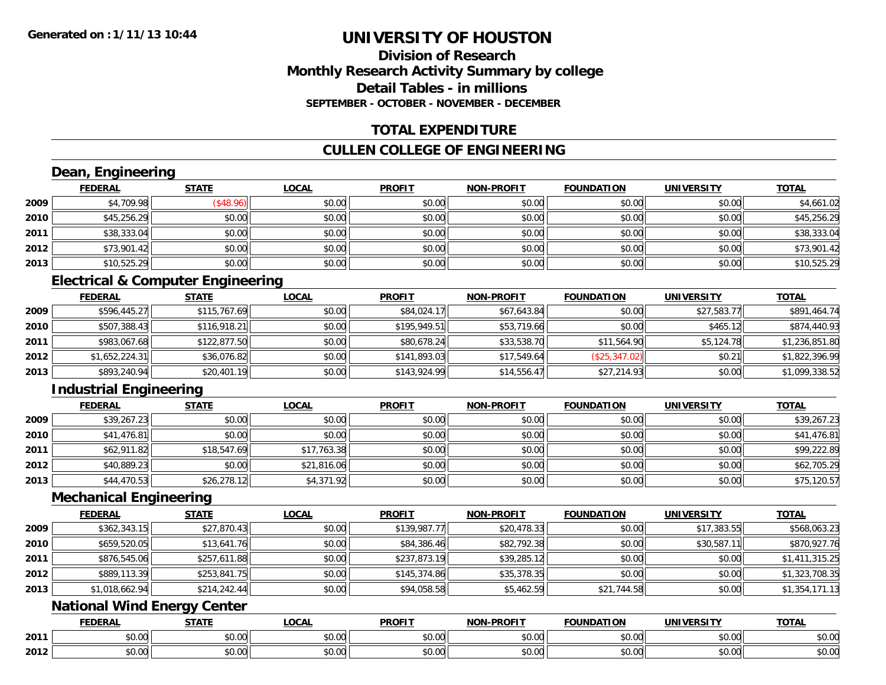# **Division of ResearchMonthly Research Activity Summary by college Detail Tables - in millionsSEPTEMBER - OCTOBER - NOVEMBER - DECEMBER**

### **TOTAL EXPENDITURE**

### **CULLEN COLLEGE OF ENGINEERING**

# **Dean, Engineering**

|      | <b>FEDERAL</b> | <b>STATE</b> | <b>LOCAL</b> | <b>PROFIT</b> | <b>NON-PROFIT</b> | <b>FOUNDATION</b> | <b>UNIVERSITY</b> | <b>TOTAL</b> |
|------|----------------|--------------|--------------|---------------|-------------------|-------------------|-------------------|--------------|
| 2009 | \$4,709.98     | \$48.96      | \$0.00       | \$0.00        | \$0.00            | \$0.00            | \$0.00            | \$4,661.02   |
| 2010 | \$45,256.29    | \$0.00       | \$0.00       | \$0.00        | \$0.00            | \$0.00            | \$0.00            | \$45,256.29  |
| 2011 | \$38,333.04    | \$0.00       | \$0.00       | \$0.00        | \$0.00            | \$0.00            | \$0.00            | \$38,333.04  |
| 2012 | \$73,901.42    | \$0.00       | \$0.00       | \$0.00        | \$0.00            | \$0.00            | \$0.00            | \$73,901.42  |
| 2013 | \$10,525.29    | \$0.00       | \$0.00       | \$0.00        | \$0.00            | \$0.00            | \$0.00            | \$10,525.29  |

# **Electrical & Computer Engineering**

|      | <b>FEDERAL</b> | <b>STATE</b> | <b>LOCAL</b> | <b>PROFIT</b> | <b>NON-PROFIT</b> | <b>FOUNDATION</b> | <b>UNIVERSITY</b> | <u>TOTAL</u>   |
|------|----------------|--------------|--------------|---------------|-------------------|-------------------|-------------------|----------------|
| 2009 | \$596,445.27   | \$115,767.69 | \$0.00       | \$84,024.17   | \$67,643.84       | \$0.00            | \$27,583.77       | \$891,464.74   |
| 2010 | \$507,388.43   | \$116,918.21 | \$0.00       | \$195,949.51  | \$53,719.66       | \$0.00            | \$465.12          | \$874,440.93   |
| 2011 | \$983,067.68   | \$122,877.50 | \$0.00       | \$80,678.24   | \$33,538.70       | \$11,564.90       | \$5,124.78        | \$1,236,851.80 |
| 2012 | \$1,652,224.31 | \$36,076.82  | \$0.00       | \$141,893.03  | \$17,549.64       | (\$25,347.02)     | \$0.21            | \$1,822,396.99 |
| 2013 | \$893,240.94   | \$20,401.19  | \$0.00       | \$143,924.99  | \$14,556.47       | \$27,214.93       | \$0.00            | \$1,099,338.52 |

# **Industrial Engineering**

|      | <u>FEDERAL</u> | <b>STATE</b> | <b>LOCAL</b> | <b>PROFIT</b> | <b>NON-PROFIT</b> | <b>FOUNDATION</b> | <b>UNIVERSITY</b> | <b>TOTAL</b> |
|------|----------------|--------------|--------------|---------------|-------------------|-------------------|-------------------|--------------|
| 2009 | \$39,267.23    | \$0.00       | \$0.00       | \$0.00        | \$0.00            | \$0.00            | \$0.00            | \$39,267.23  |
| 2010 | \$41,476.81    | \$0.00       | \$0.00       | \$0.00        | \$0.00            | \$0.00            | \$0.00            | \$41,476.81  |
| 2011 | \$62,911.82    | \$18,547.69  | \$17,763.38  | \$0.00        | \$0.00            | \$0.00            | \$0.00            | \$99,222.89  |
| 2012 | \$40,889.23    | \$0.00       | \$21,816.06  | \$0.00        | \$0.00            | \$0.00            | \$0.00            | \$62,705.29  |
| 2013 | \$44,470.53    | \$26,278.12  | \$4,371.92   | \$0.00        | \$0.00            | \$0.00            | \$0.00            | \$75,120.57  |

#### **Mechanical Engineering**

|      | <b>FEDERAL</b> | <b>STATE</b> | <u>LOCAL</u> | <b>PROFIT</b> | <b>NON-PROFIT</b> | <b>FOUNDATION</b> | <b>UNIVERSITY</b> | <b>TOTAL</b>   |
|------|----------------|--------------|--------------|---------------|-------------------|-------------------|-------------------|----------------|
| 2009 | \$362,343.15   | \$27,870.43  | \$0.00       | \$139,987.77  | \$20,478.33       | \$0.00            | \$17,383.55       | \$568,063.23   |
| 2010 | \$659,520.05   | \$13,641.76  | \$0.00       | \$84,386.46   | \$82,792.38       | \$0.00            | \$30,587.11       | \$870,927.76   |
| 2011 | \$876,545.06   | \$257,611.88 | \$0.00       | \$237,873.19  | \$39,285.12       | \$0.00            | \$0.00            | \$1,411,315.25 |
| 2012 | \$889,113,39   | \$253,841.75 | \$0.00       | \$145.374.86  | \$35,378.35       | \$0.00            | \$0.00            | \$1,323,708.35 |
| 2013 | \$1,018,662.94 | \$214,242.44 | \$0.00       | \$94,058.58   | \$5,462.59        | \$21,744.58       | \$0.00            | \$1,354,171.13 |

# **National Wind Energy Center**

|      | <b>FEDERAL</b> | <b>CTATE</b>    | LOCAI              | <b>PROFIT</b> | <b>DDAELT</b><br><b>NIONI</b><br>ж. | <b>FOUNDATION</b> | UNIVERSITY           | <b>TOTAL</b>             |
|------|----------------|-----------------|--------------------|---------------|-------------------------------------|-------------------|----------------------|--------------------------|
| 2011 | ልስ ባህ<br>שט.טע | ሖጣ<br>JU.UU     | $\sim$ 00<br>DU.UU | 0000<br>JU.UU | $\sim$<br>$\sim$<br>PO.OO           | 0.00<br>JU.UU     | 0000<br><b>DU.UG</b> | $\sim$<br><b>JU.UU</b>   |
| 2012 | nn na<br>JU.UU | $\sim$<br>JU.UU | $\sim$ 00<br>PU.UU | 0000<br>JU.UU | 0.00<br>vv.vv                       | 0.00<br>JU.UU     | 0000<br><b>DU.UG</b> | $\cdots$<br><b>JU.UU</b> |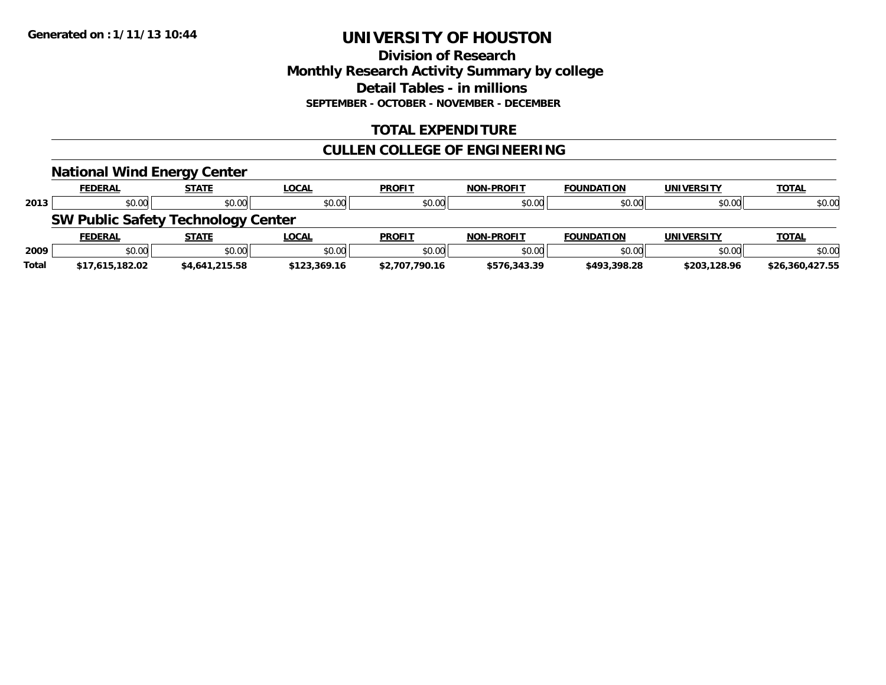### **Division of Research Monthly Research Activity Summary by college Detail Tables - in millions SEPTEMBER - OCTOBER - NOVEMBER - DECEMBER**

### **TOTAL EXPENDITURE**

# **CULLEN COLLEGE OF ENGINEERING**

|              | <b>National Wind Energy Center</b>        |                |              |                |                   |                   |                   |                 |
|--------------|-------------------------------------------|----------------|--------------|----------------|-------------------|-------------------|-------------------|-----------------|
|              | <b>FEDERAL</b>                            | <b>STATE</b>   | <b>LOCAL</b> | <b>PROFIT</b>  | <b>NON-PROFIT</b> | <b>FOUNDATION</b> | <b>UNIVERSITY</b> | <b>TOTAL</b>    |
| 2013         | \$0.00                                    | \$0.00         | \$0.00       | \$0.00         | \$0.00            | \$0.00            | \$0.00            | \$0.00          |
|              | <b>SW Public Safety Technology Center</b> |                |              |                |                   |                   |                   |                 |
|              | <b>FEDERAL</b>                            | <b>STATE</b>   | <b>LOCAL</b> | <b>PROFIT</b>  | <b>NON-PROFIT</b> | <b>FOUNDATION</b> | <b>UNIVERSITY</b> | <b>TOTAL</b>    |
| 2009         | \$0.00                                    | \$0.00         | \$0.00       | \$0.00         | \$0.00            | \$0.00            | \$0.00            | \$0.00          |
| <b>Total</b> | \$17,615,182.02                           | \$4,641,215.58 | \$123,369.16 | \$2,707,790.16 | \$576,343.39      | \$493,398.28      | \$203,128.96      | \$26.360.427.55 |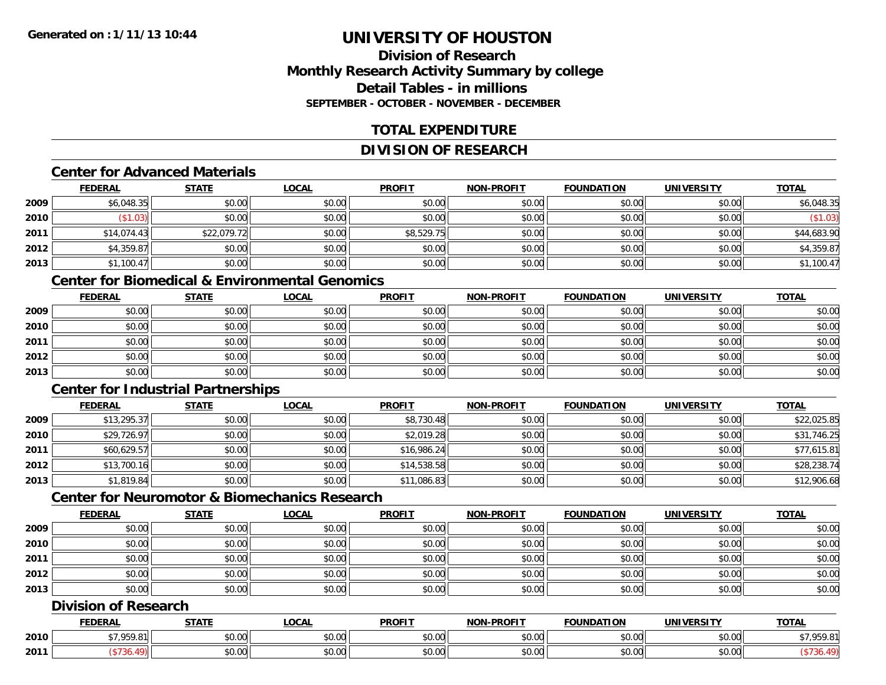# **Division of ResearchMonthly Research Activity Summary by college Detail Tables - in millionsSEPTEMBER - OCTOBER - NOVEMBER - DECEMBER**

# **TOTAL EXPENDITURE**

# **DIVISION OF RESEARCH**

#### **Center for Advanced Materials**

|      | <b>FEDERAL</b> | <b>STATE</b> | <b>LOCAL</b> | <b>PROFIT</b> | <b>NON-PROFIT</b> | <b>FOUNDATION</b> | <b>UNIVERSITY</b> | <b>TOTAL</b> |
|------|----------------|--------------|--------------|---------------|-------------------|-------------------|-------------------|--------------|
| 2009 | \$6,048.35     | \$0.00       | \$0.00       | \$0.00        | \$0.00            | \$0.00            | \$0.00            | \$6,048.35   |
| 2010 | \$1.03         | \$0.00       | \$0.00       | \$0.00        | \$0.00            | \$0.00            | \$0.00            | $(\$1.03)$   |
| 2011 | \$14,074.43    | \$22,079.72  | \$0.00       | \$8,529.75    | \$0.00            | \$0.00            | \$0.00            | \$44,683.90  |
| 2012 | \$4,359.87     | \$0.00       | \$0.00       | \$0.00        | \$0.00            | \$0.00            | \$0.00            | \$4,359.87   |
| 2013 | \$1,100.47     | \$0.00       | \$0.00       | \$0.00        | \$0.00            | \$0.00            | \$0.00            | \$1,100.47   |

# **Center for Biomedical & Environmental Genomics**

|      | <u>FEDERAL</u> | <u>STATE</u> | <u>LOCAL</u> | <b>PROFIT</b> | <b>NON-PROFIT</b> | <b>FOUNDATION</b> | <b>UNIVERSITY</b> | <b>TOTAL</b> |
|------|----------------|--------------|--------------|---------------|-------------------|-------------------|-------------------|--------------|
| 2009 | \$0.00         | \$0.00       | \$0.00       | \$0.00        | \$0.00            | \$0.00            | \$0.00            | \$0.00       |
| 2010 | \$0.00         | \$0.00       | \$0.00       | \$0.00        | \$0.00            | \$0.00            | \$0.00            | \$0.00       |
| 2011 | \$0.00         | \$0.00       | \$0.00       | \$0.00        | \$0.00            | \$0.00            | \$0.00            | \$0.00       |
| 2012 | \$0.00         | \$0.00       | \$0.00       | \$0.00        | \$0.00            | \$0.00            | \$0.00            | \$0.00       |
| 2013 | \$0.00         | \$0.00       | \$0.00       | \$0.00        | \$0.00            | \$0.00            | \$0.00            | \$0.00       |

# **Center for Industrial Partnerships**

|      | <b>FEDERAL</b> | <b>STATE</b> | <b>LOCAL</b> | <b>PROFIT</b> | <b>NON-PROFIT</b> | <b>FOUNDATION</b> | <b>UNIVERSITY</b> | <b>TOTAL</b> |
|------|----------------|--------------|--------------|---------------|-------------------|-------------------|-------------------|--------------|
| 2009 | \$13,295.37    | \$0.00       | \$0.00       | \$8,730.48    | \$0.00            | \$0.00            | \$0.00            | \$22,025.85  |
| 2010 | \$29,726.97    | \$0.00       | \$0.00       | \$2,019.28    | \$0.00            | \$0.00            | \$0.00            | \$31,746.25  |
| 2011 | \$60,629.57    | \$0.00       | \$0.00       | \$16,986.24   | \$0.00            | \$0.00            | \$0.00            | \$77,615.81  |
| 2012 | \$13,700.16    | \$0.00       | \$0.00       | \$14,538.58   | \$0.00            | \$0.00            | \$0.00            | \$28,238.74  |
| 2013 | \$1,819.84     | \$0.00       | \$0.00       | \$11,086.83   | \$0.00            | \$0.00            | \$0.00            | \$12,906.68  |

# **Center for Neuromotor & Biomechanics Research**

|      | <b>FEDERAL</b> | <b>STATE</b> | <b>LOCAL</b> | <b>PROFIT</b> | <b>NON-PROFIT</b> | <b>FOUNDATION</b> | <b>UNIVERSITY</b> | <b>TOTAL</b> |
|------|----------------|--------------|--------------|---------------|-------------------|-------------------|-------------------|--------------|
| 2009 | \$0.00         | \$0.00       | \$0.00       | \$0.00        | \$0.00            | \$0.00            | \$0.00            | \$0.00       |
| 2010 | \$0.00         | \$0.00       | \$0.00       | \$0.00        | \$0.00            | \$0.00            | \$0.00            | \$0.00       |
| 2011 | \$0.00         | \$0.00       | \$0.00       | \$0.00        | \$0.00            | \$0.00            | \$0.00            | \$0.00       |
| 2012 | \$0.00         | \$0.00       | \$0.00       | \$0.00        | \$0.00            | \$0.00            | \$0.00            | \$0.00       |
| 2013 | \$0.00         | \$0.00       | \$0.00       | \$0.00        | \$0.00            | \$0.00            | \$0.00            | \$0.00       |

# **Division of Research**

|      | <b>FEDERAL</b> | <b>STATL</b>      | .OCAI          | <b>PROFIT</b>        | <b>M-PROF!</b><br>.    | <b>FOUNDATION</b> | JNIV                 | <b>TOTAL</b> |
|------|----------------|-------------------|----------------|----------------------|------------------------|-------------------|----------------------|--------------|
| 2010 | 7.050<br>. ب   | ÷0.<br>₽∪.∪∪      | 0000<br>DU.UU  | 0.00<br><b>DU.UU</b> | $\sim$ $\sim$<br>vv.vv | \$0.00            | 0000<br>PO.OO        | ,,,,         |
| 2011 |                | $\sim$ 00<br>vv.v | ሶስ ሰሰ<br>JU.UU | 0.00<br><b>DU.UU</b> | vu.vu                  | \$0.00            | 0000<br><b>JU.UU</b> |              |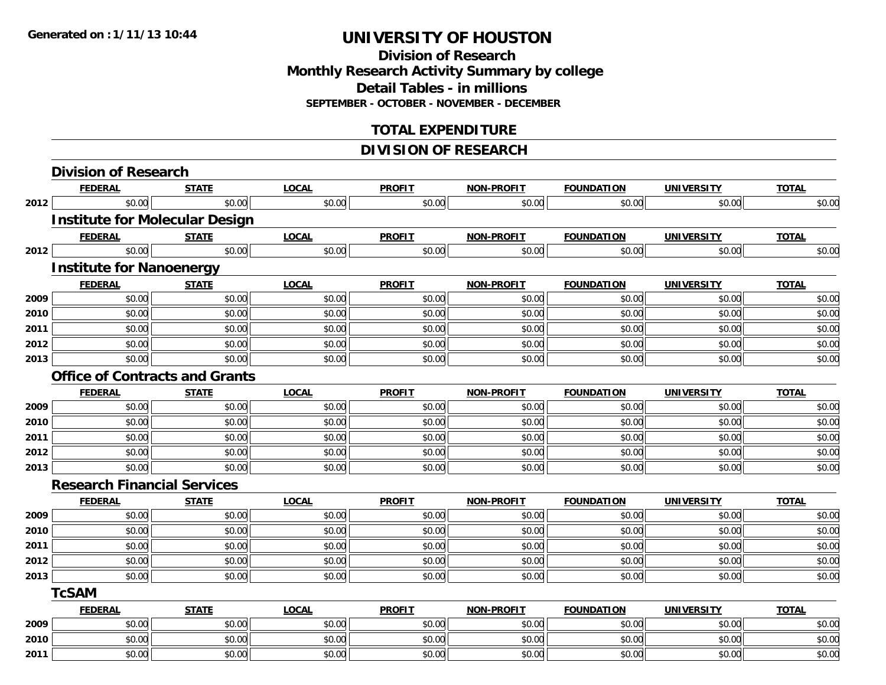# **Division of ResearchMonthly Research Activity Summary by college Detail Tables - in millions SEPTEMBER - OCTOBER - NOVEMBER - DECEMBER**

# **TOTAL EXPENDITURE**

# **DIVISION OF RESEARCH**

|      | <b>Division of Research</b>           |              |              |               |                   |                   |                   |              |
|------|---------------------------------------|--------------|--------------|---------------|-------------------|-------------------|-------------------|--------------|
|      | <b>FEDERAL</b>                        | <b>STATE</b> | <b>LOCAL</b> | <b>PROFIT</b> | <b>NON-PROFIT</b> | <b>FOUNDATION</b> | <b>UNIVERSITY</b> | <b>TOTAL</b> |
| 2012 | \$0.00                                | \$0.00       | \$0.00       | \$0.00        | \$0.00            | \$0.00            | \$0.00            | \$0.00       |
|      | <b>Institute for Molecular Design</b> |              |              |               |                   |                   |                   |              |
|      | <b>FEDERAL</b>                        | <b>STATE</b> | <b>LOCAL</b> | <b>PROFIT</b> | <b>NON-PROFIT</b> | <b>FOUNDATION</b> | <b>UNIVERSITY</b> | <b>TOTAL</b> |
| 2012 | \$0.00                                | \$0.00       | \$0.00       | \$0.00        | \$0.00            | \$0.00            | \$0.00            | \$0.00       |
|      | <b>Institute for Nanoenergy</b>       |              |              |               |                   |                   |                   |              |
|      | <b>FEDERAL</b>                        | <b>STATE</b> | <b>LOCAL</b> | <b>PROFIT</b> | <b>NON-PROFIT</b> | <b>FOUNDATION</b> | <b>UNIVERSITY</b> | <b>TOTAL</b> |
| 2009 | \$0.00                                | \$0.00       | \$0.00       | \$0.00        | \$0.00            | \$0.00            | \$0.00            | \$0.00       |
| 2010 | \$0.00                                | \$0.00       | \$0.00       | \$0.00        | \$0.00            | \$0.00            | \$0.00            | \$0.00       |
| 2011 | \$0.00                                | \$0.00       | \$0.00       | \$0.00        | \$0.00            | \$0.00            | \$0.00            | \$0.00       |
| 2012 | \$0.00                                | \$0.00       | \$0.00       | \$0.00        | \$0.00            | \$0.00            | \$0.00            | \$0.00       |
| 2013 | \$0.00                                | \$0.00       | \$0.00       | \$0.00        | \$0.00            | \$0.00            | \$0.00            | \$0.00       |
|      | <b>Office of Contracts and Grants</b> |              |              |               |                   |                   |                   |              |
|      | <b>FEDERAL</b>                        | <b>STATE</b> | <b>LOCAL</b> | <b>PROFIT</b> | <b>NON-PROFIT</b> | <b>FOUNDATION</b> | <b>UNIVERSITY</b> | <b>TOTAL</b> |
| 2009 | \$0.00                                | \$0.00       | \$0.00       | \$0.00        | \$0.00            | \$0.00            | \$0.00            | \$0.00       |
| 2010 | \$0.00                                | \$0.00       | \$0.00       | \$0.00        | \$0.00            | \$0.00            | \$0.00            | \$0.00       |
| 2011 | \$0.00                                | \$0.00       | \$0.00       | \$0.00        | \$0.00            | \$0.00            | \$0.00            | \$0.00       |
| 2012 | \$0.00                                | \$0.00       | \$0.00       | \$0.00        | \$0.00            | \$0.00            | \$0.00            | \$0.00       |
| 2013 | \$0.00                                | \$0.00       | \$0.00       | \$0.00        | \$0.00            | \$0.00            | \$0.00            | \$0.00       |
|      | <b>Research Financial Services</b>    |              |              |               |                   |                   |                   |              |
|      | <b>FEDERAL</b>                        | <b>STATE</b> | <b>LOCAL</b> | <b>PROFIT</b> | <b>NON-PROFIT</b> | <b>FOUNDATION</b> | <b>UNIVERSITY</b> | <b>TOTAL</b> |
| 2009 | \$0.00                                | \$0.00       | \$0.00       | \$0.00        | \$0.00            | \$0.00            | \$0.00            | \$0.00       |
| 2010 | \$0.00                                | \$0.00       | \$0.00       | \$0.00        | \$0.00            | \$0.00            | \$0.00            | \$0.00       |
| 2011 | \$0.00                                | \$0.00       | \$0.00       | \$0.00        | \$0.00            | \$0.00            | \$0.00            | \$0.00       |
| 2012 | \$0.00                                | \$0.00       | \$0.00       | \$0.00        | \$0.00            | \$0.00            | \$0.00            | \$0.00       |
| 2013 | \$0.00                                | \$0.00       | \$0.00       | \$0.00        | \$0.00            | \$0.00            | \$0.00            | \$0.00       |
|      | <b>TcSAM</b>                          |              |              |               |                   |                   |                   |              |
|      | <b>FEDERAL</b>                        | <b>STATE</b> | <b>LOCAL</b> | <b>PROFIT</b> | <b>NON-PROFIT</b> | <b>FOUNDATION</b> | <b>UNIVERSITY</b> | <b>TOTAL</b> |
| 2009 | \$0.00                                | \$0.00       | \$0.00       | \$0.00        | \$0.00            | \$0.00            | \$0.00            | \$0.00       |
| 2010 | \$0.00                                | \$0.00       | \$0.00       | \$0.00        | \$0.00            | \$0.00            | \$0.00            | \$0.00       |
| 2011 | \$0.00                                | \$0.00       | \$0.00       | \$0.00        | \$0.00            | \$0.00            | \$0.00            | \$0.00       |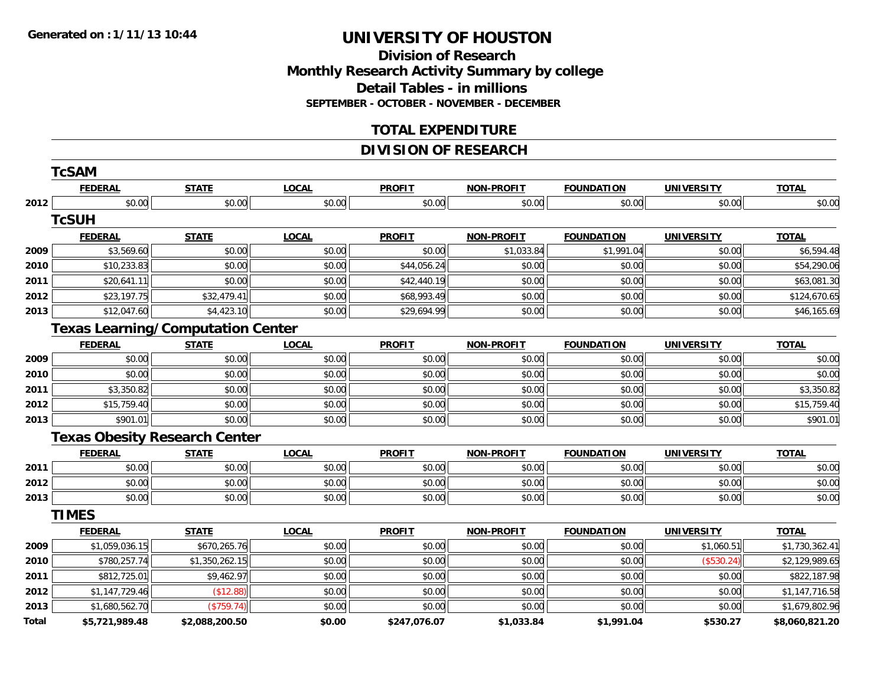**Division of Research Monthly Research Activity Summary by college Detail Tables - in millions SEPTEMBER - OCTOBER - NOVEMBER - DECEMBER**

### **TOTAL EXPENDITURE**

# **DIVISION OF RESEARCH**

|       | <b>TcSAM</b>                             |                |              |               |                   |                   |                   |                |
|-------|------------------------------------------|----------------|--------------|---------------|-------------------|-------------------|-------------------|----------------|
|       | <b>FEDERAL</b>                           | <b>STATE</b>   | <b>LOCAL</b> | <b>PROFIT</b> | <b>NON-PROFIT</b> | <b>FOUNDATION</b> | <b>UNIVERSITY</b> | <b>TOTAL</b>   |
| 2012  | \$0.00                                   | \$0.00         | \$0.00       | \$0.00        | \$0.00            | \$0.00            | \$0.00            | \$0.00         |
|       | <b>TcSUH</b>                             |                |              |               |                   |                   |                   |                |
|       | <b>FEDERAL</b>                           | <b>STATE</b>   | <b>LOCAL</b> | <b>PROFIT</b> | <b>NON-PROFIT</b> | <b>FOUNDATION</b> | <b>UNIVERSITY</b> | <b>TOTAL</b>   |
| 2009  | \$3,569.60                               | \$0.00         | \$0.00       | \$0.00        | \$1,033.84        | \$1,991.04        | \$0.00            | \$6,594.48     |
| 2010  | \$10,233.83                              | \$0.00         | \$0.00       | \$44,056.24   | \$0.00            | \$0.00            | \$0.00            | \$54,290.06    |
| 2011  | \$20,641.11                              | \$0.00         | \$0.00       | \$42,440.19   | \$0.00            | \$0.00            | \$0.00            | \$63,081.30    |
| 2012  | \$23,197.75                              | \$32,479.41    | \$0.00       | \$68,993.49   | \$0.00            | \$0.00            | \$0.00            | \$124,670.65   |
| 2013  | \$12,047.60                              | \$4,423.10     | \$0.00       | \$29,694.99   | \$0.00            | \$0.00            | \$0.00            | \$46,165.69    |
|       | <b>Texas Learning/Computation Center</b> |                |              |               |                   |                   |                   |                |
|       | <b>FEDERAL</b>                           | <b>STATE</b>   | <b>LOCAL</b> | <b>PROFIT</b> | <b>NON-PROFIT</b> | <b>FOUNDATION</b> | <b>UNIVERSITY</b> | <b>TOTAL</b>   |
| 2009  | \$0.00                                   | \$0.00         | \$0.00       | \$0.00        | \$0.00            | \$0.00            | \$0.00            | \$0.00         |
| 2010  | \$0.00                                   | \$0.00         | \$0.00       | \$0.00        | \$0.00            | \$0.00            | \$0.00            | \$0.00         |
| 2011  | \$3,350.82                               | \$0.00         | \$0.00       | \$0.00        | \$0.00            | \$0.00            | \$0.00            | \$3,350.82     |
| 2012  | \$15,759.40                              | \$0.00         | \$0.00       | \$0.00        | \$0.00            | \$0.00            | \$0.00            | \$15,759.40    |
| 2013  | \$901.01                                 | \$0.00         | \$0.00       | \$0.00        | \$0.00            | \$0.00            | \$0.00            | \$901.01       |
|       | <b>Texas Obesity Research Center</b>     |                |              |               |                   |                   |                   |                |
|       | <b>FEDERAL</b>                           | <b>STATE</b>   | <b>LOCAL</b> | <b>PROFIT</b> | <b>NON-PROFIT</b> | <b>FOUNDATION</b> | <b>UNIVERSITY</b> | <b>TOTAL</b>   |
| 2011  | \$0.00                                   | \$0.00         | \$0.00       | \$0.00        | \$0.00            | \$0.00            | \$0.00            | \$0.00         |
| 2012  | \$0.00                                   | \$0.00         | \$0.00       | \$0.00        | \$0.00            | \$0.00            | \$0.00            | \$0.00         |
| 2013  | \$0.00                                   | \$0.00         | \$0.00       | \$0.00        | \$0.00            | \$0.00            | \$0.00            | \$0.00         |
|       | <b>TIMES</b>                             |                |              |               |                   |                   |                   |                |
|       | <b>FEDERAL</b>                           | <b>STATE</b>   | <b>LOCAL</b> | <b>PROFIT</b> | <b>NON-PROFIT</b> | <b>FOUNDATION</b> | <b>UNIVERSITY</b> | <b>TOTAL</b>   |
| 2009  | \$1,059,036.15                           | \$670,265.76   | \$0.00       | \$0.00        | \$0.00            | \$0.00            | \$1,060.51        | \$1,730,362.41 |
| 2010  | \$780,257.74                             | \$1,350,262.15 | \$0.00       | \$0.00        | \$0.00            | \$0.00            | (\$530.24)        | \$2,129,989.65 |
| 2011  | \$812,725.01                             | \$9,462.97     | \$0.00       | \$0.00        | \$0.00            | \$0.00            | \$0.00            | \$822,187.98   |
| 2012  | \$1,147,729.46                           | (\$12.88)      | \$0.00       | \$0.00        | \$0.00            | \$0.00            | \$0.00            | \$1,147,716.58 |
| 2013  | \$1,680,562.70                           | (\$759.74)     | \$0.00       | \$0.00        | \$0.00            | \$0.00            | \$0.00            | \$1,679,802.96 |
| Total | \$5,721,989.48                           | \$2,088,200.50 | \$0.00       | \$247,076.07  | \$1,033.84        | \$1,991.04        | \$530.27          | \$8,060,821.20 |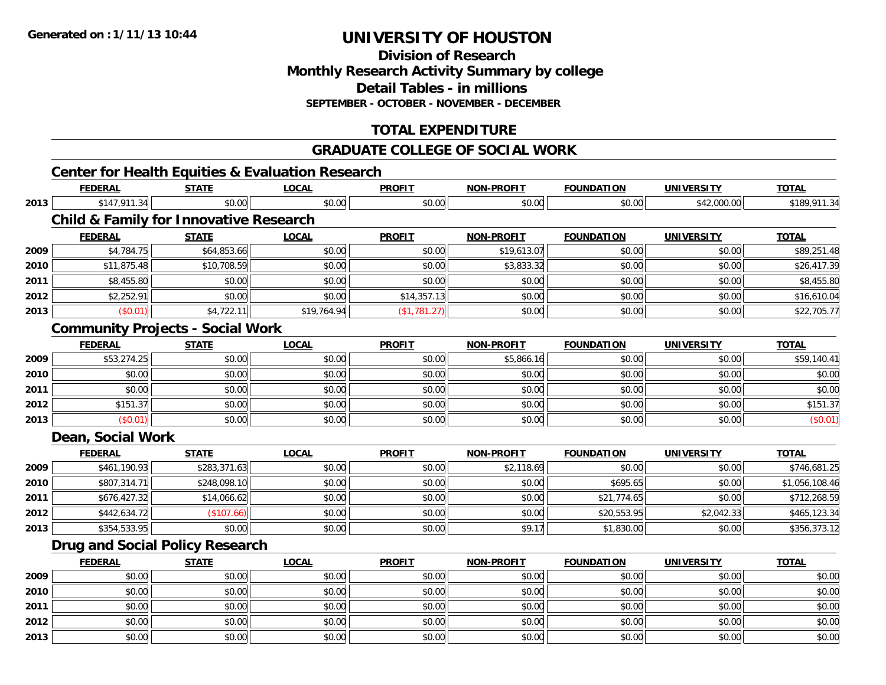**Division of ResearchMonthly Research Activity Summary by college Detail Tables - in millions SEPTEMBER - OCTOBER - NOVEMBER - DECEMBER**

# **TOTAL EXPENDITURE**

#### **GRADUATE COLLEGE OF SOCIAL WORK**

# **Center for Health Equities & Evaluation Research**

|      | <b>FEDERAL</b>                                    | <b>STATE</b> | <b>LOCAL</b> | <b>PROFIT</b> | <b>NON-PROFIT</b> | <b>FOUNDATION</b> | <b>UNIVERSITY</b> | <b>TOTAL</b>   |
|------|---------------------------------------------------|--------------|--------------|---------------|-------------------|-------------------|-------------------|----------------|
| 2013 | \$147,911.34                                      | \$0.00       | \$0.00       | \$0.00        | \$0.00            | \$0.00            | \$42,000.00       | \$189,911.34   |
|      | <b>Child &amp; Family for Innovative Research</b> |              |              |               |                   |                   |                   |                |
|      | <b>FEDERAL</b>                                    | <b>STATE</b> | <b>LOCAL</b> | <b>PROFIT</b> | <b>NON-PROFIT</b> | <b>FOUNDATION</b> | <b>UNIVERSITY</b> | <b>TOTAL</b>   |
| 2009 | \$4,784.75                                        | \$64,853.66  | \$0.00       | \$0.00        | \$19,613.07       | \$0.00            | \$0.00            | \$89,251.48    |
| 2010 | \$11,875.48                                       | \$10,708.59  | \$0.00       | \$0.00        | \$3,833.32        | \$0.00            | \$0.00            | \$26,417.39    |
| 2011 | \$8,455.80                                        | \$0.00       | \$0.00       | \$0.00        | \$0.00            | \$0.00            | \$0.00            | \$8,455.80     |
| 2012 | \$2,252.91                                        | \$0.00       | \$0.00       | \$14,357.13   | \$0.00            | \$0.00            | \$0.00            | \$16,610.04    |
| 2013 | (\$0.01)                                          | \$4,722.11   | \$19,764.94  | (\$1,781.27)  | \$0.00            | \$0.00            | \$0.00            | \$22,705.77    |
|      | <b>Community Projects - Social Work</b>           |              |              |               |                   |                   |                   |                |
|      | <b>FEDERAL</b>                                    | <b>STATE</b> | <b>LOCAL</b> | <b>PROFIT</b> | NON-PROFIT        | <b>FOUNDATION</b> | <b>UNIVERSITY</b> | <b>TOTAL</b>   |
| 2009 | \$53,274.25                                       | \$0.00       | \$0.00       | \$0.00        | \$5,866.16        | \$0.00            | \$0.00            | \$59,140.41    |
| 2010 | \$0.00                                            | \$0.00       | \$0.00       | \$0.00        | \$0.00            | \$0.00            | \$0.00            | \$0.00         |
| 2011 | \$0.00                                            | \$0.00       | \$0.00       | \$0.00        | \$0.00            | \$0.00            | \$0.00            | \$0.00         |
| 2012 | \$151.37                                          | \$0.00       | \$0.00       | \$0.00        | \$0.00            | \$0.00            | \$0.00            | \$151.37       |
| 2013 | (\$0.01)                                          | \$0.00       | \$0.00       | \$0.00        | \$0.00            | \$0.00            | \$0.00            | (\$0.01)       |
|      | Dean, Social Work                                 |              |              |               |                   |                   |                   |                |
|      | <b>FEDERAL</b>                                    | <b>STATE</b> | <b>LOCAL</b> | <b>PROFIT</b> | NON-PROFIT        | <b>FOUNDATION</b> | <b>UNIVERSITY</b> | <b>TOTAL</b>   |
| 2009 | \$461,190.93                                      | \$283,371.63 | \$0.00       | \$0.00        | \$2,118.69        | \$0.00            | \$0.00            | \$746,681.25   |
| 2010 | \$807,314.71                                      | \$248,098.10 | \$0.00       | \$0.00        | \$0.00            | \$695.65          | \$0.00            | \$1,056,108.46 |
| 2011 | \$676,427.32                                      | \$14,066.62  | \$0.00       | \$0.00        | \$0.00            | \$21,774.65       | \$0.00            | \$712,268.59   |
| 2012 | \$442,634.72                                      | (\$107.66)   | \$0.00       | \$0.00        | \$0.00            | \$20,553.95       | \$2,042.33        | \$465,123.34   |
| 2013 | \$354,533.95                                      | \$0.00       | \$0.00       | \$0.00        | \$9.17            | \$1,830.00        | \$0.00            | \$356,373.12   |
|      | <b>Drug and Social Policy Research</b>            |              |              |               |                   |                   |                   |                |
|      | <b>FEDERAL</b>                                    | <b>STATE</b> | <b>LOCAL</b> | <b>PROFIT</b> | <b>NON-PROFIT</b> | <b>FOUNDATION</b> | <b>UNIVERSITY</b> | <b>TOTAL</b>   |
| 2009 | \$0.00                                            | \$0.00       | \$0.00       | \$0.00        | \$0.00            | \$0.00            | \$0.00            | \$0.00         |
| 2010 | \$0.00                                            | \$0.00       | \$0.00       | \$0.00        | \$0.00            | \$0.00            | \$0.00            | \$0.00         |
| 2011 | \$0.00                                            | \$0.00       | \$0.00       | \$0.00        | \$0.00            | \$0.00            | \$0.00            | \$0.00         |
| 2012 | \$0.00                                            | \$0.00       | \$0.00       | \$0.00        | \$0.00            | \$0.00            | \$0.00            | \$0.00         |
| 2013 | \$0.00                                            | \$0.00       | \$0.00       | \$0.00        | \$0.00            | \$0.00            | \$0.00            | \$0.00         |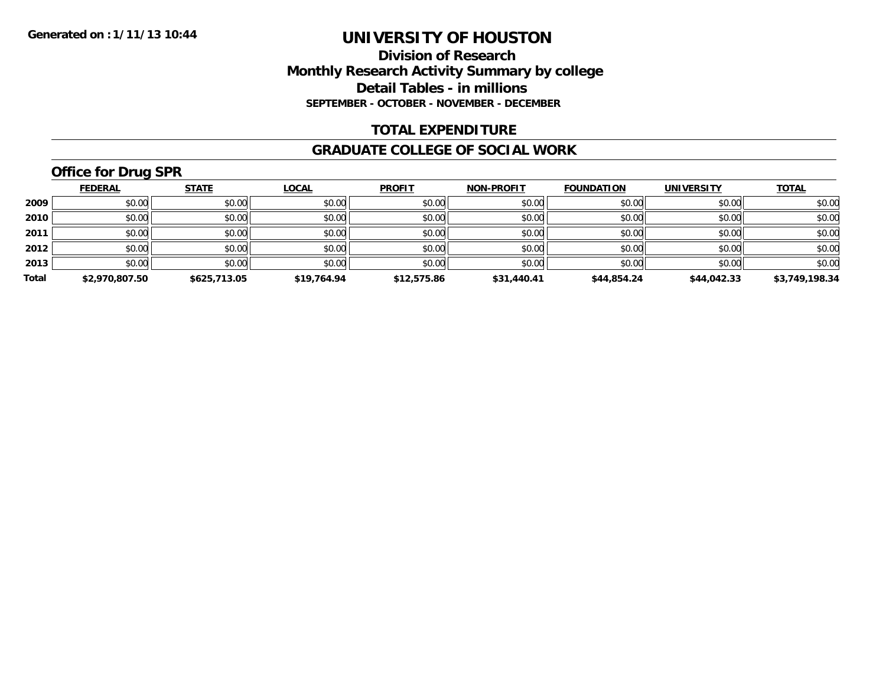### **Division of Research Monthly Research Activity Summary by college Detail Tables - in millions SEPTEMBER - OCTOBER - NOVEMBER - DECEMBER**

### **TOTAL EXPENDITURE**

#### **GRADUATE COLLEGE OF SOCIAL WORK**

# **Office for Drug SPR**

|       | <b>FEDERAL</b> | <b>STATE</b> | <b>LOCAL</b> | <b>PROFIT</b> | <b>NON-PROFIT</b> | <b>FOUNDATION</b> | <b>UNIVERSITY</b> | <b>TOTAL</b>   |
|-------|----------------|--------------|--------------|---------------|-------------------|-------------------|-------------------|----------------|
| 2009  | \$0.00         | \$0.00       | \$0.00       | \$0.00        | \$0.00            | \$0.00            | \$0.00            | \$0.00         |
| 2010  | \$0.00         | \$0.00       | \$0.00       | \$0.00        | \$0.00            | \$0.00            | \$0.00            | \$0.00         |
| 2011  | \$0.00         | \$0.00       | \$0.00       | \$0.00        | \$0.00            | \$0.00            | \$0.00            | \$0.00         |
| 2012  | \$0.00         | \$0.00       | \$0.00       | \$0.00        | \$0.00            | \$0.00            | \$0.00            | \$0.00         |
| 2013  | \$0.00         | \$0.00       | \$0.00       | \$0.00        | \$0.00            | \$0.00            | \$0.00            | \$0.00         |
| Total | \$2,970,807.50 | \$625,713.05 | \$19,764.94  | \$12,575.86   | \$31,440.41       | \$44,854.24       | \$44,042.33       | \$3,749,198.34 |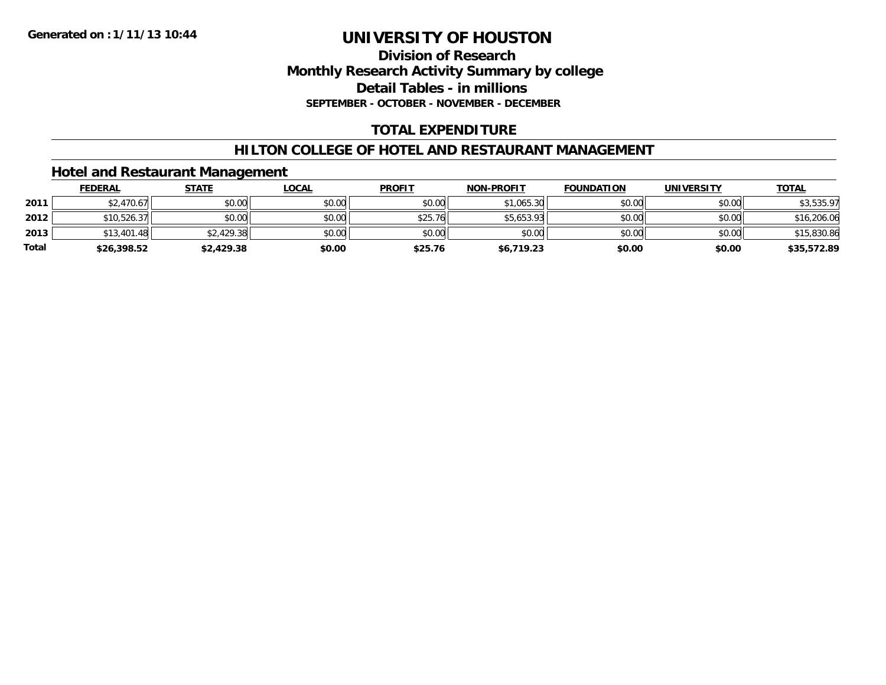### **Division of Research Monthly Research Activity Summary by college Detail Tables - in millions SEPTEMBER - OCTOBER - NOVEMBER - DECEMBER**

# **TOTAL EXPENDITURE**

### **HILTON COLLEGE OF HOTEL AND RESTAURANT MANAGEMENT**

### **Hotel and Restaurant Management**

|              | <b>FEDERAL</b> | <b>STATE</b> | <u>LOCAL</u> | <b>PROFIT</b> | <b>NON-PROFIT</b> | <b>FOUNDATION</b> | UNIVERSITY | <b>TOTAL</b> |
|--------------|----------------|--------------|--------------|---------------|-------------------|-------------------|------------|--------------|
| 2011         | \$2,470.67     | \$0.00       | \$0.00       | \$0.00        | \$1,065.30        | \$0.00            | \$0.00     | \$3,535.97   |
| 2012         | \$10,526.37    | \$0.00       | \$0.00       | \$25.76       | \$5,653.93        | \$0.00            | \$0.00     | \$16,206.06  |
| 2013         | \$13,401.48    | \$2,429.38   | \$0.00       | \$0.00        | \$0.00            | \$0.00            | \$0.00     | \$15,830.86  |
| <b>Total</b> | \$26,398.52    | \$2,429.38   | \$0.00       | \$25.76       | \$6,719.23        | \$0.00            | \$0.00     | \$35,572.89  |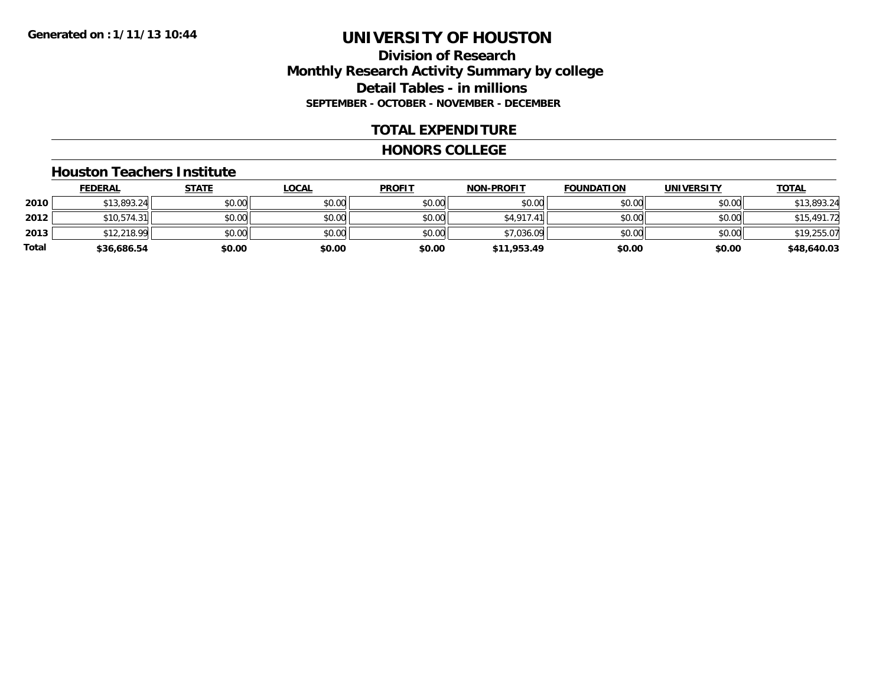### **Division of Research Monthly Research Activity Summary by college Detail Tables - in millions SEPTEMBER - OCTOBER - NOVEMBER - DECEMBER**

### **TOTAL EXPENDITURE**

#### **HONORS COLLEGE**

#### **Houston Teachers Institute**

|       | <b>FEDERAL</b> | <u>STATE</u> | <u>LOCAL</u> | <b>PROFIT</b> | <b>NON-PROFIT</b> | <b>FOUNDATION</b> | <b>UNIVERSITY</b> | <b>TOTAL</b> |
|-------|----------------|--------------|--------------|---------------|-------------------|-------------------|-------------------|--------------|
| 2010  | \$13,893.24    | \$0.00       | \$0.00       | \$0.00        | \$0.00            | \$0.00            | \$0.00            | \$13,893.24  |
| 2012  | \$10,574.31    | \$0.00       | \$0.00       | \$0.00        | \$4,917.41        | \$0.00            | \$0.00            | \$15,491.72  |
| 2013  | \$12,218.99    | \$0.00       | \$0.00       | \$0.00        | \$7,036.09        | \$0.00            | \$0.00            | \$19,255.07  |
| Total | \$36,686.54    | \$0.00       | \$0.00       | \$0.00        | \$11,953.49       | \$0.00            | \$0.00            | \$48,640.03  |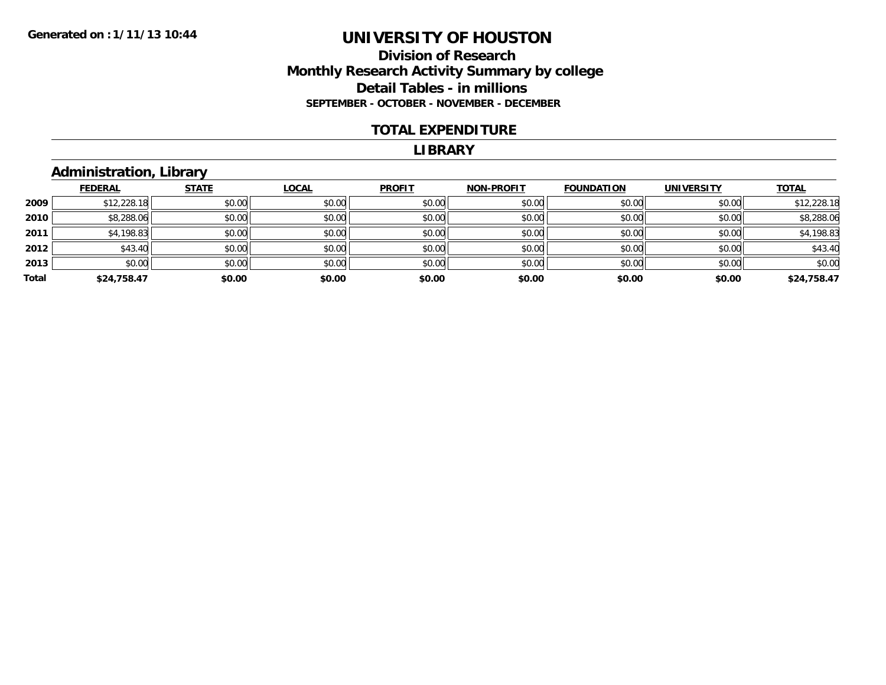### **Division of Research Monthly Research Activity Summary by college Detail Tables - in millions SEPTEMBER - OCTOBER - NOVEMBER - DECEMBER**

#### **TOTAL EXPENDITURE**

#### **LIBRARY**

# **Administration, Library**

|       | <b>FEDERAL</b> | <b>STATE</b> | <b>LOCAL</b> | <b>PROFIT</b> | <b>NON-PROFIT</b> | <b>FOUNDATION</b> | <b>UNIVERSITY</b> | <b>TOTAL</b> |
|-------|----------------|--------------|--------------|---------------|-------------------|-------------------|-------------------|--------------|
| 2009  | \$12,228.18    | \$0.00       | \$0.00       | \$0.00        | \$0.00            | \$0.00            | \$0.00            | \$12,228.18  |
| 2010  | \$8,288.06     | \$0.00       | \$0.00       | \$0.00        | \$0.00            | \$0.00            | \$0.00            | \$8,288.06   |
| 2011  | \$4,198.83     | \$0.00       | \$0.00       | \$0.00        | \$0.00            | \$0.00            | \$0.00            | \$4,198.83   |
| 2012  | \$43.40        | \$0.00       | \$0.00       | \$0.00        | \$0.00            | \$0.00            | \$0.00            | \$43.40      |
| 2013  | \$0.00         | \$0.00       | \$0.00       | \$0.00        | \$0.00            | \$0.00            | \$0.00            | \$0.00       |
| Total | \$24,758.47    | \$0.00       | \$0.00       | \$0.00        | \$0.00            | \$0.00            | \$0.00            | \$24,758.47  |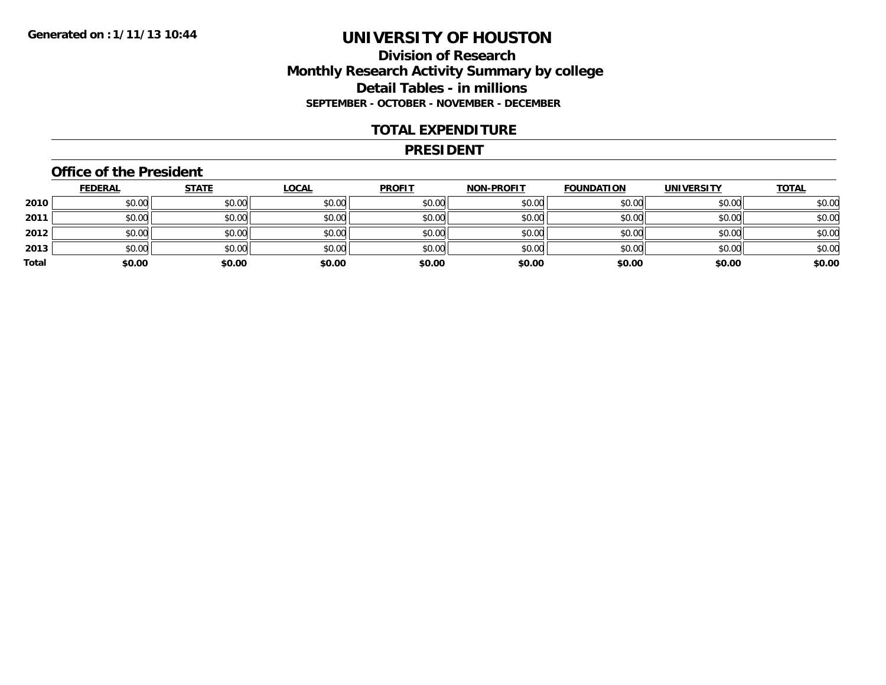### **Division of Research Monthly Research Activity Summary by college Detail Tables - in millions SEPTEMBER - OCTOBER - NOVEMBER - DECEMBER**

#### **TOTAL EXPENDITURE**

#### **PRESIDENT**

### **Office of the President**

|       | <b>FEDERAL</b> | <b>STATE</b> | <u>LOCAL</u> | <b>PROFIT</b> | <b>NON-PROFIT</b> | <b>FOUNDATION</b> | <b>UNIVERSITY</b> | <b>TOTAL</b> |
|-------|----------------|--------------|--------------|---------------|-------------------|-------------------|-------------------|--------------|
| 2010  | \$0.00         | \$0.00       | \$0.00       | \$0.00        | \$0.00            | \$0.00            | \$0.00            | \$0.00       |
| 2011  | \$0.00         | \$0.00       | \$0.00       | \$0.00        | \$0.00            | \$0.00            | \$0.00            | \$0.00       |
| 2012  | \$0.00         | \$0.00       | \$0.00       | \$0.00        | \$0.00            | \$0.00            | \$0.00            | \$0.00       |
| 2013  | \$0.00         | \$0.00       | \$0.00       | \$0.00        | \$0.00            | \$0.00            | \$0.00            | \$0.00       |
| Total | \$0.00         | \$0.00       | \$0.00       | \$0.00        | \$0.00            | \$0.00            | \$0.00            | \$0.00       |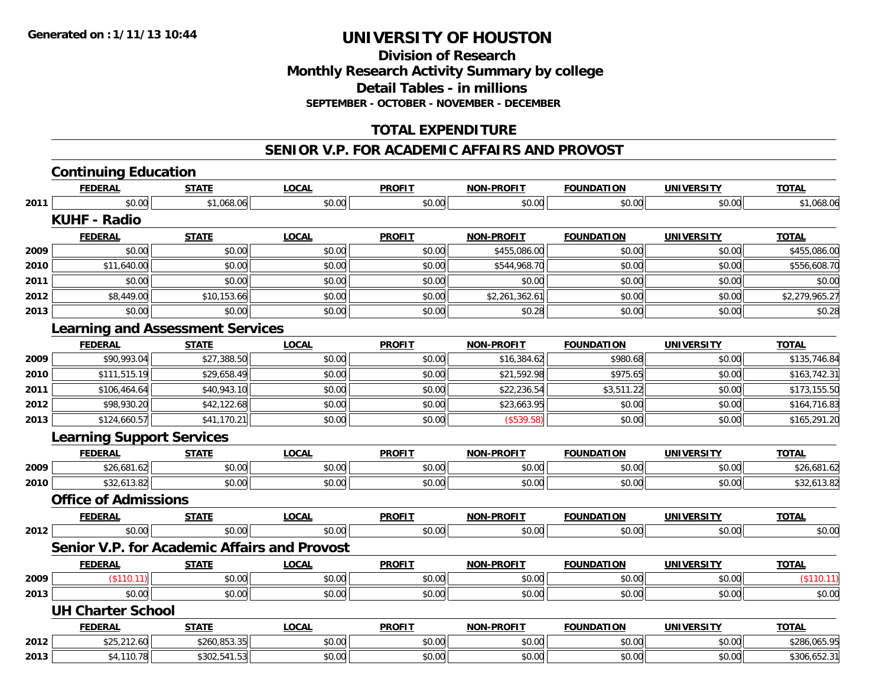**Division of Research Monthly Research Activity Summary by college Detail Tables - in millions SEPTEMBER - OCTOBER - NOVEMBER - DECEMBER**

### **TOTAL EXPENDITURE**

#### **SENIOR V.P. FOR ACADEMIC AFFAIRS AND PROVOST**

|      | <b>Continuing Education</b>                  |              |              |               |                   |                   |                   |                |
|------|----------------------------------------------|--------------|--------------|---------------|-------------------|-------------------|-------------------|----------------|
|      | <b>FEDERAL</b>                               | <b>STATE</b> | <b>LOCAL</b> | <b>PROFIT</b> | <b>NON-PROFIT</b> | <b>FOUNDATION</b> | <b>UNIVERSITY</b> | <b>TOTAL</b>   |
| 2011 | \$0.00                                       | \$1,068.06   | \$0.00       | \$0.00        | \$0.00            | \$0.00            | \$0.00            | \$1,068.06     |
|      | <b>KUHF - Radio</b>                          |              |              |               |                   |                   |                   |                |
|      | <b>FEDERAL</b>                               | <b>STATE</b> | <b>LOCAL</b> | <b>PROFIT</b> | <b>NON-PROFIT</b> | <b>FOUNDATION</b> | <b>UNIVERSITY</b> | <b>TOTAL</b>   |
| 2009 | \$0.00                                       | \$0.00       | \$0.00       | \$0.00        | \$455,086.00      | \$0.00            | \$0.00            | \$455,086.00   |
| 2010 | \$11,640.00                                  | \$0.00       | \$0.00       | \$0.00        | \$544,968.70      | \$0.00            | \$0.00            | \$556,608.70   |
| 2011 | \$0.00                                       | \$0.00       | \$0.00       | \$0.00        | \$0.00            | \$0.00            | \$0.00            | \$0.00         |
| 2012 | \$8,449.00                                   | \$10,153.66  | \$0.00       | \$0.00        | \$2,261,362.61    | \$0.00            | \$0.00            | \$2,279,965.27 |
| 2013 | \$0.00                                       | \$0.00       | \$0.00       | \$0.00        | \$0.28            | \$0.00            | \$0.00            | \$0.28         |
|      | <b>Learning and Assessment Services</b>      |              |              |               |                   |                   |                   |                |
|      | <b>FEDERAL</b>                               | <b>STATE</b> | <b>LOCAL</b> | <b>PROFIT</b> | <b>NON-PROFIT</b> | <b>FOUNDATION</b> | <b>UNIVERSITY</b> | <b>TOTAL</b>   |
| 2009 | \$90,993.04                                  | \$27,388.50  | \$0.00       | \$0.00        | \$16,384.62       | \$980.68          | \$0.00            | \$135,746.84   |
| 2010 | \$111,515.19                                 | \$29,658.49  | \$0.00       | \$0.00        | \$21,592.98       | \$975.65          | \$0.00            | \$163,742.31   |
| 2011 | \$106,464.64                                 | \$40,943.10  | \$0.00       | \$0.00        | \$22,236.54       | \$3,511.22        | \$0.00            | \$173,155.50   |
| 2012 | \$98,930.20                                  | \$42,122.68  | \$0.00       | \$0.00        | \$23,663.95       | \$0.00            | \$0.00            | \$164,716.83   |
| 2013 | \$124,660.57                                 | \$41,170.21  | \$0.00       | \$0.00        | (\$539.58)        | \$0.00            | \$0.00            | \$165,291.20   |
|      | <b>Learning Support Services</b>             |              |              |               |                   |                   |                   |                |
|      | <b>FEDERAL</b>                               | <b>STATE</b> | <b>LOCAL</b> | <b>PROFIT</b> | <b>NON-PROFIT</b> | <b>FOUNDATION</b> | <b>UNIVERSITY</b> | <b>TOTAL</b>   |
| 2009 | \$26,681.62                                  | \$0.00       | \$0.00       | \$0.00        | \$0.00            | \$0.00            | \$0.00            | \$26,681.62    |
| 2010 | \$32,613.82                                  | \$0.00       | \$0.00       | \$0.00        | \$0.00            | \$0.00            | \$0.00            | \$32,613.82    |
|      | <b>Office of Admissions</b>                  |              |              |               |                   |                   |                   |                |
|      | <b>FEDERAL</b>                               | <b>STATE</b> | <b>LOCAL</b> | <b>PROFIT</b> | <b>NON-PROFIT</b> | <b>FOUNDATION</b> | <b>UNIVERSITY</b> | <b>TOTAL</b>   |
| 2012 | \$0.00                                       | \$0.00       | \$0.00       | \$0.00        | \$0.00            | \$0.00            | \$0.00            | \$0.00         |
|      | Senior V.P. for Academic Affairs and Provost |              |              |               |                   |                   |                   |                |
|      | <b>FEDERAL</b>                               | <b>STATE</b> | <b>LOCAL</b> | <b>PROFIT</b> | <b>NON-PROFIT</b> | <b>FOUNDATION</b> | <b>UNIVERSITY</b> | <b>TOTAL</b>   |
| 2009 | (\$110.11)                                   | \$0.00       | \$0.00       | \$0.00        | \$0.00            | \$0.00            | \$0.00            | (\$110.11)     |
| 2013 | \$0.00                                       | \$0.00       | \$0.00       | \$0.00        | \$0.00            | \$0.00            | \$0.00            | \$0.00         |
|      | <b>UH Charter School</b>                     |              |              |               |                   |                   |                   |                |
|      | <b>FEDERAL</b>                               | <b>STATE</b> | <b>LOCAL</b> | <b>PROFIT</b> | <b>NON-PROFIT</b> | <b>FOUNDATION</b> | <b>UNIVERSITY</b> | <b>TOTAL</b>   |
| 2012 | \$25,212.60                                  | \$260,853.35 | \$0.00       | \$0.00        | \$0.00            | \$0.00            | \$0.00            | \$286,065.95   |
| 2013 | \$4,110.78                                   | \$302,541.53 | \$0.00       | \$0.00        | \$0.00            | \$0.00            | \$0.00            | \$306,652.31   |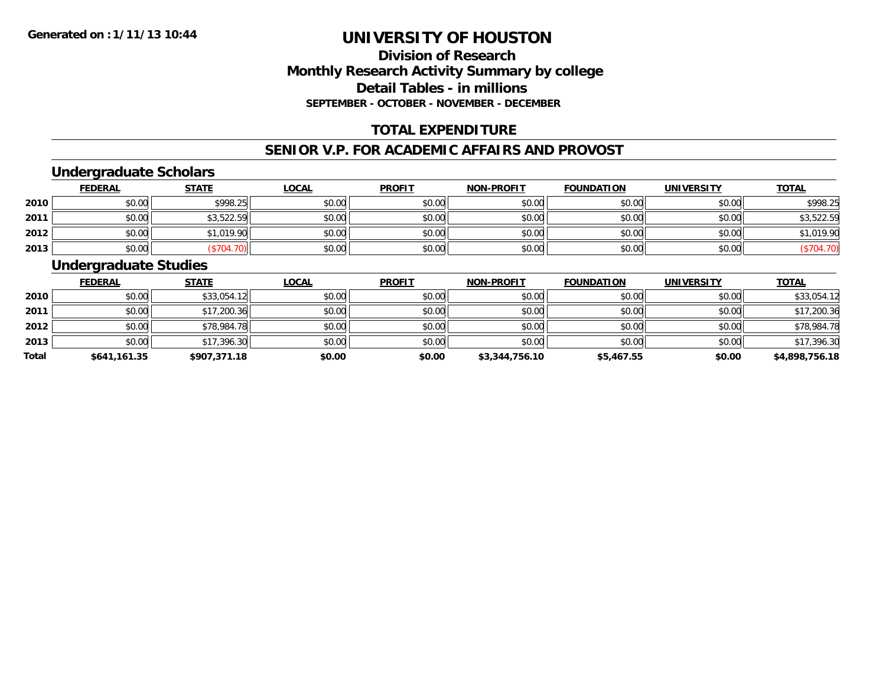# **Division of ResearchMonthly Research Activity Summary by college Detail Tables - in millions SEPTEMBER - OCTOBER - NOVEMBER - DECEMBER**

# **TOTAL EXPENDITURE**

#### **SENIOR V.P. FOR ACADEMIC AFFAIRS AND PROVOST**

### **Undergraduate Scholars**

|      | <u>FEDERAL</u> | <b>STATE</b> | <u>LOCAL</u> | <b>PROFIT</b> | <b>NON-PROFIT</b> | <b>FOUNDATION</b> | <b>UNIVERSITY</b> | <b>TOTAL</b> |
|------|----------------|--------------|--------------|---------------|-------------------|-------------------|-------------------|--------------|
| 2010 | \$0.00         | \$998.25     | \$0.00       | \$0.00        | \$0.00            | \$0.00            | \$0.00            | \$998.25     |
| 2011 | \$0.00         | \$3,522.59   | \$0.00       | \$0.00        | \$0.00            | \$0.00            | \$0.00            | \$3,522.59   |
| 2012 | \$0.00         | \$1,019.90   | \$0.00       | \$0.00        | \$0.00            | \$0.00            | \$0.00            | \$1,019.90   |
| 2013 | \$0.00         | \$704.70     | \$0.00       | \$0.00        | \$0.00            | \$0.00            | \$0.00            | \$704.70)    |

### **Undergraduate Studies**

|              | <b>FEDERAL</b> | <b>STATE</b> | <u>LOCAL</u> | <b>PROFIT</b> | <b>NON-PROFIT</b> | <b>FOUNDATION</b> | <b>UNIVERSITY</b> | <b>TOTAL</b>   |
|--------------|----------------|--------------|--------------|---------------|-------------------|-------------------|-------------------|----------------|
| 2010         | \$0.00         | \$33,054.12  | \$0.00       | \$0.00        | \$0.00            | \$0.00            | \$0.00            | \$33,054.12    |
| 2011         | \$0.00         | \$17,200.36  | \$0.00       | \$0.00        | \$0.00            | \$0.00            | \$0.00            | \$17,200.36    |
| 2012         | \$0.00         | \$78,984.78  | \$0.00       | \$0.00        | \$0.00            | \$0.00            | \$0.00            | \$78,984.78    |
| 2013         | \$0.00         | \$17,396.30  | \$0.00       | \$0.00        | \$0.00            | \$0.00            | \$0.00            | \$17,396.30    |
| <b>Total</b> | \$641,161.35   | \$907,371.18 | \$0.00       | \$0.00        | \$3,344,756.10    | \$5,467.55        | \$0.00            | \$4,898,756.18 |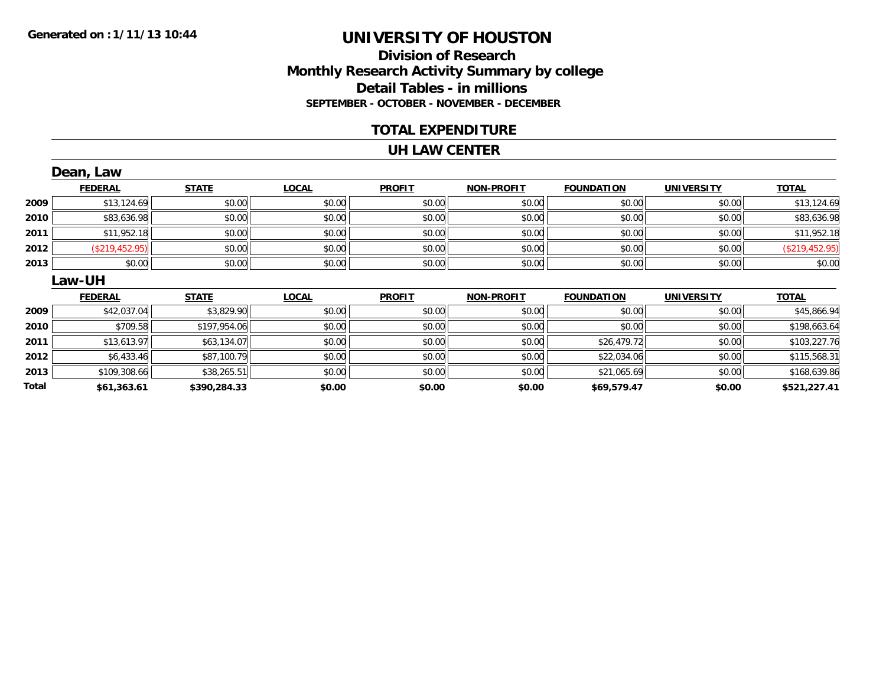### **Division of Research Monthly Research Activity Summary by college Detail Tables - in millions SEPTEMBER - OCTOBER - NOVEMBER - DECEMBER**

#### **TOTAL EXPENDITURE**

#### **UH LAW CENTER**

|       | Dean, Law      |              |              |               |                   |                   |                   |                |
|-------|----------------|--------------|--------------|---------------|-------------------|-------------------|-------------------|----------------|
|       | <b>FEDERAL</b> | <b>STATE</b> | <b>LOCAL</b> | <b>PROFIT</b> | <b>NON-PROFIT</b> | <b>FOUNDATION</b> | <b>UNIVERSITY</b> | <b>TOTAL</b>   |
| 2009  | \$13,124.69    | \$0.00       | \$0.00       | \$0.00        | \$0.00            | \$0.00            | \$0.00            | \$13,124.69    |
| 2010  | \$83,636.98    | \$0.00       | \$0.00       | \$0.00        | \$0.00            | \$0.00            | \$0.00            | \$83,636.98    |
| 2011  | \$11,952.18    | \$0.00       | \$0.00       | \$0.00        | \$0.00            | \$0.00            | \$0.00            | \$11,952.18    |
| 2012  | (\$219,452.95) | \$0.00       | \$0.00       | \$0.00        | \$0.00            | \$0.00            | \$0.00            | (\$219,452.95) |
| 2013  | \$0.00         | \$0.00       | \$0.00       | \$0.00        | \$0.00            | \$0.00            | \$0.00            | \$0.00         |
|       | Law-UH         |              |              |               |                   |                   |                   |                |
|       | <b>FEDERAL</b> | <b>STATE</b> | <b>LOCAL</b> | <b>PROFIT</b> | <b>NON-PROFIT</b> | <b>FOUNDATION</b> | <b>UNIVERSITY</b> | <b>TOTAL</b>   |
| 2009  | \$42,037.04    | \$3,829.90   | \$0.00       | \$0.00        | \$0.00            | \$0.00            | \$0.00            | \$45,866.94    |
| 2010  | \$709.58       | \$197,954.06 | \$0.00       | \$0.00        | \$0.00            | \$0.00            | \$0.00            | \$198,663.64   |
| 2011  | \$13,613.97    | \$63,134.07  | \$0.00       | \$0.00        | \$0.00            | \$26,479.72       | \$0.00            | \$103,227.76   |
| 2012  | \$6,433.46     | \$87,100.79  | \$0.00       | \$0.00        | \$0.00            | \$22,034.06       | \$0.00            | \$115,568.31   |
| 2013  | \$109,308.66   | \$38,265.51  | \$0.00       | \$0.00        | \$0.00            | \$21,065.69       | \$0.00            | \$168,639.86   |
| Total | \$61,363.61    | \$390,284.33 | \$0.00       | \$0.00        | \$0.00            | \$69,579.47       | \$0.00            | \$521,227.41   |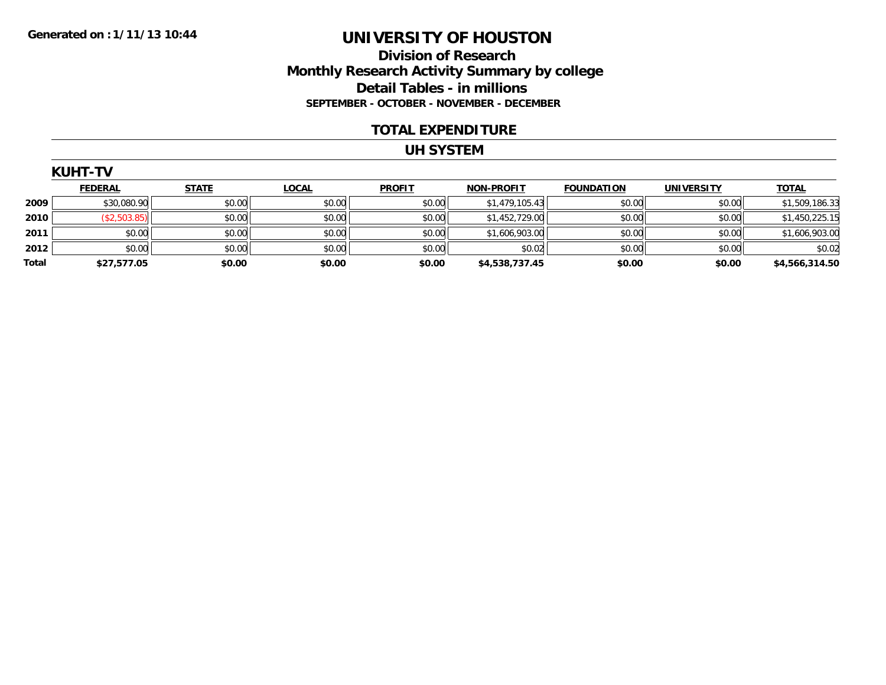### **Division of Research Monthly Research Activity Summary by college Detail Tables - in millions SEPTEMBER - OCTOBER - NOVEMBER - DECEMBER**

#### **TOTAL EXPENDITURE**

#### **UH SYSTEM**

|       | <b>KUHT-TV</b> |              |              |               |                   |                   |                   |                |  |  |  |
|-------|----------------|--------------|--------------|---------------|-------------------|-------------------|-------------------|----------------|--|--|--|
|       | <b>FEDERAL</b> | <b>STATE</b> | <b>LOCAL</b> | <b>PROFIT</b> | <b>NON-PROFIT</b> | <b>FOUNDATION</b> | <b>UNIVERSITY</b> | <b>TOTAL</b>   |  |  |  |
| 2009  | \$30,080.90    | \$0.00       | \$0.00       | \$0.00        | \$1,479,105.43    | \$0.00            | \$0.00            | \$1,509,186.33 |  |  |  |
| 2010  | (\$2,503.85)   | \$0.00       | \$0.00       | \$0.00        | \$1,452,729.00    | \$0.00            | \$0.00            | \$1,450,225.15 |  |  |  |
| 2011  | \$0.00         | \$0.00       | \$0.00       | \$0.00        | \$1,606,903.00    | \$0.00            | \$0.00            | \$1,606,903.00 |  |  |  |
| 2012  | \$0.00         | \$0.00       | \$0.00       | \$0.00        | \$0.02            | \$0.00            | \$0.00            | \$0.02         |  |  |  |
| Total | \$27,577.05    | \$0.00       | \$0.00       | \$0.00        | \$4,538,737.45    | \$0.00            | \$0.00            | \$4,566,314.50 |  |  |  |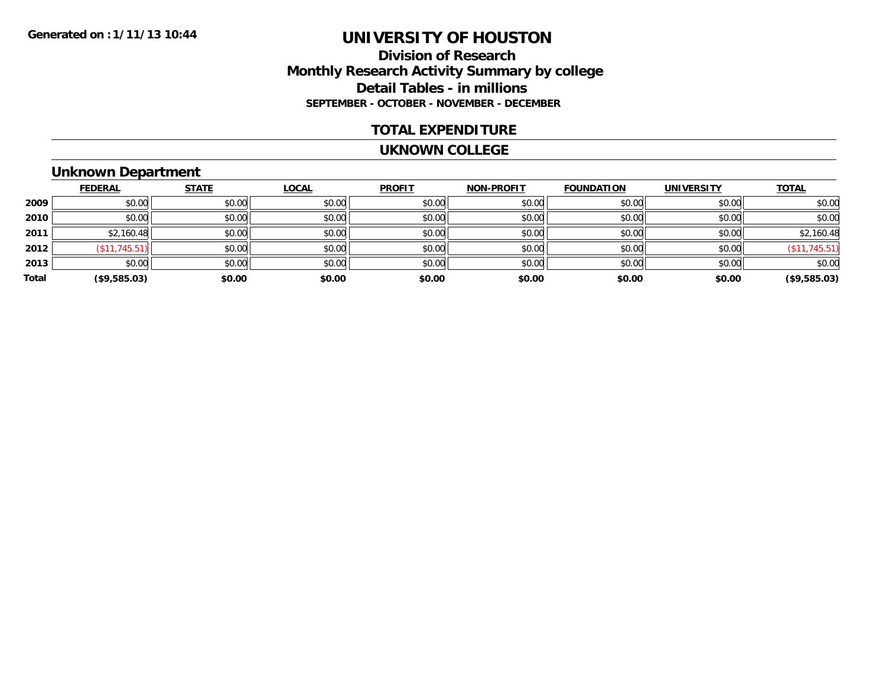### **Division of Research Monthly Research Activity Summary by college Detail Tables - in millions SEPTEMBER - OCTOBER - NOVEMBER - DECEMBER**

#### **TOTAL EXPENDITURE**

#### **UKNOWN COLLEGE**

# **Unknown Department**

|       | <b>FEDERAL</b> | <b>STATE</b> | <b>LOCAL</b> | <b>PROFIT</b> | <b>NON-PROFIT</b> | <b>FOUNDATION</b> | <b>UNIVERSITY</b> | <b>TOTAL</b>  |
|-------|----------------|--------------|--------------|---------------|-------------------|-------------------|-------------------|---------------|
| 2009  | \$0.00         | \$0.00       | \$0.00       | \$0.00        | \$0.00            | \$0.00            | \$0.00            | \$0.00        |
| 2010  | \$0.00         | \$0.00       | \$0.00       | \$0.00        | \$0.00            | \$0.00            | \$0.00            | \$0.00        |
| 2011  | \$2,160.48     | \$0.00       | \$0.00       | \$0.00        | \$0.00            | \$0.00            | \$0.00            | \$2,160.48    |
| 2012  | (\$11,745.51)  | \$0.00       | \$0.00       | \$0.00        | \$0.00            | \$0.00            | \$0.00            | (\$11,745.51) |
| 2013  | \$0.00         | \$0.00       | \$0.00       | \$0.00        | \$0.00            | \$0.00            | \$0.00            | \$0.00        |
| Total | (\$9,585.03)   | \$0.00       | \$0.00       | \$0.00        | \$0.00            | \$0.00            | \$0.00            | (\$9,585.03)  |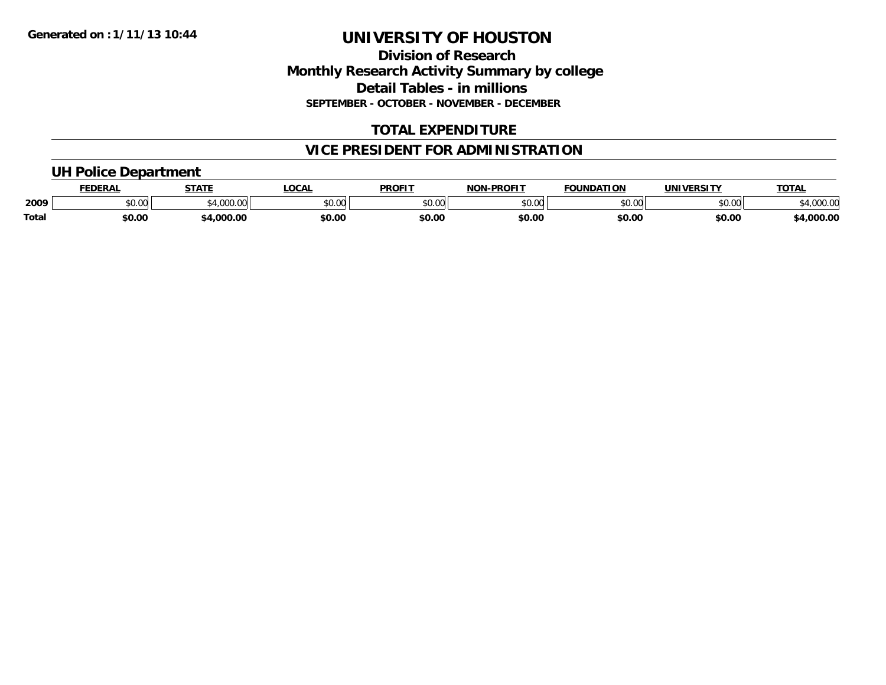### **Division of Research Monthly Research Activity Summary by college Detail Tables - in millions SEPTEMBER - OCTOBER - NOVEMBER - DECEMBER**

# **TOTAL EXPENDITURE**

# **VICE PRESIDENT FOR ADMINISTRATION**

### **UH Police Department**

|       | <b>FEDERAL</b> | <b>STATE</b>            | <b>LOCAL</b> | <b>PROFIT</b> | $M-PROF1$<br><b>NON</b> | <b>FOUNDATION</b> | <b>UNIVERSITY</b>     | <b>TOTAL</b>        |
|-------|----------------|-------------------------|--------------|---------------|-------------------------|-------------------|-----------------------|---------------------|
| 2009  | \$0.00         | $*$ 4.000.00<br>.uuu.uu | \$0.00       | \$0.00        | \$0.00                  | \$0.00            | <b>AO OO</b><br>DU.UG | 00000<br>\$4,000.00 |
| Total | \$0.00         | \$4,000.00              | \$0.00       | \$0.00        | \$0.00                  | \$0.00            | \$0.00                | \$4,000.00          |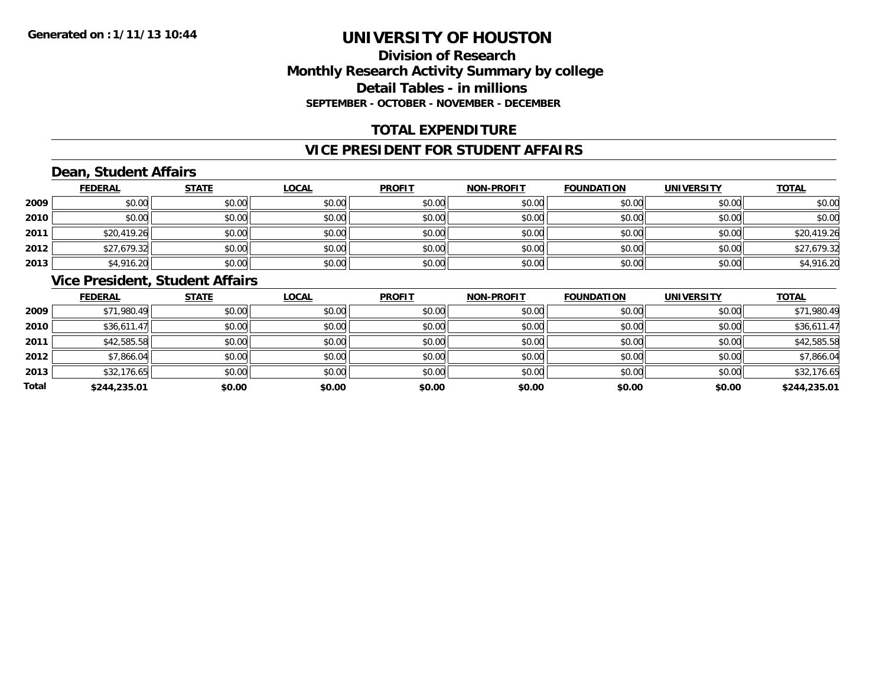# **Division of ResearchMonthly Research Activity Summary by college Detail Tables - in millions SEPTEMBER - OCTOBER - NOVEMBER - DECEMBER**

### **TOTAL EXPENDITURE**

#### **VICE PRESIDENT FOR STUDENT AFFAIRS**

# **Dean, Student Affairs**

|      | <b>FEDERAL</b> | <b>STATE</b> | <b>LOCAL</b> | <b>PROFIT</b> | <b>NON-PROFIT</b> | <b>FOUNDATION</b> | <b>UNIVERSITY</b> | <b>TOTAL</b> |
|------|----------------|--------------|--------------|---------------|-------------------|-------------------|-------------------|--------------|
| 2009 | \$0.00         | \$0.00       | \$0.00       | \$0.00        | \$0.00            | \$0.00            | \$0.00            | \$0.00       |
| 2010 | \$0.00         | \$0.00       | \$0.00       | \$0.00        | \$0.00            | \$0.00            | \$0.00            | \$0.00       |
| 2011 | \$20,419.26    | \$0.00       | \$0.00       | \$0.00        | \$0.00            | \$0.00            | \$0.00            | \$20,419.26  |
| 2012 | \$27,679.32    | \$0.00       | \$0.00       | \$0.00        | \$0.00            | \$0.00            | \$0.00            | \$27,679.32  |
| 2013 | \$4,916.20     | \$0.00       | \$0.00       | \$0.00        | \$0.00            | \$0.00            | \$0.00            | \$4,916.20   |

### **Vice President, Student Affairs**

|       | <b>FEDERAL</b> | <b>STATE</b> | <b>LOCAL</b> | <b>PROFIT</b> | <b>NON-PROFIT</b> | <b>FOUNDATION</b> | <b>UNIVERSITY</b> | <b>TOTAL</b> |
|-------|----------------|--------------|--------------|---------------|-------------------|-------------------|-------------------|--------------|
| 2009  | \$71,980.49    | \$0.00       | \$0.00       | \$0.00        | \$0.00            | \$0.00            | \$0.00            | \$71,980.49  |
| 2010  | \$36,611.47    | \$0.00       | \$0.00       | \$0.00        | \$0.00            | \$0.00            | \$0.00            | \$36,611.47  |
| 2011  | \$42,585.58    | \$0.00       | \$0.00       | \$0.00        | \$0.00            | \$0.00            | \$0.00            | \$42,585.58  |
| 2012  | \$7,866.04     | \$0.00       | \$0.00       | \$0.00        | \$0.00            | \$0.00            | \$0.00            | \$7,866.04   |
| 2013  | \$32,176.65    | \$0.00       | \$0.00       | \$0.00        | \$0.00            | \$0.00            | \$0.00            | \$32,176.65  |
| Total | \$244,235.01   | \$0.00       | \$0.00       | \$0.00        | \$0.00            | \$0.00            | \$0.00            | \$244,235.01 |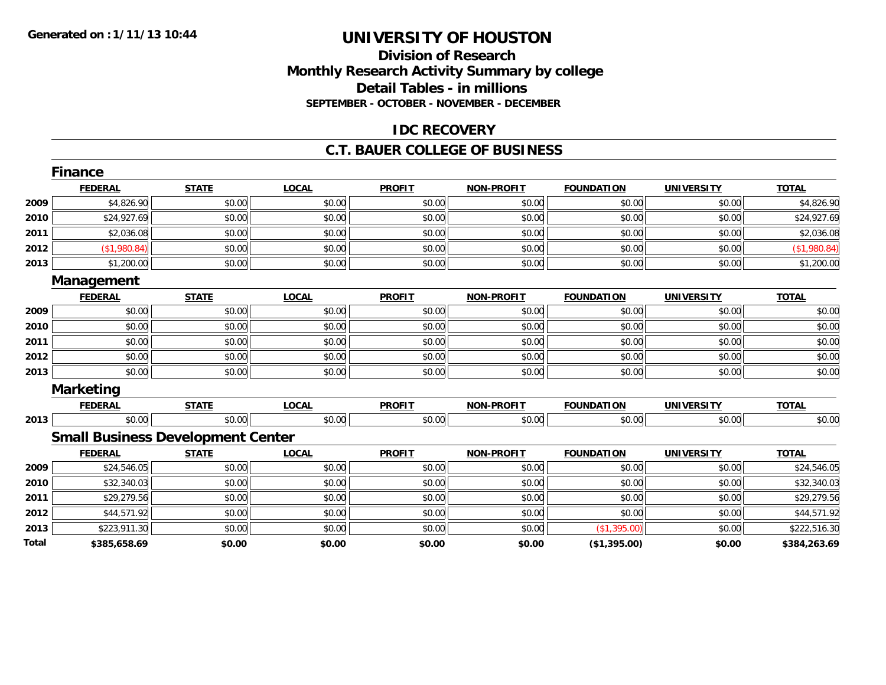### **Division of Research Monthly Research Activity Summary by college Detail Tables - in millions SEPTEMBER - OCTOBER - NOVEMBER - DECEMBER**

### **IDC RECOVERY**

#### **C.T. BAUER COLLEGE OF BUSINESS**

|       | Finance                                  |              |              |               |                   |                   |                   |              |
|-------|------------------------------------------|--------------|--------------|---------------|-------------------|-------------------|-------------------|--------------|
|       | <b>FEDERAL</b>                           | <b>STATE</b> | <b>LOCAL</b> | <b>PROFIT</b> | <b>NON-PROFIT</b> | <b>FOUNDATION</b> | <b>UNIVERSITY</b> | <b>TOTAL</b> |
| 2009  | \$4,826.90                               | \$0.00       | \$0.00       | \$0.00        | \$0.00            | \$0.00            | \$0.00            | \$4,826.90   |
| 2010  | \$24,927.69                              | \$0.00       | \$0.00       | \$0.00        | \$0.00            | \$0.00            | \$0.00            | \$24,927.69  |
| 2011  | \$2,036.08                               | \$0.00       | \$0.00       | \$0.00        | \$0.00            | \$0.00            | \$0.00            | \$2,036.08   |
| 2012  | (\$1,980.84)                             | \$0.00       | \$0.00       | \$0.00        | \$0.00            | \$0.00            | \$0.00            | (\$1,980.84) |
| 2013  | \$1,200.00                               | \$0.00       | \$0.00       | \$0.00        | \$0.00            | \$0.00            | \$0.00            | \$1,200.00   |
|       | Management                               |              |              |               |                   |                   |                   |              |
|       | <b>FEDERAL</b>                           | <b>STATE</b> | <b>LOCAL</b> | <b>PROFIT</b> | <b>NON-PROFIT</b> | <b>FOUNDATION</b> | <b>UNIVERSITY</b> | <b>TOTAL</b> |
| 2009  | \$0.00                                   | \$0.00       | \$0.00       | \$0.00        | \$0.00            | \$0.00            | \$0.00            | \$0.00       |
| 2010  | \$0.00                                   | \$0.00       | \$0.00       | \$0.00        | \$0.00            | \$0.00            | \$0.00            | \$0.00       |
| 2011  | \$0.00                                   | \$0.00       | \$0.00       | \$0.00        | \$0.00            | \$0.00            | \$0.00            | \$0.00       |
| 2012  | \$0.00                                   | \$0.00       | \$0.00       | \$0.00        | \$0.00            | \$0.00            | \$0.00            | \$0.00       |
| 2013  | \$0.00                                   | \$0.00       | \$0.00       | \$0.00        | \$0.00            | \$0.00            | \$0.00            | \$0.00       |
|       | <b>Marketing</b>                         |              |              |               |                   |                   |                   |              |
|       | <b>FEDERAL</b>                           | <b>STATE</b> | <b>LOCAL</b> | <b>PROFIT</b> | <b>NON-PROFIT</b> | <b>FOUNDATION</b> | <b>UNIVERSITY</b> | <b>TOTAL</b> |
| 2013  | \$0.00                                   | \$0.00       | \$0.00       | \$0.00        | \$0.00            | \$0.00            | \$0.00            | \$0.00       |
|       | <b>Small Business Development Center</b> |              |              |               |                   |                   |                   |              |
|       | <b>FEDERAL</b>                           | <b>STATE</b> | <b>LOCAL</b> | <b>PROFIT</b> | <b>NON-PROFIT</b> | <b>FOUNDATION</b> | <b>UNIVERSITY</b> | <b>TOTAL</b> |
| 2009  | \$24,546.05                              | \$0.00       | \$0.00       | \$0.00        | \$0.00            | \$0.00            | \$0.00            | \$24,546.05  |
| 2010  | \$32,340.03                              | \$0.00       | \$0.00       | \$0.00        | \$0.00            | \$0.00            | \$0.00            | \$32,340.03  |
| 2011  | \$29,279.56                              | \$0.00       | \$0.00       | \$0.00        | \$0.00            | \$0.00            | \$0.00            | \$29,279.56  |
| 2012  | \$44,571.92                              | \$0.00       | \$0.00       | \$0.00        | \$0.00            | \$0.00            | \$0.00            | \$44,571.92  |
| 2013  | \$223,911.30                             | \$0.00       | \$0.00       | \$0.00        | \$0.00            | (\$1,395.00)      | \$0.00            | \$222,516.30 |
| Total | \$385,658.69                             | \$0.00       | \$0.00       | \$0.00        | \$0.00            | (\$1,395.00)      | \$0.00            | \$384,263.69 |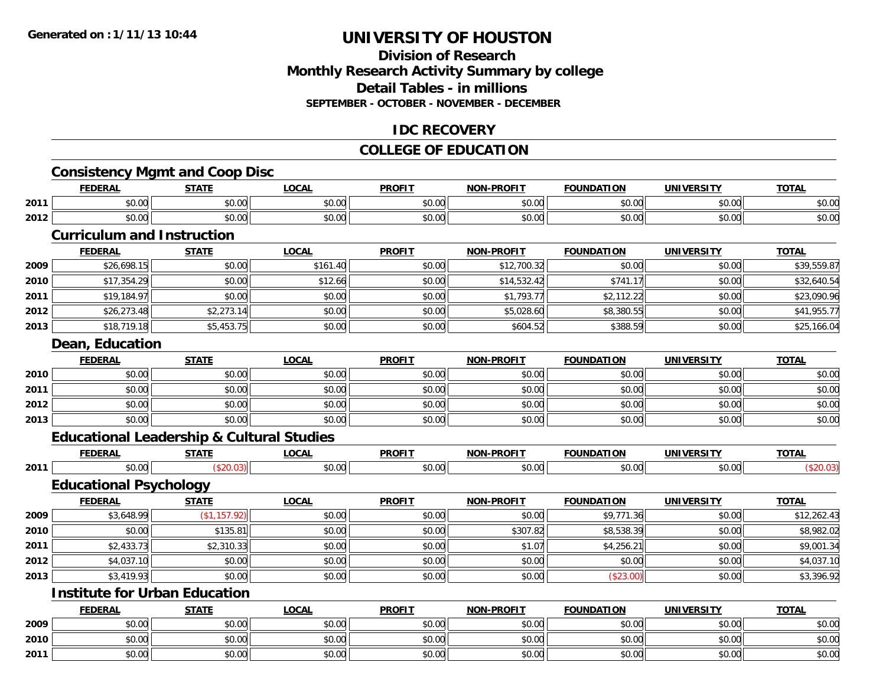# **Division of ResearchMonthly Research Activity Summary by college Detail Tables - in millions SEPTEMBER - OCTOBER - NOVEMBER - DECEMBER**

### **IDC RECOVERY**

# **COLLEGE OF EDUCATION**

# **Consistency Mgmt and Coop Disc**

|      | <b>Consistency Mgmt and Coop Disc</b>                |               |              |               |                   |                   |                   |              |
|------|------------------------------------------------------|---------------|--------------|---------------|-------------------|-------------------|-------------------|--------------|
|      | <b>FEDERAL</b>                                       | <b>STATE</b>  | <b>LOCAL</b> | <b>PROFIT</b> | <b>NON-PROFIT</b> | <b>FOUNDATION</b> | <b>UNIVERSITY</b> | <b>TOTAL</b> |
| 2011 | \$0.00                                               | \$0.00        | \$0.00       | \$0.00        | \$0.00            | \$0.00            | \$0.00            | \$0.00       |
| 2012 | \$0.00                                               | \$0.00        | \$0.00       | \$0.00        | \$0.00            | \$0.00            | \$0.00            | \$0.00       |
|      | <b>Curriculum and Instruction</b>                    |               |              |               |                   |                   |                   |              |
|      | <b>FEDERAL</b>                                       | <b>STATE</b>  | <b>LOCAL</b> | <b>PROFIT</b> | <b>NON-PROFIT</b> | <b>FOUNDATION</b> | <b>UNIVERSITY</b> | <b>TOTAL</b> |
| 2009 | \$26,698.15                                          | \$0.00        | \$161.40     | \$0.00        | \$12,700.32       | \$0.00            | \$0.00            | \$39,559.87  |
| 2010 | \$17,354.29                                          | \$0.00        | \$12.66      | \$0.00        | \$14,532.42       | \$741.17          | \$0.00            | \$32,640.54  |
| 2011 | \$19,184.97                                          | \$0.00        | \$0.00       | \$0.00        | \$1,793.77        | \$2,112.22        | \$0.00            | \$23,090.96  |
| 2012 | \$26,273.48                                          | \$2,273.14    | \$0.00       | \$0.00        | \$5,028.60        | \$8,380.55        | \$0.00            | \$41,955.77  |
| 2013 | \$18,719.18                                          | \$5,453.75    | \$0.00       | \$0.00        | \$604.52          | \$388.59          | \$0.00            | \$25,166.04  |
|      | Dean, Education                                      |               |              |               |                   |                   |                   |              |
|      | <b>FEDERAL</b>                                       | <b>STATE</b>  | <b>LOCAL</b> | <b>PROFIT</b> | <b>NON-PROFIT</b> | <b>FOUNDATION</b> | <b>UNIVERSITY</b> | <b>TOTAL</b> |
| 2010 | \$0.00                                               | \$0.00        | \$0.00       | \$0.00        | \$0.00            | \$0.00            | \$0.00            | \$0.00       |
| 2011 | \$0.00                                               | \$0.00        | \$0.00       | \$0.00        | \$0.00            | \$0.00            | \$0.00            | \$0.00       |
| 2012 | \$0.00                                               | \$0.00        | \$0.00       | \$0.00        | \$0.00            | \$0.00            | \$0.00            | \$0.00       |
| 2013 | \$0.00                                               | \$0.00        | \$0.00       | \$0.00        | \$0.00            | \$0.00            | \$0.00            | \$0.00       |
|      | <b>Educational Leadership &amp; Cultural Studies</b> |               |              |               |                   |                   |                   |              |
|      | <b>FEDERAL</b>                                       | <b>STATE</b>  | <b>LOCAL</b> | <b>PROFIT</b> | <b>NON-PROFIT</b> | <b>FOUNDATION</b> | <b>UNIVERSITY</b> | <b>TOTAL</b> |
| 2011 | \$0.00                                               | (\$20.03)     | \$0.00       | \$0.00        | \$0.00            | \$0.00            | \$0.00            | (\$20.03)    |
|      | <b>Educational Psychology</b>                        |               |              |               |                   |                   |                   |              |
|      | <b>FEDERAL</b>                                       | <b>STATE</b>  | <b>LOCAL</b> | <b>PROFIT</b> | <b>NON-PROFIT</b> | <b>FOUNDATION</b> | <b>UNIVERSITY</b> | <b>TOTAL</b> |
| 2009 | \$3,648.99                                           | (\$1, 157.92) | \$0.00       | \$0.00        | \$0.00            | \$9,771.36        | \$0.00            | \$12,262.43  |
| 2010 | \$0.00                                               | \$135.81      | \$0.00       | \$0.00        | \$307.82          | \$8,538.39        | \$0.00            | \$8,982.02   |
| 2011 | \$2,433.73                                           | \$2,310.33    | \$0.00       | \$0.00        | \$1.07            | \$4,256.21        | \$0.00            | \$9,001.34   |
| 2012 | \$4.037.10                                           | \$0.00        | \$0.00       | \$0.00        | \$0.00            | \$0.00            | \$0.00            | \$4,037.10   |

# **Institute for Urban Education**

**2013**

|      | <b>FEDERAL</b>            | <b>STATE</b> | <b>LOCAL</b> | <b>PROFIT</b> | <b>NON-PROFIT</b> | <b>FOUNDATION</b> | UNIVERSITY             | <b>TOTAL</b> |
|------|---------------------------|--------------|--------------|---------------|-------------------|-------------------|------------------------|--------------|
| 2009 | ስስ ስስ<br>וטטוע            | \$0.00       | \$0.00       | \$0.00        | \$0.00            | \$0.00            | $n \cap \neg$<br>JU.UU | \$0.00       |
| 2010 | ሰ ሳ<br>$\sim$<br>JU.UU    | \$0.00       | \$0.00       | \$0.00        | \$0.00            | \$0.00            | $n \cap \neg$<br>OU.UU | \$0.00       |
| 2011 | $\sim$<br>$\sim$<br>JU.UU | \$0.00       | \$0.00       | \$0.00        | \$0.00            | \$0.00            | 0000<br><b>DU.UG</b>   | \$0.00       |

2 | \$4,037.10| \$0.00| \$0.00| \$0.00| \$0.00| \$0.00| \$0.00| \$0.00| \$0.00| \$0.00| \$0.00| \$4,037.10

3 | \$3,419.93|| \$0.00|| \$0.00|| \$0.00|| \$0.00|| \$0.00|| \$0.00|| \$3,396.92| \$3,396.92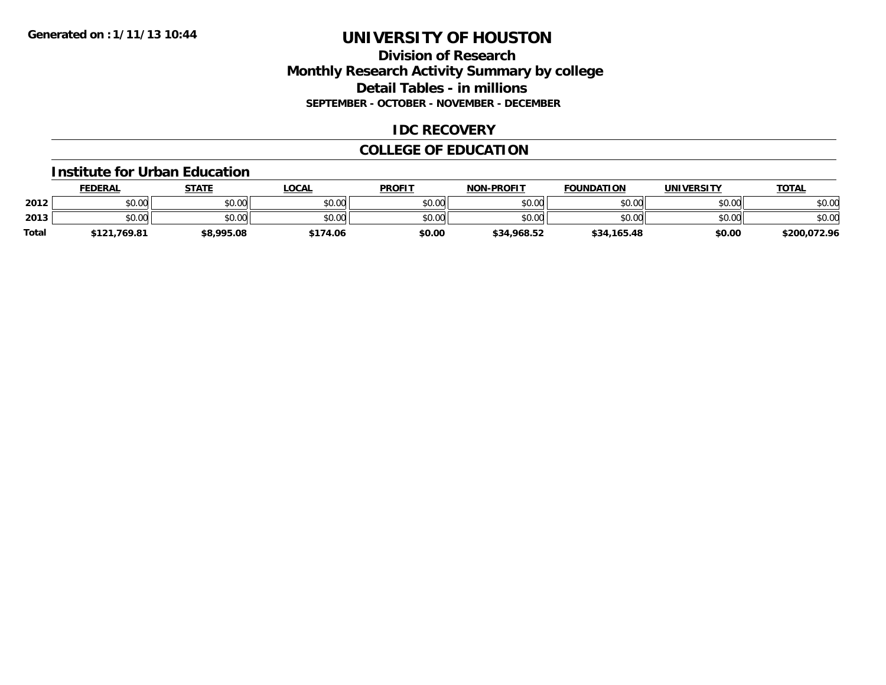### **Division of Research Monthly Research Activity Summary by college Detail Tables - in millions SEPTEMBER - OCTOBER - NOVEMBER - DECEMBER**

### **IDC RECOVERY**

# **COLLEGE OF EDUCATION**

#### **Institute for Urban Education**

|              | <b>FEDERAL</b> | STATE      | LOCAL    | <b>PROFIT</b> | <b>NON-PROFIT</b> | <b>FOUNDATION</b> | <b>UNIVERSITY</b> | <u>TOTAL</u> |
|--------------|----------------|------------|----------|---------------|-------------------|-------------------|-------------------|--------------|
| 2012         | \$0.00         | \$0.00     | \$0.00   | \$0.00        | \$0.00            | \$0.00            | \$0.00            | \$0.00       |
| 2013         | \$0.00         | \$0.00     | \$0.00   | \$0.00        | \$0.00            | \$0.00            | \$0.00            | \$0.00       |
| <b>Total</b> | \$121.769.81   | \$8,995.08 | \$174.06 | \$0.00        | \$34,968.52       | \$34,165.48       | \$0.00            | \$200,072.96 |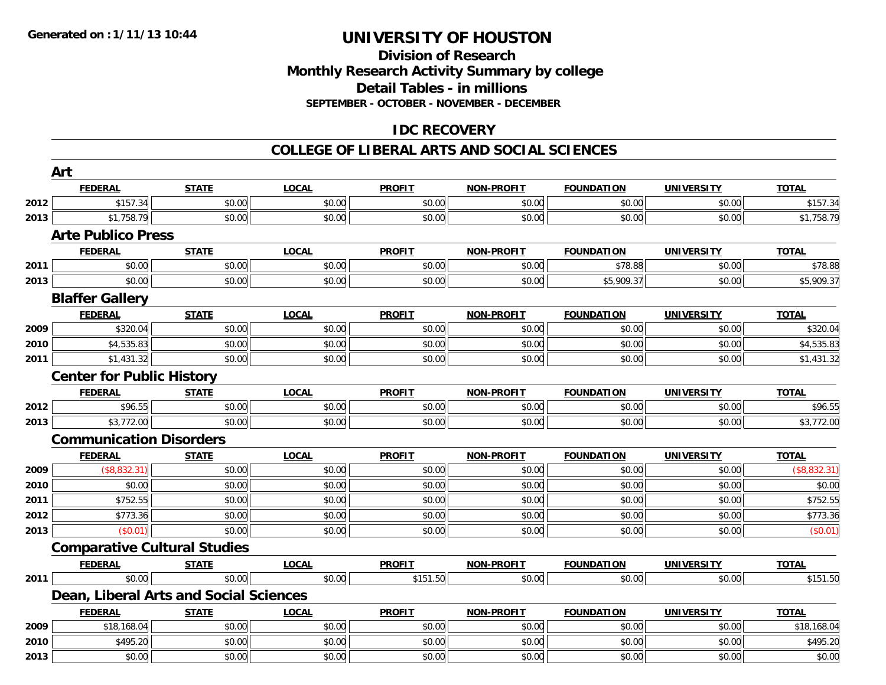### **Division of Research Monthly Research Activity Summary by college Detail Tables - in millions SEPTEMBER - OCTOBER - NOVEMBER - DECEMBER**

### **IDC RECOVERY**

#### **COLLEGE OF LIBERAL ARTS AND SOCIAL SCIENCES**

|      | Art                                    |              |              |               |                   |                   |                   |              |
|------|----------------------------------------|--------------|--------------|---------------|-------------------|-------------------|-------------------|--------------|
|      | <b>FEDERAL</b>                         | <b>STATE</b> | <b>LOCAL</b> | <b>PROFIT</b> | <b>NON-PROFIT</b> | <b>FOUNDATION</b> | <b>UNIVERSITY</b> | <b>TOTAL</b> |
| 2012 | \$157.34                               | \$0.00       | \$0.00       | \$0.00        | \$0.00            | \$0.00            | \$0.00            | \$157.34     |
| 2013 | \$1,758.79                             | \$0.00       | \$0.00       | \$0.00        | \$0.00            | \$0.00            | \$0.00            | \$1,758.79   |
|      | <b>Arte Publico Press</b>              |              |              |               |                   |                   |                   |              |
|      | <b>FEDERAL</b>                         | <b>STATE</b> | <b>LOCAL</b> | <b>PROFIT</b> | <b>NON-PROFIT</b> | <b>FOUNDATION</b> | <b>UNIVERSITY</b> | <b>TOTAL</b> |
| 2011 | \$0.00                                 | \$0.00       | \$0.00       | \$0.00        | \$0.00            | \$78.88           | \$0.00            | \$78.88      |
| 2013 | \$0.00                                 | \$0.00       | \$0.00       | \$0.00        | \$0.00            | \$5,909.37        | \$0.00            | \$5,909.37   |
|      | <b>Blaffer Gallery</b>                 |              |              |               |                   |                   |                   |              |
|      | <b>FEDERAL</b>                         | <b>STATE</b> | <b>LOCAL</b> | <b>PROFIT</b> | <b>NON-PROFIT</b> | <b>FOUNDATION</b> | <b>UNIVERSITY</b> | <b>TOTAL</b> |
| 2009 | \$320.04                               | \$0.00       | \$0.00       | \$0.00        | \$0.00            | \$0.00            | \$0.00            | \$320.04     |
| 2010 | \$4,535.83                             | \$0.00       | \$0.00       | \$0.00        | \$0.00            | \$0.00            | \$0.00            | \$4,535.83   |
| 2011 | \$1,431.32                             | \$0.00       | \$0.00       | \$0.00        | \$0.00            | \$0.00            | \$0.00            | \$1,431.32   |
|      | <b>Center for Public History</b>       |              |              |               |                   |                   |                   |              |
|      | <b>FEDERAL</b>                         | <b>STATE</b> | <b>LOCAL</b> | <b>PROFIT</b> | <b>NON-PROFIT</b> | <b>FOUNDATION</b> | <b>UNIVERSITY</b> | <b>TOTAL</b> |
| 2012 | \$96.55                                | \$0.00       | \$0.00       | \$0.00        | \$0.00            | \$0.00            | \$0.00            | \$96.55      |
| 2013 | \$3,772.00                             | \$0.00       | \$0.00       | \$0.00        | \$0.00            | \$0.00            | \$0.00            | \$3,772.00   |
|      | <b>Communication Disorders</b>         |              |              |               |                   |                   |                   |              |
|      | <b>FEDERAL</b>                         | <b>STATE</b> | <b>LOCAL</b> | <b>PROFIT</b> | <b>NON-PROFIT</b> | <b>FOUNDATION</b> | <b>UNIVERSITY</b> | <b>TOTAL</b> |
| 2009 | (\$8,832.31)                           | \$0.00       | \$0.00       | \$0.00        | \$0.00            | \$0.00            | \$0.00            | (\$8,832.31) |
| 2010 | \$0.00                                 | \$0.00       | \$0.00       | \$0.00        | \$0.00            | \$0.00            | \$0.00            | \$0.00       |
| 2011 | \$752.55                               | \$0.00       | \$0.00       | \$0.00        | \$0.00            | \$0.00            | \$0.00            | \$752.55     |
| 2012 | \$773.36                               | \$0.00       | \$0.00       | \$0.00        | \$0.00            | \$0.00            | \$0.00            | \$773.36     |
| 2013 | (\$0.01)                               | \$0.00       | \$0.00       | \$0.00        | \$0.00            | \$0.00            | \$0.00            | (\$0.01)     |
|      | <b>Comparative Cultural Studies</b>    |              |              |               |                   |                   |                   |              |
|      | <b>FEDERAL</b>                         | <b>STATE</b> | <b>LOCAL</b> | <b>PROFIT</b> | <b>NON-PROFIT</b> | <b>FOUNDATION</b> | <b>UNIVERSITY</b> | <b>TOTAL</b> |
| 2011 | \$0.00                                 | \$0.00       | \$0.00       | \$151.50      | \$0.00            | \$0.00            | \$0.00            | \$151.50     |
|      | Dean, Liberal Arts and Social Sciences |              |              |               |                   |                   |                   |              |
|      | <b>FEDERAL</b>                         | <b>STATE</b> | <b>LOCAL</b> | <b>PROFIT</b> | <b>NON-PROFIT</b> | <b>FOUNDATION</b> | <b>UNIVERSITY</b> | <b>TOTAL</b> |
| 2009 | \$18,168.04                            | \$0.00       | \$0.00       | \$0.00        | \$0.00            | \$0.00            | \$0.00            | \$18,168.04  |
| 2010 | \$495.20                               | \$0.00       | \$0.00       | \$0.00        | \$0.00            | \$0.00            | \$0.00            | \$495.20     |
| 2013 | \$0.00                                 | \$0.00       | \$0.00       | \$0.00        | \$0.00            | \$0.00            | \$0.00            | \$0.00       |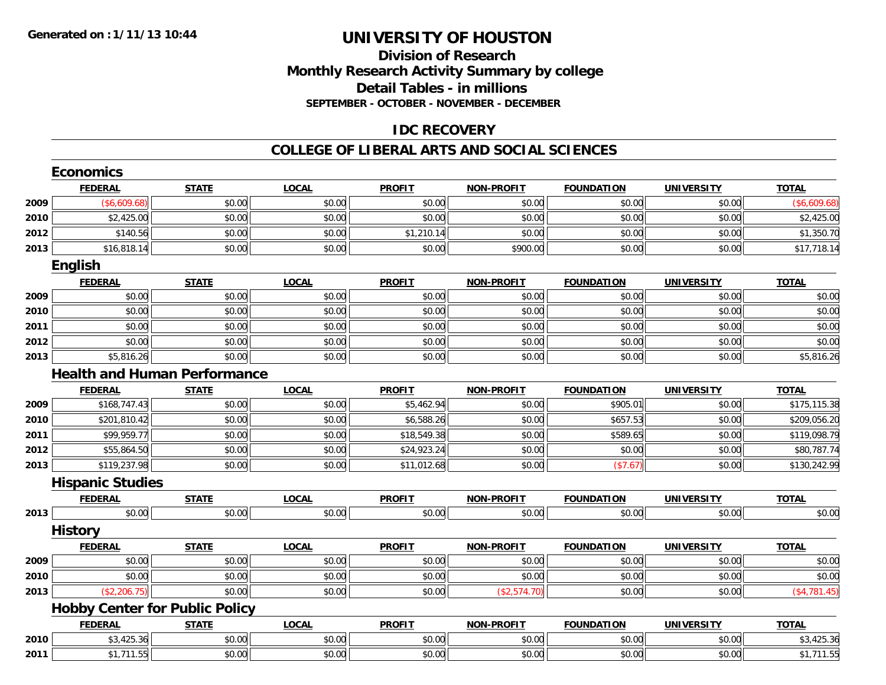### **Division of Research Monthly Research Activity Summary by college Detail Tables - in millions SEPTEMBER - OCTOBER - NOVEMBER - DECEMBER**

### **IDC RECOVERY**

#### **COLLEGE OF LIBERAL ARTS AND SOCIAL SCIENCES**

|      | <b>Economics</b>                      |              |              |               |                   |                   |                   |              |
|------|---------------------------------------|--------------|--------------|---------------|-------------------|-------------------|-------------------|--------------|
|      | <b>FEDERAL</b>                        | <b>STATE</b> | <b>LOCAL</b> | <b>PROFIT</b> | <b>NON-PROFIT</b> | <b>FOUNDATION</b> | <b>UNIVERSITY</b> | <b>TOTAL</b> |
| 2009 | (\$6,609.68)                          | \$0.00       | \$0.00       | \$0.00        | \$0.00            | \$0.00            | \$0.00            | (\$6,609.68) |
| 2010 | \$2,425.00                            | \$0.00       | \$0.00       | \$0.00        | \$0.00            | \$0.00            | \$0.00            | \$2,425.00   |
| 2012 | \$140.56                              | \$0.00       | \$0.00       | \$1,210.14    | \$0.00            | \$0.00            | \$0.00            | \$1,350.70   |
| 2013 | \$16,818.14                           | \$0.00       | \$0.00       | \$0.00        | \$900.00          | \$0.00            | \$0.00            | \$17,718.14  |
|      | English                               |              |              |               |                   |                   |                   |              |
|      | <b>FEDERAL</b>                        | <b>STATE</b> | <b>LOCAL</b> | <b>PROFIT</b> | <b>NON-PROFIT</b> | <b>FOUNDATION</b> | <b>UNIVERSITY</b> | <b>TOTAL</b> |
| 2009 | \$0.00                                | \$0.00       | \$0.00       | \$0.00        | \$0.00            | \$0.00            | \$0.00            | \$0.00       |
| 2010 | \$0.00                                | \$0.00       | \$0.00       | \$0.00        | \$0.00            | \$0.00            | \$0.00            | \$0.00       |
| 2011 | \$0.00                                | \$0.00       | \$0.00       | \$0.00        | \$0.00            | \$0.00            | \$0.00            | \$0.00       |
| 2012 | \$0.00                                | \$0.00       | \$0.00       | \$0.00        | \$0.00            | \$0.00            | \$0.00            | \$0.00       |
| 2013 | \$5,816.26                            | \$0.00       | \$0.00       | \$0.00        | \$0.00            | \$0.00            | \$0.00            | \$5,816.26   |
|      | <b>Health and Human Performance</b>   |              |              |               |                   |                   |                   |              |
|      | <b>FEDERAL</b>                        | <b>STATE</b> | <b>LOCAL</b> | <b>PROFIT</b> | <b>NON-PROFIT</b> | <b>FOUNDATION</b> | <b>UNIVERSITY</b> | <b>TOTAL</b> |
| 2009 | \$168,747.43                          | \$0.00       | \$0.00       | \$5,462.94    | \$0.00            | \$905.01          | \$0.00            | \$175,115.38 |
| 2010 | \$201,810.42                          | \$0.00       | \$0.00       | \$6,588.26    | \$0.00            | \$657.53          | \$0.00            | \$209,056.20 |
| 2011 | \$99,959.77                           | \$0.00       | \$0.00       | \$18,549.38   | \$0.00            | \$589.65          | \$0.00            | \$119,098.79 |
| 2012 | \$55,864.50                           | \$0.00       | \$0.00       | \$24,923.24   | \$0.00            | \$0.00            | \$0.00            | \$80,787.74  |
| 2013 | \$119,237.98                          | \$0.00       | \$0.00       | \$11,012.68   | \$0.00            | (\$7.67)          | \$0.00            | \$130,242.99 |
|      | <b>Hispanic Studies</b>               |              |              |               |                   |                   |                   |              |
|      | <b>FEDERAL</b>                        | <b>STATE</b> | <b>LOCAL</b> | <b>PROFIT</b> | <b>NON-PROFIT</b> | <b>FOUNDATION</b> | <b>UNIVERSITY</b> | <b>TOTAL</b> |
| 2013 | \$0.00                                | \$0.00       | \$0.00       | \$0.00        | \$0.00            | \$0.00            | \$0.00            | \$0.00       |
|      | <b>History</b>                        |              |              |               |                   |                   |                   |              |
|      | <b>FEDERAL</b>                        | <b>STATE</b> | <b>LOCAL</b> | <b>PROFIT</b> | <b>NON-PROFIT</b> | <b>FOUNDATION</b> | UNIVERSITY        | <b>TOTAL</b> |
| 2009 | \$0.00                                | \$0.00       | \$0.00       | \$0.00        | \$0.00            | \$0.00            | \$0.00            | \$0.00       |
| 2010 | \$0.00                                | \$0.00       | \$0.00       | \$0.00        | \$0.00            | \$0.00            | \$0.00            | \$0.00       |
| 2013 | (\$2,206.75)                          | \$0.00       | \$0.00       | \$0.00        | (\$2,574.70)      | \$0.00            | \$0.00            | (\$4,781.45) |
|      | <b>Hobby Center for Public Policy</b> |              |              |               |                   |                   |                   |              |
|      | <b>FEDERAL</b>                        | <b>STATE</b> | <b>LOCAL</b> | <b>PROFIT</b> | NON-PROFIT        | <b>FOUNDATION</b> | <b>UNIVERSITY</b> | <b>TOTAL</b> |
| 2010 | \$3,425.36                            | \$0.00       | \$0.00       | \$0.00        | \$0.00            | \$0.00            | \$0.00            | \$3,425.36   |
| 2011 | \$1,711.55                            | \$0.00       | \$0.00       | \$0.00        | \$0.00            | \$0.00            | \$0.00            | \$1,711.55   |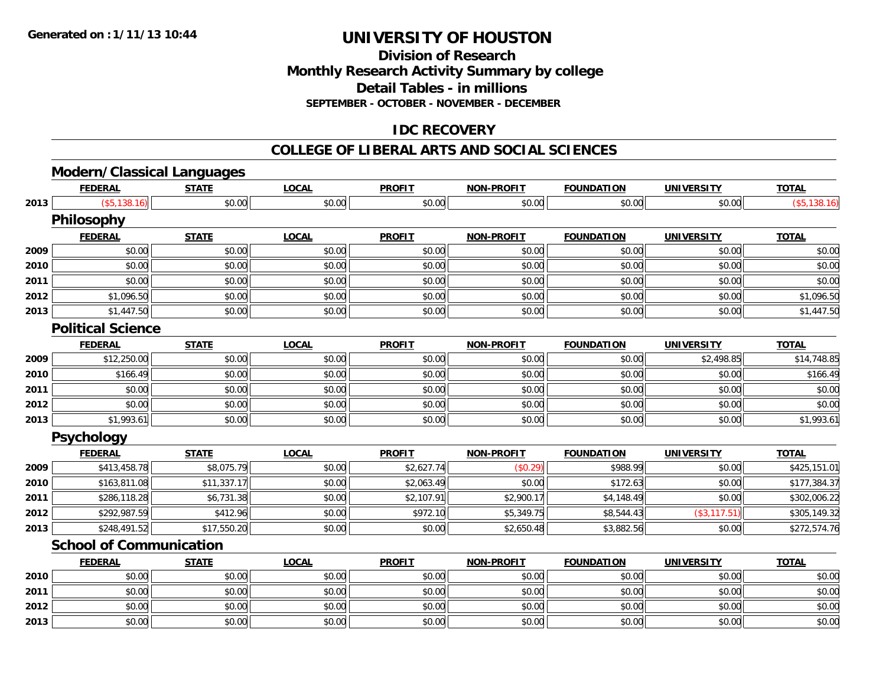**2013**

# **UNIVERSITY OF HOUSTON**

# **Division of ResearchMonthly Research Activity Summary by college Detail Tables - in millions SEPTEMBER - OCTOBER - NOVEMBER - DECEMBER**

# **IDC RECOVERY**

#### **COLLEGE OF LIBERAL ARTS AND SOCIAL SCIENCES**

# **Modern/Classical Languages**

| \$0.00<br>(\$5,138.16)<br>\$0.00<br>\$0.00<br>2013<br>\$0.00<br>\$0.00<br>\$0.00<br><b>Philosophy</b><br><b>LOCAL</b><br><b>PROFIT</b><br><b>NON-PROFIT</b><br><b>FEDERAL</b><br><b>STATE</b><br><b>FOUNDATION</b><br><b>UNIVERSITY</b><br>\$0.00<br>\$0.00<br>\$0.00<br>\$0.00<br>\$0.00<br>2009<br>\$0.00<br>\$0.00<br>\$0.00<br>\$0.00<br>2010<br>\$0.00<br>\$0.00<br>\$0.00<br>\$0.00<br>\$0.00<br>\$0.00<br>\$0.00<br>\$0.00<br>2011<br>\$0.00<br>\$0.00<br>\$0.00<br>\$0.00<br>2012<br>\$0.00<br>\$0.00<br>\$0.00<br>\$0.00<br>\$0.00<br>\$0.00<br>\$1,096.50<br>2013<br>\$0.00<br>\$0.00<br>\$0.00<br>\$1,447.50<br>\$0.00<br>\$0.00<br>\$0.00<br><b>Political Science</b><br><b>PROFIT</b><br><b>FEDERAL</b><br><b>STATE</b><br><b>LOCAL</b><br><b>NON-PROFIT</b><br><b>FOUNDATION</b><br><b>UNIVERSITY</b><br>\$0.00<br>\$0.00<br>\$12,250.00<br>\$0.00<br>\$0.00<br>\$0.00<br>\$2,498.85<br>2009<br>\$0.00<br>\$0.00<br>2010<br>\$166.49<br>\$0.00<br>\$0.00<br>\$0.00<br>\$0.00<br>\$0.00<br>\$0.00<br>\$0.00<br>\$0.00<br>2011<br>\$0.00<br>\$0.00<br>\$0.00<br>2012<br>\$0.00<br>\$0.00<br>\$0.00<br>\$0.00<br>\$0.00<br>\$0.00<br>\$0.00<br>2013<br>\$0.00<br>\$0.00<br>\$0.00<br>\$0.00<br>\$0.00<br>\$1,993.61<br>\$0.00<br>Psychology<br><b>PROFIT</b><br><b>FEDERAL</b><br><b>STATE</b><br><b>LOCAL</b><br><b>NON-PROFIT</b><br><b>FOUNDATION</b><br><b>UNIVERSITY</b><br>\$8,075.79<br>2009<br>\$413,458.78<br>\$0.00<br>\$2,627.74<br>(\$0.29)<br>\$988.99<br>\$0.00<br>\$163,811.08<br>\$11,337.17<br>\$2,063.49<br>\$0.00<br>\$0.00<br>\$0.00<br>2010<br>\$172.63<br>2011<br>\$0.00<br>\$2,900.17<br>\$286,118.28<br>\$6,731.38<br>\$2,107.91<br>\$4,148.49<br>\$0.00<br>(\$3, 117.51)<br>2012<br>\$292,987.59<br>\$412.96<br>\$972.10<br>\$5,349.75<br>\$0.00<br>\$8,544.43<br>\$248,491.52<br>\$17,550.20<br>2013<br>\$0.00<br>\$0.00<br>\$2,650.48<br>\$3,882.56<br>\$0.00<br><b>School of Communication</b><br><b>FEDERAL</b><br><b>STATE</b><br><b>LOCAL</b><br><b>PROFIT</b><br><b>NON-PROFIT</b><br><b>FOUNDATION</b><br><b>UNIVERSITY</b><br>\$0.00<br>\$0.00<br>2010<br>\$0.00<br>\$0.00<br>\$0.00<br>\$0.00<br>\$0.00<br>2011<br>\$0.00<br>\$0.00<br>\$0.00<br>\$0.00<br>\$0.00<br>\$0.00<br>\$0.00<br>2012<br>\$0.00<br>\$0.00<br>\$0.00<br>\$0.00<br>\$0.00<br>\$0.00<br>\$0.00 | <b>FEDERAL</b> | <b>STATE</b> | <b>LOCAL</b> | <b>PROFIT</b> | <b>NON-PROFIT</b> | <b>FOUNDATION</b> | <b>UNIVERSITY</b> | <b>TOTAL</b> |
|-------------------------------------------------------------------------------------------------------------------------------------------------------------------------------------------------------------------------------------------------------------------------------------------------------------------------------------------------------------------------------------------------------------------------------------------------------------------------------------------------------------------------------------------------------------------------------------------------------------------------------------------------------------------------------------------------------------------------------------------------------------------------------------------------------------------------------------------------------------------------------------------------------------------------------------------------------------------------------------------------------------------------------------------------------------------------------------------------------------------------------------------------------------------------------------------------------------------------------------------------------------------------------------------------------------------------------------------------------------------------------------------------------------------------------------------------------------------------------------------------------------------------------------------------------------------------------------------------------------------------------------------------------------------------------------------------------------------------------------------------------------------------------------------------------------------------------------------------------------------------------------------------------------------------------------------------------------------------------------------------------------------------------------------------------------------------------------------------------------------------------------------------------------------------------------------------------------------------------------------------------------------------------------------------------------------|----------------|--------------|--------------|---------------|-------------------|-------------------|-------------------|--------------|
|                                                                                                                                                                                                                                                                                                                                                                                                                                                                                                                                                                                                                                                                                                                                                                                                                                                                                                                                                                                                                                                                                                                                                                                                                                                                                                                                                                                                                                                                                                                                                                                                                                                                                                                                                                                                                                                                                                                                                                                                                                                                                                                                                                                                                                                                                                                   |                |              |              |               |                   |                   |                   | (\$5,138.16) |
|                                                                                                                                                                                                                                                                                                                                                                                                                                                                                                                                                                                                                                                                                                                                                                                                                                                                                                                                                                                                                                                                                                                                                                                                                                                                                                                                                                                                                                                                                                                                                                                                                                                                                                                                                                                                                                                                                                                                                                                                                                                                                                                                                                                                                                                                                                                   |                |              |              |               |                   |                   |                   |              |
|                                                                                                                                                                                                                                                                                                                                                                                                                                                                                                                                                                                                                                                                                                                                                                                                                                                                                                                                                                                                                                                                                                                                                                                                                                                                                                                                                                                                                                                                                                                                                                                                                                                                                                                                                                                                                                                                                                                                                                                                                                                                                                                                                                                                                                                                                                                   |                |              |              |               |                   |                   |                   | <b>TOTAL</b> |
|                                                                                                                                                                                                                                                                                                                                                                                                                                                                                                                                                                                                                                                                                                                                                                                                                                                                                                                                                                                                                                                                                                                                                                                                                                                                                                                                                                                                                                                                                                                                                                                                                                                                                                                                                                                                                                                                                                                                                                                                                                                                                                                                                                                                                                                                                                                   |                |              |              |               |                   |                   |                   | \$0.00       |
|                                                                                                                                                                                                                                                                                                                                                                                                                                                                                                                                                                                                                                                                                                                                                                                                                                                                                                                                                                                                                                                                                                                                                                                                                                                                                                                                                                                                                                                                                                                                                                                                                                                                                                                                                                                                                                                                                                                                                                                                                                                                                                                                                                                                                                                                                                                   |                |              |              |               |                   |                   |                   | \$0.00       |
|                                                                                                                                                                                                                                                                                                                                                                                                                                                                                                                                                                                                                                                                                                                                                                                                                                                                                                                                                                                                                                                                                                                                                                                                                                                                                                                                                                                                                                                                                                                                                                                                                                                                                                                                                                                                                                                                                                                                                                                                                                                                                                                                                                                                                                                                                                                   |                |              |              |               |                   |                   |                   | \$0.00       |
|                                                                                                                                                                                                                                                                                                                                                                                                                                                                                                                                                                                                                                                                                                                                                                                                                                                                                                                                                                                                                                                                                                                                                                                                                                                                                                                                                                                                                                                                                                                                                                                                                                                                                                                                                                                                                                                                                                                                                                                                                                                                                                                                                                                                                                                                                                                   |                |              |              |               |                   |                   |                   | \$1,096.50   |
|                                                                                                                                                                                                                                                                                                                                                                                                                                                                                                                                                                                                                                                                                                                                                                                                                                                                                                                                                                                                                                                                                                                                                                                                                                                                                                                                                                                                                                                                                                                                                                                                                                                                                                                                                                                                                                                                                                                                                                                                                                                                                                                                                                                                                                                                                                                   |                |              |              |               |                   |                   |                   | \$1,447.50   |
|                                                                                                                                                                                                                                                                                                                                                                                                                                                                                                                                                                                                                                                                                                                                                                                                                                                                                                                                                                                                                                                                                                                                                                                                                                                                                                                                                                                                                                                                                                                                                                                                                                                                                                                                                                                                                                                                                                                                                                                                                                                                                                                                                                                                                                                                                                                   |                |              |              |               |                   |                   |                   |              |
|                                                                                                                                                                                                                                                                                                                                                                                                                                                                                                                                                                                                                                                                                                                                                                                                                                                                                                                                                                                                                                                                                                                                                                                                                                                                                                                                                                                                                                                                                                                                                                                                                                                                                                                                                                                                                                                                                                                                                                                                                                                                                                                                                                                                                                                                                                                   |                |              |              |               |                   |                   |                   | <b>TOTAL</b> |
|                                                                                                                                                                                                                                                                                                                                                                                                                                                                                                                                                                                                                                                                                                                                                                                                                                                                                                                                                                                                                                                                                                                                                                                                                                                                                                                                                                                                                                                                                                                                                                                                                                                                                                                                                                                                                                                                                                                                                                                                                                                                                                                                                                                                                                                                                                                   |                |              |              |               |                   |                   |                   | \$14,748.85  |
|                                                                                                                                                                                                                                                                                                                                                                                                                                                                                                                                                                                                                                                                                                                                                                                                                                                                                                                                                                                                                                                                                                                                                                                                                                                                                                                                                                                                                                                                                                                                                                                                                                                                                                                                                                                                                                                                                                                                                                                                                                                                                                                                                                                                                                                                                                                   |                |              |              |               |                   |                   |                   | \$166.49     |
|                                                                                                                                                                                                                                                                                                                                                                                                                                                                                                                                                                                                                                                                                                                                                                                                                                                                                                                                                                                                                                                                                                                                                                                                                                                                                                                                                                                                                                                                                                                                                                                                                                                                                                                                                                                                                                                                                                                                                                                                                                                                                                                                                                                                                                                                                                                   |                |              |              |               |                   |                   |                   | \$0.00       |
|                                                                                                                                                                                                                                                                                                                                                                                                                                                                                                                                                                                                                                                                                                                                                                                                                                                                                                                                                                                                                                                                                                                                                                                                                                                                                                                                                                                                                                                                                                                                                                                                                                                                                                                                                                                                                                                                                                                                                                                                                                                                                                                                                                                                                                                                                                                   |                |              |              |               |                   |                   |                   | \$0.00       |
|                                                                                                                                                                                                                                                                                                                                                                                                                                                                                                                                                                                                                                                                                                                                                                                                                                                                                                                                                                                                                                                                                                                                                                                                                                                                                                                                                                                                                                                                                                                                                                                                                                                                                                                                                                                                                                                                                                                                                                                                                                                                                                                                                                                                                                                                                                                   |                |              |              |               |                   |                   |                   | \$1,993.61   |
|                                                                                                                                                                                                                                                                                                                                                                                                                                                                                                                                                                                                                                                                                                                                                                                                                                                                                                                                                                                                                                                                                                                                                                                                                                                                                                                                                                                                                                                                                                                                                                                                                                                                                                                                                                                                                                                                                                                                                                                                                                                                                                                                                                                                                                                                                                                   |                |              |              |               |                   |                   |                   |              |
|                                                                                                                                                                                                                                                                                                                                                                                                                                                                                                                                                                                                                                                                                                                                                                                                                                                                                                                                                                                                                                                                                                                                                                                                                                                                                                                                                                                                                                                                                                                                                                                                                                                                                                                                                                                                                                                                                                                                                                                                                                                                                                                                                                                                                                                                                                                   |                |              |              |               |                   |                   |                   | <b>TOTAL</b> |
|                                                                                                                                                                                                                                                                                                                                                                                                                                                                                                                                                                                                                                                                                                                                                                                                                                                                                                                                                                                                                                                                                                                                                                                                                                                                                                                                                                                                                                                                                                                                                                                                                                                                                                                                                                                                                                                                                                                                                                                                                                                                                                                                                                                                                                                                                                                   |                |              |              |               |                   |                   |                   | \$425,151.01 |
|                                                                                                                                                                                                                                                                                                                                                                                                                                                                                                                                                                                                                                                                                                                                                                                                                                                                                                                                                                                                                                                                                                                                                                                                                                                                                                                                                                                                                                                                                                                                                                                                                                                                                                                                                                                                                                                                                                                                                                                                                                                                                                                                                                                                                                                                                                                   |                |              |              |               |                   |                   |                   | \$177,384.37 |
|                                                                                                                                                                                                                                                                                                                                                                                                                                                                                                                                                                                                                                                                                                                                                                                                                                                                                                                                                                                                                                                                                                                                                                                                                                                                                                                                                                                                                                                                                                                                                                                                                                                                                                                                                                                                                                                                                                                                                                                                                                                                                                                                                                                                                                                                                                                   |                |              |              |               |                   |                   |                   | \$302,006.22 |
|                                                                                                                                                                                                                                                                                                                                                                                                                                                                                                                                                                                                                                                                                                                                                                                                                                                                                                                                                                                                                                                                                                                                                                                                                                                                                                                                                                                                                                                                                                                                                                                                                                                                                                                                                                                                                                                                                                                                                                                                                                                                                                                                                                                                                                                                                                                   |                |              |              |               |                   |                   |                   | \$305,149.32 |
|                                                                                                                                                                                                                                                                                                                                                                                                                                                                                                                                                                                                                                                                                                                                                                                                                                                                                                                                                                                                                                                                                                                                                                                                                                                                                                                                                                                                                                                                                                                                                                                                                                                                                                                                                                                                                                                                                                                                                                                                                                                                                                                                                                                                                                                                                                                   |                |              |              |               |                   |                   |                   | \$272,574.76 |
|                                                                                                                                                                                                                                                                                                                                                                                                                                                                                                                                                                                                                                                                                                                                                                                                                                                                                                                                                                                                                                                                                                                                                                                                                                                                                                                                                                                                                                                                                                                                                                                                                                                                                                                                                                                                                                                                                                                                                                                                                                                                                                                                                                                                                                                                                                                   |                |              |              |               |                   |                   |                   |              |
|                                                                                                                                                                                                                                                                                                                                                                                                                                                                                                                                                                                                                                                                                                                                                                                                                                                                                                                                                                                                                                                                                                                                                                                                                                                                                                                                                                                                                                                                                                                                                                                                                                                                                                                                                                                                                                                                                                                                                                                                                                                                                                                                                                                                                                                                                                                   |                |              |              |               |                   |                   |                   | <b>TOTAL</b> |
|                                                                                                                                                                                                                                                                                                                                                                                                                                                                                                                                                                                                                                                                                                                                                                                                                                                                                                                                                                                                                                                                                                                                                                                                                                                                                                                                                                                                                                                                                                                                                                                                                                                                                                                                                                                                                                                                                                                                                                                                                                                                                                                                                                                                                                                                                                                   |                |              |              |               |                   |                   |                   | \$0.00       |
|                                                                                                                                                                                                                                                                                                                                                                                                                                                                                                                                                                                                                                                                                                                                                                                                                                                                                                                                                                                                                                                                                                                                                                                                                                                                                                                                                                                                                                                                                                                                                                                                                                                                                                                                                                                                                                                                                                                                                                                                                                                                                                                                                                                                                                                                                                                   |                |              |              |               |                   |                   |                   | \$0.00       |
|                                                                                                                                                                                                                                                                                                                                                                                                                                                                                                                                                                                                                                                                                                                                                                                                                                                                                                                                                                                                                                                                                                                                                                                                                                                                                                                                                                                                                                                                                                                                                                                                                                                                                                                                                                                                                                                                                                                                                                                                                                                                                                                                                                                                                                                                                                                   |                |              |              |               |                   |                   |                   | \$0.00       |

\$0.00 \$0.00 \$0.00 \$0.00 \$0.00 \$0.00 \$0.00 \$0.00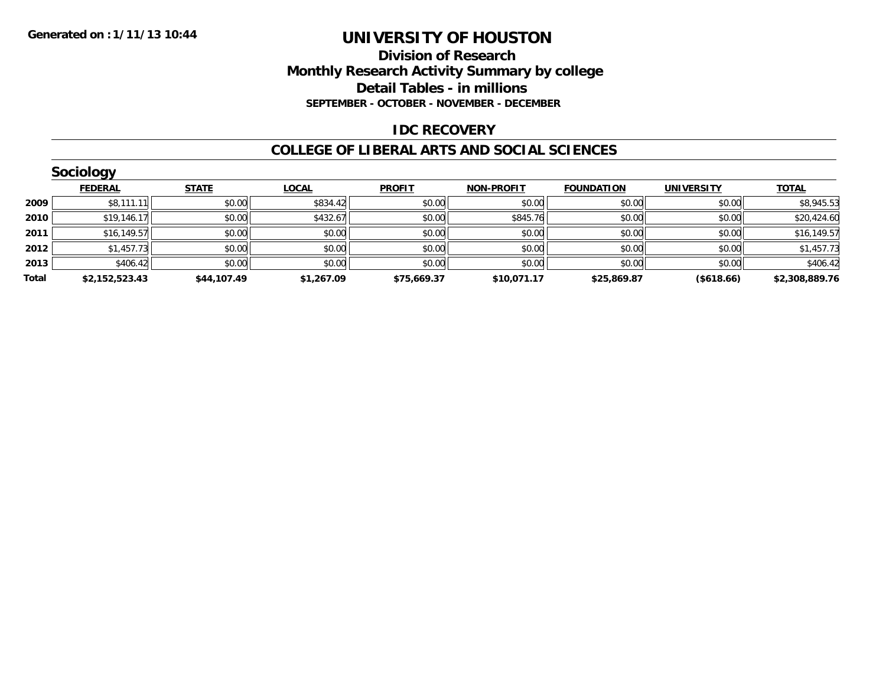### **Division of Research Monthly Research Activity Summary by college Detail Tables - in millions SEPTEMBER - OCTOBER - NOVEMBER - DECEMBER**

### **IDC RECOVERY**

#### **COLLEGE OF LIBERAL ARTS AND SOCIAL SCIENCES**

|       | Sociology      |              |              |               |                   |                   |                   |                |
|-------|----------------|--------------|--------------|---------------|-------------------|-------------------|-------------------|----------------|
|       | <b>FEDERAL</b> | <b>STATE</b> | <b>LOCAL</b> | <b>PROFIT</b> | <b>NON-PROFIT</b> | <b>FOUNDATION</b> | <b>UNIVERSITY</b> | <b>TOTAL</b>   |
| 2009  | \$8,111.11     | \$0.00       | \$834.42     | \$0.00        | \$0.00            | \$0.00            | \$0.00            | \$8,945.53     |
| 2010  | \$19,146.17    | \$0.00       | \$432.67     | \$0.00        | \$845.76          | \$0.00            | \$0.00            | \$20,424.60    |
| 2011  | \$16, 149.57   | \$0.00       | \$0.00       | \$0.00        | \$0.00            | \$0.00            | \$0.00            | \$16,149.57    |
| 2012  | \$1,457.73     | \$0.00       | \$0.00       | \$0.00        | \$0.00            | \$0.00            | \$0.00            | \$1,457.73     |
| 2013  | \$406.42       | \$0.00       | \$0.00       | \$0.00        | \$0.00            | \$0.00            | \$0.00            | \$406.42       |
| Total | \$2,152,523.43 | \$44,107.49  | \$1,267.09   | \$75,669.37   | \$10,071.17       | \$25,869.87       | (\$618.66)        | \$2,308,889.76 |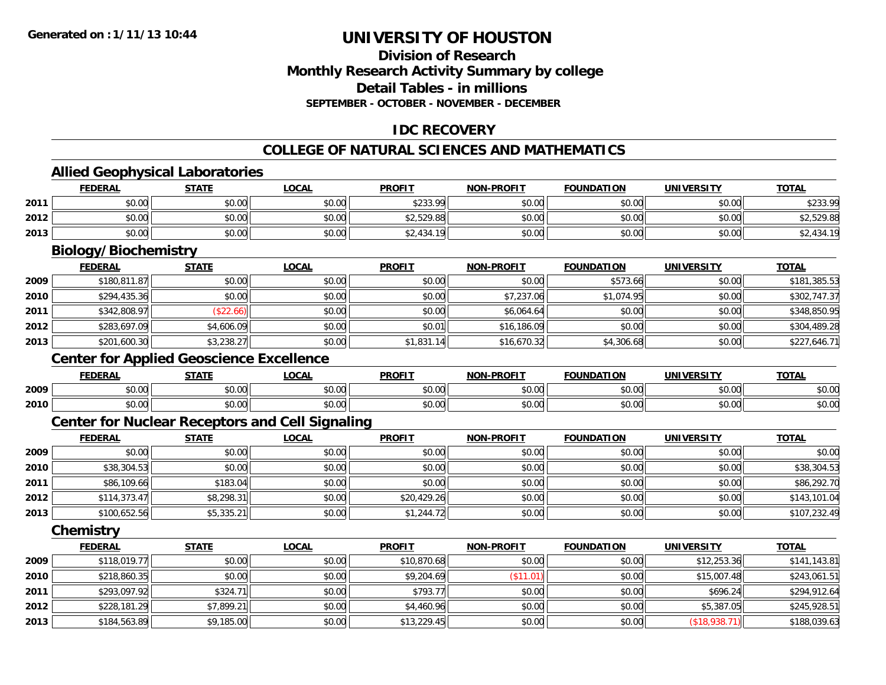# **Division of ResearchMonthly Research Activity Summary by college Detail Tables - in millions SEPTEMBER - OCTOBER - NOVEMBER - DECEMBER**

# **IDC RECOVERY**

#### **COLLEGE OF NATURAL SCIENCES AND MATHEMATICS**

# **Allied Geophysical Laboratories**

|      | <b>FEDERAL</b>                                         | <b>STATE</b> | <b>LOCAL</b> | <b>PROFIT</b> | <b>NON-PROFIT</b> | <b>FOUNDATION</b> | <b>UNIVERSITY</b> | <b>TOTAL</b> |
|------|--------------------------------------------------------|--------------|--------------|---------------|-------------------|-------------------|-------------------|--------------|
| 2011 | \$0.00                                                 | \$0.00       | \$0.00       | \$233.99      | \$0.00            | \$0.00            | \$0.00            | \$233.99     |
| 2012 | \$0.00                                                 | \$0.00       | \$0.00       | \$2,529.88    | \$0.00            | \$0.00            | \$0.00            | \$2,529.88   |
| 2013 | \$0.00                                                 | \$0.00       | \$0.00       | \$2,434.19    | \$0.00            | \$0.00            | \$0.00            | \$2,434.19   |
|      | <b>Biology/Biochemistry</b>                            |              |              |               |                   |                   |                   |              |
|      | <b>FEDERAL</b>                                         | <b>STATE</b> | <b>LOCAL</b> | <b>PROFIT</b> | <b>NON-PROFIT</b> | <b>FOUNDATION</b> | <b>UNIVERSITY</b> | <b>TOTAL</b> |
| 2009 | \$180,811.87                                           | \$0.00       | \$0.00       | \$0.00        | \$0.00            | \$573.66          | \$0.00            | \$181,385.53 |
| 2010 | \$294,435.36                                           | \$0.00       | \$0.00       | \$0.00        | \$7,237.06        | \$1,074.95        | \$0.00            | \$302,747.37 |
| 2011 | \$342,808.97                                           | (\$22.66)    | \$0.00       | \$0.00        | \$6,064.64        | \$0.00            | \$0.00            | \$348,850.95 |
| 2012 | \$283,697.09                                           | \$4,606.09   | \$0.00       | \$0.01        | \$16,186.09       | \$0.00            | \$0.00            | \$304,489.28 |
| 2013 | \$201,600.30                                           | \$3,238.27   | \$0.00       | \$1,831.14    | \$16,670.32       | \$4,306.68        | \$0.00            | \$227,646.71 |
|      | <b>Center for Applied Geoscience Excellence</b>        |              |              |               |                   |                   |                   |              |
|      | <b>FEDERAL</b>                                         | <b>STATE</b> | <b>LOCAL</b> | <b>PROFIT</b> | <b>NON-PROFIT</b> | <b>FOUNDATION</b> | <b>UNIVERSITY</b> | <b>TOTAL</b> |
| 2009 | \$0.00                                                 | \$0.00       | \$0.00       | \$0.00        | \$0.00            | \$0.00            | \$0.00            | \$0.00       |
| 2010 | \$0.00                                                 | \$0.00       | \$0.00       | \$0.00        | \$0.00            | \$0.00            | \$0.00            | \$0.00       |
|      | <b>Center for Nuclear Receptors and Cell Signaling</b> |              |              |               |                   |                   |                   |              |
|      | <b>FEDERAL</b>                                         | <b>STATE</b> | <b>LOCAL</b> | <b>PROFIT</b> | <b>NON-PROFIT</b> | <b>FOUNDATION</b> | <b>UNIVERSITY</b> | <b>TOTAL</b> |
| 2009 | \$0.00                                                 | \$0.00       | \$0.00       | \$0.00        | \$0.00            | \$0.00            | \$0.00            | \$0.00       |
| 2010 | \$38,304.53                                            | \$0.00       | \$0.00       | \$0.00        | \$0.00            | \$0.00            | \$0.00            | \$38,304.53  |
| 2011 | \$86,109.66                                            | \$183.04     | \$0.00       | \$0.00        | \$0.00            | \$0.00            | \$0.00            | \$86,292.70  |
| 2012 | \$114,373.47                                           | \$8,298.31   | \$0.00       | \$20,429.26   | \$0.00            | \$0.00            | \$0.00            | \$143,101.04 |
| 2013 | \$100,652.56                                           | \$5,335.21   | \$0.00       | \$1,244.72    | \$0.00            | \$0.00            | \$0.00            | \$107,232.49 |
|      | Chemistry                                              |              |              |               |                   |                   |                   |              |
|      | <b>FEDERAL</b>                                         | <b>STATE</b> | <b>LOCAL</b> | <b>PROFIT</b> | <b>NON-PROFIT</b> | <b>FOUNDATION</b> | <b>UNIVERSITY</b> | <b>TOTAL</b> |
| 2009 | \$118,019.77                                           | \$0.00       | \$0.00       | \$10,870.68   | \$0.00            | \$0.00            | \$12,253.36       | \$141,143.81 |
| 2010 | \$218,860.35                                           | \$0.00       | \$0.00       | \$9,204.69    | (\$11.01)         | \$0.00            | \$15,007.48       | \$243,061.51 |
| 2011 | \$293,097.92                                           | \$324.71     | \$0.00       | \$793.77      | \$0.00            | \$0.00            | \$696.24          | \$294,912.64 |
| 2012 | \$228,181.29                                           | \$7,899.21   | \$0.00       | \$4,460.96    | \$0.00            | \$0.00            | \$5,387.05        | \$245,928.51 |
| 2013 | \$184,563.89                                           | \$9,185.00   | \$0.00       | \$13,229.45   | \$0.00            | \$0.00            | (\$18,938.71)     | \$188,039.63 |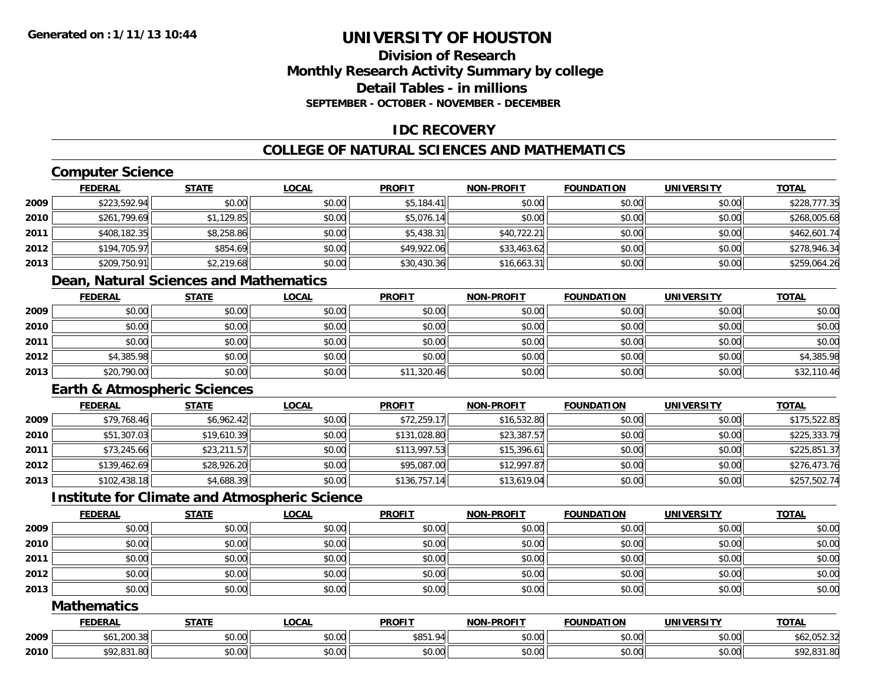# **Division of ResearchMonthly Research Activity Summary by college Detail Tables - in millionsSEPTEMBER - OCTOBER - NOVEMBER - DECEMBER**

# **IDC RECOVERY**

# **COLLEGE OF NATURAL SCIENCES AND MATHEMATICS**

# **Computer Science**

|      | <b>FEDERAL</b> | <b>STATE</b> | <u>LOCAL</u> | <b>PROFIT</b> | <b>NON-PROFIT</b> | <b>FOUNDATION</b> | <b>UNIVERSITY</b> | <b>TOTAL</b> |
|------|----------------|--------------|--------------|---------------|-------------------|-------------------|-------------------|--------------|
| 2009 | \$223,592.94   | \$0.00       | \$0.00       | \$5,184.41    | \$0.00            | \$0.00            | \$0.00            | \$228,777.35 |
| 2010 | \$261,799.69   | \$1,129.85   | \$0.00       | \$5,076.14    | \$0.00            | \$0.00            | \$0.00            | \$268,005.68 |
| 2011 | \$408,182.35   | \$8,258.86   | \$0.00       | \$5,438.31    | \$40,722.21       | \$0.00            | \$0.00            | \$462,601.74 |
| 2012 | \$194,705.97   | \$854.69     | \$0.00       | \$49,922.06   | \$33,463.62       | \$0.00            | \$0.00            | \$278,946.34 |
| 2013 | \$209,750.91   | \$2,219.68   | \$0.00       | \$30,430.36   | \$16,663.31       | \$0.00            | \$0.00            | \$259,064.26 |

# **Dean, Natural Sciences and Mathematics**

|      | <b>FEDERAL</b> | <b>STATE</b> | <b>LOCAL</b> | <b>PROFIT</b> | <b>NON-PROFIT</b> | <b>FOUNDATION</b> | <b>UNIVERSITY</b> | <b>TOTAL</b> |
|------|----------------|--------------|--------------|---------------|-------------------|-------------------|-------------------|--------------|
| 2009 | \$0.00         | \$0.00       | \$0.00       | \$0.00        | \$0.00            | \$0.00            | \$0.00            | \$0.00       |
| 2010 | \$0.00         | \$0.00       | \$0.00       | \$0.00        | \$0.00            | \$0.00            | \$0.00            | \$0.00       |
| 2011 | \$0.00         | \$0.00       | \$0.00       | \$0.00        | \$0.00            | \$0.00            | \$0.00            | \$0.00       |
| 2012 | \$4,385.98     | \$0.00       | \$0.00       | \$0.00        | \$0.00            | \$0.00            | \$0.00            | \$4,385.98   |
| 2013 | \$20,790.00    | \$0.00       | \$0.00       | \$11,320.46   | \$0.00            | \$0.00            | \$0.00            | \$32,110.46  |

# **Earth & Atmospheric Sciences**

|      | <b>FEDERAL</b> | <b>STATE</b> | <u>LOCAL</u> | <b>PROFIT</b> | <b>NON-PROFIT</b> | <b>FOUNDATION</b> | <b>UNIVERSITY</b> | <b>TOTAL</b> |
|------|----------------|--------------|--------------|---------------|-------------------|-------------------|-------------------|--------------|
| 2009 | \$79,768.46    | \$6,962.42   | \$0.00       | \$72,259.17   | \$16,532.80       | \$0.00            | \$0.00            | \$175,522.85 |
| 2010 | \$51,307.03    | \$19,610.39  | \$0.00       | \$131,028.80  | \$23,387.57       | \$0.00            | \$0.00            | \$225,333.79 |
| 2011 | \$73,245.66    | \$23,211.57  | \$0.00       | \$113,997.53  | \$15,396.61       | \$0.00            | \$0.00            | \$225,851.37 |
| 2012 | \$139,462.69   | \$28,926.20  | \$0.00       | \$95,087.00   | \$12,997.87       | \$0.00            | \$0.00            | \$276,473.76 |
| 2013 | \$102,438.18   | \$4,688.39   | \$0.00       | \$136.757.14  | \$13,619.04       | \$0.00            | \$0.00            | \$257,502.74 |

# **Institute for Climate and Atmospheric Science**

|      | <b>FEDERAL</b> | <u>STATE</u> | <u>LOCAL</u> | <b>PROFIT</b> | <b>NON-PROFIT</b> | <b>FOUNDATION</b> | <b>UNIVERSITY</b> | <b>TOTAL</b> |
|------|----------------|--------------|--------------|---------------|-------------------|-------------------|-------------------|--------------|
| 2009 | \$0.00         | \$0.00       | \$0.00       | \$0.00        | \$0.00            | \$0.00            | \$0.00            | \$0.00       |
| 2010 | \$0.00         | \$0.00       | \$0.00       | \$0.00        | \$0.00            | \$0.00            | \$0.00            | \$0.00       |
| 2011 | \$0.00         | \$0.00       | \$0.00       | \$0.00        | \$0.00            | \$0.00            | \$0.00            | \$0.00       |
| 2012 | \$0.00         | \$0.00       | \$0.00       | \$0.00        | \$0.00            | \$0.00            | \$0.00            | \$0.00       |
| 2013 | \$0.00         | \$0.00       | \$0.00       | \$0.00        | \$0.00            | \$0.00            | \$0.00            | \$0.00       |

### **Mathematics**

|      | <b>FEDERAL</b>          | <b>STATE</b> | <b>OCAL</b>    | <b>PROFIT</b>    | MONLDDOEIT                       | <b>FOUNDATION</b> | UNIVERSITY           | <b>TOTAL</b>                  |
|------|-------------------------|--------------|----------------|------------------|----------------------------------|-------------------|----------------------|-------------------------------|
| 2009 | 200.22<br>ÞО<br>500.00. | \$0.00       | 0000<br>vu.ou  | $\Omega$<br>ิูง∪ | $n \cap \neg$<br>DU.UG           | \$0.00            | 0.00<br><b>JU.UU</b> | $\sim$ $\sim$<br>PUZ, UJZ. JZ |
| 2010 | .831.80<br>ሐሰሳ          | \$0.00       | ሶስ ሰሰ<br>JU.UU | \$0.00           | $\circ$ $\circ$ $\circ$<br>DU.UU | \$0.00            | 0.00<br><b>JU.UU</b> | \$92,831.80                   |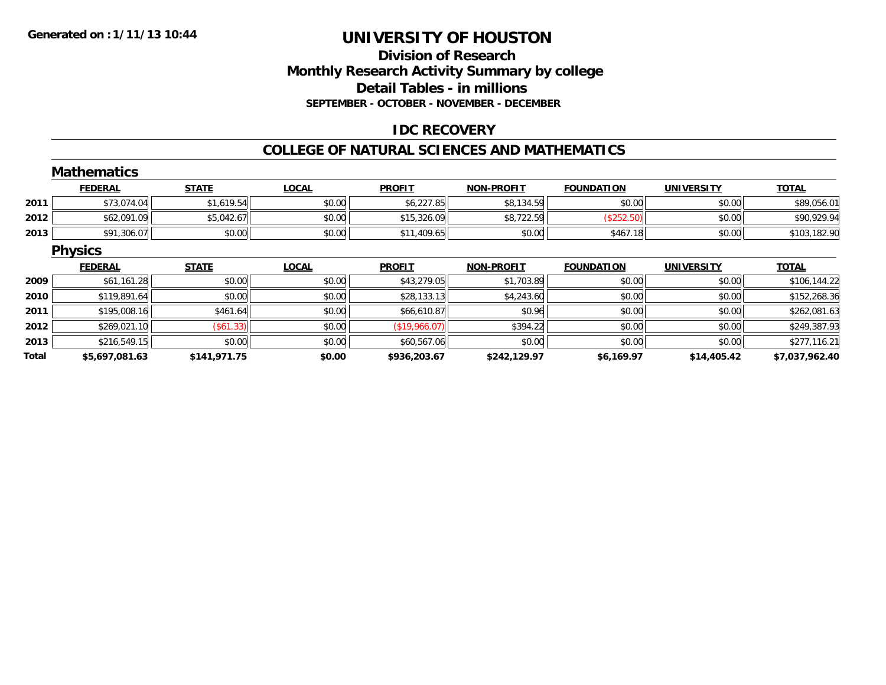# **Division of ResearchMonthly Research Activity Summary by college Detail Tables - in millions SEPTEMBER - OCTOBER - NOVEMBER - DECEMBER**

# **IDC RECOVERY**

#### **COLLEGE OF NATURAL SCIENCES AND MATHEMATICS**

|       | <b>Mathematics</b> |              |              |               |                   |                   |                   |                |
|-------|--------------------|--------------|--------------|---------------|-------------------|-------------------|-------------------|----------------|
|       | <b>FEDERAL</b>     | <b>STATE</b> | <b>LOCAL</b> | <b>PROFIT</b> | <b>NON-PROFIT</b> | <b>FOUNDATION</b> | <b>UNIVERSITY</b> | <b>TOTAL</b>   |
| 2011  | \$73,074.04        | \$1,619.54   | \$0.00       | \$6,227.85    | \$8,134.59        | \$0.00            | \$0.00            | \$89,056.01    |
| 2012  | \$62,091.09        | \$5,042.67   | \$0.00       | \$15,326.09   | \$8,722.59        | (\$252.50)        | \$0.00            | \$90,929.94    |
| 2013  | \$91,306.07        | \$0.00       | \$0.00       | \$11,409.65   | \$0.00            | \$467.18          | \$0.00            | \$103,182.90   |
|       | <b>Physics</b>     |              |              |               |                   |                   |                   |                |
|       | <b>FEDERAL</b>     | <b>STATE</b> | <b>LOCAL</b> | <b>PROFIT</b> | <b>NON-PROFIT</b> | <b>FOUNDATION</b> | <b>UNIVERSITY</b> | <b>TOTAL</b>   |
| 2009  | \$61,161.28        | \$0.00       | \$0.00       | \$43,279.05   | \$1,703.89        | \$0.00            | \$0.00            | \$106,144.22   |
| 2010  | \$119,891.64       | \$0.00       | \$0.00       | \$28,133.13   | \$4,243.60        | \$0.00            | \$0.00            | \$152,268.36   |
| 2011  | \$195,008.16       | \$461.64     | \$0.00       | \$66,610.87   | \$0.96            | \$0.00            | \$0.00            | \$262,081.63   |
| 2012  | \$269,021.10       | $($ \$61.33) | \$0.00       | (\$19,966.07) | \$394.22          | \$0.00            | \$0.00            | \$249,387.93   |
| 2013  | \$216,549.15       | \$0.00       | \$0.00       | \$60,567.06   | \$0.00            | \$0.00            | \$0.00            | \$277,116.21   |
| Total | \$5,697,081.63     | \$141,971.75 | \$0.00       | \$936,203.67  | \$242,129.97      | \$6,169.97        | \$14,405.42       | \$7,037,962.40 |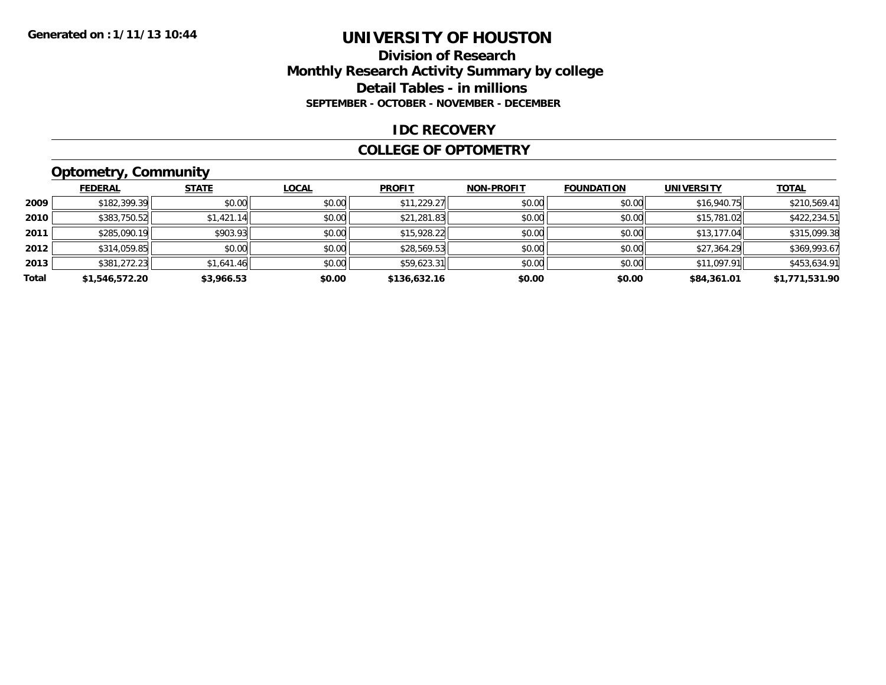### **Division of Research Monthly Research Activity Summary by college Detail Tables - in millions SEPTEMBER - OCTOBER - NOVEMBER - DECEMBER**

#### **IDC RECOVERY**

#### **COLLEGE OF OPTOMETRY**

# **Optometry, Community**

|       | <b>FEDERAL</b> | <b>STATE</b> | LOCAL  | <b>PROFIT</b> | <b>NON-PROFIT</b> | <b>FOUNDATION</b> | <b>UNIVERSITY</b> | <b>TOTAL</b>   |
|-------|----------------|--------------|--------|---------------|-------------------|-------------------|-------------------|----------------|
| 2009  | \$182,399.39   | \$0.00       | \$0.00 | \$11,229.27   | \$0.00            | \$0.00            | \$16,940.75       | \$210,569.41   |
| 2010  | \$383,750.52   | \$1,421.14   | \$0.00 | \$21,281.83   | \$0.00            | \$0.00            | \$15,781.02       | \$422,234.51   |
| 2011  | \$285,090.19   | \$903.93     | \$0.00 | \$15,928.22   | \$0.00            | \$0.00            | \$13,177.04       | \$315,099.38   |
| 2012  | \$314,059.85   | \$0.00       | \$0.00 | \$28,569.53   | \$0.00            | \$0.00            | \$27,364.29       | \$369,993.67   |
| 2013  | \$381,272.23   | \$1,641.46   | \$0.00 | \$59,623.31   | \$0.00            | \$0.00            | \$11,097.91       | \$453,634.91   |
| Total | \$1,546,572.20 | \$3,966.53   | \$0.00 | \$136,632.16  | \$0.00            | \$0.00            | \$84,361.01       | \$1,771,531.90 |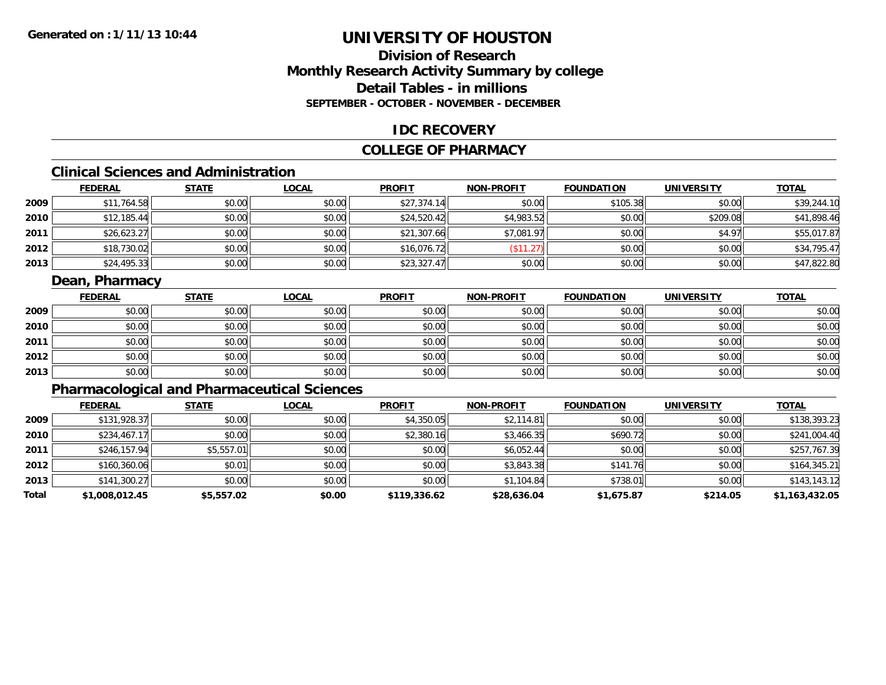# **Division of ResearchMonthly Research Activity Summary by college Detail Tables - in millionsSEPTEMBER - OCTOBER - NOVEMBER - DECEMBER**

# **IDC RECOVERY**

### **COLLEGE OF PHARMACY**

# **Clinical Sciences and Administration**

|      | <b>FEDERAL</b> | <b>STATE</b> | <u>LOCAL</u> | <b>PROFIT</b> | <b>NON-PROFIT</b> | <b>FOUNDATION</b> | <b>UNIVERSITY</b> | <b>TOTAL</b> |
|------|----------------|--------------|--------------|---------------|-------------------|-------------------|-------------------|--------------|
| 2009 | \$11,764.58    | \$0.00       | \$0.00       | \$27,374.14   | \$0.00            | \$105.38          | \$0.00            | \$39,244.10  |
| 2010 | \$12,185.44    | \$0.00       | \$0.00       | \$24,520.42   | \$4,983.52        | \$0.00            | \$209.08          | \$41,898.46  |
| 2011 | \$26,623.27    | \$0.00       | \$0.00       | \$21,307.66   | \$7,081.97        | \$0.00            | \$4.97            | \$55,017.87  |
| 2012 | \$18,730.02    | \$0.00       | \$0.00       | \$16,076.72   | \$11.27           | \$0.00            | \$0.00            | \$34,795.47  |
| 2013 | \$24,495.33    | \$0.00       | \$0.00       | \$23,327.47   | \$0.00            | \$0.00            | \$0.00            | \$47,822.80  |

# **Dean, Pharmacy**

|      | <b>FEDERAL</b> | <b>STATE</b> | <b>LOCAL</b> | <b>PROFIT</b> | <b>NON-PROFIT</b> | <b>FOUNDATION</b> | <b>UNIVERSITY</b> | <b>TOTAL</b> |
|------|----------------|--------------|--------------|---------------|-------------------|-------------------|-------------------|--------------|
| 2009 | \$0.00         | \$0.00       | \$0.00       | \$0.00        | \$0.00            | \$0.00            | \$0.00            | \$0.00       |
| 2010 | \$0.00         | \$0.00       | \$0.00       | \$0.00        | \$0.00            | \$0.00            | \$0.00            | \$0.00       |
| 2011 | \$0.00         | \$0.00       | \$0.00       | \$0.00        | \$0.00            | \$0.00            | \$0.00            | \$0.00       |
| 2012 | \$0.00         | \$0.00       | \$0.00       | \$0.00        | \$0.00            | \$0.00            | \$0.00            | \$0.00       |
| 2013 | \$0.00         | \$0.00       | \$0.00       | \$0.00        | \$0.00            | \$0.00            | \$0.00            | \$0.00       |

# **Pharmacological and Pharmaceutical Sciences**

|       | <b>FEDERAL</b> | <b>STATE</b> | <b>LOCAL</b> | <b>PROFIT</b> | <b>NON-PROFIT</b> | <b>FOUNDATION</b> | <b>UNIVERSITY</b> | <b>TOTAL</b>   |
|-------|----------------|--------------|--------------|---------------|-------------------|-------------------|-------------------|----------------|
| 2009  | \$131,928.37   | \$0.00       | \$0.00       | \$4,350.05    | \$2,114.81        | \$0.00            | \$0.00            | \$138,393.23   |
| 2010  | \$234,467.17   | \$0.00       | \$0.00       | \$2,380.16    | \$3,466.35        | \$690.72          | \$0.00            | \$241,004.40   |
| 2011  | \$246,157.94   | \$5,557.01   | \$0.00       | \$0.00        | \$6,052.44        | \$0.00            | \$0.00            | \$257,767.39   |
| 2012  | \$160,360.06   | \$0.01       | \$0.00       | \$0.00        | \$3,843.38        | \$141.76          | \$0.00            | \$164,345.21   |
| 2013  | \$141,300.27   | \$0.00       | \$0.00       | \$0.00        | \$1,104.84        | \$738.01          | \$0.00            | \$143,143.12   |
| Total | \$1,008,012.45 | \$5,557.02   | \$0.00       | \$119,336.62  | \$28,636.04       | \$1,675.87        | \$214.05          | \$1,163,432.05 |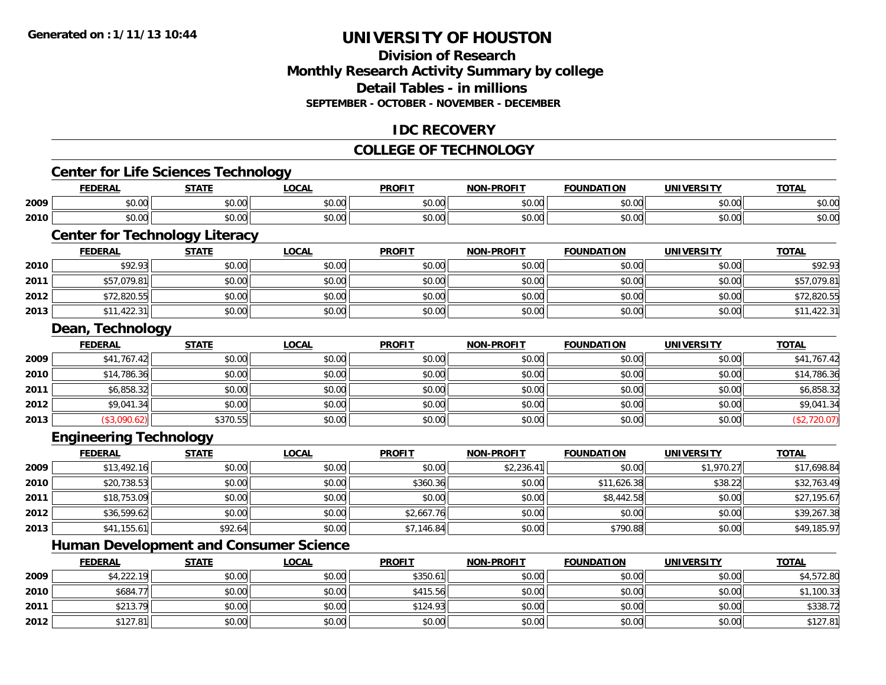**2012**

# **UNIVERSITY OF HOUSTON**

# **Division of ResearchMonthly Research Activity Summary by college Detail Tables - in millions SEPTEMBER - OCTOBER - NOVEMBER - DECEMBER**

# **IDC RECOVERY**

# **COLLEGE OF TECHNOLOGY**

|      | <b>Center for Life Sciences Technology</b>    |              |              |               |                   |                   |                   |              |
|------|-----------------------------------------------|--------------|--------------|---------------|-------------------|-------------------|-------------------|--------------|
|      | <b>FEDERAL</b>                                | <b>STATE</b> | <b>LOCAL</b> | <b>PROFIT</b> | <b>NON-PROFIT</b> | <b>FOUNDATION</b> | <b>UNIVERSITY</b> | <b>TOTAL</b> |
| 2009 | \$0.00                                        | \$0.00       | \$0.00       | \$0.00        | \$0.00            | \$0.00            | \$0.00            | \$0.00       |
| 2010 | \$0.00                                        | \$0.00       | \$0.00       | \$0.00        | \$0.00            | \$0.00            | \$0.00            | \$0.00       |
|      | <b>Center for Technology Literacy</b>         |              |              |               |                   |                   |                   |              |
|      | <b>FEDERAL</b>                                | <b>STATE</b> | <b>LOCAL</b> | <b>PROFIT</b> | <b>NON-PROFIT</b> | <b>FOUNDATION</b> | <b>UNIVERSITY</b> | <b>TOTAL</b> |
| 2010 | \$92.93                                       | \$0.00       | \$0.00       | \$0.00        | \$0.00            | \$0.00            | \$0.00            | \$92.93      |
| 2011 | \$57,079.81                                   | \$0.00       | \$0.00       | \$0.00        | \$0.00            | \$0.00            | \$0.00            | \$57,079.81  |
| 2012 | \$72,820.55                                   | \$0.00       | \$0.00       | \$0.00        | \$0.00            | \$0.00            | \$0.00            | \$72,820.55  |
| 2013 | \$11,422.31                                   | \$0.00       | \$0.00       | \$0.00        | \$0.00            | \$0.00            | \$0.00            | \$11,422.31  |
|      | Dean, Technology                              |              |              |               |                   |                   |                   |              |
|      | <b>FEDERAL</b>                                | <b>STATE</b> | <b>LOCAL</b> | <b>PROFIT</b> | <b>NON-PROFIT</b> | <b>FOUNDATION</b> | <b>UNIVERSITY</b> | <b>TOTAL</b> |
| 2009 | \$41,767.42                                   | \$0.00       | \$0.00       | \$0.00        | \$0.00            | \$0.00            | \$0.00            | \$41,767.42  |
| 2010 | \$14,786.36                                   | \$0.00       | \$0.00       | \$0.00        | \$0.00            | \$0.00            | \$0.00            | \$14,786.36  |
| 2011 | \$6,858.32                                    | \$0.00       | \$0.00       | \$0.00        | \$0.00            | \$0.00            | \$0.00            | \$6,858.32   |
| 2012 | \$9,041.34                                    | \$0.00       | \$0.00       | \$0.00        | \$0.00            | \$0.00            | \$0.00            | \$9,041.34   |
| 2013 | (\$3,090.62)                                  | \$370.55     | \$0.00       | \$0.00        | \$0.00            | \$0.00            | \$0.00            | (\$2,720.07) |
|      | <b>Engineering Technology</b>                 |              |              |               |                   |                   |                   |              |
|      | <b>FEDERAL</b>                                | <b>STATE</b> | <b>LOCAL</b> | <b>PROFIT</b> | <b>NON-PROFIT</b> | <b>FOUNDATION</b> | <b>UNIVERSITY</b> | <b>TOTAL</b> |
| 2009 | \$13,492.16                                   | \$0.00       | \$0.00       | \$0.00        | \$2,236.41        | \$0.00            | \$1,970.27        | \$17,698.84  |
| 2010 | \$20,738.53                                   | \$0.00       | \$0.00       | \$360.36      | \$0.00            | \$11,626.38       | \$38.22           | \$32,763.49  |
| 2011 | \$18,753.09                                   | \$0.00       | \$0.00       | \$0.00        | \$0.00            | \$8,442.58        | \$0.00            | \$27,195.67  |
| 2012 | \$36,599.62                                   | \$0.00       | \$0.00       | \$2,667.76    | \$0.00            | \$0.00            | \$0.00            | \$39,267.38  |
| 2013 | \$41,155.61                                   | \$92.64      | \$0.00       | \$7,146.84    | \$0.00            | \$790.88          | \$0.00            | \$49,185.97  |
|      | <b>Human Development and Consumer Science</b> |              |              |               |                   |                   |                   |              |
|      | <b>FEDERAL</b>                                | <b>STATE</b> | <b>LOCAL</b> | <b>PROFIT</b> | <b>NON-PROFIT</b> | <b>FOUNDATION</b> | <b>UNIVERSITY</b> | <b>TOTAL</b> |
| 2009 | \$4,222.19                                    | \$0.00       | \$0.00       | \$350.61      | \$0.00            | \$0.00            | \$0.00            | \$4,572.80   |
| 2010 | \$684.77                                      | \$0.00       | \$0.00       | \$415.56      | \$0.00            | \$0.00            | \$0.00            | \$1,100.33   |
| 2011 | \$213.79                                      | \$0.00       | \$0.00       | \$124.93      | \$0.00            | \$0.00            | \$0.00            | \$338.72     |

\$127.81 \$0.00 \$0.00 \$0.00 \$0.00 \$0.00 \$0.00 \$127.81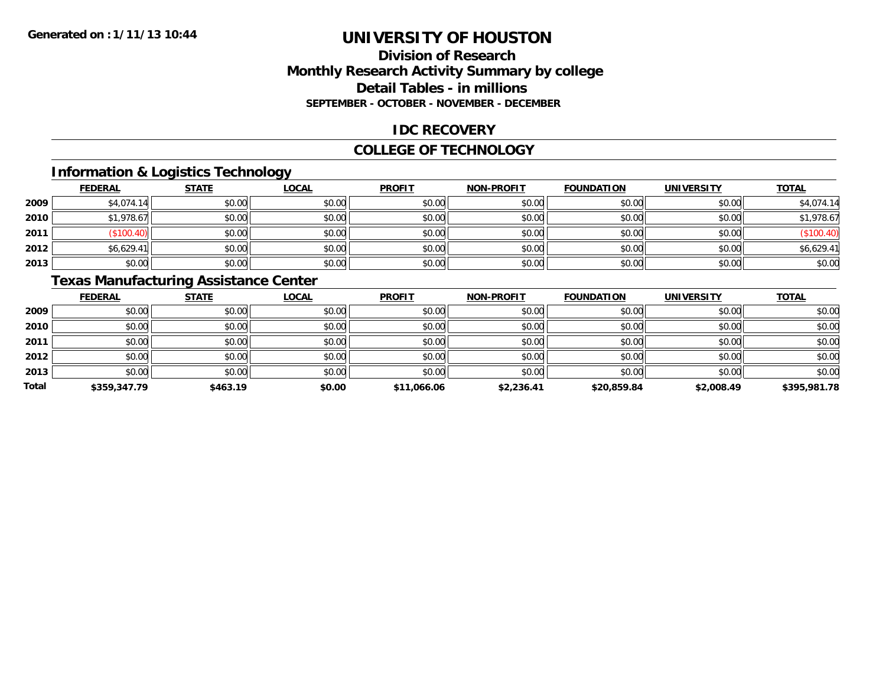# **Division of ResearchMonthly Research Activity Summary by college Detail Tables - in millions SEPTEMBER - OCTOBER - NOVEMBER - DECEMBER**

# **IDC RECOVERY**

#### **COLLEGE OF TECHNOLOGY**

# **Information & Logistics Technology**

|      | <b>FEDERAL</b> | <b>STATE</b> | <u>LOCAL</u> | <b>PROFIT</b> | <b>NON-PROFIT</b> | <b>FOUNDATION</b> | <b>UNIVERSITY</b> | <b>TOTAL</b> |
|------|----------------|--------------|--------------|---------------|-------------------|-------------------|-------------------|--------------|
| 2009 | \$4,074.14     | \$0.00       | \$0.00       | \$0.00        | \$0.00            | \$0.00            | \$0.00            | \$4,074.14   |
| 2010 | \$1,978.67     | \$0.00       | \$0.00       | \$0.00        | \$0.00            | \$0.00            | \$0.00            | \$1,978.67   |
| 2011 | \$100.4L       | \$0.00       | \$0.00       | \$0.00        | \$0.00            | \$0.00            | \$0.00            | (\$100.40)   |
| 2012 | \$6,629.41     | \$0.00       | \$0.00       | \$0.00        | \$0.00            | \$0.00            | \$0.00            | \$6,629.41   |
| 2013 | \$0.00         | \$0.00       | \$0.00       | \$0.00        | \$0.00            | \$0.00            | \$0.00            | \$0.00       |

# **Texas Manufacturing Assistance Center**

|       | <b>FEDERAL</b> | <b>STATE</b> | <b>LOCAL</b> | <b>PROFIT</b> | <b>NON-PROFIT</b> | <b>FOUNDATION</b> | <b>UNIVERSITY</b> | <b>TOTAL</b> |
|-------|----------------|--------------|--------------|---------------|-------------------|-------------------|-------------------|--------------|
| 2009  | \$0.00         | \$0.00       | \$0.00       | \$0.00        | \$0.00            | \$0.00            | \$0.00            | \$0.00       |
| 2010  | \$0.00         | \$0.00       | \$0.00       | \$0.00        | \$0.00            | \$0.00            | \$0.00            | \$0.00       |
| 2011  | \$0.00         | \$0.00       | \$0.00       | \$0.00        | \$0.00            | \$0.00            | \$0.00            | \$0.00       |
| 2012  | \$0.00         | \$0.00       | \$0.00       | \$0.00        | \$0.00            | \$0.00            | \$0.00            | \$0.00       |
| 2013  | \$0.00         | \$0.00       | \$0.00       | \$0.00        | \$0.00            | \$0.00            | \$0.00            | \$0.00       |
| Total | \$359,347.79   | \$463.19     | \$0.00       | \$11,066.06   | \$2,236.41        | \$20,859.84       | \$2,008.49        | \$395,981.78 |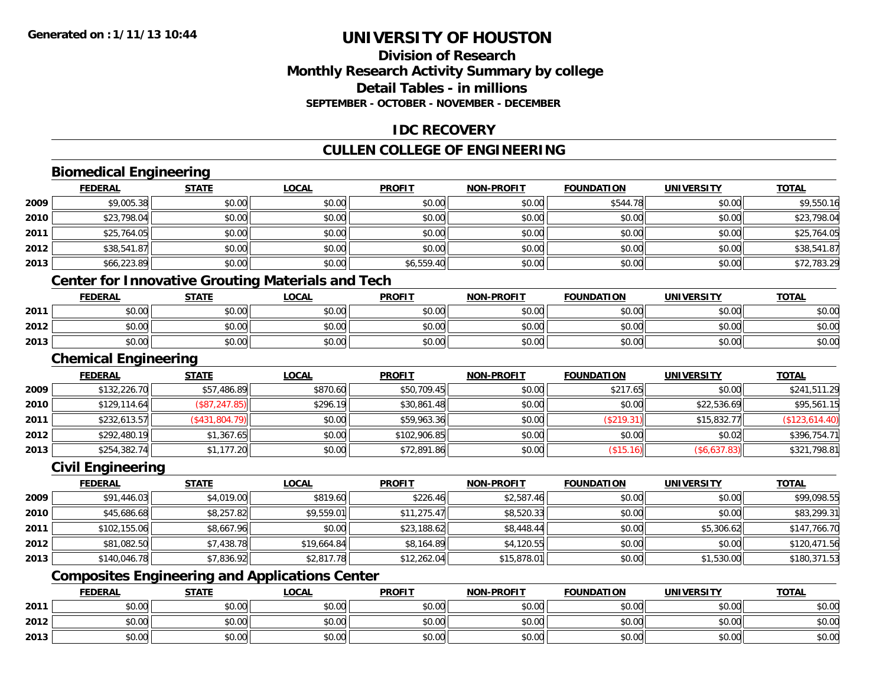# **Division of ResearchMonthly Research Activity Summary by college Detail Tables - in millions SEPTEMBER - OCTOBER - NOVEMBER - DECEMBER**

# **IDC RECOVERY**

# **CULLEN COLLEGE OF ENGINEERING**

# **Biomedical Engineering**

|      | <b>FEDERAL</b>              | <b>STATE</b>   | <b>LOCAL</b>                                             | <b>PROFIT</b> | <b>NON-PROFIT</b> | <b>FOUNDATION</b>        | <b>UNIVERSITY</b>   | <b>TOTAL</b>   |
|------|-----------------------------|----------------|----------------------------------------------------------|---------------|-------------------|--------------------------|---------------------|----------------|
| 2009 | \$9,005.38                  | \$0.00         | \$0.00                                                   | \$0.00        | \$0.00            | \$544.78                 | \$0.00              | \$9,550.16     |
| 2010 | \$23,798.04                 | \$0.00         | \$0.00                                                   | \$0.00        | \$0.00            | \$0.00                   | \$0.00              | \$23,798.04    |
| 2011 | \$25,764.05                 | \$0.00         | \$0.00                                                   | \$0.00        | \$0.00            | \$0.00                   | \$0.00              | \$25,764.05    |
| 2012 | \$38,541.87                 | \$0.00         | \$0.00                                                   | \$0.00        | \$0.00            | \$0.00                   | \$0.00              | \$38,541.87    |
| 2013 | \$66,223.89                 | \$0.00         | \$0.00                                                   | \$6,559.40    | \$0.00            | \$0.00                   | \$0.00              | \$72,783.29    |
|      |                             |                | <b>Center for Innovative Grouting Materials and Tech</b> |               |                   |                          |                     |                |
|      | <b>FEDERAL</b>              | <b>STATE</b>   | <b>LOCAL</b>                                             | <b>PROFIT</b> | <b>NON-PROFIT</b> | <b>FOUNDATION</b>        | <b>UNIVERSITY</b>   | <b>TOTAL</b>   |
| 2011 | \$0.00                      | \$0.00         | \$0.00                                                   | \$0.00        | \$0.00            | \$0.00                   | \$0.00              | \$0.00         |
| 2012 | \$0.00                      | \$0.00         | \$0.00                                                   | \$0.00        | \$0.00            | \$0.00                   | \$0.00              | \$0.00         |
| 2013 | \$0.00                      | \$0.00         | \$0.00                                                   | \$0.00        | \$0.00            | \$0.00                   | \$0.00              | \$0.00         |
|      | <b>Chemical Engineering</b> |                |                                                          |               |                   |                          |                     |                |
|      | <b>FEDERAL</b>              | <b>STATE</b>   | <b>LOCAL</b>                                             | <b>PROFIT</b> | <b>NON-PROFIT</b> | <b>FOUNDATION</b>        | <b>UNIVERSITY</b>   | <b>TOTAL</b>   |
| 2009 | \$132,226.70                | \$57,486.89    | \$870.60                                                 | \$50,709.45   | \$0.00            | \$217.65                 | \$0.00              | \$241,511.29   |
| 2010 | \$129,114.64                | (\$87, 247.85) | \$296.19                                                 | \$30,861.48   | \$0.00            | \$0.00                   | \$22,536.69         | \$95,561.15    |
| 2011 | \$232,613.57                | (\$431,804.79) | \$0.00                                                   | \$59,963.36   | \$0.00            | (\$219.31)               | \$15,832.77         | (\$123,614.40) |
| 2012 | \$292,480.19                | \$1,367.65     | \$0.00                                                   | \$102,906.85  | \$0.00            | \$0.00                   | \$0.02              | \$396,754.71   |
| 2013 | \$254,382.74                | \$1,177.20     | \$0.00                                                   | \$72,891.86   | \$0.00            | (\$15.16)                | (\$6,637.83)        | \$321,798.81   |
|      | <b>Civil Engineering</b>    |                |                                                          |               |                   |                          |                     |                |
|      | <b>FEBEBAL</b>              | <b>CTATE</b>   | 1001                                                     | <b>DDAFIT</b> | MON BBOFIT        | <b><i>FOUNDATION</i></b> | <b>IIMILVEDCITY</b> | <b>TOTAL</b>   |

#### **FEDERAL STATE LOCAL PROFIT NON-PROFIT FOUNDATION UNIVERSITY TOTAL**<u>TOTAL</u> **2009** \$91,446.03 \$4,019.00 \$819.60 \$226.46 \$2,587.46 \$0.00 \$0.00 \$99,098.55 **2010** $\textsf{0} \parallel \textsf{0} \parallel \textsf{0} \parallel \textsf{0} \parallel \textsf{0} \parallel \textsf{0} \parallel \textsf{0} \parallel \textsf{0} \parallel \textsf{0} \parallel \textsf{0} \parallel \textsf{0} \parallel \textsf{0} \parallel \textsf{0} \parallel \textsf{0} \parallel \textsf{0} \parallel \textsf{0} \parallel \textsf{0} \parallel \textsf{0} \parallel \textsf{0} \parallel \textsf{0} \parallel \textsf{0} \parallel \textsf{0} \parallel \textsf{0} \parallel \textsf{0} \parallel \textsf{0} \parallel \textsf{0} \parallel \textsf{0} \parallel \textsf{$ **2011** \$102,155.06 \$8,667.96 \$0.00 \$23,188.62 \$8,448.44 \$0.00 \$5,306.62 \$147,766.70 **2012** \$81,082.50 \$7,438.78 \$19,664.84 \$8,164.89 \$4,120.55 \$0.00 \$0.00 \$120,471.56 **2013**3 \$140,046.78 \$1,836.92 \$7,836.92 \$2,817.78 \$12,262.04 \$12,262.04 \$15,878.01 \$0.00 \$0.00 \$1,530.00 \$180,371.53

# **Composites Engineering and Applications Center**

|      | <b>FEDERAL</b> | <b>STATE</b> | <u>LOCAL</u>  | <b>PROFIT</b> | <b>NON-PROFIT</b> | <b>FOUNDATION</b> | UNIVERSITY | <b>TOTAL</b> |
|------|----------------|--------------|---------------|---------------|-------------------|-------------------|------------|--------------|
| 2011 | \$0.00         | \$0.00       | 0000<br>ง∪.∪บ | \$0.00        | \$0.00            | \$0.00            | \$0.00     | \$0.00       |
| 2012 | \$0.00         | \$0.00       | 0.00<br>ง∪.∪บ | \$0.00        | \$0.00            | \$0.00            | \$0.00     | \$0.00       |
| 2013 | \$0.00         | \$0.00       | 0000<br>ง∪.∪บ | \$0.00        | \$0.00            | \$0.00            | \$0.00     | \$0.00       |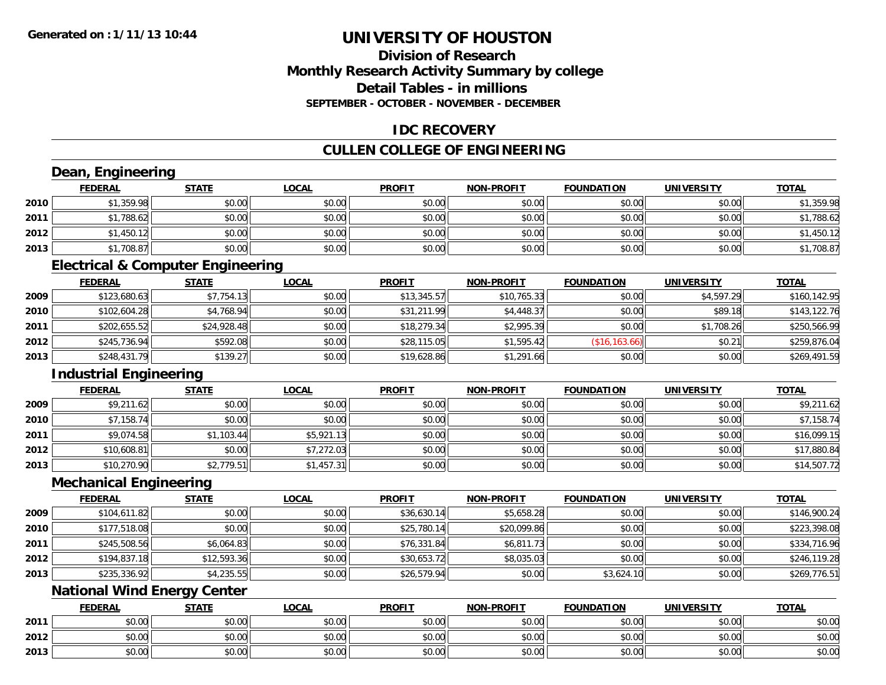**2013**

# **UNIVERSITY OF HOUSTON**

# **Division of ResearchMonthly Research Activity Summary by college Detail Tables - in millionsSEPTEMBER - OCTOBER - NOVEMBER - DECEMBER**

# **IDC RECOVERY**

### **CULLEN COLLEGE OF ENGINEERING**

#### **Dean, Engineering FEDERAL STATE LOCAL PROFIT NON-PROFIT FOUNDATION UNIVERSITY TOTALTOTAL 2010** $\textsf{[0]} \quad \textsf{[0]} \quad \textsf{[0]} \quad \textsf{[0]} \quad \textsf{[0]} \quad \textsf{[0]} \quad \textsf{[0]} \quad \textsf{[0]} \quad \textsf{[0]} \quad \textsf{[0]} \quad \textsf{[0]} \quad \textsf{[0]} \quad \textsf{[0]} \quad \textsf{[0]} \quad \textsf{[0]} \quad \textsf{[0]} \quad \textsf{[0]} \quad \textsf{[0]} \quad \textsf{[0]} \quad \textsf{[0]} \quad \textsf{[0]} \quad \textsf{[0]} \quad \textsf{[0]} \quad \textsf{[0]} \quad \textsf{$ **2011** \$1,788.62 \$0.00 \$0.00 \$0.00 \$0.00 \$0.00 \$0.00 \$1,788.62 **2012** \$1,450.12 \$0.00 \$0.00 \$0.00 \$0.00 \$0.00 \$0.00 \$1,450.12 **2013** \$1,708.87 \$0.00 \$0.00 \$0.00 \$0.00 \$0.00 \$0.00 \$1,708.87 **Electrical & Computer Engineering FEDERAL STATE LOCAL PROFIT NON-PROFIT FOUNDATION UNIVERSITY TOTAL20099** \$123,680.63 \$7,754.13 \$7,754.13 \$0.00 \$10.00 \$13,345.57 \$10,765.33 \$10,766.33 \$0.00 \$4,597.29 \$160,142.95 **2010** \$102,604.28 \$4,768.94 \$0.00 \$31,211.99 \$4,448.37 \$0.00 \$89.18 \$143,122.76 **2011** \$202,655.52 \$24,928.48 \$0.00 \$18,279.34 \$2,995.39 \$0.00 \$1,708.26 \$250,566.99 **2012**2 | \$245,736.94|| \$592.08|| \$0.00|| \$28,115.05|| \$1,595.42|| (\$16,163.66)|| \$0.21|| \$259,876.04 **2013**3 \$248,431.79 \$139.27 \$139.27 \$0.00 \$0.00 \$19,628.86 \$1,291.66 \$1,291.66 \$0.00 \$269,491.59 **Industrial Engineering FEDERAL STATE LOCAL PROFIT NON-PROFIT FOUNDATION UNIVERSITY TOTAL2009** \$9,211.62 \$0.00 \$0.00 \$0.00 \$0.00 \$0.00 \$0.00 \$9,211.62 **2010** \$7,158.74 \$0.00 \$0.00 \$0.00 \$0.00 \$0.00 \$0.00 \$7,158.74 **2011** \$9,074.58 \$1,103.44 \$5,921.13 \$0.00 \$0.00 \$0.00 \$0.00 \$16,099.15 **2012** \$10,608.81 \$0.00 \$7,272.03 \$0.00 \$0.00 \$0.00 \$0.00 \$17,880.84 **2013** \$10,270.90 \$2,779.51 \$1,457.31 \$0.00 \$0.00 \$0.00 \$0.00 \$14,507.72 **Mechanical Engineering FEDERAL STATE LOCAL PROFIT NON-PROFIT FOUNDATION UNIVERSITY TOTAL2009** $\left. \begin{array}{l|c} 9 & \hspace{1.5mm} 104,611.82 & \hspace{1.5mm} 816,900.24 & \hspace{1.5mm} 0.00 & \hspace{1.5mm} 0.00 & \hspace{1.5mm} 0.00 & \hspace{1.5mm} 0.00 & \hspace{1.5mm} 0.0 & \hspace{1.5mm} 0.0 & \hspace{1.5mm} 0.0 & \hspace{1.5mm} 0.0 & \hspace{1.5mm} 0.0 & \hspace{1.5mm} 0.0 & \hspace{1.5mm} 0.0 & \hspace{1$ **2010** $\textsf{[0]} \quad \textsf{[0]} \quad \textsf{[0]} \quad \textsf{[0]} \quad \textsf{[0]} \quad \textsf{[0]} \quad \textsf{[0]} \quad \textsf{[0]} \quad \textsf{[0]} \quad \textsf{[0]} \quad \textsf{[0]} \quad \textsf{[0]} \quad \textsf{[0]} \quad \textsf{[0]} \quad \textsf{[0]} \quad \textsf{[0]} \quad \textsf{[0]} \quad \textsf{[0]} \quad \textsf{[0]} \quad \textsf{[0]} \quad \textsf{[0]} \quad \textsf{[0]} \quad \textsf{[0]} \quad \textsf{[0]} \quad \textsf{$ **2011**1 \$245,508.56 \$6,064.83 \$6,064.83 \$0.00 \$76,331.84 \$76,331.84 \$6,811.73 \$0.00 \$245,508.56 \$6,000 \$334,716.96 **2012** \$194,837.18 \$12,593.36 \$0.00 \$30,653.72 \$8,035.03 \$0.00 \$0.00 \$246,119.28 **2013** \$235,336.92 \$4,235.55 \$0.00 \$26,579.94 \$0.00 \$3,624.10 \$0.00 \$269,776.51 **National Wind Energy Center FEDERAL STATE LOCAL PROFIT NON-PROFIT FOUNDATION UNIVERSITY TOTAL2011** \$0.00 \$0.00 \$0.00 \$0.00 \$0.00 \$0.00 \$0.00 \$0.00 **2012**

2 | \$0.00 \$0.00 \$0.00 \$0.00 \$0.00 \$0.00 \$0.00 \$0.00 \$0.00 \$0.00 \$0.00 \$0.00 \$0.00 \$0.00 \$0.00 \$0.00 \$0.00 \$0.0

 $\textbf{3} \quad \textbf{\textcolor{blue}{\textbf{50.00}}} \quad \textbf{\textcolor{blue}{\textbf{50.00}}} \quad \textbf{\textcolor{blue}{\textbf{50.00}}} \quad \textbf{\textcolor{blue}{\textbf{50.00}}} \quad \textbf{\textcolor{blue}{\textbf{50.00}}} \quad \textbf{\textcolor{blue}{\textbf{50.00}}} \quad \textbf{\textcolor{blue}{\textbf{50.00}}} \quad \textbf{\textcolor{blue}{\textbf{50.00}}} \quad \textbf{\textcolor{blue}{\textbf{50.00}}} \quad \textbf{\textcolor{blue}{\textbf{50.00}}} \quad \text$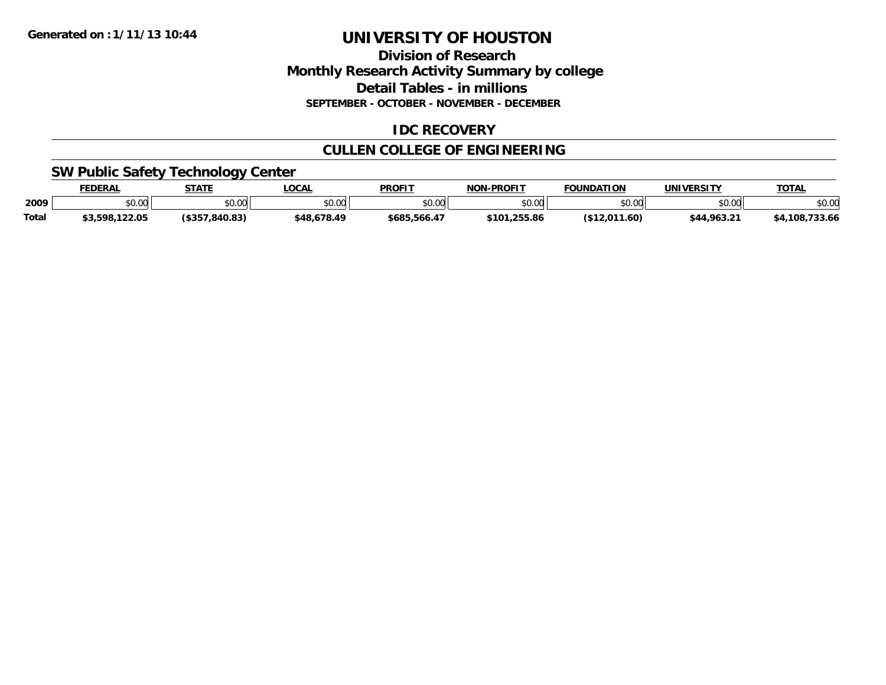### **Division of Research Monthly Research Activity Summary by college Detail Tables - in millions SEPTEMBER - OCTOBER - NOVEMBER - DECEMBER**

# **IDC RECOVERY**

# **CULLEN COLLEGE OF ENGINEERING**

# **SW Public Safety Technology Center**

|       | <b>FEDERAL</b> | <b>STATE</b>      | <b>.OCAL</b> | <b>PROFIT</b> | <b>NON-PROFIT</b>     | <b>FOUNDATION</b> | <b>UNIVERSITY</b> | <b>TOTAL</b>             |
|-------|----------------|-------------------|--------------|---------------|-----------------------|-------------------|-------------------|--------------------------|
| 2009  | \$0.00         | \$0.00            | \$0.00       | \$0.00        | en uu<br><b>DU.UU</b> | \$0.00            | mn na<br>טט.טע    | \$0.00                   |
| Total | \$3,598,122.05 | $($ \$357.840.83) | \$48,678.49  | \$685,566.47  | \$101,255.86          | (\$12,011.60)     | \$44,963.21       | $-722$<br>. 108<br>33.OO |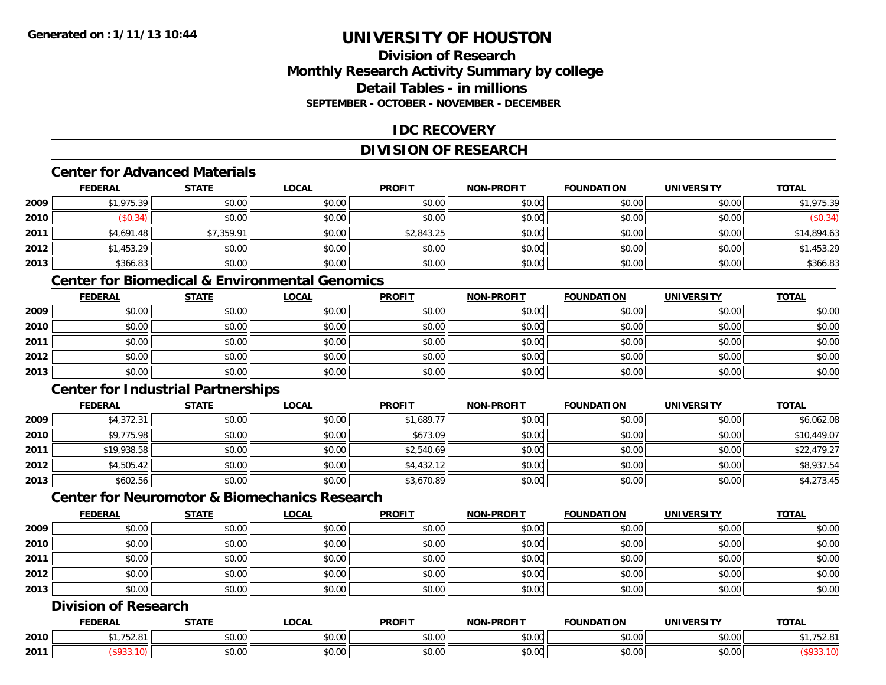# **Division of ResearchMonthly Research Activity Summary by college Detail Tables - in millionsSEPTEMBER - OCTOBER - NOVEMBER - DECEMBER**

# **IDC RECOVERY**

# **DIVISION OF RESEARCH**

#### **Center for Advanced Materials**

|      | <b>FEDERAL</b> | <b>STATE</b> | <u>LOCAL</u> | <b>PROFIT</b> | <b>NON-PROFIT</b> | <b>FOUNDATION</b> | <b>UNIVERSITY</b> | <b>TOTAL</b> |
|------|----------------|--------------|--------------|---------------|-------------------|-------------------|-------------------|--------------|
| 2009 | \$1,975.39     | \$0.00       | \$0.00       | \$0.00        | \$0.00            | \$0.00            | \$0.00            | \$1,975.39   |
| 2010 | \$0.34)        | \$0.00       | \$0.00       | \$0.00        | \$0.00            | \$0.00            | \$0.00            | (\$0.34)     |
| 2011 | \$4,691.48     | \$7,359.91   | \$0.00       | \$2,843.25    | \$0.00            | \$0.00            | \$0.00            | \$14,894.63  |
| 2012 | \$1,453.29     | \$0.00       | \$0.00       | \$0.00        | \$0.00            | \$0.00            | \$0.00            | \$1,453.29   |
| 2013 | \$366.83       | \$0.00       | \$0.00       | \$0.00        | \$0.00            | \$0.00            | \$0.00            | \$366.83     |

# **Center for Biomedical & Environmental Genomics**

|      | <u>FEDERAL</u> | <u>STATE</u> | <u>LOCAL</u> | <b>PROFIT</b> | <b>NON-PROFIT</b> | <b>FOUNDATION</b> | <b>UNIVERSITY</b> | <b>TOTAL</b> |
|------|----------------|--------------|--------------|---------------|-------------------|-------------------|-------------------|--------------|
| 2009 | \$0.00         | \$0.00       | \$0.00       | \$0.00        | \$0.00            | \$0.00            | \$0.00            | \$0.00       |
| 2010 | \$0.00         | \$0.00       | \$0.00       | \$0.00        | \$0.00            | \$0.00            | \$0.00            | \$0.00       |
| 2011 | \$0.00         | \$0.00       | \$0.00       | \$0.00        | \$0.00            | \$0.00            | \$0.00            | \$0.00       |
| 2012 | \$0.00         | \$0.00       | \$0.00       | \$0.00        | \$0.00            | \$0.00            | \$0.00            | \$0.00       |
| 2013 | \$0.00         | \$0.00       | \$0.00       | \$0.00        | \$0.00            | \$0.00            | \$0.00            | \$0.00       |

# **Center for Industrial Partnerships**

|      | <u>FEDERAL</u> | <b>STATE</b> | <b>LOCAL</b> | <b>PROFIT</b> | <b>NON-PROFIT</b> | <b>FOUNDATION</b> | <b>UNIVERSITY</b> | <b>TOTAL</b> |
|------|----------------|--------------|--------------|---------------|-------------------|-------------------|-------------------|--------------|
| 2009 | \$4,372.31     | \$0.00       | \$0.00       | \$1,689.77    | \$0.00            | \$0.00            | \$0.00            | \$6,062.08   |
| 2010 | \$9,775.98     | \$0.00       | \$0.00       | \$673.09      | \$0.00            | \$0.00            | \$0.00            | \$10,449.07  |
| 2011 | \$19,938.58    | \$0.00       | \$0.00       | \$2,540.69    | \$0.00            | \$0.00            | \$0.00            | \$22,479.27  |
| 2012 | \$4,505.42     | \$0.00       | \$0.00       | \$4,432.12    | \$0.00            | \$0.00            | \$0.00            | \$8,937.54   |
| 2013 | \$602.56       | \$0.00       | \$0.00       | \$3,670.89    | \$0.00            | \$0.00            | \$0.00            | \$4,273.45   |

# **Center for Neuromotor & Biomechanics Research**

|      | <b>FEDERAL</b> | <b>STATE</b> | <u>LOCAL</u> | <b>PROFIT</b> | <b>NON-PROFIT</b> | <b>FOUNDATION</b> | <b>UNIVERSITY</b> | <b>TOTAL</b> |
|------|----------------|--------------|--------------|---------------|-------------------|-------------------|-------------------|--------------|
| 2009 | \$0.00         | \$0.00       | \$0.00       | \$0.00        | \$0.00            | \$0.00            | \$0.00            | \$0.00       |
| 2010 | \$0.00         | \$0.00       | \$0.00       | \$0.00        | \$0.00            | \$0.00            | \$0.00            | \$0.00       |
| 2011 | \$0.00         | \$0.00       | \$0.00       | \$0.00        | \$0.00            | \$0.00            | \$0.00            | \$0.00       |
| 2012 | \$0.00         | \$0.00       | \$0.00       | \$0.00        | \$0.00            | \$0.00            | \$0.00            | \$0.00       |
| 2013 | \$0.00         | \$0.00       | \$0.00       | \$0.00        | \$0.00            | \$0.00            | \$0.00            | \$0.00       |

# **Division of Research**

|      | <b>FEDERAL</b> | <b>CTATI</b>      | .OCAI              | <b>PROFIT</b>                                 | <b>M-PROF!</b><br>.    | <b>TOUNDATION</b> | JNIV                                                               | <b>TOTAL</b> |
|------|----------------|-------------------|--------------------|-----------------------------------------------|------------------------|-------------------|--------------------------------------------------------------------|--------------|
| 2010 | $J_{\ell}$ .   | ÷0.<br>₽∪.∪∪      | 0000<br>DU.UU      | 0.00<br><b>DU.UU</b>                          | $\sim$ $\sim$<br>vv.vv | \$0.00            | 0.00<br>PO.OO                                                      | ັບ∠ັບ        |
| 2011 |                | $\sim$ 00<br>vv.v | $\sim$ 00<br>JU.UU | $\mathbb{R}^n$ $\mathbb{R}^n$<br><b>DU.UU</b> | vu.vu                  | \$0.00            | $\mathfrak{g} \cap \mathfrak{g} \cap \mathfrak{g}$<br><b>JU.UU</b> |              |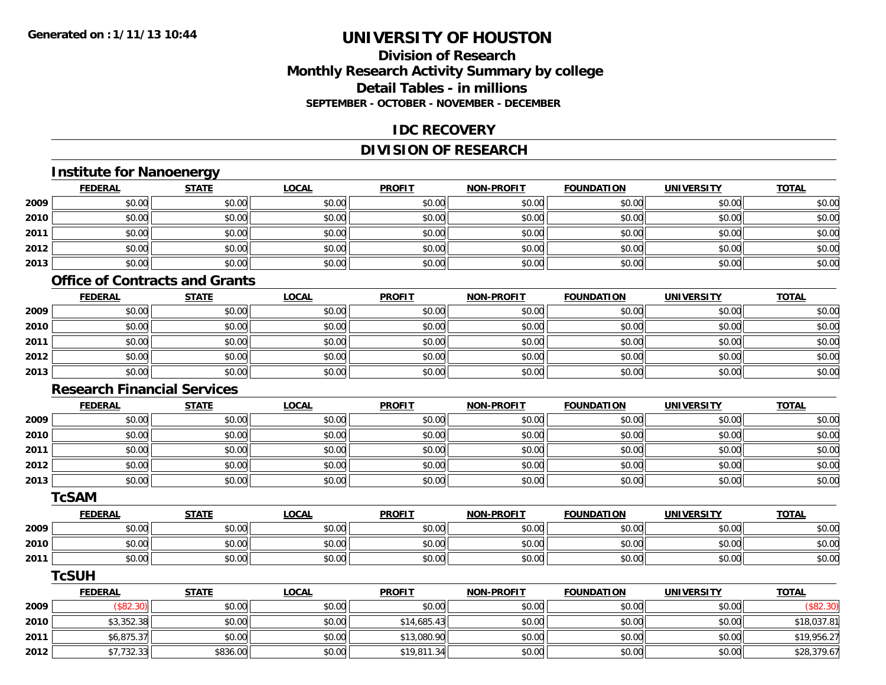# **Division of ResearchMonthly Research Activity Summary by college Detail Tables - in millionsSEPTEMBER - OCTOBER - NOVEMBER - DECEMBER**

### **IDC RECOVERY**

# **DIVISION OF RESEARCH**

# **Institute for Nanoenergy**

|      | <b>FEDERAL</b> | <b>STATE</b> | <b>LOCAL</b> | <b>PROFIT</b> | NON-PROFIT | <b>FOUNDATION</b> | <b>UNIVERSITY</b> | <b>TOTAL</b> |
|------|----------------|--------------|--------------|---------------|------------|-------------------|-------------------|--------------|
| 2009 | \$0.00         | \$0.00       | \$0.00       | \$0.00        | \$0.00     | \$0.00            | \$0.00            | \$0.00       |
| 2010 | \$0.00         | \$0.00       | \$0.00       | \$0.00        | \$0.00     | \$0.00            | \$0.00            | \$0.00       |
| 2011 | \$0.00         | \$0.00       | \$0.00       | \$0.00        | \$0.00     | \$0.00            | \$0.00            | \$0.00       |
| 2012 | \$0.00         | \$0.00       | \$0.00       | \$0.00        | \$0.00     | \$0.00            | \$0.00            | \$0.00       |
| 2013 | \$0.00         | \$0.00       | \$0.00       | \$0.00        | \$0.00     | \$0.00            | \$0.00            | \$0.00       |

#### **Office of Contracts and Grants**

|      | <b>FEDERAL</b> | <b>STATE</b> | <b>LOCAL</b> | <b>PROFIT</b> | <b>NON-PROFIT</b> | <b>FOUNDATION</b> | <b>UNIVERSITY</b> | <b>TOTAL</b> |
|------|----------------|--------------|--------------|---------------|-------------------|-------------------|-------------------|--------------|
| 2009 | \$0.00         | \$0.00       | \$0.00       | \$0.00        | \$0.00            | \$0.00            | \$0.00            | \$0.00       |
| 2010 | \$0.00         | \$0.00       | \$0.00       | \$0.00        | \$0.00            | \$0.00            | \$0.00            | \$0.00       |
| 2011 | \$0.00         | \$0.00       | \$0.00       | \$0.00        | \$0.00            | \$0.00            | \$0.00            | \$0.00       |
| 2012 | \$0.00         | \$0.00       | \$0.00       | \$0.00        | \$0.00            | \$0.00            | \$0.00            | \$0.00       |
| 2013 | \$0.00         | \$0.00       | \$0.00       | \$0.00        | \$0.00            | \$0.00            | \$0.00            | \$0.00       |

#### **Research Financial Services**

|      | <b>FEDERAL</b> | <b>STATE</b> | <b>LOCAL</b> | <b>PROFIT</b> | <b>NON-PROFIT</b> | <b>FOUNDATION</b> | <b>UNIVERSITY</b> | <b>TOTAL</b> |
|------|----------------|--------------|--------------|---------------|-------------------|-------------------|-------------------|--------------|
| 2009 | \$0.00         | \$0.00       | \$0.00       | \$0.00        | \$0.00            | \$0.00            | \$0.00            | \$0.00       |
| 2010 | \$0.00         | \$0.00       | \$0.00       | \$0.00        | \$0.00            | \$0.00            | \$0.00            | \$0.00       |
| 2011 | \$0.00         | \$0.00       | \$0.00       | \$0.00        | \$0.00            | \$0.00            | \$0.00            | \$0.00       |
| 2012 | \$0.00         | \$0.00       | \$0.00       | \$0.00        | \$0.00            | \$0.00            | \$0.00            | \$0.00       |
| 2013 | \$0.00         | \$0.00       | \$0.00       | \$0.00        | \$0.00            | \$0.00            | \$0.00            | \$0.00       |

#### **TcSAM**

|      | <b>FEDERAL</b> | <b>STATE</b> | <u>LOCAL</u> | <b>PROFIT</b> | <b>NON-PROFIT</b> | <b>FOUNDATION</b> | UNIVERSITY | <b>TOTAL</b> |
|------|----------------|--------------|--------------|---------------|-------------------|-------------------|------------|--------------|
| 2009 | \$0.00         | \$0.00       | \$0.00       | \$0.00        | \$0.00            | \$0.00            | \$0.00     | \$0.00       |
| 2010 | \$0.00         | \$0.00       | \$0.00       | \$0.00        | \$0.00            | \$0.00            | \$0.00     | \$0.00       |
| 2011 | \$0.00         | \$0.00       | \$0.00       | \$0.00        | \$0.00            | \$0.00            | \$0.00     | \$0.00       |

#### **TcSUH**

|      | <u>FEDERAL</u> | <u>STATE</u> | <u>LOCAL</u> | <b>PROFIT</b> | <b>NON-PROFIT</b> | <b>FOUNDATION</b> | <b>UNIVERSITY</b> | <b>TOTAL</b> |
|------|----------------|--------------|--------------|---------------|-------------------|-------------------|-------------------|--------------|
| 2009 | (\$82.30)      | \$0.00       | \$0.00       | \$0.00        | \$0.00            | \$0.00            | \$0.00            | \$82.30      |
| 2010 | \$3,352.38     | \$0.00       | \$0.00       | \$14,685.43   | \$0.00            | \$0.00            | \$0.00            | \$18,037.81  |
| 2011 | \$6,875.37     | \$0.00       | \$0.00       | \$13,080.90   | \$0.00            | \$0.00            | \$0.00            | \$19,956.27  |
| 2012 | ا32.33٪، 7ء    | \$836.00     | \$0.00       | \$19,811.34   | \$0.00            | \$0.00            | \$0.00            | \$28,379.67  |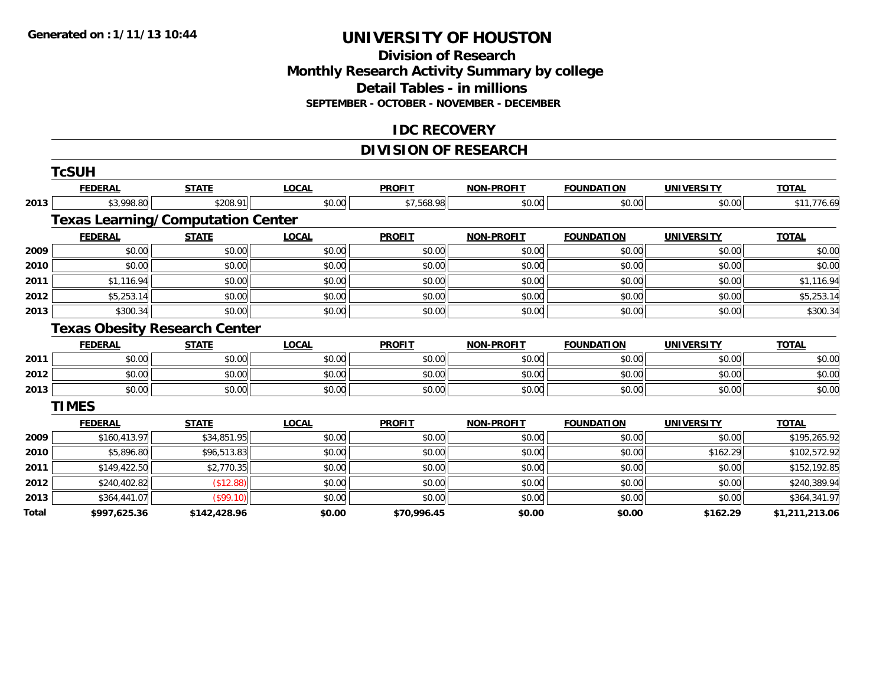### **Division of Research Monthly Research Activity Summary by college Detail Tables - in millions SEPTEMBER - OCTOBER - NOVEMBER - DECEMBER**

### **IDC RECOVERY**

# **DIVISION OF RESEARCH**

|       | <b>TcSUH</b>   |                                          |              |               |                   |                   |                   |                |
|-------|----------------|------------------------------------------|--------------|---------------|-------------------|-------------------|-------------------|----------------|
|       | <b>FEDERAL</b> | <b>STATE</b>                             | <b>LOCAL</b> | <b>PROFIT</b> | <b>NON-PROFIT</b> | <b>FOUNDATION</b> | <b>UNIVERSITY</b> | <b>TOTAL</b>   |
| 2013  | \$3,998.80     | \$208.91                                 | \$0.00       | \$7,568.98    | \$0.00            | \$0.00            | \$0.00            | \$11,776.69    |
|       |                | <b>Texas Learning/Computation Center</b> |              |               |                   |                   |                   |                |
|       | <b>FEDERAL</b> | <b>STATE</b>                             | <b>LOCAL</b> | <b>PROFIT</b> | <b>NON-PROFIT</b> | <b>FOUNDATION</b> | <b>UNIVERSITY</b> | <b>TOTAL</b>   |
| 2009  | \$0.00         | \$0.00                                   | \$0.00       | \$0.00        | \$0.00            | \$0.00            | \$0.00            | \$0.00         |
| 2010  | \$0.00         | \$0.00                                   | \$0.00       | \$0.00        | \$0.00            | \$0.00            | \$0.00            | \$0.00         |
| 2011  | \$1,116.94     | \$0.00                                   | \$0.00       | \$0.00        | \$0.00            | \$0.00            | \$0.00            | \$1,116.94     |
| 2012  | \$5,253.14     | \$0.00                                   | \$0.00       | \$0.00        | \$0.00            | \$0.00            | \$0.00            | \$5,253.14     |
| 2013  | \$300.34       | \$0.00                                   | \$0.00       | \$0.00        | \$0.00            | \$0.00            | \$0.00            | \$300.34       |
|       |                | <b>Texas Obesity Research Center</b>     |              |               |                   |                   |                   |                |
|       | <b>FEDERAL</b> | <b>STATE</b>                             | <b>LOCAL</b> | <b>PROFIT</b> | <b>NON-PROFIT</b> | <b>FOUNDATION</b> | <b>UNIVERSITY</b> | <b>TOTAL</b>   |
| 2011  | \$0.00         | \$0.00                                   | \$0.00       | \$0.00        | \$0.00            | \$0.00            | \$0.00            | \$0.00         |
| 2012  | \$0.00         | \$0.00                                   | \$0.00       | \$0.00        | \$0.00            | \$0.00            | \$0.00            | \$0.00         |
| 2013  | \$0.00         | \$0.00                                   | \$0.00       | \$0.00        | \$0.00            | \$0.00            | \$0.00            | \$0.00         |
|       | <b>TIMES</b>   |                                          |              |               |                   |                   |                   |                |
|       | <b>FEDERAL</b> | <b>STATE</b>                             | <b>LOCAL</b> | <b>PROFIT</b> | <b>NON-PROFIT</b> | <b>FOUNDATION</b> | <b>UNIVERSITY</b> | <b>TOTAL</b>   |
| 2009  | \$160,413.97   | \$34,851.95                              | \$0.00       | \$0.00        | \$0.00            | \$0.00            | \$0.00            | \$195,265.92   |
| 2010  | \$5,896.80     | \$96,513.83                              | \$0.00       | \$0.00        | \$0.00            | \$0.00            | \$162.29          | \$102,572.92   |
| 2011  | \$149,422.50   | \$2,770.35                               | \$0.00       | \$0.00        | \$0.00            | \$0.00            | \$0.00            | \$152,192.85   |
| 2012  | \$240,402.82   | (\$12.88)                                | \$0.00       | \$0.00        | \$0.00            | \$0.00            | \$0.00            | \$240,389.94   |
| 2013  | \$364,441.07   | (\$99.10)                                | \$0.00       | \$0.00        | \$0.00            | \$0.00            | \$0.00            | \$364,341.97   |
| Total | \$997,625.36   | \$142,428.96                             | \$0.00       | \$70,996.45   | \$0.00            | \$0.00            | \$162.29          | \$1,211,213.06 |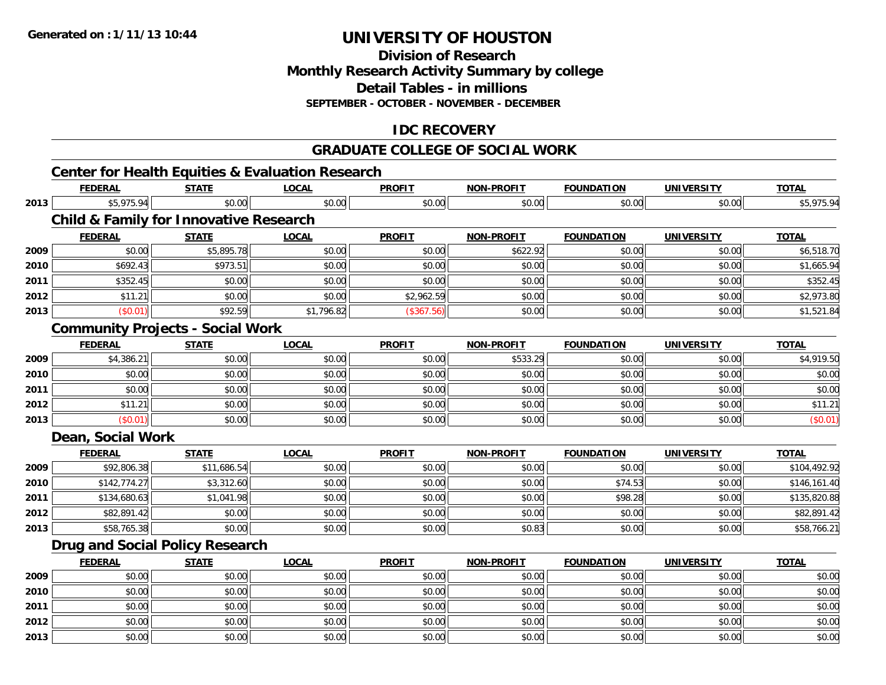**2013**

# **UNIVERSITY OF HOUSTON**

**Division of ResearchMonthly Research Activity Summary by college Detail Tables - in millionsSEPTEMBER - OCTOBER - NOVEMBER - DECEMBER**

# **IDC RECOVERY**

### **GRADUATE COLLEGE OF SOCIAL WORK**

#### **Center for Health Equities & Evaluation Research FEDERAL STATE LOCAL PROFIT NON-PROFIT FOUNDATION UNIVERSITY TOTALTOTAL 2013** \$5,975.94 \$0.00 \$0.00 \$0.00 \$0.00 \$0.00 \$0.00 \$5,975.94 **Child & Family for Innovative Research FEDERAL STATE LOCAL PROFIT NON-PROFIT FOUNDATION UNIVERSITY TOTAL2009** \$0.00 \$5,895.78 \$0.00 \$0.00 \$622.92 \$0.00 \$0.00 \$6,518.70 **2010** \$692.43 \$973.51 \$0.00 \$0.00 \$0.00 \$0.00 \$0.00 \$1,665.94 **2011** \$352.45 \$0.00 \$0.00 \$0.00 \$0.00 \$0.00 \$0.00 \$352.45 **2012**2 | \$11.21|| \$0.00|| \$0.00|| \$0.00|| \$2,962.59|| \$0.00|| \$0.00|| \$0.00|| \$0.00|| \$2,973.80 **2013** $\textbf{3} \hspace{12mm} |\hspace{12mm} \text{($0.01)} |\hspace{12mm}| \hspace{12mm} \text{$1,521.84}$   $\text{($307.56)]}$   $\text{($367.56)]}$   $\text{($0.00]}$   $\text{($0.01)} |\hspace{12mm} \text{($0.00]}$$ **Community Projects - Social Work FEDERAL STATE LOCAL PROFIT NON-PROFIT FOUNDATION UNIVERSITY TOTAL2009** \$4,386.21 \$0.00 \$0.00 \$0.00 \$533.29 \$0.00 \$0.00 \$4,919.50 **2010**0 \$0.00 \$0.00 \$0.00 \$0.00 \$0.00 \$0.00 \$0.00 \$0.00 \$0.00 \$0.00 \$0.00 \$0.00 \$0.00 \$0.00 \$0.00 \$0.00 \$0.00 \$0.00 **2011** \$0.00 \$0.00 \$0.00 \$0.00 \$0.00 \$0.00 \$0.00 \$0.00 **2012** $\textbf{2} \hspace{1.5mm} |\hspace{1.5mm} \text{$0.00]} \hspace{1.5mm} \text{$0.1.21}$   $\text{$0.00]} \hspace{1.5mm}$   $\text{$0.00}$   $\text{$0.00]} \hspace{1.5mm}$   $\text{$0.00]} \hspace{1.5mm}$   $\text{$0.00]} \hspace{1.5mm}$   $\text{$0.00]} \hspace{1.5mm}$   $\text{$0.00]} \hspace{1.5mm}$ **2013** $\textbf{3} \hspace{14mm} |\hspace{14mm} \text{ $60.01]} \hspace{14mm} |\hspace{14mm} \text{ $60.00]} \hspace{14mm} |\hspace{14mm} \text{ $60.00]} \hspace{14mm} |\hspace{14mm} \text{ $60.00]} \hspace{14mm} |\hspace{14mm} \text{ $60.00]} \hspace{14mm} |\hspace{14mm} \text{ $60.01]} \hspace{14mm} |\hspace{14mm} \text{ $60.01]} \hspace{14mm} |\hspace{14mm} \text{ $60.02]} \hspace{14$ **Dean, Social Work FEDERAL STATE LOCAL PROFIT NON-PROFIT FOUNDATION UNIVERSITY TOTALTOTAL 2009** \$92,806.38 \$11,686.54 \$0.00 \$0.00 \$0.00 \$0.00 \$0.00 \$104,492.92 **2010** \$142,774.27 \$3,312.60 \$0.00 \$0.00 \$0.00 \$74.53 \$0.00 \$146,161.40 **2011** \$134,680.63 \$1,041.98 \$0.00 \$0.00 \$0.00 \$98.28 \$0.00 \$135,820.88 **2012**2 | \$82,891.42|| \$0.00| \$0.00|| \$0.00|| \$0.00|| \$0.00|| \$0.00|| \$0.00|| \$0.00|| \$82,891.42 **2013** \$58,765.38 \$0.00 \$0.00 \$0.00 \$0.83 \$0.00 \$0.00 \$58,766.21 **Drug and Social Policy Research FEDERAL STATE LOCAL PROFIT NON-PROFIT FOUNDATION UNIVERSITY TOTALTOTAL 2009** \$0.00 \$0.00 \$0.00 \$0.00 \$0.00 \$0.00 \$0.00 \$0.00 **2010** $\, \mathsf{D} \, | \,$   $\qquad \qquad \mathsf{80.00} | \,$   $\qquad \qquad \mathsf{80.00} | \,$   $\qquad \qquad \mathsf{80.00} | \,$   $\qquad \qquad \mathsf{80.00} | \,$   $\qquad \qquad \mathsf{80.00} | \,$   $\qquad \qquad \mathsf{80.00} | \,$   $\qquad \qquad \mathsf{80.00} |$ **2011** \$0.00 \$0.00 \$0.00 \$0.00 \$0.00 \$0.00 \$0.00 \$0.00 **2012**2 | \$0.00 \$0.00 \$0.00 \$0.00 \$0.00 \$0.00 \$0.00 \$0.00 \$0.00 \$0.00 \$0.00 \$0.00 \$0.00 \$0.00 \$0.00 \$0.00 \$0.00 \$0.0

\$0.00 \$0.00 \$0.00 \$0.00 \$0.00 \$0.00 \$0.00 \$0.00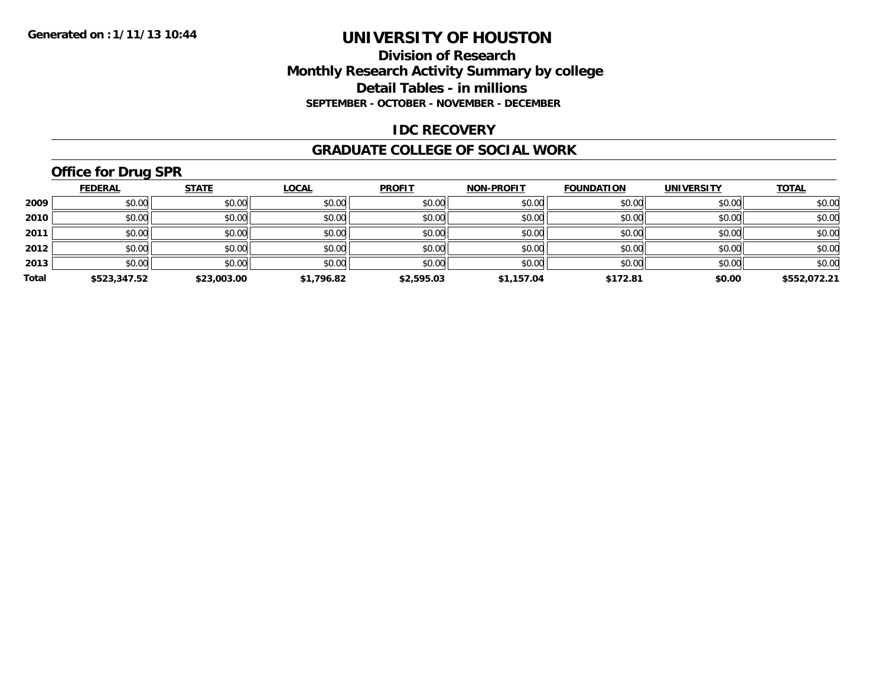## **Division of Research Monthly Research Activity Summary by college Detail Tables - in millions SEPTEMBER - OCTOBER - NOVEMBER - DECEMBER**

# **IDC RECOVERY**

#### **GRADUATE COLLEGE OF SOCIAL WORK**

# **Office for Drug SPR**

|       | <b>FEDERAL</b> | <b>STATE</b> | <b>LOCAL</b> | <b>PROFIT</b> | <b>NON-PROFIT</b> | <b>FOUNDATION</b> | <b>UNIVERSITY</b> | <b>TOTAL</b> |
|-------|----------------|--------------|--------------|---------------|-------------------|-------------------|-------------------|--------------|
| 2009  | \$0.00         | \$0.00       | \$0.00       | \$0.00        | \$0.00            | \$0.00            | \$0.00            | \$0.00       |
| 2010  | \$0.00         | \$0.00       | \$0.00       | \$0.00        | \$0.00            | \$0.00            | \$0.00            | \$0.00       |
| 2011  | \$0.00         | \$0.00       | \$0.00       | \$0.00        | \$0.00            | \$0.00            | \$0.00            | \$0.00       |
| 2012  | \$0.00         | \$0.00       | \$0.00       | \$0.00        | \$0.00            | \$0.00            | \$0.00            | \$0.00       |
| 2013  | \$0.00         | \$0.00       | \$0.00       | \$0.00        | \$0.00            | \$0.00            | \$0.00            | \$0.00       |
| Total | \$523,347.52   | \$23,003.00  | \$1,796.82   | \$2,595.03    | \$1,157.04        | \$172.81          | \$0.00            | \$552,072.21 |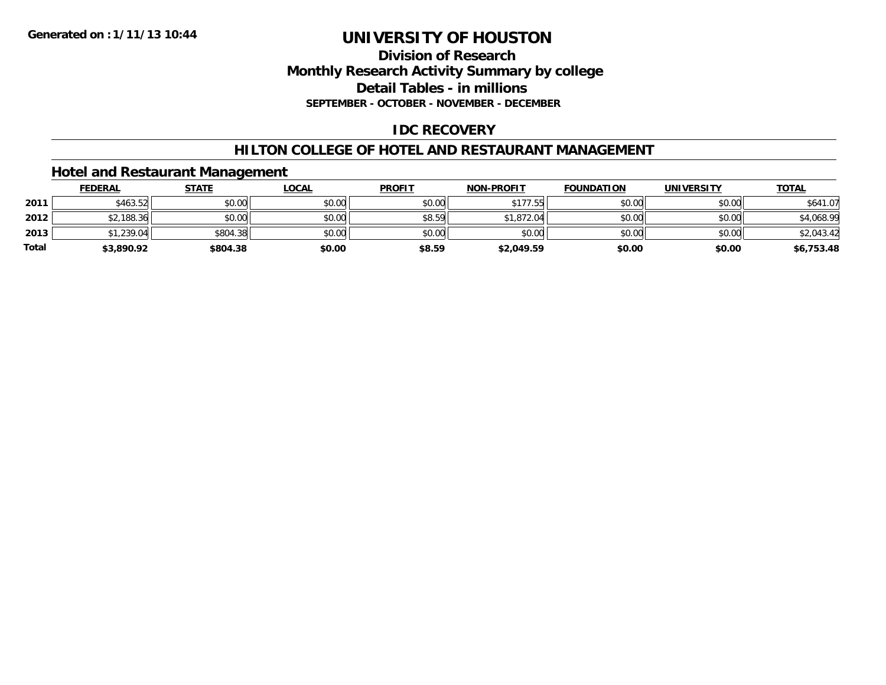### **Division of Research Monthly Research Activity Summary by college Detail Tables - in millions SEPTEMBER - OCTOBER - NOVEMBER - DECEMBER**

# **IDC RECOVERY**

# **HILTON COLLEGE OF HOTEL AND RESTAURANT MANAGEMENT**

### **Hotel and Restaurant Management**

|              | <b>FEDERAL</b> | <b>STATE</b> | <u>LOCAL</u> | <b>PROFIT</b> | <b>NON-PROFIT</b> | <b>FOUNDATION</b> | <b>UNIVERSITY</b> | <b>TOTAL</b> |
|--------------|----------------|--------------|--------------|---------------|-------------------|-------------------|-------------------|--------------|
| 2011         | \$463.52       | \$0.00       | \$0.00       | \$0.00        | \$177.55          | \$0.00            | \$0.00            | \$641.07     |
| 2012         | \$2,188.36     | \$0.00       | \$0.00       | \$8.59        | \$1,872.04        | \$0.00            | \$0.00            | \$4,068.99   |
| 2013         | \$1,239.04     | \$804.38     | \$0.00       | \$0.00        | \$0.00            | \$0.00            | \$0.00            | \$2,043.42   |
| <b>Total</b> | \$3,890.92     | \$804.38     | \$0.00       | \$8.59        | \$2,049.59        | \$0.00            | \$0.00            | \$6,753.48   |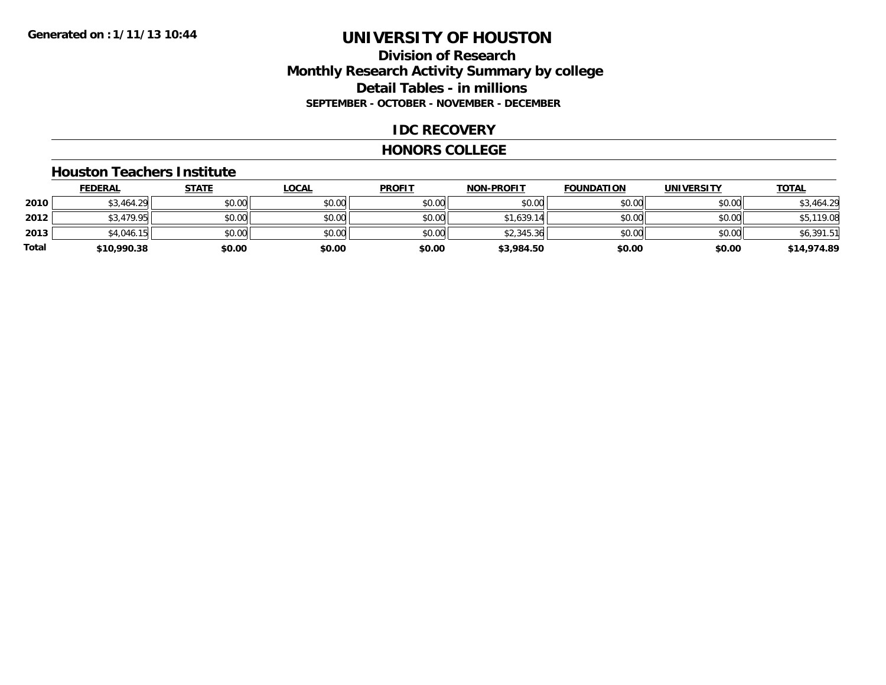# **Division of Research Monthly Research Activity Summary by college Detail Tables - in millions SEPTEMBER - OCTOBER - NOVEMBER - DECEMBER**

# **IDC RECOVERY**

#### **HONORS COLLEGE**

#### **Houston Teachers Institute**

|       | <b>FEDERAL</b> | <u>STATE</u> | <u>LOCAL</u> | <b>PROFIT</b> | <b>NON-PROFIT</b> | <b>FOUNDATION</b> | <b>UNIVERSITY</b> | <b>TOTAL</b> |
|-------|----------------|--------------|--------------|---------------|-------------------|-------------------|-------------------|--------------|
| 2010  | \$3,464.29     | \$0.00       | \$0.00       | \$0.00        | \$0.00            | \$0.00            | \$0.00            | \$3,464.29   |
| 2012  | \$3,479.95     | \$0.00       | \$0.00       | \$0.00        | \$1,639.14        | \$0.00            | \$0.00            | \$5,119.08   |
| 2013  | \$4,046.15     | \$0.00       | \$0.00       | \$0.00        | \$2,345.36        | \$0.00            | \$0.00            | \$6,391.51   |
| Total | \$10,990.38    | \$0.00       | \$0.00       | \$0.00        | \$3,984.50        | \$0.00            | \$0.00            | \$14,974.89  |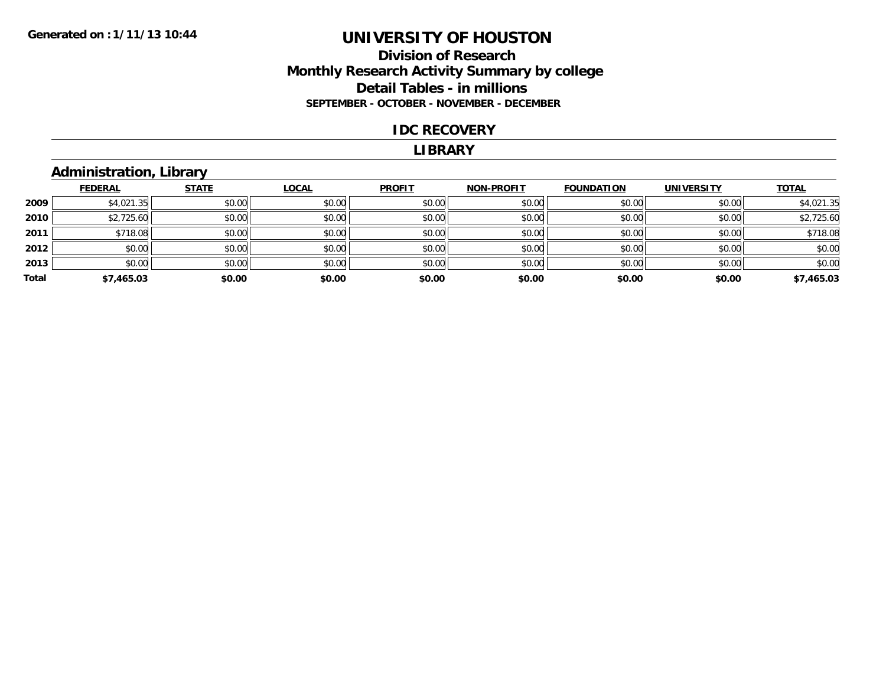# **Division of Research Monthly Research Activity Summary by college Detail Tables - in millions SEPTEMBER - OCTOBER - NOVEMBER - DECEMBER**

#### **IDC RECOVERY**

#### **LIBRARY**

# **Administration, Library**

|       | <b>FEDERAL</b> | <b>STATE</b> | <b>LOCAL</b> | <b>PROFIT</b> | <b>NON-PROFIT</b> | <b>FOUNDATION</b> | <b>UNIVERSITY</b> | <b>TOTAL</b> |
|-------|----------------|--------------|--------------|---------------|-------------------|-------------------|-------------------|--------------|
| 2009  | \$4,021.35     | \$0.00       | \$0.00       | \$0.00        | \$0.00            | \$0.00            | \$0.00            | \$4,021.35   |
| 2010  | \$2,725.60     | \$0.00       | \$0.00       | \$0.00        | \$0.00            | \$0.00            | \$0.00            | \$2,725.60   |
| 2011  | \$718.08       | \$0.00       | \$0.00       | \$0.00        | \$0.00            | \$0.00            | \$0.00            | \$718.08     |
| 2012  | \$0.00         | \$0.00       | \$0.00       | \$0.00        | \$0.00            | \$0.00            | \$0.00            | \$0.00       |
| 2013  | \$0.00         | \$0.00       | \$0.00       | \$0.00        | \$0.00            | \$0.00            | \$0.00            | \$0.00       |
| Total | \$7,465.03     | \$0.00       | \$0.00       | \$0.00        | \$0.00            | \$0.00            | \$0.00            | \$7,465.03   |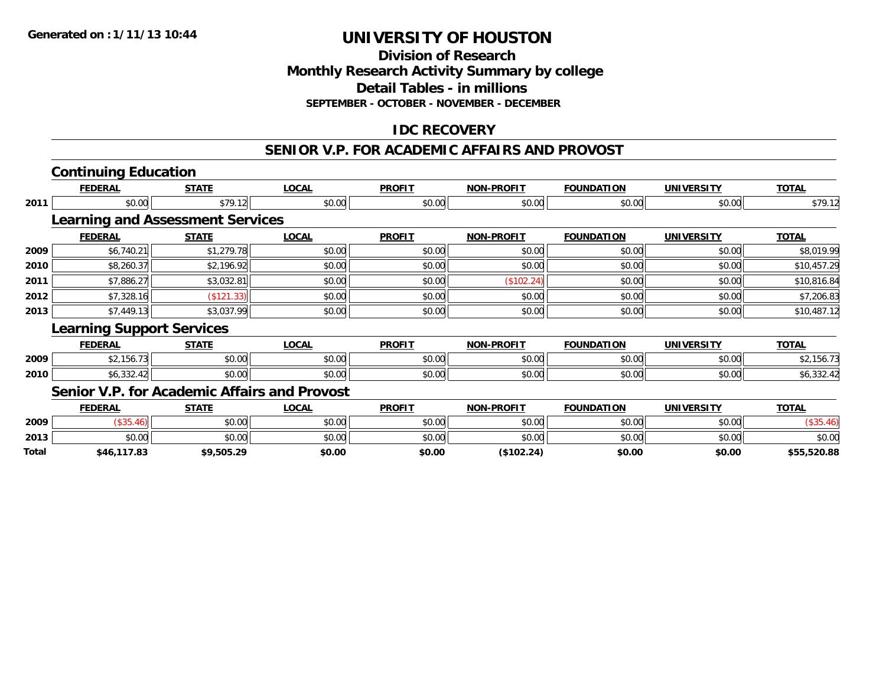# **Division of ResearchMonthly Research Activity Summary by college Detail Tables - in millions SEPTEMBER - OCTOBER - NOVEMBER - DECEMBER**

# **IDC RECOVERY**

#### **SENIOR V.P. FOR ACADEMIC AFFAIRS AND PROVOST**

|       | <b>Continuing Education</b>                  |              |              |               |                   |                   |                   |              |
|-------|----------------------------------------------|--------------|--------------|---------------|-------------------|-------------------|-------------------|--------------|
|       | <b>FEDERAL</b>                               | <b>STATE</b> | <b>LOCAL</b> | <b>PROFIT</b> | <b>NON-PROFIT</b> | <b>FOUNDATION</b> | <b>UNIVERSITY</b> | <b>TOTAL</b> |
| 2011  | \$0.00                                       | \$79.12      | \$0.00       | \$0.00        | \$0.00            | \$0.00            | \$0.00            | \$79.12      |
|       | <b>Learning and Assessment Services</b>      |              |              |               |                   |                   |                   |              |
|       | <b>FEDERAL</b>                               | <b>STATE</b> | <b>LOCAL</b> | <b>PROFIT</b> | <b>NON-PROFIT</b> | <b>FOUNDATION</b> | <b>UNIVERSITY</b> | <b>TOTAL</b> |
| 2009  | \$6,740.21                                   | \$1,279.78   | \$0.00       | \$0.00        | \$0.00            | \$0.00            | \$0.00            | \$8,019.99   |
| 2010  | \$8,260.37                                   | \$2,196.92   | \$0.00       | \$0.00        | \$0.00            | \$0.00            | \$0.00            | \$10,457.29  |
| 2011  | \$7,886.27                                   | \$3,032.81   | \$0.00       | \$0.00        | (\$102.24)        | \$0.00            | \$0.00            | \$10,816.84  |
| 2012  | \$7,328.16                                   | (\$121.33)   | \$0.00       | \$0.00        | \$0.00            | \$0.00            | \$0.00            | \$7,206.83   |
| 2013  | \$7,449.13                                   | \$3,037.99   | \$0.00       | \$0.00        | \$0.00            | \$0.00            | \$0.00            | \$10,487.12  |
|       | <b>Learning Support Services</b>             |              |              |               |                   |                   |                   |              |
|       | <b>FEDERAL</b>                               | <b>STATE</b> | <b>LOCAL</b> | <b>PROFIT</b> | <b>NON-PROFIT</b> | <b>FOUNDATION</b> | <b>UNIVERSITY</b> | <b>TOTAL</b> |
| 2009  | \$2,156.73                                   | \$0.00       | \$0.00       | \$0.00        | \$0.00            | \$0.00            | \$0.00            | \$2,156.73   |
| 2010  | \$6,332.42                                   | \$0.00       | \$0.00       | \$0.00        | \$0.00            | \$0.00            | \$0.00            | \$6,332.42   |
|       | Senior V.P. for Academic Affairs and Provost |              |              |               |                   |                   |                   |              |
|       | <b>FEDERAL</b>                               | <b>STATE</b> | <b>LOCAL</b> | <b>PROFIT</b> | <b>NON-PROFIT</b> | <b>FOUNDATION</b> | <b>UNIVERSITY</b> | <b>TOTAL</b> |
| 2009  | (\$35.46)                                    | \$0.00       | \$0.00       | \$0.00        | \$0.00            | \$0.00            | \$0.00            | (\$35.46)    |
| 2013  | \$0.00                                       | \$0.00       | \$0.00       | \$0.00        | \$0.00            | \$0.00            | \$0.00            | \$0.00       |
| Total | \$46.117.83                                  | \$9.505.29   | \$0.00       | \$0.00        | (S102.24)         | \$0.00            | \$0.00            | \$55.520.88  |

**\$46,117.83 \$9,505.29 \$0.00 \$0.00 (\$102.24) \$0.00 \$0.00 \$55,520.88**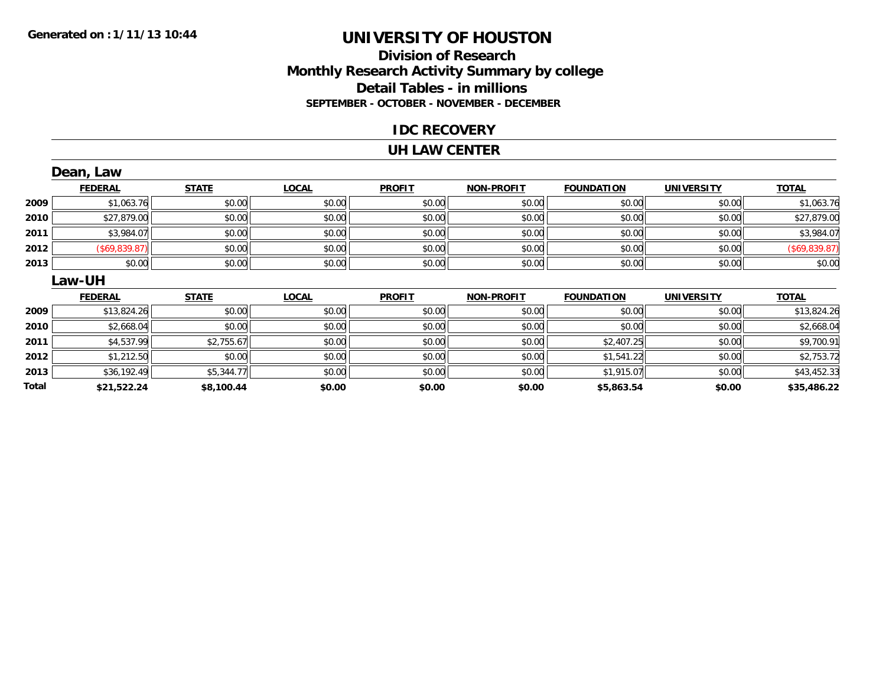### **Division of Research Monthly Research Activity Summary by college Detail Tables - in millions SEPTEMBER - OCTOBER - NOVEMBER - DECEMBER**

### **IDC RECOVERY**

#### **UH LAW CENTER**

|       | Dean, Law      |              |              |               |                   |                   |                   |               |
|-------|----------------|--------------|--------------|---------------|-------------------|-------------------|-------------------|---------------|
|       | <b>FEDERAL</b> | <b>STATE</b> | <b>LOCAL</b> | <b>PROFIT</b> | <b>NON-PROFIT</b> | <b>FOUNDATION</b> | <b>UNIVERSITY</b> | <b>TOTAL</b>  |
| 2009  | \$1,063.76     | \$0.00       | \$0.00       | \$0.00        | \$0.00            | \$0.00            | \$0.00            | \$1,063.76    |
| 2010  | \$27,879.00    | \$0.00       | \$0.00       | \$0.00        | \$0.00            | \$0.00            | \$0.00            | \$27,879.00   |
| 2011  | \$3,984.07     | \$0.00       | \$0.00       | \$0.00        | \$0.00            | \$0.00            | \$0.00            | \$3,984.07    |
| 2012  | (S69, 839.87)  | \$0.00       | \$0.00       | \$0.00        | \$0.00            | \$0.00            | \$0.00            | (\$69,839.87) |
| 2013  | \$0.00         | \$0.00       | \$0.00       | \$0.00        | \$0.00            | \$0.00            | \$0.00            | \$0.00        |
|       | Law-UH         |              |              |               |                   |                   |                   |               |
|       | <b>FEDERAL</b> | <b>STATE</b> | <b>LOCAL</b> | <b>PROFIT</b> | NON-PROFIT        | <b>FOUNDATION</b> | <b>UNIVERSITY</b> | <b>TOTAL</b>  |
| 2009  | \$13,824.26    | \$0.00       | \$0.00       | \$0.00        | \$0.00            | \$0.00            | \$0.00            | \$13,824.26   |
| 2010  | \$2,668.04     | \$0.00       | \$0.00       | \$0.00        | \$0.00            | \$0.00            | \$0.00            | \$2,668.04    |
| 2011  | \$4,537.99     | \$2,755.67   | \$0.00       | \$0.00        | \$0.00            | \$2,407.25        | \$0.00            | \$9,700.91    |
| 2012  | \$1,212.50     | \$0.00       | \$0.00       | \$0.00        | \$0.00            | \$1,541.22        | \$0.00            | \$2,753.72    |
| 2013  | \$36,192.49    | \$5,344.77   | \$0.00       | \$0.00        | \$0.00            | \$1,915.07        | \$0.00            | \$43,452.33   |
| Total | \$21,522.24    | \$8,100.44   | \$0.00       | \$0.00        | \$0.00            | \$5,863.54        | \$0.00            | \$35,486.22   |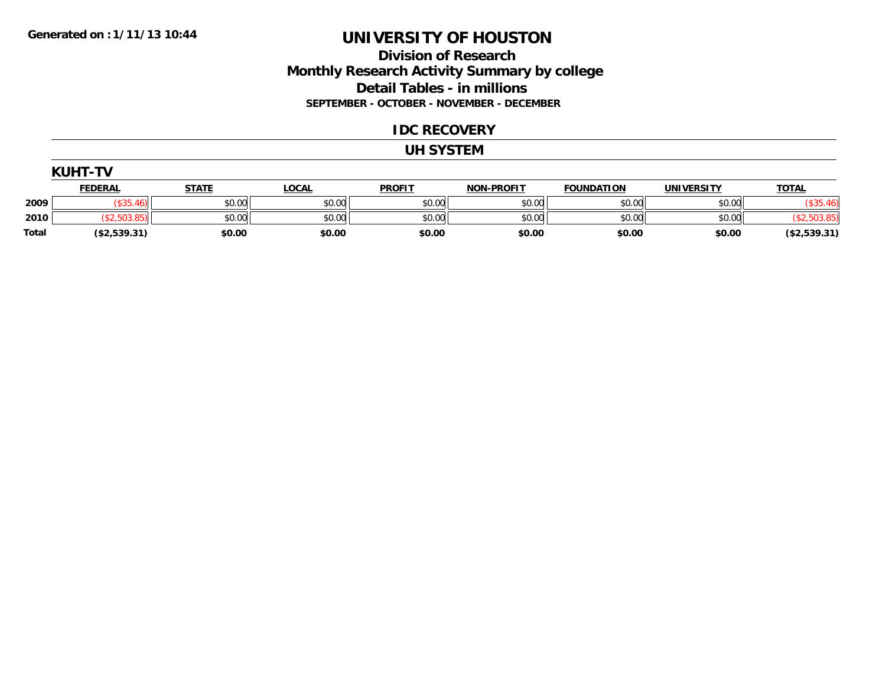# **Division of Research Monthly Research Activity Summary by college Detail Tables - in millions SEPTEMBER - OCTOBER - NOVEMBER - DECEMBER**

### **IDC RECOVERY**

#### **UH SYSTEM**

| <b>KUHT-TV</b> |                |              |              |               |                   |                   |                   |              |  |  |
|----------------|----------------|--------------|--------------|---------------|-------------------|-------------------|-------------------|--------------|--|--|
|                | <b>FEDERAL</b> | <u>STATE</u> | <u>LOCAL</u> | <b>PROFIT</b> | <b>NON-PROFIT</b> | <b>FOUNDATION</b> | <b>UNIVERSITY</b> | <u>TOTAL</u> |  |  |
| 2009           |                | \$0.00       | \$0.00       | \$0.00        | \$0.00            | \$0.00            | \$0.00            | (\$35.46)    |  |  |
| 2010           | <b>503</b>     | \$0.00       | \$0.00       | \$0.00        | \$0.00            | \$0.00            | \$0.00            | (503.85)     |  |  |
| <b>Total</b>   | (\$2,539.31)   | \$0.00       | \$0.00       | \$0.00        | \$0.00            | \$0.00            | \$0.00            | (\$2,539.31) |  |  |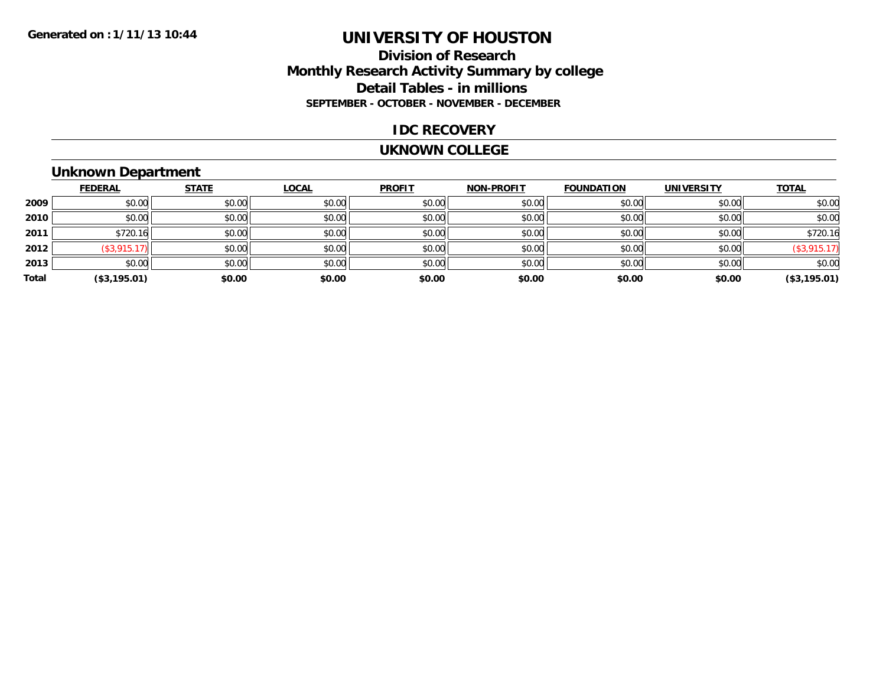# **Division of Research Monthly Research Activity Summary by college Detail Tables - in millions SEPTEMBER - OCTOBER - NOVEMBER - DECEMBER**

### **IDC RECOVERY**

#### **UKNOWN COLLEGE**

# **Unknown Department**

|       | <b>FEDERAL</b> | <b>STATE</b> | <b>LOCAL</b> | <b>PROFIT</b> | <b>NON-PROFIT</b> | <b>FOUNDATION</b> | <b>UNIVERSITY</b> | <b>TOTAL</b>       |
|-------|----------------|--------------|--------------|---------------|-------------------|-------------------|-------------------|--------------------|
| 2009  | \$0.00         | \$0.00       | \$0.00       | \$0.00        | \$0.00            | \$0.00            | \$0.00            | \$0.00             |
| 2010  | \$0.00         | \$0.00       | \$0.00       | \$0.00        | \$0.00            | \$0.00            | \$0.00            | \$0.00             |
| 2011  | \$720.16       | \$0.00       | \$0.00       | \$0.00        | \$0.00            | \$0.00            | \$0.00            | \$720.16           |
| 2012  | (\$3,915.17)   | \$0.00       | \$0.00       | \$0.00        | \$0.00            | \$0.00            | \$0.00            | $($ \$3,915.17 $)$ |
| 2013  | \$0.00         | \$0.00       | \$0.00       | \$0.00        | \$0.00            | \$0.00            | \$0.00            | \$0.00             |
| Total | (\$3,195.01)   | \$0.00       | \$0.00       | \$0.00        | \$0.00            | \$0.00            | \$0.00            | (\$3,195.01)       |